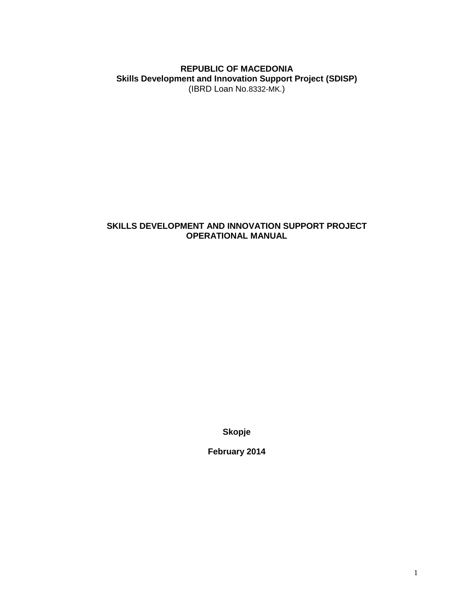### **REPUBLIC OF MACEDONIA Skills Development and Innovation Support Project (SDISP)** (IBRD Loan No.8332-MK.)

### **SKILLS DEVELOPMENT AND INNOVATION SUPPORT PROJECT OPERATIONAL MANUAL**

**Skopje**

**February 2014**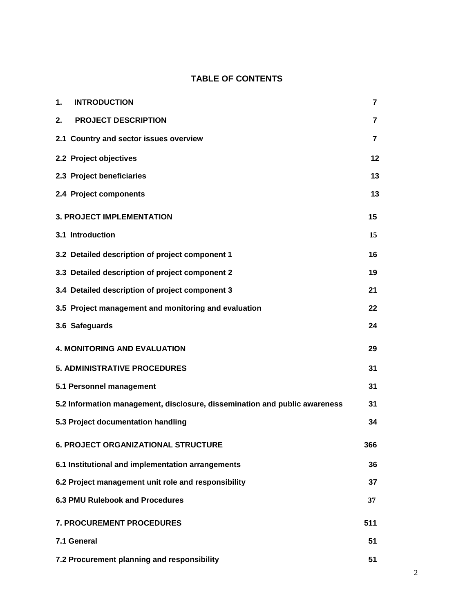# **TABLE OF CONTENTS**

| 1.<br><b>INTRODUCTION</b>                                                  | $\overline{7}$ |  |
|----------------------------------------------------------------------------|----------------|--|
| <b>PROJECT DESCRIPTION</b><br>2.                                           | 7              |  |
| 2.1 Country and sector issues overview                                     | $\overline{7}$ |  |
| 2.2 Project objectives                                                     | 12             |  |
| 2.3 Project beneficiaries                                                  | 13             |  |
| 2.4 Project components                                                     | 13             |  |
| <b>3. PROJECT IMPLEMENTATION</b>                                           | 15             |  |
| 3.1 Introduction                                                           | 15             |  |
| 3.2 Detailed description of project component 1                            | 16             |  |
| 3.3 Detailed description of project component 2                            | 19             |  |
| 3.4 Detailed description of project component 3                            | 21             |  |
| 3.5 Project management and monitoring and evaluation                       | 22             |  |
| 3.6 Safeguards                                                             | 24             |  |
| <b>4. MONITORING AND EVALUATION</b>                                        | 29             |  |
| <b>5. ADMINISTRATIVE PROCEDURES</b>                                        | 31             |  |
| 5.1 Personnel management                                                   | 31             |  |
| 5.2 Information management, disclosure, dissemination and public awareness | 31             |  |
| 5.3 Project documentation handling                                         | 34             |  |
| 6. PROJECT ORGANIZATIONAL STRUCTURE                                        | 366            |  |
| 6.1 Institutional and implementation arrangements                          | 36             |  |
| 6.2 Project management unit role and responsibility                        | 37             |  |
| <b>6.3 PMU Rulebook and Procedures</b>                                     | 37             |  |
| 7. PROCUREMENT PROCEDURES                                                  | 511            |  |
| 7.1 General                                                                | 51             |  |
| 7.2 Procurement planning and responsibility                                | 51             |  |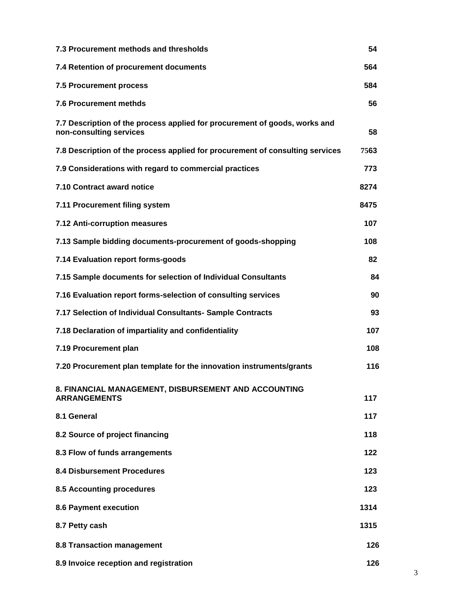| 7.3 Procurement methods and thresholds                                                                | 54   |  |
|-------------------------------------------------------------------------------------------------------|------|--|
| 7.4 Retention of procurement documents                                                                | 564  |  |
| <b>7.5 Procurement process</b>                                                                        | 584  |  |
| <b>7.6 Procurement methds</b>                                                                         | 56   |  |
| 7.7 Description of the process applied for procurement of goods, works and<br>non-consulting services | 58   |  |
| 7.8 Description of the process applied for procurement of consulting services                         | 7563 |  |
| 7.9 Considerations with regard to commercial practices                                                | 773  |  |
| 7.10 Contract award notice                                                                            | 8274 |  |
| 7.11 Procurement filing system                                                                        | 8475 |  |
| 7.12 Anti-corruption measures                                                                         | 107  |  |
| 7.13 Sample bidding documents-procurement of goods-shopping                                           | 108  |  |
| 7.14 Evaluation report forms-goods                                                                    | 82   |  |
| 7.15 Sample documents for selection of Individual Consultants                                         | 84   |  |
| 7.16 Evaluation report forms-selection of consulting services                                         | 90   |  |
| 7.17 Selection of Individual Consultants- Sample Contracts                                            | 93   |  |
| 7.18 Declaration of impartiality and confidentiality                                                  | 107  |  |
| 7.19 Procurement plan                                                                                 | 108  |  |
| 7.20 Procurement plan template for the innovation instruments/grants                                  | 116  |  |
| 8. FINANCIAL MANAGEMENT, DISBURSEMENT AND ACCOUNTING<br><b>ARRANGEMENTS</b>                           | 117  |  |
| 8.1 General                                                                                           | 117  |  |
| 8.2 Source of project financing                                                                       | 118  |  |
| 8.3 Flow of funds arrangements                                                                        | 122  |  |
| <b>8.4 Disbursement Procedures</b>                                                                    | 123  |  |
| 8.5 Accounting procedures                                                                             | 123  |  |
| <b>8.6 Payment execution</b>                                                                          | 1314 |  |
| 8.7 Petty cash                                                                                        | 1315 |  |
| 8.8 Transaction management                                                                            | 126  |  |
| 8.9 Invoice reception and registration                                                                | 126  |  |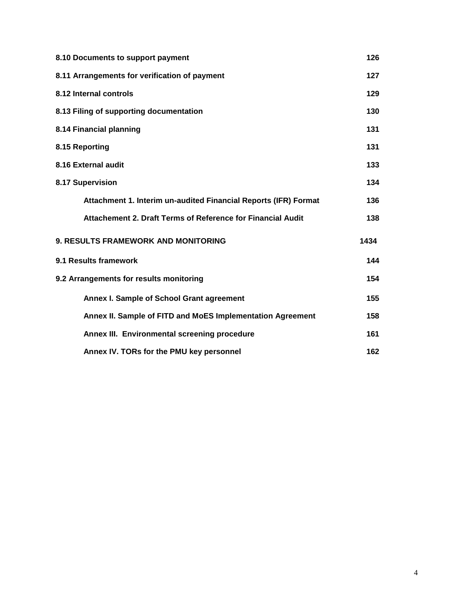| 8.10 Documents to support payment                               | 126  |  |
|-----------------------------------------------------------------|------|--|
| 8.11 Arrangements for verification of payment                   | 127  |  |
| 8.12 Internal controls                                          | 129  |  |
| 8.13 Filing of supporting documentation                         | 130  |  |
| 8.14 Financial planning                                         | 131  |  |
| 8.15 Reporting                                                  | 131  |  |
| 8.16 External audit                                             | 133  |  |
| 8.17 Supervision                                                | 134  |  |
| Attachment 1. Interim un-audited Financial Reports (IFR) Format | 136  |  |
| Attachement 2. Draft Terms of Reference for Financial Audit     | 138  |  |
| <b>9. RESULTS FRAMEWORK AND MONITORING</b>                      | 1434 |  |
| 9.1 Results framework                                           | 144  |  |
| 9.2 Arrangements for results monitoring                         | 154  |  |
| Annex I. Sample of School Grant agreement                       | 155  |  |
| Annex II. Sample of FITD and MoES Implementation Agreement      | 158  |  |
| Annex III. Environmental screening procedure                    | 161  |  |
| Annex IV. TORs for the PMU key personnel                        | 162  |  |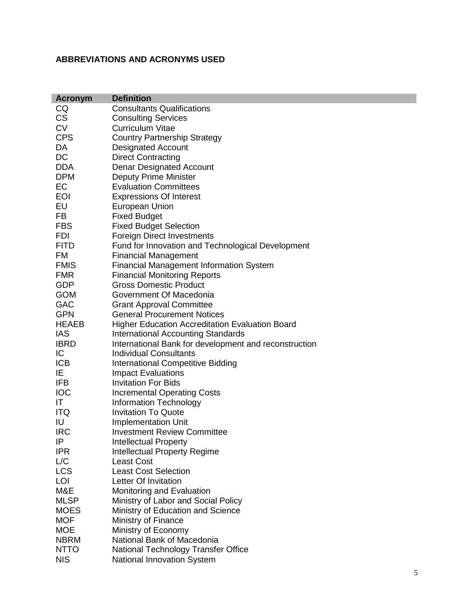# **ABBREVIATIONS AND ACRONYMS USED**

| <b>Acronym</b> | <b>Definition</b>                                      |
|----------------|--------------------------------------------------------|
| CQ             | <b>Consultants Qualifications</b>                      |
| <b>CS</b>      | <b>Consulting Services</b>                             |
| <b>CV</b>      | <b>Curriculum Vitae</b>                                |
| <b>CPS</b>     | <b>Country Partnership Strategy</b>                    |
| DA             | <b>Designated Account</b>                              |
| DC             | <b>Direct Contracting</b>                              |
| <b>DDA</b>     | <b>Denar Designated Account</b>                        |
| <b>DPM</b>     | <b>Deputy Prime Minister</b>                           |
| EC             | <b>Evaluation Committees</b>                           |
| EOI            | <b>Expressions Of Interest</b>                         |
| EU             | <b>European Union</b>                                  |
| FB             | <b>Fixed Budget</b>                                    |
| <b>FBS</b>     | <b>Fixed Budget Selection</b>                          |
| <b>FDI</b>     | <b>Foreign Direct Investments</b>                      |
| <b>FITD</b>    | Fund for Innovation and Technological Development      |
| FM             | <b>Financial Management</b>                            |
| <b>FMIS</b>    | <b>Financial Management Information System</b>         |
| <b>FMR</b>     | <b>Financial Monitoring Reports</b>                    |
| <b>GDP</b>     | <b>Gross Domestic Product</b>                          |
| <b>GOM</b>     | Government Of Macedonia                                |
| <b>GAC</b>     | <b>Grant Approval Committee</b>                        |
| <b>GPN</b>     | <b>General Procurement Notices</b>                     |
| <b>HEAEB</b>   | <b>Higher Education Accreditation Evaluation Board</b> |
| <b>IAS</b>     | <b>International Accounting Standards</b>              |
| <b>IBRD</b>    | International Bank for development and reconstruction  |
| IC             | <b>Individual Consultants</b>                          |
| <b>ICB</b>     | <b>International Competitive Bidding</b>               |
| ΙE             | <b>Impact Evaluations</b>                              |
| IFB            | <b>Invitation For Bids</b>                             |
| <b>IOC</b>     | <b>Incremental Operating Costs</b>                     |
| IT             | <b>Information Technology</b>                          |
| <b>ITQ</b>     | <b>Invitation To Quote</b>                             |
| IU             | <b>Implementation Unit</b>                             |
| <b>IRC</b>     | <b>Investment Review Committee</b>                     |
| IP             | <b>Intellectual Property</b>                           |
| <b>IPR</b>     | <b>Intellectual Property Regime</b>                    |
| L/C            | <b>Least Cost</b>                                      |
| <b>LCS</b>     | <b>Least Cost Selection</b>                            |
| LOI            | Letter Of Invitation                                   |
| M&E            | Monitoring and Evaluation                              |
| <b>MLSP</b>    | Ministry of Labor and Social Policy                    |
| <b>MOES</b>    | Ministry of Education and Science                      |
| <b>MOF</b>     | Ministry of Finance                                    |
| <b>MOE</b>     | Ministry of Economy                                    |
| <b>NBRM</b>    | National Bank of Macedonia                             |
| <b>NTTO</b>    | National Technology Transfer Office                    |
| <b>NIS</b>     | National Innovation System                             |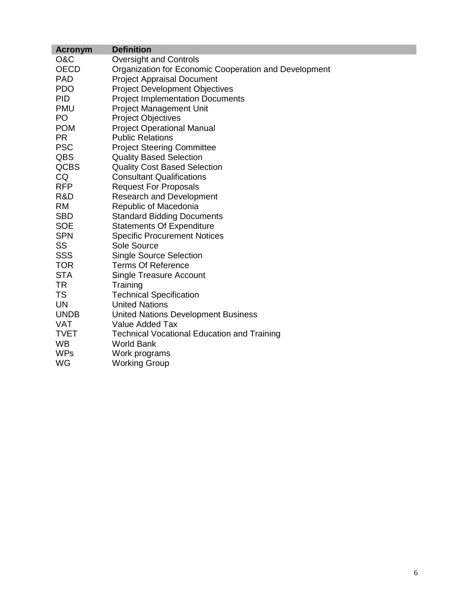| <b>Acronym</b> | <b>Definition</b>                                     |
|----------------|-------------------------------------------------------|
| O&C            | <b>Oversight and Controls</b>                         |
| <b>OECD</b>    | Organization for Economic Cooperation and Development |
| <b>PAD</b>     | <b>Project Appraisal Document</b>                     |
| <b>PDO</b>     | <b>Project Development Objectives</b>                 |
| <b>PID</b>     | <b>Project Implementation Documents</b>               |
| <b>PMU</b>     | <b>Project Management Unit</b>                        |
| PO             | <b>Project Objectives</b>                             |
| <b>POM</b>     | <b>Project Operational Manual</b>                     |
| <b>PR</b>      | <b>Public Relations</b>                               |
| <b>PSC</b>     | <b>Project Steering Committee</b>                     |
| QBS            | <b>Quality Based Selection</b>                        |
| <b>QCBS</b>    | <b>Quality Cost Based Selection</b>                   |
| CQ             | <b>Consultant Qualifications</b>                      |
| <b>RFP</b>     | <b>Request For Proposals</b>                          |
| R&D            | <b>Research and Development</b>                       |
| <b>RM</b>      | Republic of Macedonia                                 |
| <b>SBD</b>     | <b>Standard Bidding Documents</b>                     |
| <b>SOE</b>     | <b>Statements Of Expenditure</b>                      |
| <b>SPN</b>     | <b>Specific Procurement Notices</b>                   |
| <b>SS</b>      | Sole Source                                           |
| <b>SSS</b>     | <b>Single Source Selection</b>                        |
| <b>TOR</b>     | <b>Terms Of Reference</b>                             |
| <b>STA</b>     | <b>Single Treasure Account</b>                        |
| TR             | Training                                              |
| <b>TS</b>      | <b>Technical Specification</b>                        |
| <b>UN</b>      | <b>United Nations</b>                                 |
| <b>UNDB</b>    | <b>United Nations Development Business</b>            |
| <b>VAT</b>     | Value Added Tax                                       |
| <b>TVET</b>    | <b>Technical Vocational Education and Training</b>    |
| <b>WB</b>      | <b>World Bank</b>                                     |
| <b>WPs</b>     | Work programs                                         |
| WG             | <b>Working Group</b>                                  |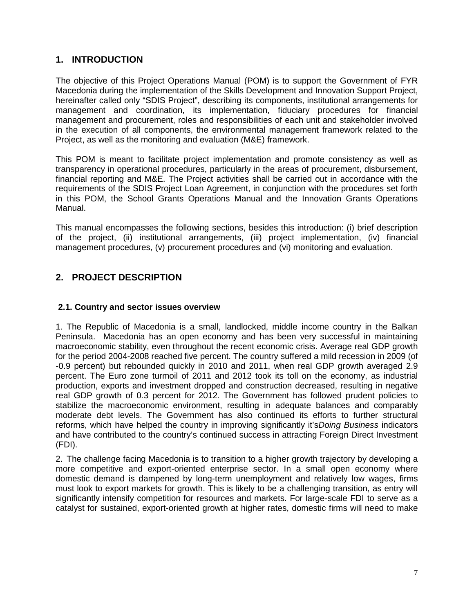# **1. INTRODUCTION**

The objective of this Project Operations Manual (POM) is to support the Government of FYR Macedonia during the implementation of the Skills Development and Innovation Support Project, hereinafter called only "SDIS Project", describing its components, institutional arrangements for management and coordination, its implementation, fiduciary procedures for financial management and procurement, roles and responsibilities of each unit and stakeholder involved in the execution of all components, the environmental management framework related to the Project, as well as the monitoring and evaluation (M&E) framework.

This POM is meant to facilitate project implementation and promote consistency as well as transparency in operational procedures, particularly in the areas of procurement, disbursement, financial reporting and M&E. The Project activities shall be carried out in accordance with the requirements of the SDIS Project Loan Agreement, in conjunction with the procedures set forth in this POM, the School Grants Operations Manual and the Innovation Grants Operations Manual.

This manual encompasses the following sections, besides this introduction: (i) brief description of the project, (ii) institutional arrangements, (iii) project implementation, (iv) financial management procedures, (v) procurement procedures and (vi) monitoring and evaluation.

# **2. PROJECT DESCRIPTION**

### **2.1. Country and sector issues overview**

1. The Republic of Macedonia is a small, landlocked, middle income country in the Balkan Peninsula. Macedonia has an open economy and has been very successful in maintaining macroeconomic stability, even throughout the recent economic crisis. Average real GDP growth for the period 2004-2008 reached five percent. The country suffered a mild recession in 2009 (of -0.9 percent) but rebounded quickly in 2010 and 2011, when real GDP growth averaged 2.9 percent. The Euro zone turmoil of 2011 and 2012 took its toll on the economy, as industrial production, exports and investment dropped and construction decreased, resulting in negative real GDP growth of 0.3 percent for 2012. The Government has followed prudent policies to stabilize the macroeconomic environment, resulting in adequate balances and comparably moderate debt levels. The Government has also continued its efforts to further structural reforms, which have helped the country in improving significantly it's*Doing Business* indicators and have contributed to the country's continued success in attracting Foreign Direct Investment (FDI).

2. The challenge facing Macedonia is to transition to a higher growth trajectory by developing a more competitive and export-oriented enterprise sector. In a small open economy where domestic demand is dampened by long-term unemployment and relatively low wages, firms must look to export markets for growth. This is likely to be a challenging transition, as entry will significantly intensify competition for resources and markets. For large-scale FDI to serve as a catalyst for sustained, export-oriented growth at higher rates, domestic firms will need to make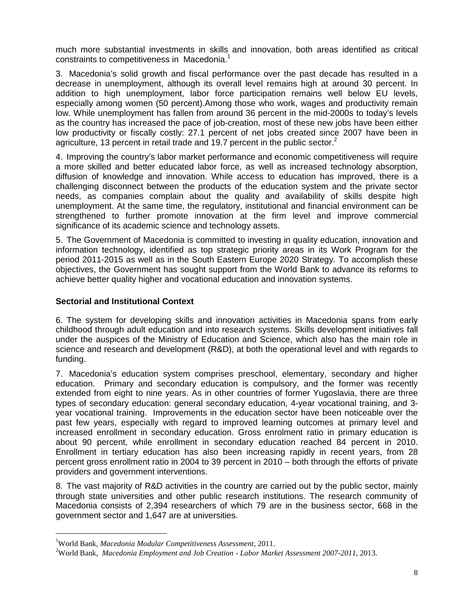much more substantial investments in skills and innovation, both areas identified as critical constraints to competitiveness in Macedonia.<sup>1</sup>

3. Macedonia's solid growth and fiscal performance over the past decade has resulted in a decrease in unemployment, although its overall level remains high at around 30 percent. In addition to high unemployment, labor force participation remains well below EU levels, especially among women (50 percent).Among those who work, wages and productivity remain low. While unemployment has fallen from around 36 percent in the mid-2000s to today's levels as the country has increased the pace of job-creation, most of these new jobs have been either low productivity or fiscally costly: 27.1 percent of net jobs created since 2007 have been in agriculture, 13 percent in retail trade and 19.7 percent in the public sector. $<sup>2</sup>$ </sup>

4. Improving the country's labor market performance and economic competitiveness will require a more skilled and better educated labor force, as well as increased technology absorption, diffusion of knowledge and innovation. While access to education has improved, there is a challenging disconnect between the products of the education system and the private sector needs, as companies complain about the quality and availability of skills despite high unemployment. At the same time, the regulatory, institutional and financial environment can be strengthened to further promote innovation at the firm level and improve commercial significance of its academic science and technology assets.

5. The Government of Macedonia is committed to investing in quality education, innovation and information technology, identified as top strategic priority areas in its Work Program for the period 2011-2015 as well as in the South Eastern Europe 2020 Strategy. To accomplish these objectives, the Government has sought support from the World Bank to advance its reforms to achieve better quality higher and vocational education and innovation systems.

### **Sectorial and Institutional Context**

6. The system for developing skills and innovation activities in Macedonia spans from early childhood through adult education and into research systems. Skills development initiatives fall under the auspices of the Ministry of Education and Science, which also has the main role in science and research and development (R&D), at both the operational level and with regards to funding.

7. Macedonia's education system comprises preschool, elementary, secondary and higher education. Primary and secondary education is compulsory, and the former was recently extended from eight to nine years. As in other countries of former Yugoslavia, there are three types of secondary education: general secondary education, 4-year vocational training, and 3 year vocational training. Improvements in the education sector have been noticeable over the past few years, especially with regard to improved learning outcomes at primary level and increased enrollment in secondary education. Gross enrolment ratio in primary education is about 90 percent, while enrollment in secondary education reached 84 percent in 2010. Enrollment in tertiary education has also been increasing rapidly in recent years, from 28 percent gross enrollment ratio in 2004 to 39 percent in 2010 – both through the efforts of private providers and government interventions.

8. The vast majority of R&D activities in the country are carried out by the public sector, mainly through state universities and other public research institutions. The research community of Macedonia consists of 2,394 researchers of which 79 are in the business sector, 668 in the government sector and 1,647 are at universities.

<sup>1</sup>World Bank, *Macedonia Modular Competitiveness Assessment*, 2011.

<sup>2</sup>World Bank, *Macedonia Employment and Job Creation - Labor Market Assessment 2007-2011*, 2013.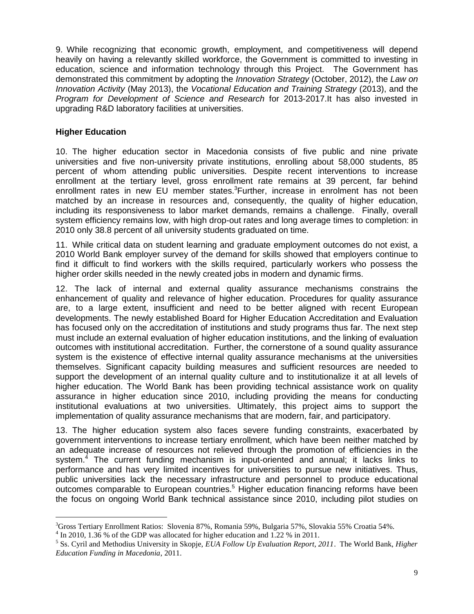9. While recognizing that economic growth, employment, and competitiveness will depend heavily on having a relevantly skilled workforce, the Government is committed to investing in education, science and information technology through this Project. The Government has demonstrated this commitment by adopting the *Innovation Strategy* (October, 2012), the *Law on Innovation Activity* (May 2013), the *Vocational Education and Training Strategy* (2013), and the *Program for Development of Science and Research* for 2013-2017.It has also invested in upgrading R&D laboratory facilities at universities.

#### **Higher Education**

10. The higher education sector in Macedonia consists of five public and nine private universities and five non-university private institutions, enrolling about 58,000 students, 85 percent of whom attending public universities. Despite recent interventions to increase enrollment at the tertiary level, gross enrollment rate remains at 39 percent, far behind enrollment rates in new EU member states.<sup>3</sup>Further, increase in enrolment has not been matched by an increase in resources and, consequently, the quality of higher education, including its responsiveness to labor market demands, remains a challenge. Finally, overall system efficiency remains low, with high drop-out rates and long average times to completion: in 2010 only 38.8 percent of all university students graduated on time.

11. While critical data on student learning and graduate employment outcomes do not exist, a 2010 World Bank employer survey of the demand for skills showed that employers continue to find it difficult to find workers with the skills required, particularly workers who possess the higher order skills needed in the newly created jobs in modern and dynamic firms.

12. The lack of internal and external quality assurance mechanisms constrains the enhancement of quality and relevance of higher education. Procedures for quality assurance are, to a large extent, insufficient and need to be better aligned with recent European developments. The newly established Board for Higher Education Accreditation and Evaluation has focused only on the accreditation of institutions and study programs thus far. The next step must include an external evaluation of higher education institutions, and the linking of evaluation outcomes with institutional accreditation. Further, the cornerstone of a sound quality assurance system is the existence of effective internal quality assurance mechanisms at the universities themselves. Significant capacity building measures and sufficient resources are needed to support the development of an internal quality culture and to institutionalize it at all levels of higher education. The World Bank has been providing technical assistance work on quality assurance in higher education since 2010, including providing the means for conducting institutional evaluations at two universities. Ultimately, this project aims to support the implementation of quality assurance mechanisms that are modern, fair, and participatory.

13. The higher education system also faces severe funding constraints, exacerbated by government interventions to increase tertiary enrollment, which have been neither matched by an adequate increase of resources not relieved through the promotion of efficiencies in the system.<sup>4</sup> The current funding mechanism is input-oriented and annual; it lacks links to performance and has very limited incentives for universities to pursue new initiatives. Thus, public universities lack the necessary infrastructure and personnel to produce educational outcomes comparable to European countries.<sup>5</sup> Higher education financing reforms have been the focus on ongoing World Bank technical assistance since 2010, including pilot studies on

<sup>&</sup>lt;sup>3</sup>Gross Tertiary Enrollment Ratios: Slovenia 87%, Romania 59%, Bulgaria 57%, Slovakia 55% Croatia 54%.<br><sup>4</sup> In 2010, 1.36 % of the GDP was allocated for higher education and 1.22 % in 2011.<br><sup>5</sup> Ss. Cyril and Methodius Uni

*Education Funding in Macedonia*, 2011.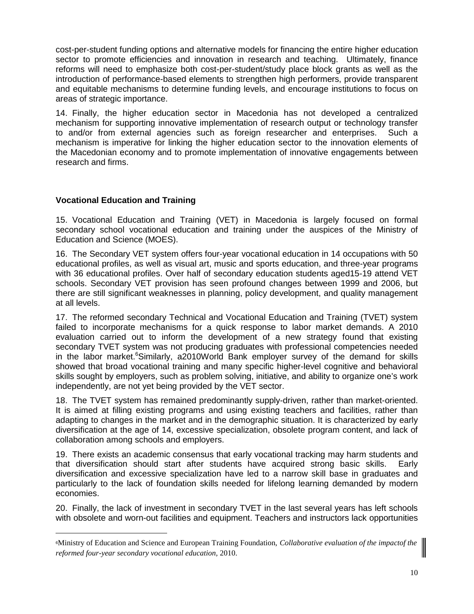cost-per-student funding options and alternative models for financing the entire higher education sector to promote efficiencies and innovation in research and teaching. Ultimately, finance reforms will need to emphasize both cost-per-student/study place block grants as well as the introduction of performance-based elements to strengthen high performers, provide transparent and equitable mechanisms to determine funding levels, and encourage institutions to focus on areas of strategic importance.

14. Finally, the higher education sector in Macedonia has not developed a centralized mechanism for supporting innovative implementation of research output or technology transfer to and/or from external agencies such as foreign researcher and enterprises. Such a mechanism is imperative for linking the higher education sector to the innovation elements of the Macedonian economy and to promote implementation of innovative engagements between research and firms.

### **Vocational Education and Training**

15. Vocational Education and Training (VET) in Macedonia is largely focused on formal secondary school vocational education and training under the auspices of the Ministry of Education and Science (MOES).

16. The Secondary VET system offers four-year vocational education in 14 occupations with 50 educational profiles, as well as visual art, music and sports education, and three-year programs with 36 educational profiles. Over half of secondary education students aged15-19 attend VET schools. Secondary VET provision has seen profound changes between 1999 and 2006, but there are still significant weaknesses in planning, policy development, and quality management at all levels.

17. The reformed secondary Technical and Vocational Education and Training (TVET) system failed to incorporate mechanisms for a quick response to labor market demands. A 2010 evaluation carried out to inform the development of a new strategy found that existing secondary TVET system was not producing graduates with professional competencies needed in the labor market.<sup>6</sup>Similarly, a2010World Bank employer survey of the demand for skills showed that broad vocational training and many specific higher-level cognitive and behavioral skills sought by employers, such as problem solving, initiative, and ability to organize one's work independently, are not yet being provided by the VET sector.

18. The TVET system has remained predominantly supply-driven, rather than market-oriented. It is aimed at filling existing programs and using existing teachers and facilities, rather than adapting to changes in the market and in the demographic situation. It is characterized by early diversification at the age of 14, excessive specialization, obsolete program content, and lack of collaboration among schools and employers.

19. There exists an academic consensus that early vocational tracking may harm students and that diversification should start after students have acquired strong basic skills. Early diversification and excessive specialization have led to a narrow skill base in graduates and particularly to the lack of foundation skills needed for lifelong learning demanded by modern economies.

20. Finally, the lack of investment in secondary TVET in the last several years has left schools with obsolete and worn-out facilities and equipment. Teachers and instructors lack opportunities

<sup>6</sup>Ministry of Education and Science and European Training Foundation, *Collaborative evaluation of the impactof the reformed four-year secondary vocational education,* 2010.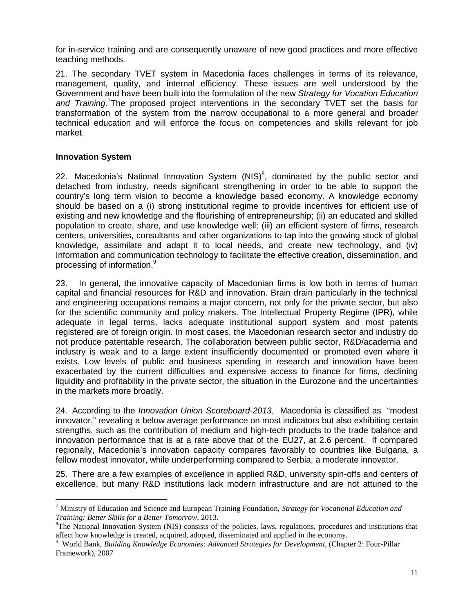for in-service training and are consequently unaware of new good practices and more effective teaching methods.

21. The secondary TVET system in Macedonia faces challenges in terms of its relevance, management, quality, and internal efficiency. These issues are well understood by the Government and have been built into the formulation of the new *Strategy for Vocation Education and Training.*<sup>7</sup>The proposed project interventions in the secondary TVET set the basis for transformation of the system from the narrow occupational to a more general and broader technical education and will enforce the focus on competencies and skills relevant for job market.

#### **Innovation System**

22. Macedonia's National Innovation System (NIS)<sup>8</sup>, dominated by the public sector and detached from industry, needs significant strengthening in order to be able to support the country's long term vision to become a knowledge based economy. A knowledge economy should be based on a (i) strong institutional regime to provide incentives for efficient use of existing and new knowledge and the flourishing of entrepreneurship; (ii) an educated and skilled population to create, share, and use knowledge well; (iii) an efficient system of firms, research centers, universities, consultants and other organizations to tap into the growing stock of global knowledge, assimilate and adapt it to local needs, and create new technology, and (iv) Information and communication technology to facilitate the effective creation, dissemination, and processing of information.<sup>9</sup>

23. In general, the innovative capacity of Macedonian firms is low both in terms of human capital and financial resources for R&D and innovation. Brain drain particularly in the technical and engineering occupations remains a major concern, not only for the private sector, but also for the scientific community and policy makers. The Intellectual Property Regime (IPR), while adequate in legal terms, lacks adequate institutional support system and most patents registered are of foreign origin. In most cases, the Macedonian research sector and industry do not produce patentable research. The collaboration between public sector, R&D/academia and industry is weak and to a large extent insufficiently documented or promoted even where it exists. Low levels of public and business spending in research and innovation have been exacerbated by the current difficulties and expensive access to finance for firms, declining liquidity and profitability in the private sector, the situation in the Eurozone and the uncertainties in the markets more broadly.

24. According to the *Innovation Union Scoreboard*-*2013*, Macedonia is classified as "modest innovator," revealing a below average performance on most indicators but also exhibiting certain strengths, such as the contribution of medium and high-tech products to the trade balance and innovation performance that is at a rate above that of the EU27, at 2.6 percent. If compared regionally, Macedonia's innovation capacity compares favorably to countries like Bulgaria, a fellow modest innovator, while underperforming compared to Serbia, a moderate innovator.

25. There are a few examples of excellence in applied R&D, university spin-offs and centers of excellence, but many R&D institutions lack modern infrastructure and are not attuned to the

<sup>7</sup> Ministry of Education and Science and European Training Foundation, *Strategy for Vocational Education and Training: Better Skills for a Better Tomorrow*, 2013.<br><sup>8</sup>The National Innovation System (NIS) consists of the policies, laws, regulations, procedures and institutions that

affect how knowledge is created, acquired, adopted, disseminated and applied in the economy.<br><sup>9</sup> World Bank, *Building Knowledge Economies: Advanced Strategies for Development*, (Chapter 2: Four-Pillar

Framework), 2007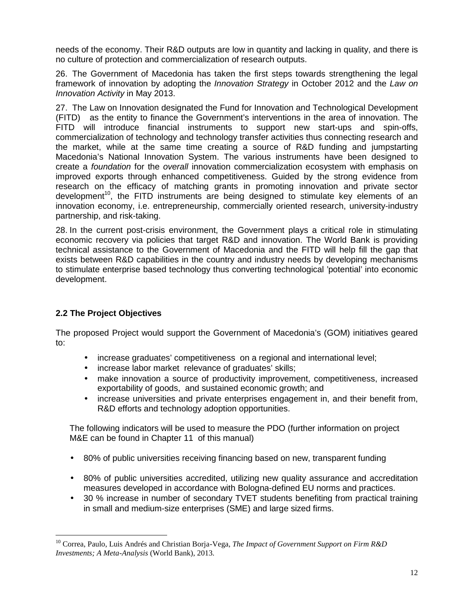needs of the economy. Their R&D outputs are low in quantity and lacking in quality, and there is no culture of protection and commercialization of research outputs.

26. The Government of Macedonia has taken the first steps towards strengthening the legal framework of innovation by adopting the *Innovation Strategy* in October 2012 and the *Law on Innovation Activity* in May 2013.

27. The Law on Innovation designated the Fund for Innovation and Technological Development (FITD) as the entity to finance the Government's interventions in the area of innovation. The FITD will introduce financial instruments to support new start-ups and spin-offs, commercialization of technology and technology transfer activities thus connecting research and the market, while at the same time creating a source of R&D funding and jumpstarting Macedonia's National Innovation System. The various instruments have been designed to create a *foundation* for the *overall* innovation commercialization ecosystem with emphasis on improved exports through enhanced competitiveness. Guided by the strong evidence from research on the efficacy of matching grants in promoting innovation and private sector development<sup>10</sup>, the FITD instruments are being designed to stimulate key elements of an innovation economy, i.e. entrepreneurship, commercially oriented research, university-industry partnership, and risk-taking.

28. In the current post-crisis environment, the Government plays a critical role in stimulating economic recovery via policies that target R&D and innovation. The World Bank is providing technical assistance to the Government of Macedonia and the FITD will help fill the gap that exists between R&D capabilities in the country and industry needs by developing mechanisms to stimulate enterprise based technology thus converting technological 'potential' into economic development.

### **2.2 The Project Objectives**

The proposed Project would support the Government of Macedonia's (GOM) initiatives geared to:

- increase graduates' competitiveness on a regional and international level;
- increase labor market relevance of graduates' skills:
- make innovation a source of productivity improvement, competitiveness, increased exportability of goods, and sustained economic growth; and
- increase universities and private enterprises engagement in, and their benefit from, R&D efforts and technology adoption opportunities.

The following indicators will be used to measure the PDO (further information on project M&E can be found in Chapter 11 of this manual)

- 80% of public universities receiving financing based on new, transparent funding
- 80% of public universities accredited, utilizing new quality assurance and accreditation measures developed in accordance with Bologna-defined EU norms and practices.
- 30 % increase in number of secondary TVET students benefiting from practical training in small and medium-size enterprises (SME) and large sized firms.

<sup>10</sup> Correa, Paulo, Luis Andrés and Christian Borja-Vega, *The Impact of Government Support on Firm R&D Investments; A Meta-Analysis* (World Bank), 2013.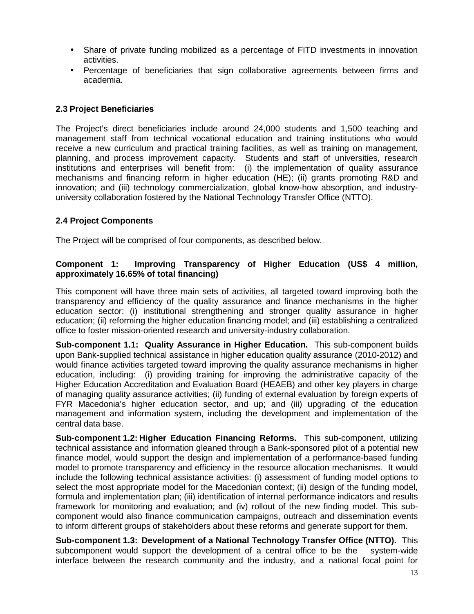- Share of private funding mobilized as a percentage of FITD investments in innovation activities.
- Percentage of beneficiaries that sign collaborative agreements between firms and academia.

#### **2.3 Project Beneficiaries**

The Project's direct beneficiaries include around 24,000 students and 1,500 teaching and management staff from technical vocational education and training institutions who would receive a new curriculum and practical training facilities, as well as training on management, planning, and process improvement capacity. Students and staff of universities, research institutions and enterprises will benefit from: (i) the implementation of quality assurance mechanisms and financing reform in higher education (HE); (ii) grants promoting R&D and innovation; and (iii) technology commercialization, global know-how absorption, and industry university collaboration fostered by the National Technology Transfer Office (NTTO).

#### **2.4 Project Components**

The Project will be comprised of four components, as described below.

### **Component 1: Improving Transparency of Higher Education (US\$ 4 million, approximately 16.65% of total financing)**

This component will have three main sets of activities, all targeted toward improving both the transparency and efficiency of the quality assurance and finance mechanisms in the higher education sector: (i) institutional strengthening and stronger quality assurance in higher education; (ii) reforming the higher education financing model; and (iii) establishing a centralized office to foster mission-oriented research and university-industry collaboration.

**Sub-component 1.1: Quality Assurance in Higher Education.** This sub-component builds upon Bank-supplied technical assistance in higher education quality assurance (2010-2012) and would finance activities targeted toward improving the quality assurance mechanisms in higher education, including: (i) providing training for improving the administrative capacity of the Higher Education Accreditation and Evaluation Board (HEAEB) and other key players in charge of managing quality assurance activities; (ii) funding of external evaluation by foreign experts of FYR Macedonia's higher education sector, and up; and (iii) upgrading of the education management and information system, including the development and implementation of the central data base.

**Sub-component 1.2: Higher Education Financing Reforms.** This sub-component, utilizing technical assistance and information gleaned through a Bank-sponsored pilot of a potential new finance model, would support the design and implementation of a performance-based funding model to promote transparency and efficiency in the resource allocation mechanisms. It would include the following technical assistance activities: (i) assessment of funding model options to select the most appropriate model for the Macedonian context; (ii) design of the funding model, formula and implementation plan; (iii) identification of internal performance indicators and results framework for monitoring and evaluation; and (iv) rollout of the new finding model. This sub component would also finance communication campaigns, outreach and dissemination events to inform different groups of stakeholders about these reforms and generate support for them.

**Sub-component 1.3: Development of a National Technology Transfer Office (NTTO).** This subcomponent would support the development of a central office to be the system-wide interface between the research community and the industry, and a national focal point for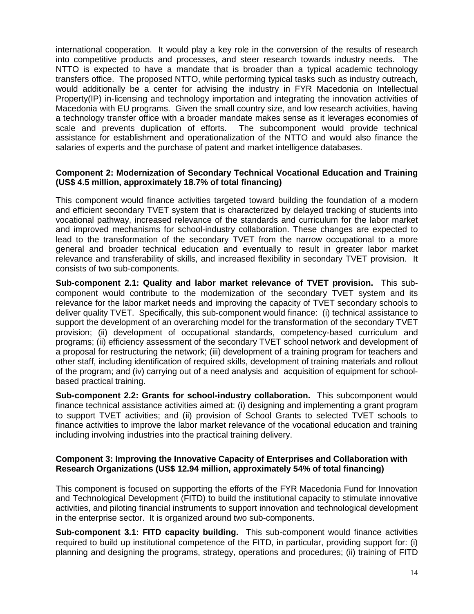international cooperation. It would play a key role in the conversion of the results of research into competitive products and processes, and steer research towards industry needs. The NTTO is expected to have a mandate that is broader than a typical academic technology transfers office. The proposed NTTO, while performing typical tasks such as industry outreach, would additionally be a center for advising the industry in FYR Macedonia on Intellectual Property(IP) in-licensing and technology importation and integrating the innovation activities of Macedonia with EU programs. Given the small country size, and low research activities, having a technology transfer office with a broader mandate makes sense as it leverages economies of scale and prevents duplication of efforts. The subcomponent would provide technical assistance for establishment and operationalization of the NTTO and would also finance the salaries of experts and the purchase of patent and market intelligence databases.

### **Component 2: Modernization of Secondary Technical Vocational Education and Training (US\$ 4.5 million, approximately 18.7% of total financing)**

This component would finance activities targeted toward building the foundation of a modern and efficient secondary TVET system that is characterized by delayed tracking of students into vocational pathway, increased relevance of the standards and curriculum for the labor market and improved mechanisms for school-industry collaboration. These changes are expected to lead to the transformation of the secondary TVET from the narrow occupational to a more general and broader technical education and eventually to result in greater labor market relevance and transferability of skills, and increased flexibility in secondary TVET provision. It consists of two sub-components.

**Sub-component 2.1: Quality and labor market relevance of TVET provision.** This sub component would contribute to the modernization of the secondary TVET system and its relevance for the labor market needs and improving the capacity of TVET secondary schools to deliver quality TVET. Specifically, this sub-component would finance: (i) technical assistance to support the development of an overarching model for the transformation of the secondary TVET provision; (ii) development of occupational standards, competency-based curriculum and programs; (ii) efficiency assessment of the secondary TVET school network and development of a proposal for restructuring the network; (iii) development of a training program for teachers and other staff, including identification of required skills, development of training materials and rollout of the program; and (iv) carrying out of a need analysis and acquisition of equipment for school based practical training.

**Sub-component 2.2: Grants for school-industry collaboration.** This subcomponent would finance technical assistance activities aimed at: (i) designing and implementing a grant program to support TVET activities; and (ii) provision of School Grants to selected TVET schools to finance activities to improve the labor market relevance of the vocational education and training including involving industries into the practical training delivery.

#### **Component 3: Improving the Innovative Capacity of Enterprises and Collaboration with Research Organizations (US\$ 12.94 million, approximately 54% of total financing)**

This component is focused on supporting the efforts of the FYR Macedonia Fund for Innovation and Technological Development (FITD) to build the institutional capacity to stimulate innovative activities, and piloting financial instruments to support innovation and technological development in the enterprise sector. It is organized around two sub-components.

**Sub-component 3.1: FITD capacity building.** This sub-component would finance activities required to build up institutional competence of the FITD, in particular, providing support for: (i) planning and designing the programs, strategy, operations and procedures; (ii) training of FITD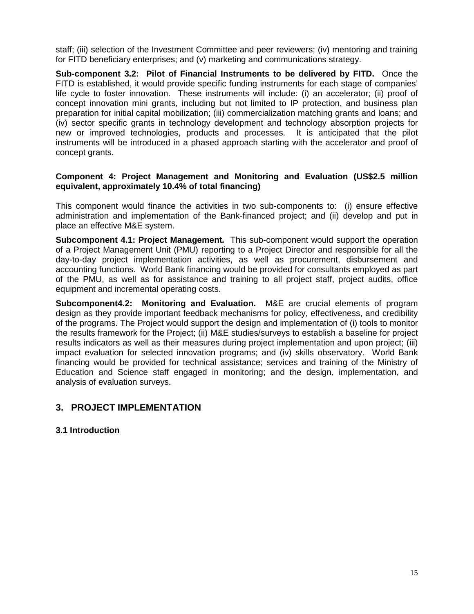staff; (iii) selection of the Investment Committee and peer reviewers; (iv) mentoring and training for FITD beneficiary enterprises; and (v) marketing and communications strategy.

**Sub-component 3.2: Pilot of Financial Instruments to be delivered by FITD.** Once the FITD is established, it would provide specific funding instruments for each stage of companies' life cycle to foster innovation. These instruments will include: (i) an accelerator; (ii) proof of concept innovation mini grants, including but not limited to IP protection, and business plan preparation for initial capital mobilization; (iii) commercialization matching grants and loans; and (iv) sector specific grants in technology development and technology absorption projects for new or improved technologies, products and processes. It is anticipated that the pilot instruments will be introduced in a phased approach starting with the accelerator and proof of concept grants.

#### **Component 4: Project Management and Monitoring and Evaluation (US\$2.5 million equivalent, approximately 10.4% of total financing)**

This component would finance the activities in two sub-components to: (i) ensure effective administration and implementation of the Bank-financed project; and (ii) develop and put in place an effective M&E system.

**Subcomponent 4.1: Project Management***.* This sub-component would support the operation of a Project Management Unit (PMU) reporting to a Project Director and responsible for all the day-to-day project implementation activities, as well as procurement, disbursement and accounting functions. World Bank financing would be provided for consultants employed as part of the PMU, as well as for assistance and training to all project staff, project audits, office equipment and incremental operating costs.

**Subcomponent4.2: Monitoring and Evaluation.** M&E are crucial elements of program design as they provide important feedback mechanisms for policy, effectiveness, and credibility of the programs. The Project would support the design and implementation of (i) tools to monitor the results framework for the Project; (ii) M&E studies/surveys to establish a baseline for project results indicators as well as their measures during project implementation and upon project; (iii) impact evaluation for selected innovation programs; and (iv) skills observatory. World Bank financing would be provided for technical assistance; services and training of the Ministry of Education and Science staff engaged in monitoring; and the design, implementation, and analysis of evaluation surveys.

### **3. PROJECT IMPLEMENTATION**

### **3.1 Introduction**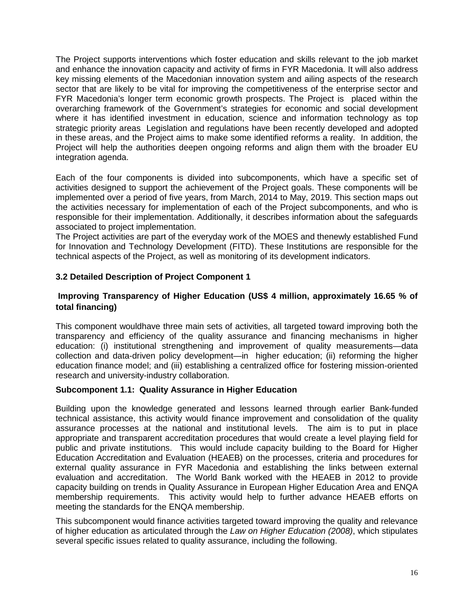The Project supports interventions which foster education and skills relevant to the job market and enhance the innovation capacity and activity of firms in FYR Macedonia. It will also address key missing elements of the Macedonian innovation system and ailing aspects of the research sector that are likely to be vital for improving the competitiveness of the enterprise sector and FYR Macedonia's longer term economic growth prospects. The Project is placed within the overarching framework of the Government's strategies for economic and social development where it has identified investment in education, science and information technology as top strategic priority areas Legislation and regulations have been recently developed and adopted in these areas, and the Project aims to make some identified reforms a reality. In addition, the Project will help the authorities deepen ongoing reforms and align them with the broader EU integration agenda.

Each of the four components is divided into subcomponents, which have a specific set of activities designed to support the achievement of the Project goals. These components will be implemented over a period of five years, from March, 2014 to May, 2019. This section maps out the activities necessary for implementation of each of the Project subcomponents, and who is responsible for their implementation. Additionally, it describes information about the safeguards associated to project implementation.

The Project activities are part of the everyday work of the MOES and thenewly established Fund for Innovation and Technology Development (FITD). These Institutions are responsible for the technical aspects of the Project, as well as monitoring of its development indicators.

### **3.2 Detailed Description of Project Component 1**

### **Improving Transparency of Higher Education (US\$ 4 million, approximately 16.65 % of total financing)**

This component wouldhave three main sets of activities, all targeted toward improving both the transparency and efficiency of the quality assurance and financing mechanisms in higher education: (i) institutional strengthening and improvement of quality measurements—data collection and data-driven policy development—in higher education; (ii) reforming the higher education finance model; and (iii) establishing a centralized office for fostering mission-oriented research and university-industry collaboration.

### **Subcomponent 1.1: Quality Assurance in Higher Education**

Building upon the knowledge generated and lessons learned through earlier Bank-funded technical assistance, this activity would finance improvement and consolidation of the quality assurance processes at the national and institutional levels. The aim is to put in place appropriate and transparent accreditation procedures that would create a level playing field for public and private institutions. This would include capacity building to the Board for Higher Education Accreditation and Evaluation (HEAEB) on the processes, criteria and procedures for external quality assurance in FYR Macedonia and establishing the links between external evaluation and accreditation. The World Bank worked with the HEAEB in 2012 to provide capacity building on trends in Quality Assurance in European Higher Education Area and ENQA membership requirements. This activity would help to further advance HEAEB efforts on meeting the standards for the ENQA membership.

This subcomponent would finance activities targeted toward improving the quality and relevance of higher education as articulated through the *Law on Higher Education (2008)*, which stipulates several specific issues related to quality assurance, including the following.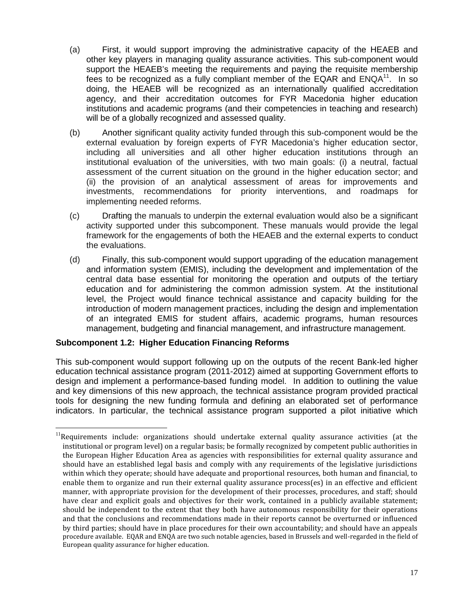- (a) First, it would support improving the administrative capacity of the HEAEB and other key players in managing quality assurance activities. This sub-component would support the HEAEB's meeting the requirements and paying the requisite membership fees to be recognized as a fully compliant member of the EQAR and  $ENQA<sup>11</sup>$ . In so doing, the HEAEB will be recognized as an internationally qualified accreditation agency, and their accreditation outcomes for FYR Macedonia higher education institutions and academic programs (and their competencies in teaching and research) will be of a globally recognized and assessed quality.
- (b) Another significant quality activity funded through this sub-component would be the external evaluation by foreign experts of FYR Macedonia's higher education sector, including all universities and all other higher education institutions through an institutional evaluation of the universities, with two main goals: (i) a neutral, factual assessment of the current situation on the ground in the higher education sector; and (ii) the provision of an analytical assessment of areas for improvements and investments, recommendations for priority interventions, and roadmaps for implementing needed reforms.
- (c) Drafting the manuals to underpin the external evaluation would also be a significant activity supported under this subcomponent. These manuals would provide the legal framework for the engagements of both the HEAEB and the external experts to conduct the evaluations.
- (d) Finally, this sub-component would support upgrading of the education management and information system (EMIS), including the development and implementation of the central data base essential for monitoring the operation and outputs of the tertiary education and for administering the common admission system. At the institutional level, the Project would finance technical assistance and capacity building for the introduction of modern management practices, including the design and implementation of an integrated EMIS for student affairs, academic programs, human resources management, budgeting and financial management, and infrastructure management.

### **Subcomponent 1.2: Higher Education Financing Reforms**

This sub-component would support following up on the outputs of the recent Bank-led higher education technical assistance program (2011-2012) aimed at supporting Government efforts to design and implement a performance-based funding model. In addition to outlining the value and key dimensions of this new approach, the technical assistance program provided practical tools for designing the new funding formula and defining an elaborated set of performance indicators. In particular, the technical assistance program supported a pilot initiative which

 $11$ Requirements include: organizations should undertake external quality assurance activities (at the institutional or program level) on a regular basis; be formally recognized by competent public authorities in the European Higher Education Area as agencies with responsibilities for external quality assurance and should have an established legal basis and comply with any requirements of the legislative jurisdictions within which they operate; should have adequate and proportional resources, both human and financial, to enable them to organize and run their external quality assurance process(es) in an effective and efficient manner, with appropriate provision for the development of their processes, procedures, and staff; should have clear and explicit goals and objectives for their work, contained in a publicly available statement; should be independent to the extent that they both have autonomous responsibility for their operations and that the conclusions and recommendations made in their reports cannot be overturned or influenced by third parties; should have in place procedures for their own accountability; and should have an appeals procedure available. EQAR and ENQA are two such notable agencies, based in Brussels and well-regarded in the field of European quality assurance for higher education.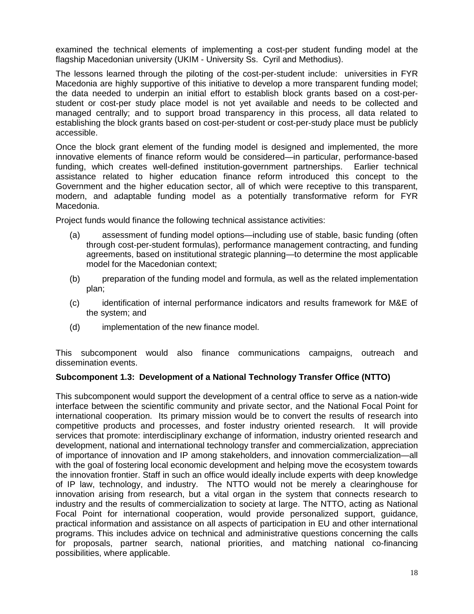examined the technical elements of implementing a cost-per student funding model at the flagship Macedonian university (UKIM - University Ss. Cyril and Methodius).

The lessons learned through the piloting of the cost-per-student include: universities in FYR Macedonia are highly supportive of this initiative to develop a more transparent funding model; the data needed to underpin an initial effort to establish block grants based on a cost-per student or cost-per study place model is not yet available and needs to be collected and managed centrally; and to support broad transparency in this process, all data related to establishing the block grants based on cost-per-student or cost-per-study place must be publicly accessible.

Once the block grant element of the funding model is designed and implemented, the more innovative elements of finance reform would be considered—in particular, performance-based funding, which creates well-defined institution-government partnerships. Earlier technical assistance related to higher education finance reform introduced this concept to the Government and the higher education sector, all of which were receptive to this transparent, modern, and adaptable funding model as a potentially transformative reform for FYR Macedonia.

Project funds would finance the following technical assistance activities:

- (a) assessment of funding model options—including use of stable, basic funding (often through cost-per-student formulas), performance management contracting, and funding agreements, based on institutional strategic planning—to determine the most applicable model for the Macedonian context;
- (b) preparation of the funding model and formula, as well as the related implementation plan;
- (c) identification of internal performance indicators and results framework for M&E of the system; and
- (d) implementation of the new finance model.

This subcomponent would also finance communications campaigns, outreach and dissemination events.

### **Subcomponent 1.3: Development of a National Technology Transfer Office (NTTO)**

This subcomponent would support the development of a central office to serve as a nation-wide interface between the scientific community and private sector, and the National Focal Point for international cooperation. Its primary mission would be to convert the results of research into competitive products and processes, and foster industry oriented research. It will provide services that promote: interdisciplinary exchange of information, industry oriented research and development, national and international technology transfer and commercialization, appreciation of importance of innovation and IP among stakeholders, and innovation commercialization—all with the goal of fostering local economic development and helping move the ecosystem towards the innovation frontier. Staff in such an office would ideally include experts with deep knowledge of IP law, technology, and industry. The NTTO would not be merely a clearinghouse for innovation arising from research, but a vital organ in the system that connects research to industry and the results of commercialization to society at large. The NTTO, acting as National Focal Point for international cooperation, would provide personalized support, guidance, practical information and assistance on all aspects of participation in EU and other international programs. This includes advice on technical and administrative questions concerning the calls for proposals, partner search, national priorities, and matching national co-financing possibilities, where applicable.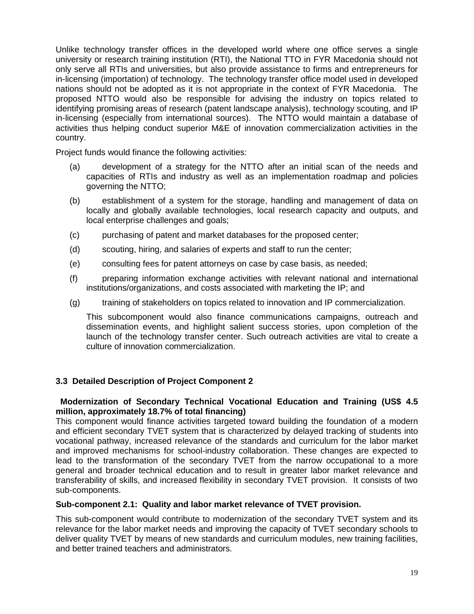Unlike technology transfer offices in the developed world where one office serves a single university or research training institution (RTI), the National TTO in FYR Macedonia should not only serve all RTIs and universities, but also provide assistance to firms and entrepreneurs for in-licensing (importation) of technology. The technology transfer office model used in developed nations should not be adopted as it is not appropriate in the context of FYR Macedonia. The proposed NTTO would also be responsible for advising the industry on topics related to identifying promising areas of research (patent landscape analysis), technology scouting, and IP in-licensing (especially from international sources). The NTTO would maintain a database of activities thus helping conduct superior M&E of innovation commercialization activities in the country.

Project funds would finance the following activities:

- (a) development of a strategy for the NTTO after an initial scan of the needs and capacities of RTIs and industry as well as an implementation roadmap and policies governing the NTTO;
- (b) establishment of a system for the storage, handling and management of data on locally and globally available technologies, local research capacity and outputs, and local enterprise challenges and goals;
- (c) purchasing of patent and market databases for the proposed center;
- (d) scouting, hiring, and salaries of experts and staff to run the center;
- (e) consulting fees for patent attorneys on case by case basis, as needed;
- (f) preparing information exchange activities with relevant national and international institutions/organizations, and costs associated with marketing the IP; and
- (g) training of stakeholders on topics related to innovation and IP commercialization.

This subcomponent would also finance communications campaigns, outreach and dissemination events, and highlight salient success stories, upon completion of the launch of the technology transfer center. Such outreach activities are vital to create a culture of innovation commercialization.

### **3.3 Detailed Description of Project Component 2**

### **Modernization of Secondary Technical Vocational Education and Training (US\$ 4.5 million, approximately 18.7% of total financing)**

This component would finance activities targeted toward building the foundation of a modern and efficient secondary TVET system that is characterized by delayed tracking of students into vocational pathway, increased relevance of the standards and curriculum for the labor market and improved mechanisms for school-industry collaboration. These changes are expected to lead to the transformation of the secondary TVET from the narrow occupational to a more general and broader technical education and to result in greater labor market relevance and transferability of skills, and increased flexibility in secondary TVET provision. It consists of two sub-components.

#### **Sub-component 2.1: Quality and labor market relevance of TVET provision.**

This sub-component would contribute to modernization of the secondary TVET system and its relevance for the labor market needs and improving the capacity of TVET secondary schools to deliver quality TVET by means of new standards and curriculum modules, new training facilities, and better trained teachers and administrators.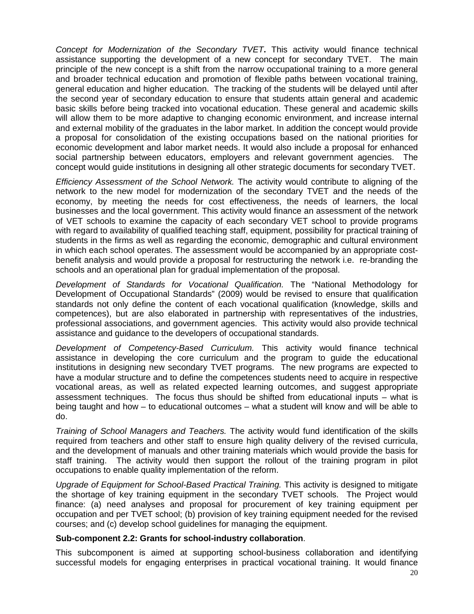*Concept for Modernization of the Secondary TVET***.** This activity would finance technical assistance supporting the development of a new concept for secondary TVET. The main principle of the new concept is a shift from the narrow occupational training to a more general and broader technical education and promotion of flexible paths between vocational training, general education and higher education. The tracking of the students will be delayed until after the second year of secondary education to ensure that students attain general and academic basic skills before being tracked into vocational education. These general and academic skills will allow them to be more adaptive to changing economic environment, and increase internal and external mobility of the graduates in the labor market. In addition the concept would provide a proposal for consolidation of the existing occupations based on the national priorities for economic development and labor market needs. It would also include a proposal for enhanced social partnership between educators, employers and relevant government agencies. The concept would guide institutions in designing all other strategic documents for secondary TVET.

*Efficiency Assessment of the School Network.* The activity would contribute to aligning of the network to the new model for modernization of the secondary TVET and the needs of the economy, by meeting the needs for cost effectiveness, the needs of learners, the local businesses and the local government. This activity would finance an assessment of the network of VET schools to examine the capacity of each secondary VET school to provide programs with regard to availability of qualified teaching staff, equipment, possibility for practical training of students in the firms as well as regarding the economic, demographic and cultural environment in which each school operates. The assessment would be accompanied by an appropriate cost benefit analysis and would provide a proposal for restructuring the network i.e. re-branding the schools and an operational plan for gradual implementation of the proposal.

*Development of Standards for Vocational Qualification.* The "National Methodology for Development of Occupational Standards" (2009) would be revised to ensure that qualification standards not only define the content of each vocational qualification (knowledge, skills and competences), but are also elaborated in partnership with representatives of the industries, professional associations, and government agencies. This activity would also provide technical assistance and guidance to the developers of occupational standards.

*Development of Competency-Based Curriculum.* This activity would finance technical assistance in developing the core curriculum and the program to guide the educational institutions in designing new secondary TVET programs. The new programs are expected to have a modular structure and to define the competences students need to acquire in respective vocational areas, as well as related expected learning outcomes, and suggest appropriate assessment techniques. The focus thus should be shifted from educational inputs – what is being taught and how – to educational outcomes – what a student will know and will be able to do.

*Training of School Managers and Teachers.* The activity would fund identification of the skills required from teachers and other staff to ensure high quality delivery of the revised curricula, and the development of manuals and other training materials which would provide the basis for staff training. The activity would then support the rollout of the training program in pilot occupations to enable quality implementation of the reform.

*Upgrade of Equipment for School-Based Practical Training.* This activity is designed to mitigate the shortage of key training equipment in the secondary TVET schools. The Project would finance: (a) need analyses and proposal for procurement of key training equipment per occupation and per TVET school; (b) provision of key training equipment needed for the revised courses; and (c) develop school guidelines for managing the equipment.

#### **Sub-component 2.2: Grants for school-industry collaboration**.

This subcomponent is aimed at supporting school-business collaboration and identifying successful models for engaging enterprises in practical vocational training. It would finance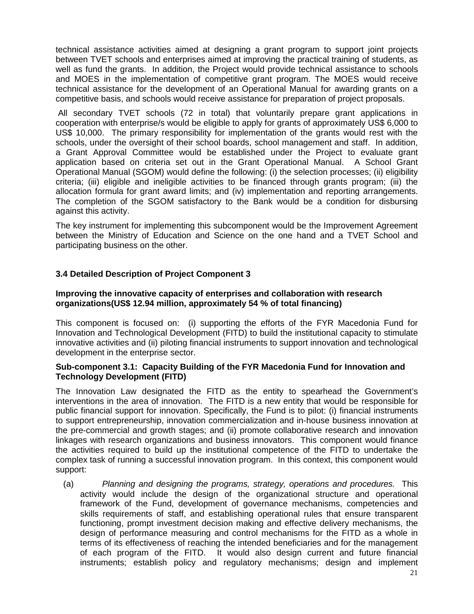technical assistance activities aimed at designing a grant program to support joint projects between TVET schools and enterprises aimed at improving the practical training of students, as well as fund the grants. In addition, the Project would provide technical assistance to schools and MOES in the implementation of competitive grant program. The MOES would receive technical assistance for the development of an Operational Manual for awarding grants on a competitive basis, and schools would receive assistance for preparation of project proposals.

All secondary TVET schools (72 in total) that voluntarily prepare grant applications in cooperation with enterprise/s would be eligible to apply for grants of approximately US\$ 6,000 to US\$ 10,000. The primary responsibility for implementation of the grants would rest with the schools, under the oversight of their school boards, school management and staff. In addition, a Grant Approval Committee would be established under the Project to evaluate grant application based on criteria set out in the Grant Operational Manual. A School Grant Operational Manual (SGOM) would define the following: (i) the selection processes; (ii) eligibility criteria; (iii) eligible and ineligible activities to be financed through grants program; (iii) the allocation formula for grant award limits; and (iv) implementation and reporting arrangements. The completion of the SGOM satisfactory to the Bank would be a condition for disbursing against this activity.

The key instrument for implementing this subcomponent would be the Improvement Agreement between the Ministry of Education and Science on the one hand and a TVET School and participating business on the other.

### **3.4 Detailed Description of Project Component 3**

#### **Improving the innovative capacity of enterprises and collaboration with research organizations(US\$ 12.94 million, approximately 54 % of total financing)**

This component is focused on: (i) supporting the efforts of the FYR Macedonia Fund for Innovation and Technological Development (FITD) to build the institutional capacity to stimulate innovative activities and (ii) piloting financial instruments to support innovation and technological development in the enterprise sector.

#### **Sub-component 3.1: Capacity Building of the FYR Macedonia Fund for Innovation and Technology Development (FITD)**

The Innovation Law designated the FITD as the entity to spearhead the Government's interventions in the area of innovation. The FITD is a new entity that would be responsible for public financial support for innovation. Specifically, the Fund is to pilot: (i) financial instruments to support entrepreneurship, innovation commercialization and in-house business innovation at the pre-commercial and growth stages; and (ii) promote collaborative research and innovation linkages with research organizations and business innovators. This component would finance the activities required to build up the institutional competence of the FITD to undertake the complex task of running a successful innovation program. In this context, this component would support:

(a) *Planning and designing the programs, strategy, operations and procedures.* This activity would include the design of the organizational structure and operational framework of the Fund, development of governance mechanisms, competencies and skills requirements of staff, and establishing operational rules that ensure transparent functioning, prompt investment decision making and effective delivery mechanisms, the design of performance measuring and control mechanisms for the FITD as a whole in terms of its effectiveness of reaching the intended beneficiaries and for the management of each program of the FITD. It would also design current and future financial instruments; establish policy and regulatory mechanisms; design and implement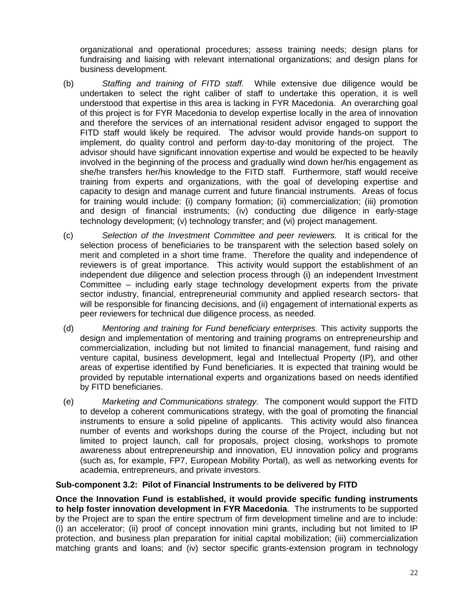organizational and operational procedures; assess training needs; design plans for fundraising and liaising with relevant international organizations; and design plans for business development.

- (b) *Staffing and training of FITD staff.* While extensive due diligence would be undertaken to select the right caliber of staff to undertake this operation, it is well understood that expertise in this area is lacking in FYR Macedonia. An overarching goal of this project is for FYR Macedonia to develop expertise locally in the area of innovation and therefore the services of an international resident advisor engaged to support the FITD staff would likely be required. The advisor would provide hands-on support to implement, do quality control and perform day-to-day monitoring of the project. The advisor should have significant innovation expertise and would be expected to be heavily involved in the beginning of the process and gradually wind down her/his engagement as she/he transfers her/his knowledge to the FITD staff. Furthermore, staff would receive training from experts and organizations, with the goal of developing expertise and capacity to design and manage current and future financial instruments. Areas of focus for training would include: (i) company formation; (ii) commercialization; (iii) promotion and design of financial instruments; (iv) conducting due diligence in early-stage technology development; (v) technology transfer; and (vi) project management.
- (c) *Selection of the Investment Committee and peer reviewers.* It is critical for the selection process of beneficiaries to be transparent with the selection based solely on merit and completed in a short time frame. Therefore the quality and independence of reviewers is of great importance. This activity would support the establishment of an independent due diligence and selection process through (i) an independent Investment Committee – including early stage technology development experts from the private sector industry, financial, entrepreneurial community and applied research sectors- that will be responsible for financing decisions, and (ii) engagement of international experts as peer reviewers for technical due diligence process, as needed.
- (d) *Mentoring and training for Fund beneficiary enterprises.* This activity supports the design and implementation of mentoring and training programs on entrepreneurship and commercialization, including but not limited to financial management, fund raising and venture capital, business development, legal and Intellectual Property (IP), and other areas of expertise identified by Fund beneficiaries. It is expected that training would be provided by reputable international experts and organizations based on needs identified by FITD beneficiaries.
- (e) *Marketing and Communications strategy.* The component would support the FITD to develop a coherent communications strategy, with the goal of promoting the financial instruments to ensure a solid pipeline of applicants. This activity would also financea number of events and workshops during the course of the Project, including but not limited to project launch, call for proposals, project closing, workshops to promote awareness about entrepreneurship and innovation, EU innovation policy and programs (such as, for example, FP7, European Mobility Portal), as well as networking events for academia, entrepreneurs, and private investors.

### **Sub-component 3.2: Pilot of Financial Instruments to be delivered by FITD**

**Once the Innovation Fund is established, it would provide specific funding instruments to help foster innovation development in FYR Macedonia**. The instruments to be supported by the Project are to span the entire spectrum of firm development timeline and are to include: (i) an accelerator; (ii) proof of concept innovation mini grants, including but not limited to IP protection, and business plan preparation for initial capital mobilization; (iii) commercialization matching grants and loans; and (iv) sector specific grants-extension program in technology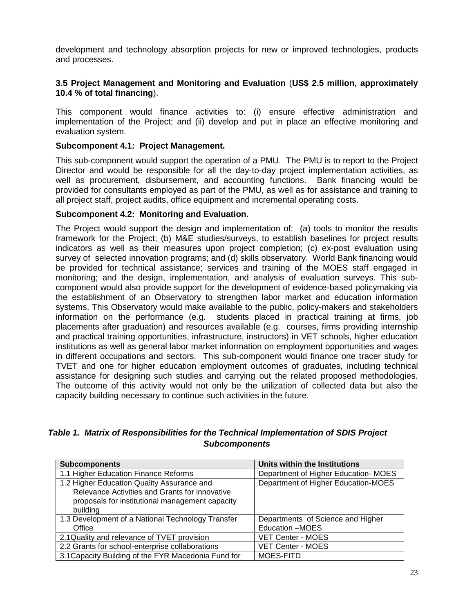development and technology absorption projects for new or improved technologies, products and processes.

### **3.5 Project Management and Monitoring and Evaluation** (**US\$ 2.5 million, approximately 10.4 % of total financing**).

This component would finance activities to: (i) ensure effective administration and implementation of the Project; and (ii) develop and put in place an effective monitoring and evaluation system.

#### **Subcomponent 4.1: Project Management.**

This sub-component would support the operation of a PMU. The PMU is to report to the Project Director and would be responsible for all the day-to-day project implementation activities, as well as procurement, disbursement, and accounting functions. Bank financing would be provided for consultants employed as part of the PMU, as well as for assistance and training to all project staff, project audits, office equipment and incremental operating costs.

### **Subcomponent 4.2: Monitoring and Evaluation.**

The Project would support the design and implementation of: (a) tools to monitor the results framework for the Project; (b) M&E studies/surveys, to establish baselines for project results indicators as well as their measures upon project completion; (c) ex-post evaluation using survey of selected innovation programs; and (d) skills observatory. World Bank financing would be provided for technical assistance; services and training of the MOES staff engaged in monitoring; and the design, implementation, and analysis of evaluation surveys. This sub component would also provide support for the development of evidence-based policymaking via the establishment of an Observatory to strengthen labor market and education information systems. This Observatory would make available to the public, policy-makers and stakeholders information on the performance (e.g. students placed in practical training at firms, job placements after graduation) and resources available (e.g. courses, firms providing internship and practical training opportunities, infrastructure, instructors) in VET schools, higher education institutions as well as general labor market information on employment opportunities and wages in different occupations and sectors. This sub-component would finance one tracer study for TVET and one for higher education employment outcomes of graduates, including technical assistance for designing such studies and carrying out the related proposed methodologies. The outcome of this activity would not only be the utilization of collected data but also the capacity building necessary to continue such activities in the future.

### *Table 1. Matrix of Responsibilities for the Technical Implementation of SDIS Project Subcomponents*

| <b>Subcomponents</b>                                                                                                                                        | Units within the Institutions       |
|-------------------------------------------------------------------------------------------------------------------------------------------------------------|-------------------------------------|
| 1.1 Higher Education Finance Reforms                                                                                                                        | Department of Higher Education-MOES |
| 1.2 Higher Education Quality Assurance and<br>Relevance Activities and Grants for innovative<br>proposals for institutional management capacity<br>building | Department of Higher Education-MOES |
| 1.3 Development of a National Technology Transfer                                                                                                           | Departments of Science and Higher   |
| Office                                                                                                                                                      | Education -MOES                     |
| 2.1 Quality and relevance of TVET provision                                                                                                                 | <b>VET Center - MOES</b>            |
| 2.2 Grants for school-enterprise collaborations                                                                                                             | <b>VET Center - MOES</b>            |
| 3.1 Capacity Building of the FYR Macedonia Fund for                                                                                                         | MOES-FITD                           |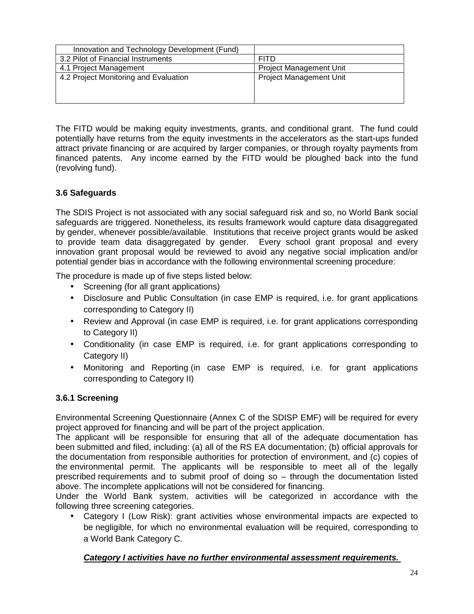| Innovation and Technology Development (Fund) |                                |
|----------------------------------------------|--------------------------------|
| 3.2 Pilot of Financial Instruments           | <b>FITD</b>                    |
| 4.1 Project Management                       | <b>Project Management Unit</b> |
| 4.2 Project Monitoring and Evaluation        | <b>Project Management Unit</b> |
|                                              |                                |
|                                              |                                |

The FITD would be making equity investments, grants, and conditional grant. The fund could potentially have returns from the equity investments in the accelerators as the start-ups funded attract private financing or are acquired by larger companies, or through royalty payments from financed patents. Any income earned by the FITD would be ploughed back into the fund (revolving fund).

### **3.6 Safeguards**

The SDIS Project is not associated with any social safeguard risk and so, no World Bank social safeguards are triggered. Nonetheless, its results framework would capture data disaggregated by gender, whenever possible/available. Institutions that receive project grants would be asked to provide team data disaggregated by gender. Every school grant proposal and every innovation grant proposal would be reviewed to avoid any negative social implication and/or potential gender bias in accordance with the following environmental screening procedure:

The procedure is made up of five steps listed below:

- Screening (for all grant applications)
- Disclosure and Public Consultation (in case EMP is required, i.e. for grant applications corresponding to Category II)
- Review and Approval (in case EMP is required, i.e. for grant applications corresponding to Category II)
- Conditionality (in case EMP is required, i.e. for grant applications corresponding to Category II)
- Monitoring and Reporting (in case EMP is required, i.e. for grant applications corresponding to Category II)

### **3.6.1 Screening**

Environmental Screening Questionnaire (Annex C of the SDISP EMF) will be required for every project approved for financing and will be part of the project application.

The applicant will be responsible for ensuring that all of the adequate documentation has been submitted and filed, including: (a) all of the RS EA documentation; (b) official approvals for the documentation from responsible authorities for protection of environment, and (c) copies of the environmental permit. The applicants will be responsible to meet all of the legally prescribed requirements and to submit proof of doing so – through the documentation listed above. The incomplete applications will not be considered for financing.

Under the World Bank system, activities will be categorized in accordance with the following three screening categories.

 Category I (Low Risk): grant activities whose environmental impacts are expected to be negligible, for which no environmental evaluation will be required, corresponding to a World Bank Category C.

### *Category I activities have no further environmental assessment requirements.*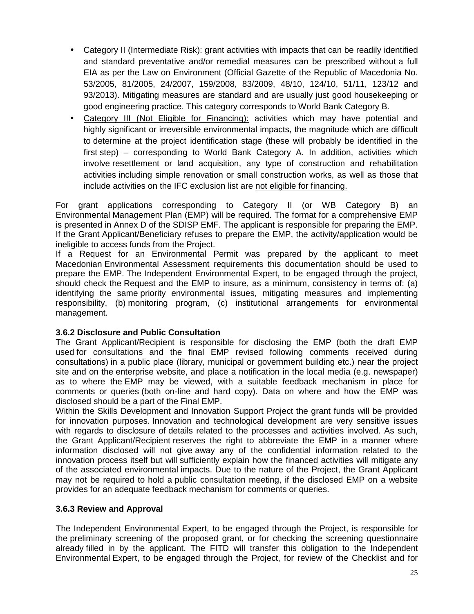- Category II (Intermediate Risk): grant activities with impacts that can be readily identified and standard preventative and/or remedial measures can be prescribed without a full EIA as per the Law on Environment (Official Gazette of the Republic of Macedonia No. 53/2005, 81/2005, 24/2007, 159/2008, 83/2009, 48/10, 124/10, 51/11, 123/12 and 93/2013). Mitigating measures are standard and are usually just good housekeeping or good engineering practice. This category corresponds to World Bank Category B.
- Category III (Not Eligible for Financing): activities which may have potential and highly significant or irreversible environmental impacts, the magnitude which are difficult to determine at the project identification stage (these will probably be identified in the first step) – corresponding to World Bank Category A. In addition, activities which involve resettlement or land acquisition, any type of construction and rehabilitation activities including simple renovation or small construction works, as well as those that include activities on the IFC exclusion list are not eligible for financing.

For grant applications corresponding to Category II (or WB Category B) an Environmental Management Plan (EMP) will be required. The format for a comprehensive EMP is presented in Annex D of the SDISP EMF. The applicant is responsible for preparing the EMP. If the Grant Applicant/Beneficiary refuses to prepare the EMP, the activity/application would be ineligible to access funds from the Project.

If a Request for an Environmental Permit was prepared by the applicant to meet Macedonian Environmental Assessment requirements this documentation should be used to prepare the EMP. The Independent Environmental Expert, to be engaged through the project, should check the Request and the EMP to insure, as a minimum, consistency in terms of: (a) identifying the same priority environmental issues, mitigating measures and implementing responsibility, (b) monitoring program, (c) institutional arrangements for environmental management.

### **3.6.2 Disclosure and Public Consultation**

The Grant Applicant/Recipient is responsible for disclosing the EMP (both the draft EMP used for consultations and the final EMP revised following comments received during consultations) in a public place (library, municipal or government building etc.) near the project site and on the enterprise website, and place a notification in the local media (e.g. newspaper) as to where the EMP may be viewed, with a suitable feedback mechanism in place for comments or queries (both on-line and hard copy). Data on where and how the EMP was disclosed should be a part of the Final EMP.

Within the Skills Development and Innovation Support Project the grant funds will be provided for innovation purposes. Innovation and technological development are very sensitive issues with regards to disclosure of details related to the processes and activities involved. As such, the Grant Applicant/Recipient reserves the right to abbreviate the EMP in a manner where information disclosed will not give away any of the confidential information related to the innovation process itself but will sufficiently explain how the financed activities will mitigate any of the associated environmental impacts. Due to the nature of the Project, the Grant Applicant may not be required to hold a public consultation meeting, if the disclosed EMP on a website provides for an adequate feedback mechanism for comments or queries.

### **3.6.3 Review and Approval**

The Independent Environmental Expert, to be engaged through the Project, is responsible for the preliminary screening of the proposed grant, or for checking the screening questionnaire already filled in by the applicant. The FITD will transfer this obligation to the Independent Environmental Expert, to be engaged through the Project, for review of the Checklist and for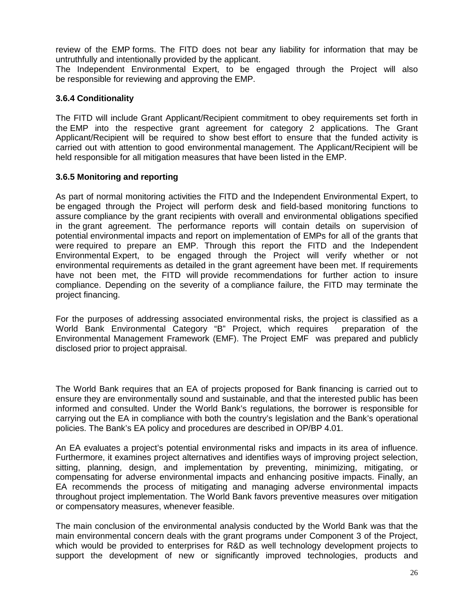review of the EMP forms. The FITD does not bear any liability for information that may be untruthfully and intentionally provided by the applicant.

The Independent Environmental Expert, to be engaged through the Project will also be responsible for reviewing and approving the EMP.

### **3.6.4 Conditionality**

The FITD will include Grant Applicant/Recipient commitment to obey requirements set forth in the EMP into the respective grant agreement for category 2 applications. The Grant Applicant/Recipient will be required to show best effort to ensure that the funded activity is carried out with attention to good environmental management. The Applicant/Recipient will be held responsible for all mitigation measures that have been listed in the EMP.

### **3.6.5 Monitoring and reporting**

As part of normal monitoring activities the FITD and the Independent Environmental Expert, to be engaged through the Project will perform desk and field-based monitoring functions to assure compliance by the grant recipients with overall and environmental obligations specified in the grant agreement. The performance reports will contain details on supervision of potential environmental impacts and report on implementation of EMPs for all of the grants that were required to prepare an EMP. Through this report the FITD and the Independent Environmental Expert, to be engaged through the Project will verify whether or not environmental requirements as detailed in the grant agreement have been met. If requirements have not been met, the FITD will provide recommendations for further action to insure compliance. Depending on the severity of a compliance failure, the FITD may terminate the project financing.

For the purposes of addressing associated environmental risks, the project is classified as a<br>World Bank Environmental Category "B" Project, which requires preparation of the World Bank Environmental Category "B" Project, which requires Environmental Management Framework (EMF). The Project EMF was prepared and publicly disclosed prior to project appraisal.

The World Bank requires that an EA of projects proposed for Bank financing is carried out to ensure they are environmentally sound and sustainable, and that the interested public has been informed and consulted. Under the World Bank's regulations, the borrower is responsible for carrying out the EA in compliance with both the country's legislation and the Bank's operational policies. The Bank's EA policy and procedures are described in OP/BP 4.01.

An EA evaluates a project's potential environmental risks and impacts in its area of influence. Furthermore, it examines project alternatives and identifies ways of improving project selection, sitting, planning, design, and implementation by preventing, minimizing, mitigating, or compensating for adverse environmental impacts and enhancing positive impacts. Finally, an EA recommends the process of mitigating and managing adverse environmental impacts throughout project implementation. The World Bank favors preventive measures over mitigation or compensatory measures, whenever feasible.

The main conclusion of the environmental analysis conducted by the World Bank was that the main environmental concern deals with the grant programs under Component 3 of the Project, which would be provided to enterprises for R&D as well technology development projects to support the development of new or significantly improved technologies, products and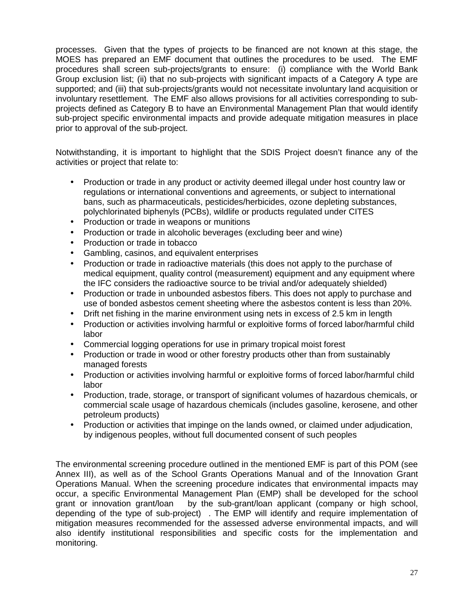processes. Given that the types of projects to be financed are not known at this stage, the MOES has prepared an EMF document that outlines the procedures to be used. The EMF procedures shall screen sub-projects/grants to ensure: (i) compliance with the World Bank Group exclusion list; (ii) that no sub-projects with significant impacts of a Category A type are supported; and (iii) that sub-projects/grants would not necessitate involuntary land acquisition or involuntary resettlement. The EMF also allows provisions for all activities corresponding to sub projects defined as Category B to have an Environmental Management Plan that would identify sub-project specific environmental impacts and provide adequate mitigation measures in place prior to approval of the sub-project.

Notwithstanding, it is important to highlight that the SDIS Project doesn't finance any of the activities or project that relate to:

- Production or trade in any product or activity deemed illegal under host country law or regulations or international conventions and agreements, or subject to international bans, such as pharmaceuticals, pesticides/herbicides, ozone depleting substances, polychlorinated biphenyls (PCBs), wildlife or products regulated under CITES
- Production or trade in weapons or munitions
- Production or trade in alcoholic beverages (excluding beer and wine)
- Production or trade in tobacco
- Gambling, casinos, and equivalent enterprises
- Production or trade in radioactive materials (this does not apply to the purchase of medical equipment, quality control (measurement) equipment and any equipment where the IFC considers the radioactive source to be trivial and/or adequately shielded)
- Production or trade in unbounded asbestos fibers. This does not apply to purchase and use of bonded asbestos cement sheeting where the asbestos content is less than 20%.
- Drift net fishing in the marine environment using nets in excess of 2.5 km in length
- Production or activities involving harmful or exploitive forms of forced labor/harmful child labor
- Commercial logging operations for use in primary tropical moist forest
- Production or trade in wood or other forestry products other than from sustainably managed forests
- Production or activities involving harmful or exploitive forms of forced labor/harmful child labor
- Production, trade, storage, or transport of significant volumes of hazardous chemicals, or commercial scale usage of hazardous chemicals (includes gasoline, kerosene, and other petroleum products)
- Production or activities that impinge on the lands owned, or claimed under adjudication, by indigenous peoples, without full documented consent of such peoples

The environmental screening procedure outlined in the mentioned EMF is part of this POM (see Annex III), as well as of the School Grants Operations Manual and of the Innovation Grant Operations Manual. When the screening procedure indicates that environmental impacts may occur, a specific Environmental Management Plan (EMP) shall be developed for the school grant or innovation grant/loan by the sub-grant/loan applicant (company or high school, depending of the type of sub-project) . The EMP will identify and require implementation of mitigation measures recommended for the assessed adverse environmental impacts, and will also identify institutional responsibilities and specific costs for the implementation and monitoring.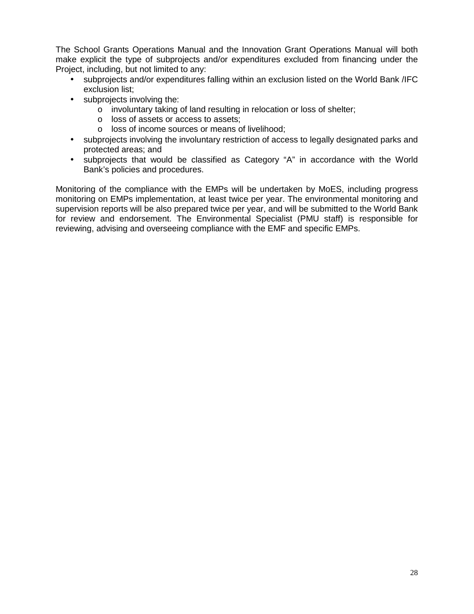The School Grants Operations Manual and the Innovation Grant Operations Manual will both make explicit the type of subprojects and/or expenditures excluded from financing under the Project, including, but not limited to any:

- subprojects and/or expenditures falling within an exclusion listed on the World Bank /IFC exclusion list;
- subprojects involving the:
	- o involuntary taking of land resulting in relocation or loss of shelter;
	-
	- o loss of assets or access to assets;<br>o loss of income sources or means of livelihood;
- subprojects involving the involuntary restriction of access to legally designated parks and protected areas; and
- subprojects that would be classified as Category "A" in accordance with the World Bank's policies and procedures.

Monitoring of the compliance with the EMPs will be undertaken by MoES, including progress monitoring on EMPs implementation, at least twice per year. The environmental monitoring and supervision reports will be also prepared twice per year, and will be submitted to the World Bank for review and endorsement. The Environmental Specialist (PMU staff) is responsible for reviewing, advising and overseeing compliance with the EMF and specific EMPs.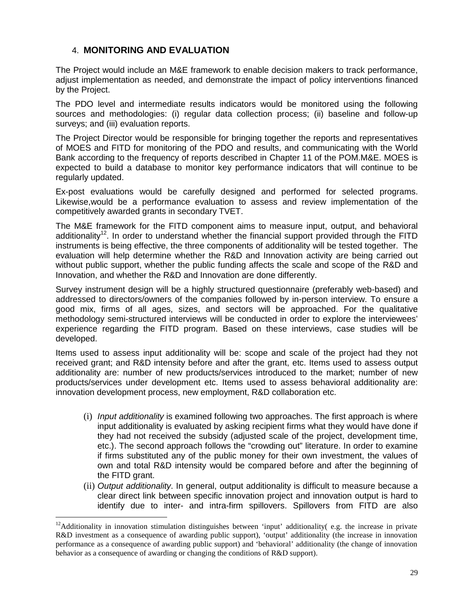### 4. **MONITORING AND EVALUATION**

The Project would include an M&E framework to enable decision makers to track performance, adjust implementation as needed, and demonstrate the impact of policy interventions financed by the Project.

The PDO level and intermediate results indicators would be monitored using the following sources and methodologies: (i) regular data collection process; (ii) baseline and follow-up surveys; and (iii) evaluation reports.

The Project Director would be responsible for bringing together the reports and representatives of MOES and FITD for monitoring of the PDO and results, and communicating with the World Bank according to the frequency of reports described in Chapter 11 of the POM.M&E. MOES is expected to build a database to monitor key performance indicators that will continue to be regularly updated.

Ex-post evaluations would be carefully designed and performed for selected programs. Likewise,would be a performance evaluation to assess and review implementation of the competitively awarded grants in secondary TVET.

The M&E framework for the FITD component aims to measure input, output, and behavioral additionality<sup>12</sup>. In order to understand whether the financial support provided through the FITD instruments is being effective, the three components of additionality will be tested together. The evaluation will help determine whether the R&D and Innovation activity are being carried out without public support, whether the public funding affects the scale and scope of the R&D and Innovation, and whether the R&D and Innovation are done differently.

Survey instrument design will be a highly structured questionnaire (preferably web-based) and addressed to directors/owners of the companies followed by in-person interview. To ensure a good mix, firms of all ages, sizes, and sectors will be approached. For the qualitative methodology semi-structured interviews will be conducted in order to explore the interviewees' experience regarding the FITD program. Based on these interviews, case studies will be developed.

Items used to assess input additionality will be: scope and scale of the project had they not received grant; and R&D intensity before and after the grant, etc. Items used to assess output additionality are: number of new products/services introduced to the market; number of new products/services under development etc. Items used to assess behavioral additionality are: innovation development process, new employment, R&D collaboration etc.

- (i) *Input additionality* is examined following two approaches. The first approach is where input additionality is evaluated by asking recipient firms what they would have done if they had not received the subsidy (adjusted scale of the project, development time, etc.). The second approach follows the "crowding out" literature. In order to examine if firms substituted any of the public money for their own investment, the values of own and total R&D intensity would be compared before and after the beginning of the FITD grant.
- (ii) *Output additionality*. In general, output additionality is difficult to measure because a clear direct link between specific innovation project and innovation output is hard to identify due to inter- and intra-firm spillovers. Spillovers from FITD are also

<sup>&</sup>lt;sup>12</sup>Additionality in innovation stimulation distinguishes between 'input' additionality( e.g. the increase in private R&D investment as a consequence of awarding public support), 'output' additionality (the increase in innovation performance as a consequence of awarding public support) and 'behavioral' additionality (the change of innovation behavior as a consequence of awarding or changing the conditions of R&D support).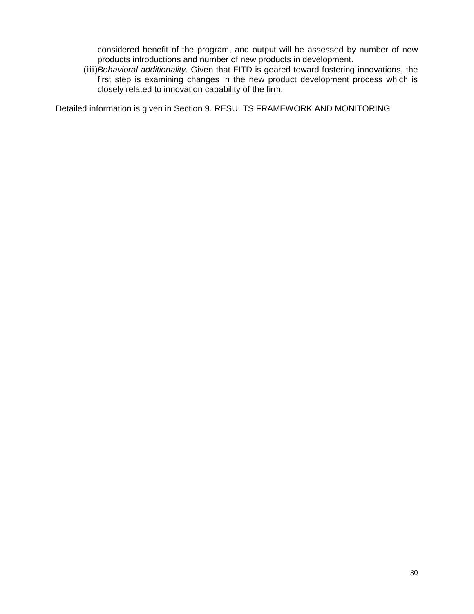considered benefit of the program, and output will be assessed by number of new products introductions and number of new products in development.

(iii)*Behavioral additionality.* Given that FITD is geared toward fostering innovations, the first step is examining changes in the new product development process which is closely related to innovation capability of the firm.

Detailed information is given in Section 9. RESULTS FRAMEWORK AND MONITORING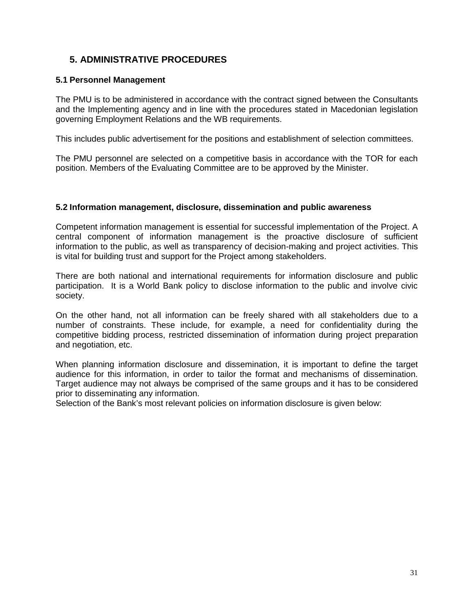# **5. ADMINISTRATIVE PROCEDURES**

#### **5.1 Personnel Management**

The PMU is to be administered in accordance with the contract signed between the Consultants and the Implementing agency and in line with the procedures stated in Macedonian legislation governing Employment Relations and the WB requirements.

This includes public advertisement for the positions and establishment of selection committees.

The PMU personnel are selected on a competitive basis in accordance with the TOR for each position. Members of the Evaluating Committee are to be approved by the Minister.

#### **5.2 Information management, disclosure, dissemination and public awareness**

Competent information management is essential for successful implementation of the Project. A central component of information management is the proactive disclosure of sufficient information to the public, as well as transparency of decision-making and project activities. This is vital for building trust and support for the Project among stakeholders.

There are both national and international requirements for information disclosure and public participation. It is a World Bank policy to disclose information to the public and involve civic society.

On the other hand, not all information can be freely shared with all stakeholders due to a number of constraints. These include, for example, a need for confidentiality during the competitive bidding process, restricted dissemination of information during project preparation and negotiation, etc.

When planning information disclosure and dissemination, it is important to define the target audience for this information, in order to tailor the format and mechanisms of dissemination. Target audience may not always be comprised of the same groups and it has to be considered prior to disseminating any information.

Selection of the Bank's most relevant policies on information disclosure is given below: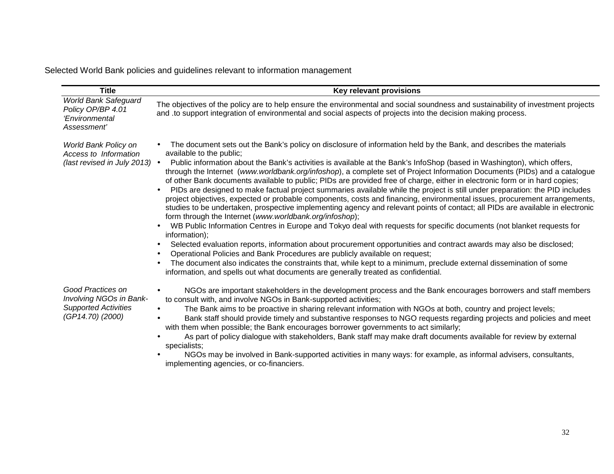Selected World Bank policies and guidelines relevant to information management

| <b>Title</b>                                                                                    | Key relevant provisions                                                                                                                                                                                                                                                                                                                                                                                                                                                                                                                                                                                                                                                                                                                                                                                                                                                                                                                                                                                                                                                                                                                                                                                                                                                                                                                                                                                                                                                                                                                                                 |
|-------------------------------------------------------------------------------------------------|-------------------------------------------------------------------------------------------------------------------------------------------------------------------------------------------------------------------------------------------------------------------------------------------------------------------------------------------------------------------------------------------------------------------------------------------------------------------------------------------------------------------------------------------------------------------------------------------------------------------------------------------------------------------------------------------------------------------------------------------------------------------------------------------------------------------------------------------------------------------------------------------------------------------------------------------------------------------------------------------------------------------------------------------------------------------------------------------------------------------------------------------------------------------------------------------------------------------------------------------------------------------------------------------------------------------------------------------------------------------------------------------------------------------------------------------------------------------------------------------------------------------------------------------------------------------------|
| <b>World Bank Safeguard</b><br>Policy OP/BP 4.01<br>'Environmental<br>Assessment'               | The objectives of the policy are to help ensure the environmental and social soundness and sustainability of investment projects<br>and to support integration of environmental and social aspects of projects into the decision making process.                                                                                                                                                                                                                                                                                                                                                                                                                                                                                                                                                                                                                                                                                                                                                                                                                                                                                                                                                                                                                                                                                                                                                                                                                                                                                                                        |
| World Bank Policy on<br>Access to Information<br>(last revised in July 2013) $\bullet$          | The document sets out the Bank's policy on disclosure of information held by the Bank, and describes the materials<br>available to the public;<br>Public information about the Bank's activities is available at the Bank's InfoShop (based in Washington), which offers,<br>through the Internet (www.worldbank.org/infoshop), a complete set of Project Information Documents (PIDs) and a catalogue<br>of other Bank documents available to public; PIDs are provided free of charge, either in electronic form or in hard copies;<br>PIDs are designed to make factual project summaries available while the project is still under preparation: the PID includes<br>$\bullet$<br>project objectives, expected or probable components, costs and financing, environmental issues, procurement arrangements,<br>studies to be undertaken, prospective implementing agency and relevant points of contact; all PIDs are available in electronic<br>form through the Internet (www.worldbank.org/infoshop);<br>WB Public Information Centres in Europe and Tokyo deal with requests for specific documents (not blanket requests for<br>information);<br>Selected evaluation reports, information about procurement opportunities and contract awards may also be disclosed;<br>Operational Policies and Bank Procedures are publicly available on request;<br>The document also indicates the constraints that, while kept to a minimum, preclude external dissemination of some<br>information, and spells out what documents are generally treated as confidential. |
| Good Practices on<br>Involving NGOs in Bank-<br><b>Supported Activities</b><br>(GP14.70) (2000) | NGOs are important stakeholders in the development process and the Bank encourages borrowers and staff members<br>to consult with, and involve NGOs in Bank-supported activities;<br>The Bank aims to be proactive in sharing relevant information with NGOs at both, country and project levels;<br>$\bullet$<br>Bank staff should provide timely and substantive responses to NGO requests regarding projects and policies and meet<br>with them when possible; the Bank encourages borrower governments to act similarly;<br>As part of policy dialogue with stakeholders, Bank staff may make draft documents available for review by external<br>specialists;<br>NGOs may be involved in Bank-supported activities in many ways: for example, as informal advisers, consultants,<br>implementing agencies, or co-financiers.                                                                                                                                                                                                                                                                                                                                                                                                                                                                                                                                                                                                                                                                                                                                       |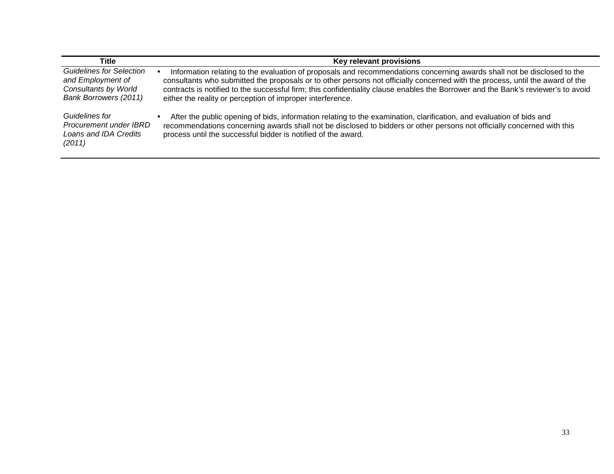| Title                                                                                                 | Key relevant provisions                                                                                                                                                                                                                                                                                                                                                                                                                                     |
|-------------------------------------------------------------------------------------------------------|-------------------------------------------------------------------------------------------------------------------------------------------------------------------------------------------------------------------------------------------------------------------------------------------------------------------------------------------------------------------------------------------------------------------------------------------------------------|
| <b>Guidelines for Selection</b><br>and Employment of<br>Consultants by World<br>Bank Borrowers (2011) | Information relating to the evaluation of proposals and recommendations concerning awards shall not be disclosed to the<br>consultants who submitted the proposals or to other persons not officially concerned with the process, until the award of the<br>contracts is notified to the successful firm; this confidentiality clause enables the Borrower and the Bank's reviewer's to avoid<br>either the reality or perception of improper interference. |
| Guidelines for<br>Procurement under IBRD<br>Loans and IDA Credits<br>(2011)                           | After the public opening of bids, information relating to the examination, clarification, and evaluation of bids and<br>recommendations concerning awards shall not be disclosed to bidders or other persons not officially concerned with this<br>process until the successful bidder is notified of the award.                                                                                                                                            |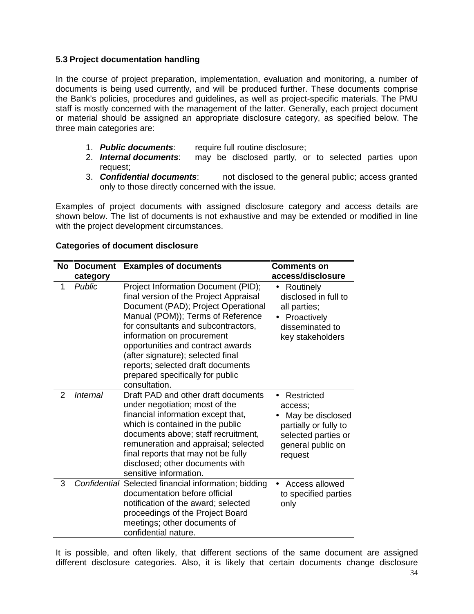### **5.3 Project documentation handling**

In the course of project preparation, implementation, evaluation and monitoring, a number of documents is being used currently, and will be produced further. These documents comprise the Bank's policies, procedures and guidelines, as well as project-specific materials. The PMU staff is mostly concerned with the management of the latter. Generally, each project document or material should be assigned an appropriate disclosure category, as specified below. The three main categories are:

- 1. **Public documents**: require full routine disclosure;<br>2. **Internal documents**: may be disclosed partly, or
- may be disclosed partly, or to selected parties upon request;
- 3. *Confidential documents*: not disclosed to the general public; access granted only to those directly concerned with the issue.

Examples of project documents with assigned disclosure category and access details are shown below. The list of documents is not exhaustive and may be extended or modified in line with the project development circumstances.

|   | <b>No Document</b><br>category | <b>Examples of documents</b>                                                                                                                                                                                                                                                                                                                                                                       | <b>Comments on</b><br>access/disclosure                                                                                                |
|---|--------------------------------|----------------------------------------------------------------------------------------------------------------------------------------------------------------------------------------------------------------------------------------------------------------------------------------------------------------------------------------------------------------------------------------------------|----------------------------------------------------------------------------------------------------------------------------------------|
| 1 | Public                         | Project Information Document (PID);<br>final version of the Project Appraisal<br>Document (PAD); Project Operational<br>Manual (POM)); Terms of Reference<br>for consultants and subcontractors,<br>information on procurement<br>opportunities and contract awards<br>(after signature); selected final<br>reports; selected draft documents<br>prepared specifically for public<br>consultation. | • Routinely<br>disclosed in full to<br>all parties;<br>Proactively<br>disseminated to<br>key stakeholders                              |
| 2 | <b>Internal</b>                | Draft PAD and other draft documents<br>under negotiation; most of the<br>financial information except that,<br>which is contained in the public<br>documents above; staff recruitment,<br>remuneration and appraisal; selected<br>final reports that may not be fully<br>disclosed; other documents with<br>sensitive information.                                                                 | Restricted<br>$\bullet$<br>access:<br>May be disclosed<br>partially or fully to<br>selected parties or<br>general public on<br>request |
| 3 |                                | Confidential Selected financial information; bidding<br>documentation before official<br>notification of the award; selected<br>proceedings of the Project Board<br>meetings; other documents of<br>confidential nature.                                                                                                                                                                           | • Access allowed<br>to specified parties<br>only                                                                                       |

#### **Categories of document disclosure**

It is possible, and often likely, that different sections of the same document are assigned different disclosure categories. Also, it is likely that certain documents change disclosure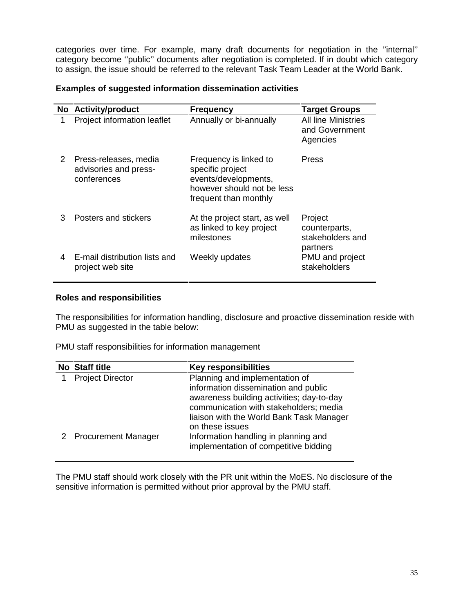categories over time. For example, many draft documents for negotiation in the ''internal'' category become ''public'' documents after negotiation is completed. If in doubt which category to assign, the issue should be referred to the relevant Task Team Leader at the World Bank.

#### **Examples of suggested information dissemination activities**

|   | No Activity/product                                           | <b>Frequency</b>                                                                                                          | <b>Target Groups</b>                                     |
|---|---------------------------------------------------------------|---------------------------------------------------------------------------------------------------------------------------|----------------------------------------------------------|
| 1 | Project information leaflet                                   | Annually or bi-annually                                                                                                   | <b>All line Ministries</b><br>and Government<br>Agencies |
| 2 | Press-releases, media<br>advisories and press-<br>conferences | Frequency is linked to<br>specific project<br>events/developments,<br>however should not be less<br>frequent than monthly | <b>Press</b>                                             |
| 3 | Posters and stickers                                          | At the project start, as well<br>as linked to key project<br>milestones                                                   | Project<br>counterparts,<br>stakeholders and<br>partners |
| 4 | E-mail distribution lists and<br>project web site             | Weekly updates                                                                                                            | PMU and project<br>stakeholders                          |

### **Roles and responsibilities**

The responsibilities for information handling, disclosure and proactive dissemination reside with PMU as suggested in the table below:

PMU staff responsibilities for information management

| No Staff title          | <b>Key responsibilities</b>                                                                                                                                                                               |
|-------------------------|-----------------------------------------------------------------------------------------------------------------------------------------------------------------------------------------------------------|
| <b>Project Director</b> | Planning and implementation of<br>information dissemination and public<br>awareness building activities; day-to-day<br>communication with stakeholders; media<br>liaison with the World Bank Task Manager |
| 2 Procurement Manager   | on these issues<br>Information handling in planning and<br>implementation of competitive bidding                                                                                                          |

The PMU staff should work closely with the PR unit within the MoES. No disclosure of the sensitive information is permitted without prior approval by the PMU staff.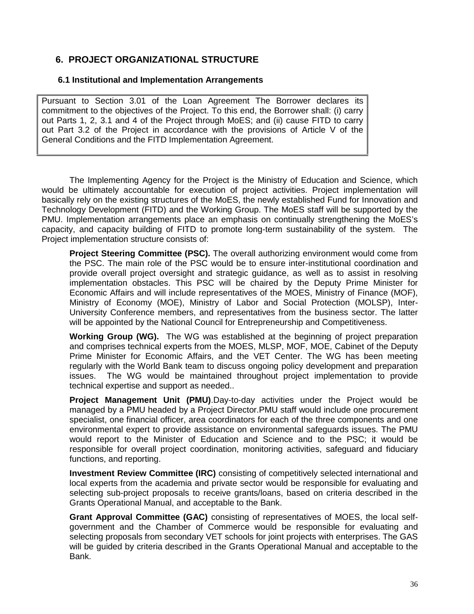# **6. PROJECT ORGANIZATIONAL STRUCTURE**

#### **6.1 Institutional and Implementation Arrangements**

Pursuant to Section 3.01 of the Loan Agreement The Borrower declares its commitment to the objectives of the Project. To this end, the Borrower shall: (i) carry out Parts 1, 2, 3.1 and 4 of the Project through MoES; and (ii) cause FITD to carry out Part 3.2 of the Project in accordance with the provisions of Article V of the General Conditions and the FITD Implementation Agreement.

The Implementing Agency for the Project is the Ministry of Education and Science, which would be ultimately accountable for execution of project activities. Project implementation will basically rely on the existing structures of the MoES, the newly established Fund for Innovation and Technology Development (FITD) and the Working Group. The MoES staff will be supported by the PMU. Implementation arrangements place an emphasis on continually strengthening the MoES's capacity, and capacity building of FITD to promote long-term sustainability of the system. The Project implementation structure consists of:

**Project Steering Committee (PSC).** The overall authorizing environment would come from the PSC. The main role of the PSC would be to ensure inter-institutional coordination and provide overall project oversight and strategic guidance, as well as to assist in resolving implementation obstacles. This PSC will be chaired by the Deputy Prime Minister for Economic Affairs and will include representatives of the MOES, Ministry of Finance (MOF), Ministry of Economy (MOE), Ministry of Labor and Social Protection (MOLSP), Inter- University Conference members, and representatives from the business sector. The latter will be appointed by the National Council for Entrepreneurship and Competitiveness.

**Working Group (WG).** The WG was established at the beginning of project preparation and comprises technical experts from the MOES, MLSP, MOF, MOE, Cabinet of the Deputy Prime Minister for Economic Affairs, and the VET Center. The WG has been meeting regularly with the World Bank team to discuss ongoing policy development and preparation issues. The WG would be maintained throughout project implementation to provide technical expertise and support as needed..

**Project Management Unit (PMU)**.Day-to-day activities under the Project would be managed by a PMU headed by a Project Director.PMU staff would include one procurement specialist, one financial officer, area coordinators for each of the three components and one environmental expert to provide assistance on environmental safeguards issues. The PMU would report to the Minister of Education and Science and to the PSC; it would be responsible for overall project coordination, monitoring activities, safeguard and fiduciary functions, and reporting.

**Investment Review Committee (IRC)** consisting of competitively selected international and local experts from the academia and private sector would be responsible for evaluating and selecting sub-project proposals to receive grants/loans, based on criteria described in the Grants Operational Manual, and acceptable to the Bank.

**Grant Approval Committee (GAC)** consisting of representatives of MOES, the local self government and the Chamber of Commerce would be responsible for evaluating and selecting proposals from secondary VET schools for joint projects with enterprises. The GAS will be guided by criteria described in the Grants Operational Manual and acceptable to the Bank.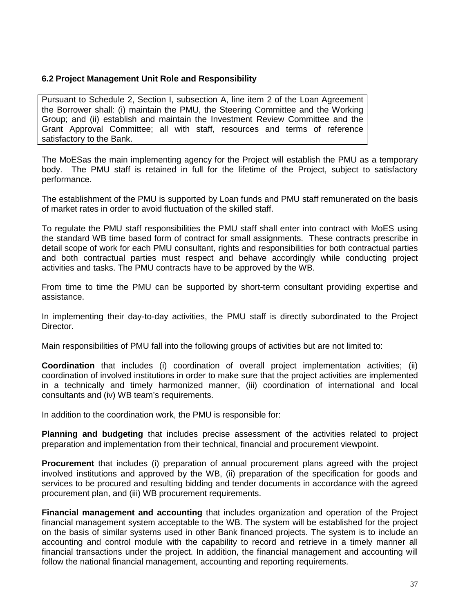#### **6.2 Project Management Unit Role and Responsibility**

Pursuant to Schedule 2, Section I, subsection A, line item 2 of the Loan Agreement the Borrower shall: (i) maintain the PMU, the Steering Committee and the Working Group; and (ii) establish and maintain the Investment Review Committee and the Grant Approval Committee; all with staff, resources and terms of reference satisfactory to the Bank.

The MoESas the main implementing agency for the Project will establish the PMU as a temporary body. The PMU staff is retained in full for the lifetime of the Project, subject to satisfactory performance.

The establishment of the PMU is supported by Loan funds and PMU staff remunerated on the basis of market rates in order to avoid fluctuation of the skilled staff.

To regulate the PMU staff responsibilities the PMU staff shall enter into contract with MoES using the standard WB time based form of contract for small assignments. These contracts prescribe in detail scope of work for each PMU consultant, rights and responsibilities for both contractual parties and both contractual parties must respect and behave accordingly while conducting project activities and tasks. The PMU contracts have to be approved by the WB.

From time to time the PMU can be supported by short-term consultant providing expertise and assistance.

In implementing their day-to-day activities, the PMU staff is directly subordinated to the Project Director.

Main responsibilities of PMU fall into the following groups of activities but are not limited to:

**Coordination** that includes (i) coordination of overall project implementation activities; (ii) coordination of involved institutions in order to make sure that the project activities are implemented in a technically and timely harmonized manner, (iii) coordination of international and local consultants and (iv) WB team's requirements.

In addition to the coordination work, the PMU is responsible for:

**Planning and budgeting** that includes precise assessment of the activities related to project preparation and implementation from their technical, financial and procurement viewpoint.

**Procurement** that includes (i) preparation of annual procurement plans agreed with the project involved institutions and approved by the WB, (ii) preparation of the specification for goods and services to be procured and resulting bidding and tender documents in accordance with the agreed procurement plan, and (iii) WB procurement requirements.

**Financial management and accounting** that includes organization and operation of the Project financial management system acceptable to the WB. The system will be established for the project on the basis of similar systems used in other Bank financed projects. The system is to include an accounting and control module with the capability to record and retrieve in a timely manner all financial transactions under the project. In addition, the financial management and accounting will follow the national financial management, accounting and reporting requirements.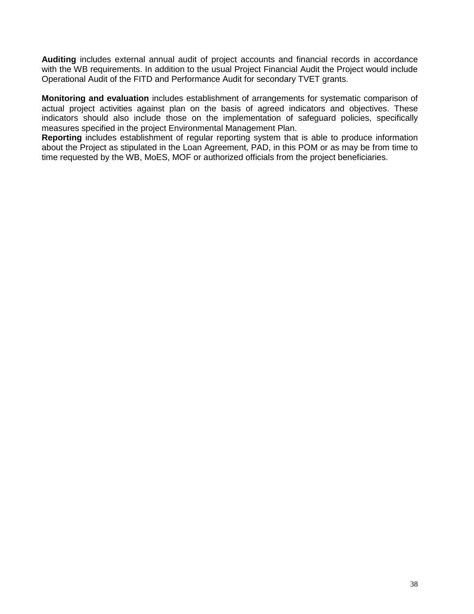**Auditing** includes external annual audit of project accounts and financial records in accordance with the WB requirements. In addition to the usual Project Financial Audit the Project would include Operational Audit of the FITD and Performance Audit for secondary TVET grants.

**Monitoring and evaluation** includes establishment of arrangements for systematic comparison of actual project activities against plan on the basis of agreed indicators and objectives. These indicators should also include those on the implementation of safeguard policies, specifically measures specified in the project Environmental Management Plan.

**Reporting** includes establishment of regular reporting system that is able to produce information about the Project as stipulated in the Loan Agreement, PAD, in this POM or as may be from time to time requested by the WB, MoES, MOF or authorized officials from the project beneficiaries.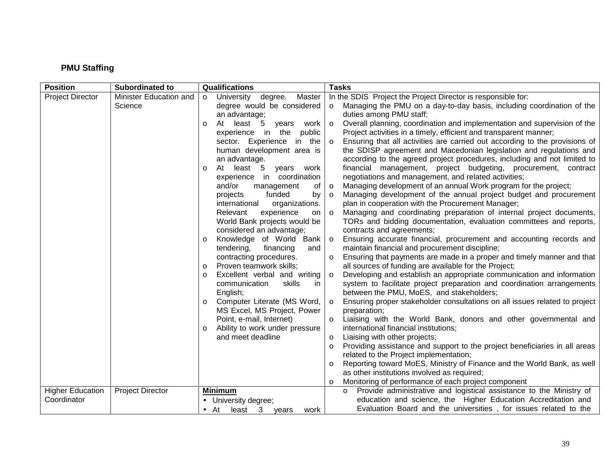## **PMU Staffing**

| <b>Position</b>                        | <b>Subordinated to</b>            | Qualifications                                                                                                                                          | <b>Tasks</b>                                                                                                                                                                                                                                                                                                             |
|----------------------------------------|-----------------------------------|---------------------------------------------------------------------------------------------------------------------------------------------------------|--------------------------------------------------------------------------------------------------------------------------------------------------------------------------------------------------------------------------------------------------------------------------------------------------------------------------|
| <b>Project Director</b>                | Minister Education and<br>Science | University degree.<br>Master<br>$\circ$<br>degree would be considered<br>an advantage;                                                                  | In the SDIS Project the Project Director is responsible for:<br>Managing the PMU on a day-to-day basis, including coordination of the<br>$\circ$<br>duties among PMU staff;                                                                                                                                              |
|                                        |                                   | At<br>least 5<br>work<br>vears<br>$\circ$<br>experience in the<br>public<br>sector. Experience<br>in the<br>human development area is                   | Overall planning, coordination and implementation and supervision of the<br>$\circ$<br>Project activities in a timely, efficient and transparent manner;<br>Ensuring that all activities are carried out according to the provisions of<br>$\circ$<br>the SDISP agreement and Macedonian legislation and regulations and |
|                                        |                                   | an advantage.<br>At least 5<br>years work<br>$\circ$<br>experience in coordination<br>and/or<br>management<br>0f                                        | according to the agreed project procedures, including and not limited to<br>financial management, project budgeting, procurement, contract<br>negotiations and management, and related activities;<br>Managing development of an annual Work program for the project;<br>$\circ$                                         |
|                                        |                                   | funded<br>by<br>projects<br>international<br>organizations.<br>Relevant<br>experience<br>on<br>World Bank projects would be<br>considered an advantage; | Managing development of the annual project budget and procurement<br>$\circ$<br>plan in cooperation with the Procurement Manager;<br>Managing and coordinating preparation of internal project documents,<br>$\circ$<br>TORs and bidding documentation, evaluation committees and reports,<br>contracts and agreements;  |
|                                        |                                   | Knowledge of World Bank<br>$\circ$<br>tendering,<br>financing<br>and                                                                                    | Ensuring accurate financial, procurement and accounting records and<br>$\circ$<br>maintain financial and procurement discipline;                                                                                                                                                                                         |
|                                        |                                   | contracting procedures.<br>Proven teamwork skills;<br>$\circ$                                                                                           | Ensuring that payments are made in a proper and timely manner and that<br>$\circ$<br>all sources of funding are available for the Project;                                                                                                                                                                               |
|                                        |                                   | Excellent verbal and writing<br>$\circ$<br>skills<br>communication<br>in<br>English;                                                                    | Developing and establish an appropriate communication and information<br>$\circ$<br>system to facilitate project preparation and coordination arrangements<br>between the PMU, MoES, and stakeholders;                                                                                                                   |
|                                        |                                   | Computer Literate (MS Word,<br>$\circ$<br>MS Excel, MS Project, Power                                                                                   | Ensuring proper stakeholder consultations on all issues related to project<br>$\circ$<br>preparation;                                                                                                                                                                                                                    |
|                                        |                                   | Point, e-mail, Internet)<br>Ability to work under pressure<br>$\circ$                                                                                   | Liaising with the World Bank, donors and other governmental and<br>$\circ$<br>international financial institutions;                                                                                                                                                                                                      |
|                                        |                                   | and meet deadline                                                                                                                                       | Liaising with other projects;<br>$\circ$<br>Providing assistance and support to the project beneficiaries in all areas<br>$\circ$<br>related to the Project implementation;                                                                                                                                              |
|                                        |                                   |                                                                                                                                                         | Reporting toward MoES, Ministry of Finance and the World Bank, as well<br>$\circ$<br>as other institutions involved as required;                                                                                                                                                                                         |
|                                        |                                   |                                                                                                                                                         | Monitoring of performance of each project component<br>$\circ$                                                                                                                                                                                                                                                           |
| <b>Higher Education</b><br>Coordinator | <b>Project Director</b>           | <b>Minimum</b><br>• University degree;                                                                                                                  | o Provide administrative and logistical assistance to the Ministry of<br>education and science, the Higher Education Accreditation and                                                                                                                                                                                   |
|                                        |                                   | $\bullet$ At<br>3<br>least<br>work<br>years                                                                                                             | Evaluation Board and the universities, for issues related to the                                                                                                                                                                                                                                                         |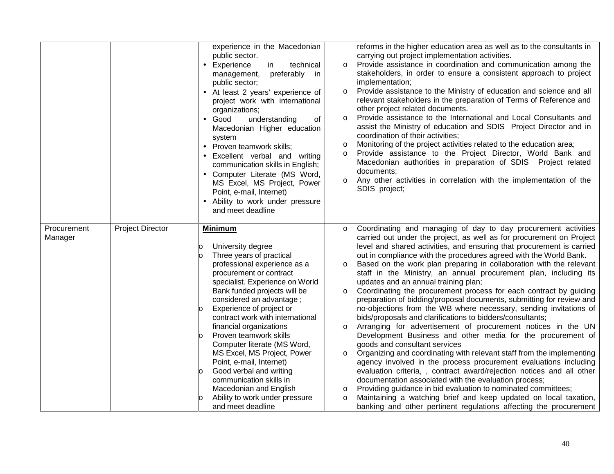| reforms in the higher education area as well as to the consultants in<br>public sector.<br>carrying out project implementation activities.<br>Provide assistance in coordination and communication among the<br>Experience<br>technical<br>in<br>$\circ$<br>$\bullet$<br>stakeholders, in order to ensure a consistent approach to project<br>preferably in<br>management,<br>implementation;<br>public sector;<br>Provide assistance to the Ministry of education and science and all<br>• At least 2 years' experience of<br>$\circ$<br>relevant stakeholders in the preparation of Terms of Reference and<br>project work with international<br>other project related documents.<br>organizations;<br>Provide assistance to the International and Local Consultants and<br>$\circ$<br>Good<br>understanding<br>of<br>assist the Ministry of education and SDIS Project Director and in<br>Macedonian Higher education<br>coordination of their activities;<br>system<br>Monitoring of the project activities related to the education area;<br>$\circ$<br>• Proven teamwork skills;<br>Provide assistance to the Project Director, World Bank and<br>$\circ$<br>• Excellent verbal and writing<br>Macedonian authorities in preparation of SDIS Project related<br>communication skills in English;<br>documents;<br>• Computer Literate (MS Word,<br>Any other activities in correlation with the implementation of the<br>$\circ$<br>MS Excel, MS Project, Power<br>SDIS project;<br>Point, e-mail, Internet)<br>• Ability to work under pressure<br>and meet deadline<br><b>Project Director</b><br>Coordinating and managing of day to day procurement activities<br>Procurement<br><b>Minimum</b><br>$\circ$<br>carried out under the project, as well as for procurement on Project<br>Manager<br>level and shared activities, and ensuring that procurement is carried<br>University degree<br>Three years of practical<br>out in compliance with the procedures agreed with the World Bank.<br>professional experience as a<br>Based on the work plan preparing in collaboration with the relevant<br>$\circ$<br>procurement or contract<br>staff in the Ministry, an annual procurement plan, including its<br>specialist. Experience on World<br>updates and an annual training plan;<br>Bank funded projects will be<br>Coordinating the procurement process for each contract by guiding<br>$\circ$<br>considered an advantage;<br>preparation of bidding/proposal documents, submitting for review and<br>Experience of project or<br>no-objections from the WB where necessary, sending invitations of<br>contract work with international<br>bids/proposals and clarifications to bidders/consultants;<br>financial organizations<br>Arranging for advertisement of procurement notices in the UN<br>$\circ$<br>Proven teamwork skills<br>Development Business and other media for the procurement of<br>Computer literate (MS Word,<br>goods and consultant services<br>MS Excel, MS Project, Power<br>Organizing and coordinating with relevant staff from the implementing<br>$\circ$<br>Point, e-mail, Internet)<br>agency involved in the process procurement evaluations including<br>Good verbal and writing<br>evaluation criteria, , contract award/rejection notices and all other<br>communication skills in<br>documentation associated with the evaluation process;<br>Macedonian and English<br>Providing guidance in bid evaluation to nominated committees;<br>$\circ$ |  |                              |  |
|----------------------------------------------------------------------------------------------------------------------------------------------------------------------------------------------------------------------------------------------------------------------------------------------------------------------------------------------------------------------------------------------------------------------------------------------------------------------------------------------------------------------------------------------------------------------------------------------------------------------------------------------------------------------------------------------------------------------------------------------------------------------------------------------------------------------------------------------------------------------------------------------------------------------------------------------------------------------------------------------------------------------------------------------------------------------------------------------------------------------------------------------------------------------------------------------------------------------------------------------------------------------------------------------------------------------------------------------------------------------------------------------------------------------------------------------------------------------------------------------------------------------------------------------------------------------------------------------------------------------------------------------------------------------------------------------------------------------------------------------------------------------------------------------------------------------------------------------------------------------------------------------------------------------------------------------------------------------------------------------------------------------------------------------------------------------------------------------------------------------------------------------------------------------------------------------------------------------------------------------------------------------------------------------------------------------------------------------------------------------------------------------------------------------------------------------------------------------------------------------------------------------------------------------------------------------------------------------------------------------------------------------------------------------------------------------------------------------------------------------------------------------------------------------------------------------------------------------------------------------------------------------------------------------------------------------------------------------------------------------------------------------------------------------------------------------------------------------------------------------------------------------------------------------------------------------------------------------------------------------------------------------------------------------------------------------------------------------------------------------------------------------------------------------------------------------------------------------------------------------------------|--|------------------------------|--|
|                                                                                                                                                                                                                                                                                                                                                                                                                                                                                                                                                                                                                                                                                                                                                                                                                                                                                                                                                                                                                                                                                                                                                                                                                                                                                                                                                                                                                                                                                                                                                                                                                                                                                                                                                                                                                                                                                                                                                                                                                                                                                                                                                                                                                                                                                                                                                                                                                                                                                                                                                                                                                                                                                                                                                                                                                                                                                                                                                                                                                                                                                                                                                                                                                                                                                                                                                                                                                                                                                                          |  | experience in the Macedonian |  |
| Ability to work under pressure<br>Maintaining a watching brief and keep updated on local taxation,<br>and meet deadline<br>banking and other pertinent regulations affecting the procurement                                                                                                                                                                                                                                                                                                                                                                                                                                                                                                                                                                                                                                                                                                                                                                                                                                                                                                                                                                                                                                                                                                                                                                                                                                                                                                                                                                                                                                                                                                                                                                                                                                                                                                                                                                                                                                                                                                                                                                                                                                                                                                                                                                                                                                                                                                                                                                                                                                                                                                                                                                                                                                                                                                                                                                                                                                                                                                                                                                                                                                                                                                                                                                                                                                                                                                             |  |                              |  |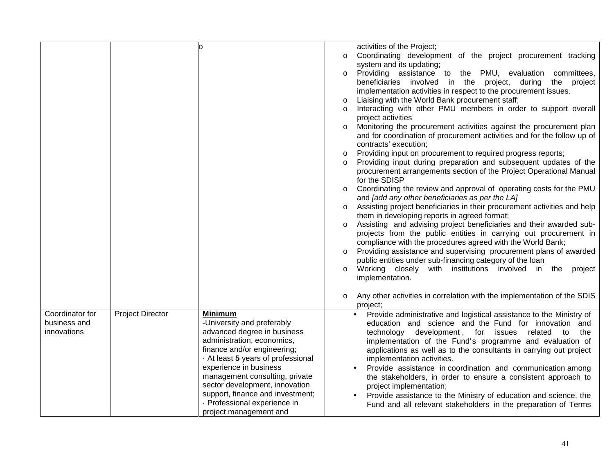|                                                |                         | n                                                                                                                                                                                                                                                                                                                                                                        | activities of the Project;<br>Coordinating development of the project procurement tracking<br>$\circ$<br>system and its updating;<br>Providing assistance to the PMU, evaluation committees,<br>$\circ$<br>beneficiaries involved in the project, during<br>the<br>project<br>implementation activities in respect to the procurement issues.<br>Liaising with the World Bank procurement staff;<br>Interacting with other PMU members in order to support overall<br>project activities<br>Monitoring the procurement activities against the procurement plan<br>$\circ$<br>and for coordination of procurement activities and for the follow up of<br>contracts' execution;<br>Providing input on procurement to required progress reports;<br>$\circ$<br>Providing input during preparation and subsequent updates of the<br>$\circ$<br>procurement arrangements section of the Project Operational Manual<br>for the SDISP<br>Coordinating the review and approval of operating costs for the PMU<br>$\circ$<br>and [add any other beneficiaries as per the LA]<br>Assisting project beneficiaries in their procurement activities and help<br>$\circ$<br>them in developing reports in agreed format;<br>Assisting and advising project beneficiaries and their awarded sub-<br>projects from the public entities in carrying out procurement in<br>compliance with the procedures agreed with the World Bank;<br>Providing assistance and supervising procurement plans of awarded<br>$\circ$<br>public entities under sub-financing category of the loan<br>Working closely with institutions involved in the project<br>$\circ$<br>implementation.<br>Any other activities in correlation with the implementation of the SDIS<br>$\circ$ |
|------------------------------------------------|-------------------------|--------------------------------------------------------------------------------------------------------------------------------------------------------------------------------------------------------------------------------------------------------------------------------------------------------------------------------------------------------------------------|--------------------------------------------------------------------------------------------------------------------------------------------------------------------------------------------------------------------------------------------------------------------------------------------------------------------------------------------------------------------------------------------------------------------------------------------------------------------------------------------------------------------------------------------------------------------------------------------------------------------------------------------------------------------------------------------------------------------------------------------------------------------------------------------------------------------------------------------------------------------------------------------------------------------------------------------------------------------------------------------------------------------------------------------------------------------------------------------------------------------------------------------------------------------------------------------------------------------------------------------------------------------------------------------------------------------------------------------------------------------------------------------------------------------------------------------------------------------------------------------------------------------------------------------------------------------------------------------------------------------------------------------------------------------------------------------------------------------------------------------------|
| Coordinator for<br>business and<br>innovations | <b>Project Director</b> | <b>Minimum</b><br>-University and preferably<br>advanced degree in business<br>administration, economics,<br>finance and/or engineering;<br>At least 5 years of professional<br>experience in business<br>management consulting, private<br>sector development, innovation<br>support, finance and investment;<br>· Professional experience in<br>project management and | project;<br>Provide administrative and logistical assistance to the Ministry of<br>$\bullet$<br>education and science and the Fund for innovation and<br>technology development, for issues related<br>the<br>to<br>implementation of the Fund's programme and evaluation of<br>applications as well as to the consultants in carrying out project<br>implementation activities.<br>Provide assistance in coordination and communication among<br>the stakeholders, in order to ensure a consistent approach to<br>project implementation;<br>Provide assistance to the Ministry of education and science, the<br>Fund and all relevant stakeholders in the preparation of Terms                                                                                                                                                                                                                                                                                                                                                                                                                                                                                                                                                                                                                                                                                                                                                                                                                                                                                                                                                                                                                                                                 |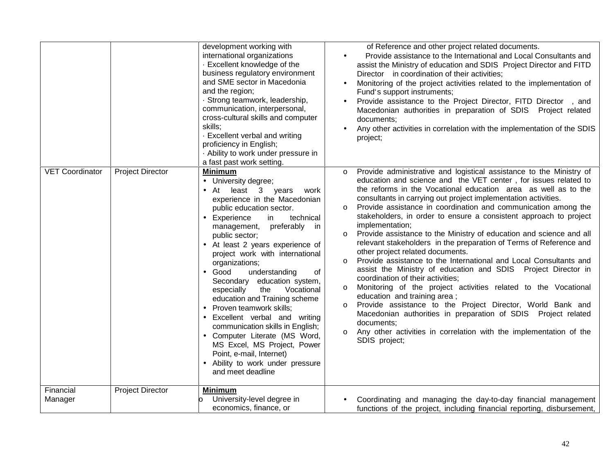|                                                   | development working with<br>international organizations<br>- Excellent knowledge of the<br>business regulatory environment<br>and SME sector in Macedonia<br>and the region;<br>· Strong teamwork, leadership,<br>communication, interpersonal,<br>cross-cultural skills and computer<br>skills;<br>- Excellent verbal and writing<br>proficiency in English;<br>· Ability to work under pressure in<br>a fast past work setting.                                                                                                                                                                                                                                                                                           | of Reference and other project related documents.<br>Provide assistance to the International and Local Consultants and<br>$\bullet$<br>assist the Ministry of education and SDIS Project Director and FITD<br>Director in coordination of their activities;<br>Monitoring of the project activities related to the implementation of<br>Fund's support instruments;<br>Provide assistance to the Project Director, FITD Director, and<br>Macedonian authorities in preparation of SDIS Project related<br>documents:<br>Any other activities in correlation with the implementation of the SDIS<br>project;                                                                                                                                                                                                                                                                                                                                                                                                                                                                                                                                                                                                          |
|---------------------------------------------------|-----------------------------------------------------------------------------------------------------------------------------------------------------------------------------------------------------------------------------------------------------------------------------------------------------------------------------------------------------------------------------------------------------------------------------------------------------------------------------------------------------------------------------------------------------------------------------------------------------------------------------------------------------------------------------------------------------------------------------|----------------------------------------------------------------------------------------------------------------------------------------------------------------------------------------------------------------------------------------------------------------------------------------------------------------------------------------------------------------------------------------------------------------------------------------------------------------------------------------------------------------------------------------------------------------------------------------------------------------------------------------------------------------------------------------------------------------------------------------------------------------------------------------------------------------------------------------------------------------------------------------------------------------------------------------------------------------------------------------------------------------------------------------------------------------------------------------------------------------------------------------------------------------------------------------------------------------------|
| <b>VET Coordinator</b><br><b>Project Director</b> | Minimum<br>• University degree;<br>• At least 3 years<br>work<br>experience in the Macedonian<br>public education sector.<br>Experience<br>in<br>technical<br>preferably in<br>management,<br>public sector;<br>At least 2 years experience of<br>project work with international<br>organizations;<br>understanding<br>$\bullet$ Good<br>0f<br>Secondary education system,<br>Vocational<br>especially<br>the<br>education and Training scheme<br>Proven teamwork skills;<br>$\bullet$<br>Excellent verbal and writing<br>$\bullet$<br>communication skills in English;<br>• Computer Literate (MS Word,<br>MS Excel, MS Project, Power<br>Point, e-mail, Internet)<br>Ability to work under pressure<br>and meet deadline | Provide administrative and logistical assistance to the Ministry of<br>$\circ$<br>education and science and the VET center, for issues related to<br>the reforms in the Vocational education area as well as to the<br>consultants in carrying out project implementation activities.<br>Provide assistance in coordination and communication among the<br>$\circ$<br>stakeholders, in order to ensure a consistent approach to project<br>implementation;<br>Provide assistance to the Ministry of education and science and all<br>$\circ$<br>relevant stakeholders in the preparation of Terms of Reference and<br>other project related documents.<br>Provide assistance to the International and Local Consultants and<br>$\circ$<br>assist the Ministry of education and SDIS  Project Director in<br>coordination of their activities;<br>Monitoring of the project activities related to the Vocational<br>$\circ$<br>education and training area;<br>Provide assistance to the Project Director, World Bank and<br>$\circ$<br>Macedonian authorities in preparation of SDIS Project related<br>documents:<br>Any other activities in correlation with the implementation of the<br>$\circ$<br>SDIS project; |
| Financial<br><b>Project Director</b><br>Manager   | Minimum<br>University-level degree in<br>economics, finance, or                                                                                                                                                                                                                                                                                                                                                                                                                                                                                                                                                                                                                                                             | Coordinating and managing the day-to-day financial management<br>functions of the project, including financial reporting, disbursement,                                                                                                                                                                                                                                                                                                                                                                                                                                                                                                                                                                                                                                                                                                                                                                                                                                                                                                                                                                                                                                                                              |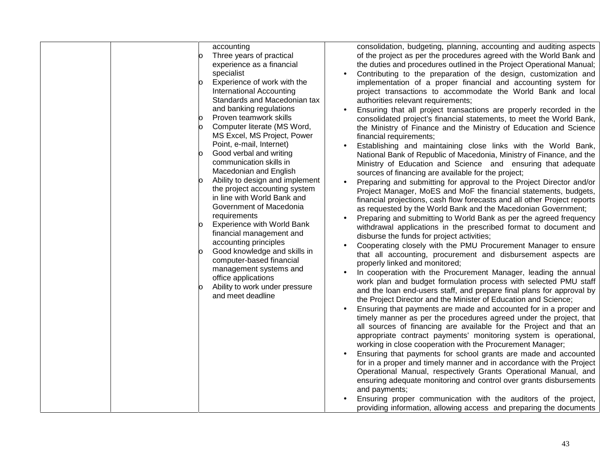| accounting<br>Three years of practical<br>experience as a financial<br>specialist<br>Experience of work with the<br>lO.<br>International Accounting<br>Standards and Macedonian tax<br>and banking regulations<br>Proven teamwork skills<br>Computer literate (MS Word,<br>MS Excel, MS Project, Power<br>Point, e-mail, Internet)<br>Good verbal and writing<br>communication skills in<br>Macedonian and English<br>Ability to design and implement<br>the project accounting system<br>in line with World Bank and<br>Government of Macedonia<br>requirements<br><b>Experience with World Bank</b><br>financial management and<br>accounting principles<br>Good knowledge and skills in<br>computer-based financial<br>management systems and<br>office applications<br>Ability to work under pressure<br>and meet deadline | consolidation, budgeting, planning, accounting and auditing aspects<br>of the project as per the procedures agreed with the World Bank and<br>the duties and procedures outlined in the Project Operational Manual;<br>Contributing to the preparation of the design, customization and<br>implementation of a proper financial and accounting system for<br>project transactions to accommodate the World Bank and local<br>authorities relevant requirements;<br>Ensuring that all project transactions are properly recorded in the<br>consolidated project's financial statements, to meet the World Bank,<br>the Ministry of Finance and the Ministry of Education and Science<br>financial requirements;<br>Establishing and maintaining close links with the World Bank,<br>National Bank of Republic of Macedonia, Ministry of Finance, and the<br>Ministry of Education and Science and ensuring that adequate<br>sources of financing are available for the project;<br>Preparing and submitting for approval to the Project Director and/or<br>Project Manager, MoES and MoF the financial statements, budgets,<br>financial projections, cash flow forecasts and all other Project reports<br>as requested by the World Bank and the Macedonian Government;<br>Preparing and submitting to World Bank as per the agreed frequency<br>withdrawal applications in the prescribed format to document and<br>disburse the funds for project activities;<br>Cooperating closely with the PMU Procurement Manager to ensure<br>that all accounting, procurement and disbursement aspects are<br>properly linked and monitored;<br>In cooperation with the Procurement Manager, leading the annual<br>work plan and budget formulation process with selected PMU staff<br>and the loan end-users staff, and prepare final plans for approval by<br>the Project Director and the Minister of Education and Science;<br>Ensuring that payments are made and accounted for in a proper and<br>timely manner as per the procedures agreed under the project, that<br>all sources of financing are available for the Project and that an<br>appropriate contract payments' monitoring system is operational,<br>working in close cooperation with the Procurement Manager;<br>Ensuring that payments for school grants are made and accounted<br>for in a proper and timely manner and in accordance with the Project<br>Operational Manual, respectively Grants Operational Manual, and<br>ensuring adequate monitoring and control over grants disbursements<br>and payments;<br>Ensuring proper communication with the auditors of the project,<br>providing information, allowing access and preparing the documents |
|--------------------------------------------------------------------------------------------------------------------------------------------------------------------------------------------------------------------------------------------------------------------------------------------------------------------------------------------------------------------------------------------------------------------------------------------------------------------------------------------------------------------------------------------------------------------------------------------------------------------------------------------------------------------------------------------------------------------------------------------------------------------------------------------------------------------------------|--------------------------------------------------------------------------------------------------------------------------------------------------------------------------------------------------------------------------------------------------------------------------------------------------------------------------------------------------------------------------------------------------------------------------------------------------------------------------------------------------------------------------------------------------------------------------------------------------------------------------------------------------------------------------------------------------------------------------------------------------------------------------------------------------------------------------------------------------------------------------------------------------------------------------------------------------------------------------------------------------------------------------------------------------------------------------------------------------------------------------------------------------------------------------------------------------------------------------------------------------------------------------------------------------------------------------------------------------------------------------------------------------------------------------------------------------------------------------------------------------------------------------------------------------------------------------------------------------------------------------------------------------------------------------------------------------------------------------------------------------------------------------------------------------------------------------------------------------------------------------------------------------------------------------------------------------------------------------------------------------------------------------------------------------------------------------------------------------------------------------------------------------------------------------------------------------------------------------------------------------------------------------------------------------------------------------------------------------------------------------------------------------------------------------------------------------------------------------------------------------------------------------------------------------------------------------------------------------------------------------------------------------------------------------------------------------------------------------|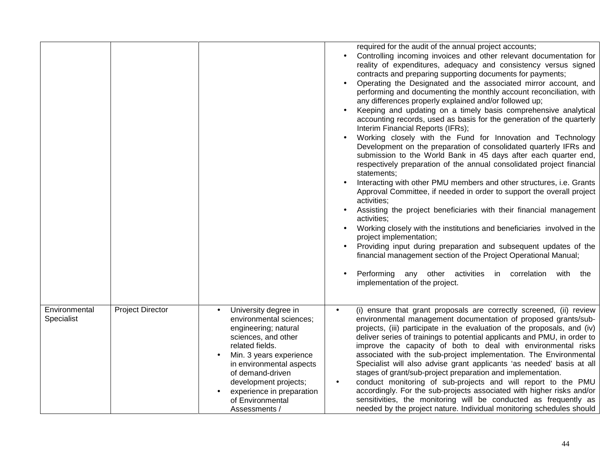|                             |                         |                                                                                                                                                                                                                                                                                         | required for the audit of the annual project accounts;<br>Controlling incoming invoices and other relevant documentation for<br>$\bullet$<br>reality of expenditures, adequacy and consistency versus signed<br>contracts and preparing supporting documents for payments;<br>Operating the Designated and the associated mirror account, and<br>performing and documenting the monthly account reconciliation, with<br>any differences properly explained and/or followed up;<br>Keeping and updating on a timely basis comprehensive analytical<br>accounting records, used as basis for the generation of the quarterly<br>Interim Financial Reports (IFRs);<br>Working closely with the Fund for Innovation and Technology<br>Development on the preparation of consolidated quarterly IFRs and<br>submission to the World Bank in 45 days after each quarter end,<br>respectively preparation of the annual consolidated project financial<br>statements;<br>Interacting with other PMU members and other structures, i.e. Grants<br>Approval Committee, if needed in order to support the overall project<br>activities;<br>Assisting the project beneficiaries with their financial management<br>activities:<br>Working closely with the institutions and beneficiaries involved in the<br>project implementation;<br>Providing input during preparation and subsequent updates of the<br>financial management section of the Project Operational Manual;<br>Performing any other activities in correlation with the<br>implementation of the project. |
|-----------------------------|-------------------------|-----------------------------------------------------------------------------------------------------------------------------------------------------------------------------------------------------------------------------------------------------------------------------------------|----------------------------------------------------------------------------------------------------------------------------------------------------------------------------------------------------------------------------------------------------------------------------------------------------------------------------------------------------------------------------------------------------------------------------------------------------------------------------------------------------------------------------------------------------------------------------------------------------------------------------------------------------------------------------------------------------------------------------------------------------------------------------------------------------------------------------------------------------------------------------------------------------------------------------------------------------------------------------------------------------------------------------------------------------------------------------------------------------------------------------------------------------------------------------------------------------------------------------------------------------------------------------------------------------------------------------------------------------------------------------------------------------------------------------------------------------------------------------------------------------------------------------------------------------------------|
| Environmental<br>Specialist | <b>Project Director</b> | University degree in<br>environmental sciences;<br>engineering; natural<br>sciences, and other<br>related fields.<br>Min. 3 years experience<br>in environmental aspects<br>of demand-driven<br>development projects;<br>experience in preparation<br>of Environmental<br>Assessments / | (i) ensure that grant proposals are correctly screened, (ii) review<br>$\bullet$<br>environmental management documentation of proposed grants/sub-<br>projects, (iii) participate in the evaluation of the proposals, and (iv)<br>deliver series of trainings to potential applicants and PMU, in order to<br>improve the capacity of both to deal with environmental risks<br>associated with the sub-project implementation. The Environmental<br>Specialist will also advise grant applicants 'as needed' basis at all<br>stages of grant/sub-project preparation and implementation.<br>conduct monitoring of sub-projects and will report to the PMU<br>$\bullet$<br>accordingly. For the sub-projects associated with higher risks and/or<br>sensitivities, the monitoring will be conducted as frequently as<br>needed by the project nature. Individual monitoring schedules should                                                                                                                                                                                                                                                                                                                                                                                                                                                                                                                                                                                                                                                                    |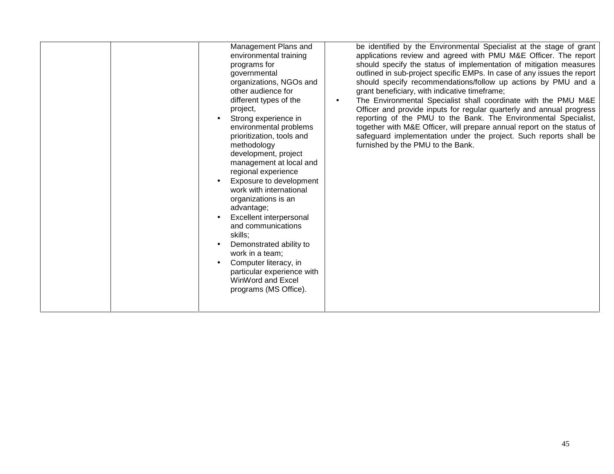|  | be identified by the Environmental Specialist at the stage of grant<br>Management Plans and<br>applications review and agreed with PMU M&E Officer. The report<br>environmental training<br>should specify the status of implementation of mitigation measures<br>programs for<br>outlined in sub-project specific EMPs. In case of any issues the report<br>governmental<br>should specify recommendations/follow up actions by PMU and a<br>organizations, NGOs and<br>other audience for<br>grant beneficiary, with indicative timeframe;<br>different types of the<br>The Environmental Specialist shall coordinate with the PMU M&E<br>$\bullet$<br>project,<br>Officer and provide inputs for regular quarterly and annual progress<br>Strong experience in<br>reporting of the PMU to the Bank. The Environmental Specialist,<br>together with M&E Officer, will prepare annual report on the status of<br>environmental problems<br>prioritization, tools and<br>safeguard implementation under the project. Such reports shall be<br>furnished by the PMU to the Bank.<br>methodology<br>development, project<br>management at local and<br>regional experience<br>Exposure to development<br>work with international<br>organizations is an<br>advantage;<br>Excellent interpersonal<br>and communications<br>skills;<br>Demonstrated ability to<br>work in a team;<br>Computer literacy, in<br>particular experience with<br>WinWord and Excel<br>programs (MS Office). |
|--|------------------------------------------------------------------------------------------------------------------------------------------------------------------------------------------------------------------------------------------------------------------------------------------------------------------------------------------------------------------------------------------------------------------------------------------------------------------------------------------------------------------------------------------------------------------------------------------------------------------------------------------------------------------------------------------------------------------------------------------------------------------------------------------------------------------------------------------------------------------------------------------------------------------------------------------------------------------------------------------------------------------------------------------------------------------------------------------------------------------------------------------------------------------------------------------------------------------------------------------------------------------------------------------------------------------------------------------------------------------------------------------------------------------------------------------------------------------------------------|
|--|------------------------------------------------------------------------------------------------------------------------------------------------------------------------------------------------------------------------------------------------------------------------------------------------------------------------------------------------------------------------------------------------------------------------------------------------------------------------------------------------------------------------------------------------------------------------------------------------------------------------------------------------------------------------------------------------------------------------------------------------------------------------------------------------------------------------------------------------------------------------------------------------------------------------------------------------------------------------------------------------------------------------------------------------------------------------------------------------------------------------------------------------------------------------------------------------------------------------------------------------------------------------------------------------------------------------------------------------------------------------------------------------------------------------------------------------------------------------------------|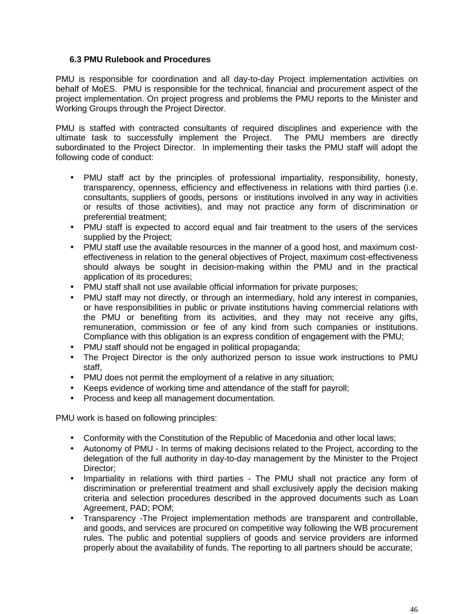#### **6.3 PMU Rulebook and Procedures**

PMU is responsible for coordination and all day-to-day Project implementation activities on behalf of MoES. PMU is responsible for the technical, financial and procurement aspect of the project implementation. On project progress and problems the PMU reports to the Minister and Working Groups through the Project Director.

PMU is staffed with contracted consultants of required disciplines and experience with the ultimate task to successfully implement the Project. The PMU members are directly subordinated to the Project Director. In implementing their tasks the PMU staff will adopt the following code of conduct:

- PMU staff act by the principles of professional impartiality, responsibility, honesty, transparency, openness, efficiency and effectiveness in relations with third parties (i.e. consultants, suppliers of goods, persons or institutions involved in any way in activities or results of those activities), and may not practice any form of discrimination or preferential treatment;
- PMU staff is expected to accord equal and fair treatment to the users of the services supplied by the Project;
- PMU staff use the available resources in the manner of a good host, and maximum cost effectiveness in relation to the general objectives of Project, maximum cost-effectiveness should always be sought in decision-making within the PMU and in the practical application of its procedures;
- PMU staff shall not use available official information for private purposes;
- PMU staff may not directly, or through an intermediary, hold any interest in companies, or have responsibilities in public or private institutions having commercial relations with the PMU or benefiting from its activities, and they may not receive any gifts, remuneration, commission or fee of any kind from such companies or institutions. Compliance with this obligation is an express condition of engagement with the PMU;
- PMU staff should not be engaged in political propaganda;
- The Project Director is the only authorized person to issue work instructions to PMU staff,
- PMU does not permit the employment of a relative in any situation;
- Keeps evidence of working time and attendance of the staff for payroll;
- Process and keep all management documentation.

PMU work is based on following principles:

- Conformity with the Constitution of the Republic of Macedonia and other local laws;
- Autonomy of PMU In terms of making decisions related to the Project, according to the delegation of the full authority in day-to-day management by the Minister to the Project Director;
- Impartiality in relations with third parties The PMU shall not practice any form of discrimination or preferential treatment and shallexclusively apply the decision making criteria and selection procedures described in the approved documents such as Loan Agreement, PAD; POM;
- Transparency -The Project implementation methods are transparent and controllable, and goods, and services are procured on competitive way following the WB procurement rules. The public and potential suppliers of goods and service providers are informed properly about the availability of funds. The reporting to all partners should be accurate;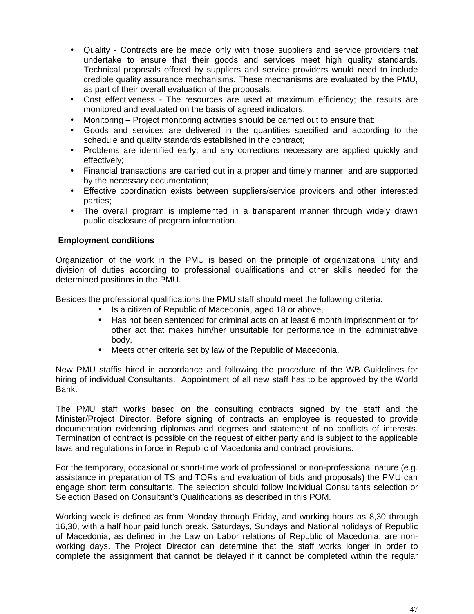- Quality Contracts are be made only with those suppliers and service providers that undertake to ensure that their goods and services meet high quality standards. Technical proposals offered by suppliers and service providers would need to include credible quality assurance mechanisms. These mechanisms are evaluated by the PMU, as part of their overall evaluation of the proposals;
- Cost effectiveness The resources are used at maximum efficiency; the results are monitored and evaluated on the basis of agreed indicators;
- Monitoring Project monitoring activities should be carried out to ensure that:
- Goods and services are delivered in the quantities specified and according to the schedule and quality standards established in the contract;
- Problems are identified early, and any corrections necessary are applied quickly and effectively;
- Financial transactions are carried out in a proper and timely manner, and are supported by the necessary documentation;
- Effective coordination exists between suppliers/service providers and other interested parties;
- The overall program is implemented in a transparent manner through widely drawn public disclosure of program information.

#### **Employment conditions**

Organization of the work in the PMU is based on the principle of organizational unity and division of duties according to professional qualifications and other skills needed for the determined positions in the PMU.

Besides the professional qualifications the PMU staff should meet the following criteria:

- Is a citizen of Republic of Macedonia, aged 18 or above,
- Has not been sentenced for criminal acts on at least 6 month imprisonment or for other act that makes him/her unsuitable for performance in the administrative body,
- Meets other criteria set by law of the Republic of Macedonia.

New PMU staffis hired in accordance and following the procedure of the WB Guidelines for hiring of individual Consultants. Appointment of all new staff has to be approved by the World Bank.

The PMU staff works based on the consulting contracts signed by the staff and the Minister/Project Director. Before signing of contracts an employee is requested to provide documentation evidencing diplomas and degrees and statement of no conflicts of interests. Termination of contract is possible on the request of either party and is subject to the applicable laws and regulations in force in Republic of Macedonia and contract provisions.

For the temporary, occasional or short-time work of professional or non-professional nature (e.g. assistance in preparation of TS and TORs and evaluation of bids and proposals) the PMU can engage short term consultants. The selection should follow Individual Consultants selection or Selection Based on Consultant's Qualifications as described in this POM.

Working week is defined as from Monday through Friday, and working hours as 8,30 through 16,30, with a half hour paid lunch break. Saturdays, Sundays and National holidays of Republic of Macedonia, as defined in the Law on Labor relations of Republic of Macedonia, are non working days. The Project Director can determine that the staff works longer in order to complete the assignment that cannot be delayed if it cannot be completed within the regular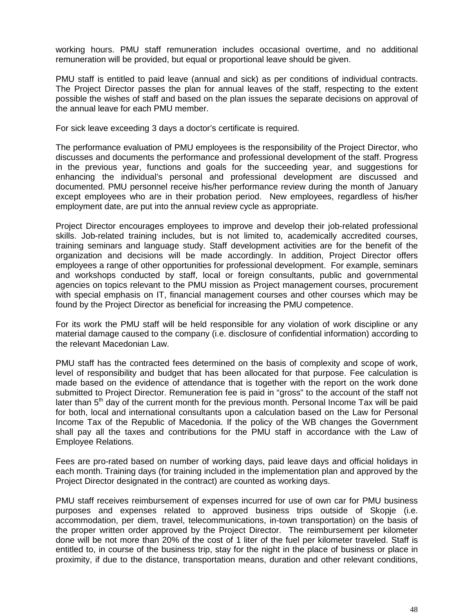working hours. PMU staff remuneration includes occasional overtime, and no additional remuneration will be provided, but equal or proportional leave should be given.

PMU staff is entitled to paid leave (annual and sick) as per conditions of individual contracts. The Project Director passes the plan for annual leaves of the staff, respecting to the extent possible the wishes of staff and based on the plan issues the separate decisions on approval of the annual leave for each PMU member.

For sick leave exceeding 3 days a doctor's certificate is required.

The performance evaluation of PMU employees is the responsibility of the Project Director, who discusses and documents the performance and professional development of the staff. Progress in the previous year, functions and goals for the succeeding year, and suggestions for enhancing the individual's personal and professional development are discussed and documented. PMU personnel receive his/her performance review during the month of January except employees who are in their probation period. New employees, regardless of his/her employment date, are put into the annual review cycle as appropriate.

Project Director encourages employees to improve and develop their job-related professional skills. Job-related training includes, but is not limited to, academically accredited courses, training seminars and language study. Staff development activities are for the benefit of the organization and decisions will be made accordingly. In addition, Project Director offers employees a range of other opportunities for professional development. For example, seminars and workshops conducted by staff, local or foreign consultants, public and governmental agencies on topics relevant to the PMU mission as Project management courses, procurement with special emphasis on IT, financial management courses and other courses which may be found by the Project Director as beneficial for increasing the PMU competence.

For its work the PMU staff will be held responsible for any violation of work discipline or any material damage caused to the company (i.e. disclosure of confidential information) according to the relevant Macedonian Law.

PMU staff has the contracted fees determined on the basis of complexity and scope of work, level of responsibility and budget that has been allocated for that purpose. Fee calculation is made based on the evidence of attendance that is together with the report on the work done submitted to Project Director. Remuneration fee is paid in "gross" to the account of the staff not later than  $5<sup>th</sup>$  day of the current month for the previous month. Personal Income Tax will be paid for both, local and international consultants upon a calculation based on the Law for Personal Income Tax of the Republic of Macedonia. If the policy of the WB changes the Government shall pay all the taxes and contributions for the PMU staff in accordance with the Law of Employee Relations.

Fees are pro-rated based on number of working days, paid leave days and official holidays in each month. Training days (for training included in the implementation plan and approved by the Project Director designated in the contract) are counted as working days.

PMU staff receives reimbursement of expenses incurred for use of own car for PMU business purposes and expenses related to approved business trips outside of Skopje (i.e. accommodation, per diem, travel, telecommunications, in-town transportation) on the basis of the proper written order approved by the Project Director. The reimbursement per kilometer done will be not more than 20% of the cost of 1 liter of the fuel per kilometer traveled. Staff is entitled to, in course of the business trip, stay for the night in the place of business or place in proximity, if due to the distance, transportation means, duration and other relevant conditions,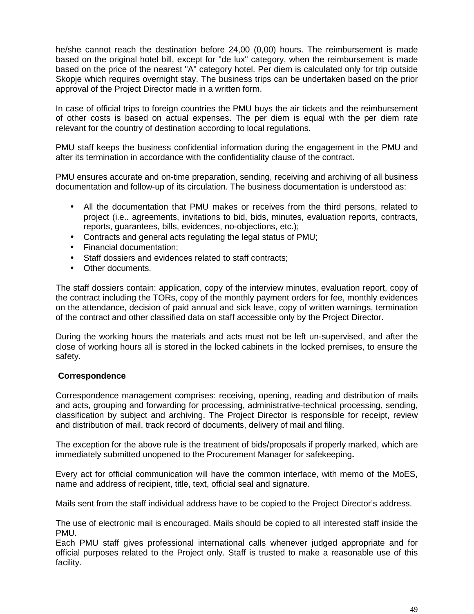he/she cannot reach the destination before 24,00 (0,00) hours. The reimbursement is made based on the original hotel bill, except for "de lux" category, when the reimbursement is made based on the price of the nearest "A" category hotel. Per diem is calculated only for trip outside Skopje which requires overnight stay. The business trips can be undertaken based on the prior approval of the Project Director made in a written form.

In case of official trips to foreign countries the PMU buys the air tickets and the reimbursement of other costs is based on actual expenses. The per diem is equal with the per diem rate relevant for the country of destination according to local regulations.

PMU staff keeps the business confidential information during the engagement in the PMU and after its termination in accordance with the confidentiality clause of the contract.

PMU ensures accurate and on-time preparation, sending, receiving and archiving of all business documentation and follow-up of its circulation. The business documentation is understood as:

- All the documentation that PMU makes or receives from the third persons, related to project (i.e.. agreements, invitations to bid, bids, minutes, evaluation reports, contracts, reports, guarantees, bills, evidences, no-objections, etc.);
- Contracts and general acts regulating the legal status of PMU;
- Financial documentation;
- Staff dossiers and evidences related to staff contracts:
- Other documents.

The staff dossiers contain: application, copy of the interview minutes, evaluation report, copy of the contract including the TORs, copy of the monthly payment orders for fee, monthly evidences on the attendance, decision of paid annual and sick leave, copy of written warnings, termination of the contract and other classified data on staff accessible only by the Project Director.

During the working hours the materials and acts must not be left un-supervised, and after the close of working hours all is stored in the locked cabinets in the locked premises, to ensure the safety.

#### **Correspondence**

Correspondence management comprises: receiving, opening, reading and distribution of mails and acts, grouping and forwarding for processing, administrative-technical processing, sending, classification by subject and archiving. The Project Director is responsible for receipt, review and distribution of mail, track record of documents, delivery of mail and filing.

The exception for the above rule is the treatment of bids/proposals if properly marked, which are immediately submitted unopened to the Procurement Manager for safekeeping**.**

Every act for official communication will have the common interface, with memo of the MoES, name and address of recipient, title, text, official seal and signature.

Mails sent from the staff individual address have to be copied to the Project Director's address.

The use of electronic mail is encouraged. Mails should be copied to all interested staff inside the PMU.

Each PMU staff gives professional international calls whenever judged appropriate and for official purposes related to the Project only. Staff is trusted to make a reasonable use of this facility.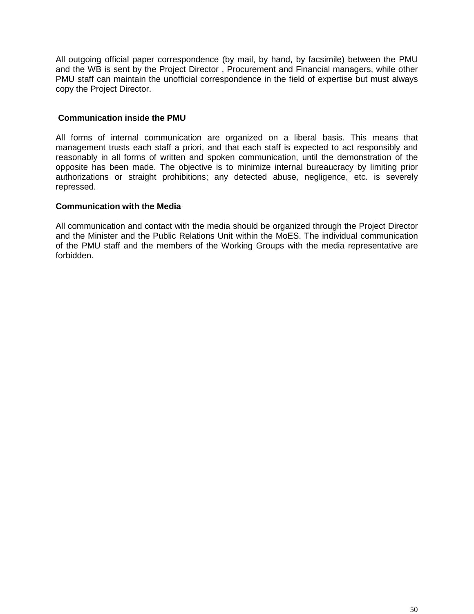All outgoing official paper correspondence (by mail, by hand, by facsimile) between the PMU and the WB is sent by the Project Director , Procurement and Financial managers, while other PMU staff can maintain the unofficial correspondence in the field of expertise but must always copy the Project Director.

#### **Communication inside the PMU**

All forms of internal communication are organized on a liberal basis. This means that management trusts each staff a priori, and that each staff is expected to act responsibly and reasonably in all forms of written and spoken communication, until the demonstration of the opposite has been made. The objective is to minimize internal bureaucracy by limiting prior authorizations or straight prohibitions; any detected abuse, negligence, etc. is severely repressed.

#### **Communication with the Media**

All communication and contact with the media should be organized through the Project Director and the Minister and the Public Relations Unit within the MoES. The individual communication of the PMU staff and the members of the Working Groups with the media representative are forbidden.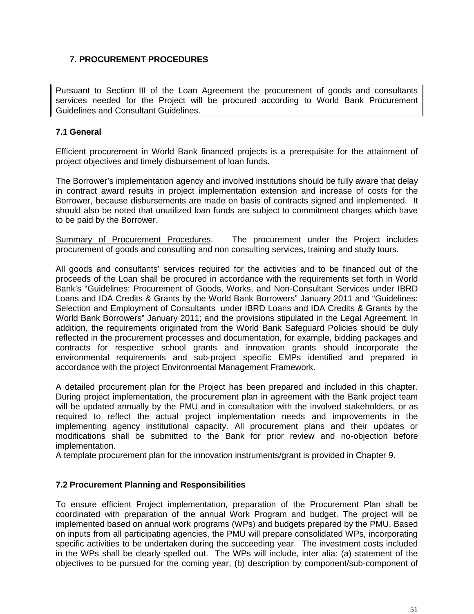## **7. PROCUREMENT PROCEDURES**

Pursuant to Section III of the Loan Agreement the procurement of goods and consultants services needed for the Project will be procured according to World Bank Procurement Guidelines and Consultant Guidelines.

#### **7.1 General**

Efficient procurement in World Bank financed projects is a prerequisite for the attainment of project objectives and timely disbursement of loan funds.

The Borrower's implementation agency and involved institutions should be fully aware that delay in contract award results in project implementation extension and increase of costs for the Borrower, because disbursements are made on basis of contracts signed and implemented. It should also be noted that unutilized loan funds are subject to commitment charges which have to be paid by the Borrower.

Summary of Procurement Procedures. The procurement under the Project includes procurement of goods and consulting and non consulting services, training and study tours.

All goods and consultants' services required for the activities and to be financed out of the proceeds of the Loan shall be procured in accordance with the requirements set forth in World Bank's "Guidelines: Procurement of Goods, Works, and Non-Consultant Services under IBRD Loans and IDA Credits & Grants by the World Bank Borrowers" January 2011 and "Guidelines: Selection and Employment of Consultants under IBRD Loans and IDA Credits & Grants by the World Bank Borrowers" January 2011; and the provisions stipulated in the Legal Agreement. In addition, the requirements originated from the World Bank Safeguard Policies should be duly reflected in the procurement processes and documentation, for example, bidding packages and contracts for respective school grants and innovation grants should incorporate the environmental requirements and sub-project specific EMPs identified and prepared in accordance with the project Environmental Management Framework.

A detailed procurement plan for the Project has been prepared and included in this chapter. During project implementation, the procurement plan in agreement with the Bank project team will be updated annually by the PMU and in consultation with the involved stakeholders, or as required to reflect the actual project implementation needs and improvements in the implementing agency institutional capacity. All procurement plans and their updates or modifications shall be submitted to the Bank for prior review and no-objection before implementation.

A template procurement plan for the innovation instruments/grant is provided in Chapter 9.

#### **7.2 Procurement Planning and Responsibilities**

To ensure efficient Project implementation, preparation of the Procurement Plan shall be coordinated with preparation of the annual Work Program and budget. The project will be implemented based on annual work programs (WPs) and budgets prepared by the PMU. Based on inputs from all participating agencies, the PMU will prepare consolidated WPs, incorporating specific activities to be undertaken during the succeeding year. The investment costs included in the WPs shall be clearly spelled out. The WPs will include, inter alia: (a) statement of the objectives to be pursued for the coming year; (b) description by component/sub-component of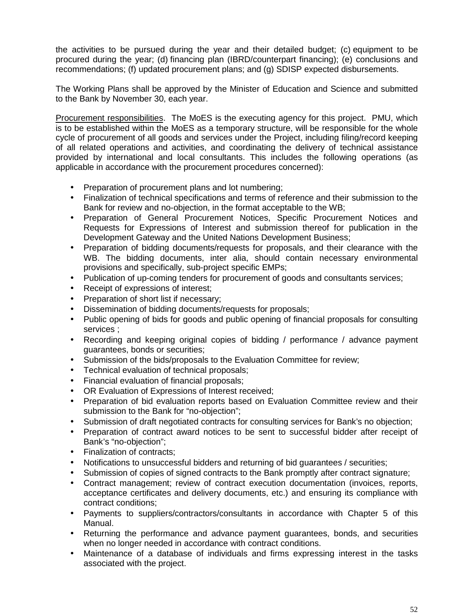the activities to be pursued during the year and their detailed budget; (c) equipment to be procured during the year; (d) financing plan (IBRD/counterpart financing); (e) conclusions and recommendations; (f) updated procurement plans; and (g) SDISP expected disbursements.

The Working Plans shall be approved by the Minister of Education and Science and submitted to the Bank by November 30, each year.

Procurement responsibilities. The MoES is the executing agency for this project. PMU, which is to be established within the MoES as a temporary structure, will be responsible for the whole cycle of procurement of all goods and services under the Project, including filing/record keeping of all related operations and activities, and coordinating the delivery of technical assistance provided by international and local consultants. This includes the following operations (as applicable in accordance with the procurement procedures concerned):

- Preparation of procurement plans and lot numbering;
- Finalization of technical specifications and terms of reference and their submission to the Bank for review and no-objection, in the format acceptable to the WB;
- Preparation of General Procurement Notices, Specific Procurement Notices and Requests for Expressions of Interest and submission thereof for publication in the Development Gateway and the United Nations Development Business;
- Preparation of bidding documents/requests for proposals, and their clearance with the WB. The bidding documents, inter alia, should contain necessary environmental provisions and specifically, sub-project specific EMPs;
- Publication of up-coming tenders for procurement of goods and consultants services;
- Receipt of expressions of interest;
- Preparation of short list if necessary;
- Dissemination of bidding documents/requests for proposals;
- Public opening of bids for goods and public opening of financial proposals for consulting services ;
- Recording and keeping original copies of bidding / performance / advance payment guarantees, bonds or securities;
- Submission of the bids/proposals to the Evaluation Committee for review;
- Technical evaluation of technical proposals;
- Financial evaluation of financial proposals;
- OR Evaluation of Expressions of Interest received;
- Preparation of bid evaluation reports based on Evaluation Committee review and their submission to the Bank for "no-objection";
- Submission of draft negotiated contracts for consulting services for Bank's no objection;
- Preparation of contract award notices to be sent to successful bidder after receipt of Bank's "no-objection";
- Finalization of contracts;
- Notifications to unsuccessful bidders and returning of bid guarantees / securities;
- Submission of copies of signed contracts to the Bank promptly after contract signature;
- Contract management; review of contract execution documentation (invoices, reports, acceptance certificates and delivery documents, etc.) and ensuring its compliance with contract conditions;
- Payments to suppliers/contractors/consultants in accordance with Chapter 5 of this Manual.
- Returning the performance and advance payment guarantees, bonds, and securities when no longer needed in accordance with contract conditions.
- Maintenance of a database of individuals and firms expressing interest in the tasks associated with the project.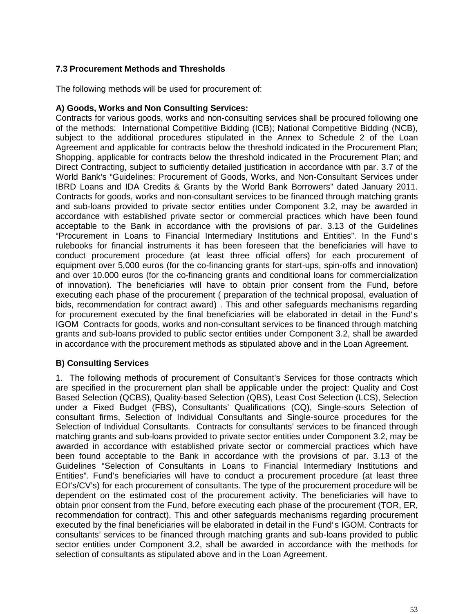### **7.3 Procurement Methods and Thresholds**

The following methods will be used for procurement of:

#### **A) Goods, Works and Non Consulting Services:**

Contracts for various goods, works and non-consulting services shall be procured following one of the methods: International Competitive Bidding (ICB); National Competitive Bidding (NCB), subject to the additional procedures stipulated in the Annex to Schedule 2 of the Loan Agreement and applicable for contracts below the threshold indicated in the Procurement Plan; Shopping, applicable for contracts below the threshold indicated in the Procurement Plan; and Direct Contracting, subject to sufficiently detailed justification in accordance with par. 3.7 of the World Bank's "Guidelines: Procurement of Goods, Works, and Non-Consultant Services under IBRD Loans and IDA Credits & Grants by the World Bank Borrowers" dated January 2011. Contracts for goods, works and non-consultant services to be financed through matching grants and sub-loans provided to private sector entities under Component 3.2, may be awarded in accordance with established private sector or commercial practices which have been found acceptable to the Bank in accordance with the provisions of par. 3.13 of the Guidelines "Procurement in Loans to Financial Intermediary Institutions and Entities". In the Fund`s rulebooks for financial instruments it has been foreseen that the beneficiaries will have to conduct procurement procedure (at least three official offers) for each procurement of equipment over 5,000 euros (for the co-financing grants for start-ups, spin-offs and innovation) and over 10.000 euros (for the co-financing grants and conditional loans for commercialization of innovation). The beneficiaries will have to obtain prior consent from the Fund, before executing each phase of the procurement ( preparation of the technical proposal, evaluation of bids, recommendation for contract award) . This and other safeguards mechanisms regarding for procurement executed by the final beneficiaries will be elaborated in detail in the Fund`s IGOM Contracts for goods, works and non-consultant services to be financed through matching grants and sub-loans provided to public sector entities under Component 3.2, shall be awarded in accordance with the procurement methods as stipulated above and in the Loan Agreement.

### **B) Consulting Services**

1. The following methods of procurement of Consultant's Services for those contracts which are specified in the procurement plan shall be applicable under the project: Quality and Cost Based Selection (QCBS), Quality-based Selection (QBS), Least Cost Selection (LCS), Selection under a Fixed Budget (FBS), Consultants' Qualifications (CQ), Single-sours Selection of consultant firms, Selection of Individual Consultants and Single-source procedures for the Selection of Individual Consultants. Contracts for consultants' services to be financed through matching grants and sub-loans provided to private sector entities under Component 3.2, may be awarded in accordance with established private sector or commercial practices which have been found acceptable to the Bank in accordance with the provisions of par. 3.13 of the Guidelines "Selection of Consultants in Loans to Financial Intermediary Institutions and Entities". Fund's beneficiaries will have to conduct a procurement procedure (at least three EOI's/CV's) for each procurement of consultants. The type of the procurement procedure will be dependent on the estimated cost of the procurement activity. The beneficiaries will have to obtain prior consent from the Fund, before executing each phase of the procurement (TOR, ER, recommendation for contract). This and other safeguards mechanisms regarding procurement executed by the final beneficiaries will be elaborated in detail in the Fund`s IGOM. Contracts for consultants' services to be financed through matching grants and sub-loans provided to public sector entities under Component 3.2, shall be awarded in accordance with the methods for selection of consultants as stipulated above and in the Loan Agreement.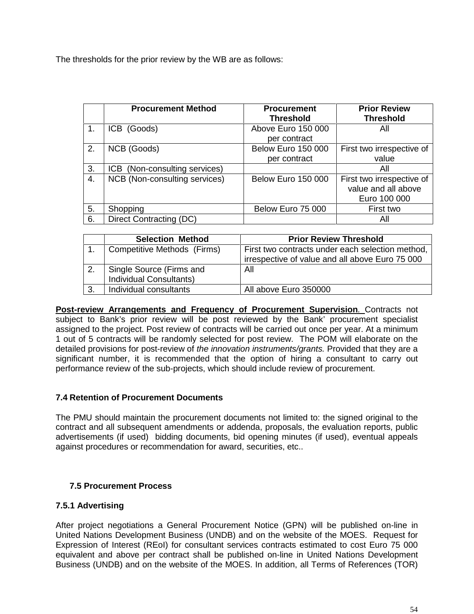The thresholds for the prior review by the WB are as follows:

|    | <b>Procurement Method</b>     | <b>Procurement</b><br><b>Threshold</b>    | <b>Prior Review</b><br><b>Threshold</b>                          |
|----|-------------------------------|-------------------------------------------|------------------------------------------------------------------|
|    | ICB (Goods)                   | Above Euro 150 000<br>per contract        | All                                                              |
| 2. | NCB (Goods)                   | <b>Below Euro 150 000</b><br>per contract | First two irrespective of<br>value                               |
| 3. | ICB (Non-consulting services) |                                           | All                                                              |
| 4. | NCB (Non-consulting services) | <b>Below Euro 150 000</b>                 | First two irrespective of<br>value and all above<br>Euro 100 000 |
| 5. | Shopping                      | Below Euro 75 000                         | First two                                                        |
| 6. | Direct Contracting (DC)       |                                           | All                                                              |

| <b>Selection Method</b>        | <b>Prior Review Threshold</b>                    |
|--------------------------------|--------------------------------------------------|
| Competitive Methods (Firms)    | First two contracts under each selection method, |
|                                | irrespective of value and all above Euro 75 000  |
| Single Source (Firms and       | All                                              |
| <b>Individual Consultants)</b> |                                                  |
| Individual consultants         | All above Euro 350000                            |

**Post-review Arrangements and Frequency of Procurement Supervision***.* Contracts not subject to Bank's prior review will be post reviewed by the Bank' procurement specialist assigned to the project. Post review of contracts will be carried out once per year. At a minimum 1 out of 5 contracts will be randomly selected for post review. The POM will elaborate on the detailed provisions for post-review of *the innovation instruments/grants.* Provided that they are a significant number, it is recommended that the option of hiring a consultant to carry out performance review of the sub-projects, which should include review of procurement.

#### **7.4 Retention of Procurement Documents**

The PMU should maintain the procurement documents not limited to: the signed original to the contract and all subsequent amendments or addenda, proposals, the evaluation reports, public advertisements (if used) bidding documents, bid opening minutes (if used), eventual appeals against procedures or recommendation for award, securities, etc..

### **7.5 Procurement Process**

### **7.5.1 Advertising**

After project negotiations a General Procurement Notice (GPN) will be published on-line in United Nations Development Business (UNDB) and on the website of the MOES. Request for Expression of Interest (REoI) for consultant services contracts estimated to cost Euro 75 000 equivalent and above per contract shall be published on-line in United Nations Development Business (UNDB) and on the website of the MOES. In addition, all Terms of References (TOR)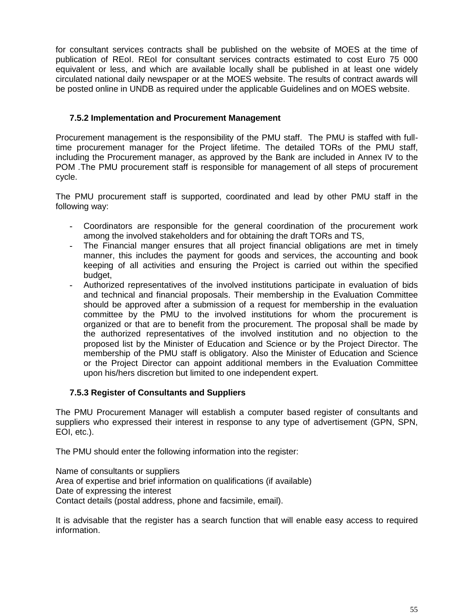for consultant services contracts shall be published on the website of MOES at the time of publication of REoI. REoI for consultant services contracts estimated to cost Euro 75 000 equivalent or less, and which are available locally shall be published in at least one widely circulated national daily newspaper or at the MOES website. The results of contract awards will be posted online in UNDB as required under the applicable Guidelines and on MOES website.

### **7.5.2 Implementation and Procurement Management**

Procurement management is the responsibility of the PMU staff. The PMU is staffed with fulltime procurement manager for the Project lifetime. The detailed TORs of the PMU staff, including the Procurement manager, as approved by the Bank are included in Annex IV to the POM *.*The PMU procurement staff is responsible for management of all steps of procurement cycle.

The PMU procurement staff is supported, coordinated and lead by other PMU staff in the following way:

- **-** Coordinators are responsible for the general coordination of the procurement work among the involved stakeholders and for obtaining the draft TORs and TS,
- **-** The Financial manger ensures that all project financial obligations are met in timely manner, this includes the payment for goods and services, the accounting and book keeping of all activities and ensuring the Project is carried out within the specified budget,
- **-** Authorized representatives of the involved institutions participate in evaluation of bids and technical and financial proposals. Their membership in the Evaluation Committee should be approved after a submission of a request for membership in the evaluation committee by the PMU to the involved institutions for whom the procurement is organized or that are to benefit from the procurement. The proposal shall be made by the authorized representatives of the involved institution and no objection to the proposed list by the Minister of Education and Science or by the Project Director. The membership of the PMU staff is obligatory. Also the Minister of Education and Science or the Project Director can appoint additional members in the Evaluation Committee upon his/hers discretion but limited to one independent expert.

#### **7.5.3 Register of Consultants and Suppliers**

The PMU Procurement Manager will establish a computer based register of consultants and suppliers who expressed their interest in response to any type of advertisement (GPN, SPN, EOI, etc.).

The PMU should enter the following information into the register:

Name of consultants or suppliers Area of expertise and brief information on qualifications (if available) Date of expressing the interest Contact details (postal address, phone and facsimile, email).

It is advisable that the register has a search function that will enable easy access to required information.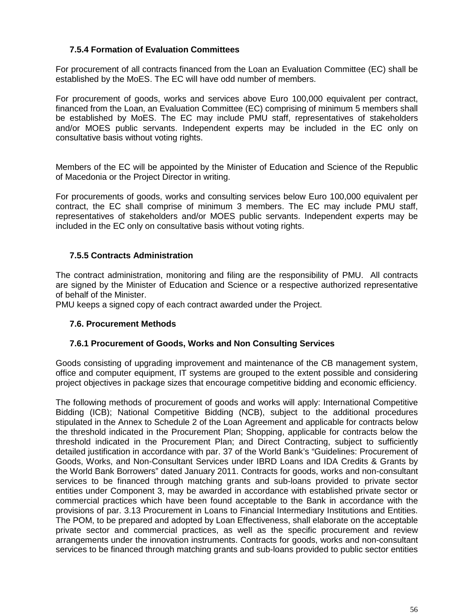### **7.5.4 Formation of Evaluation Committees**

For procurement of all contracts financed from the Loan an Evaluation Committee (EC) shall be established by the MoES. The EC will have odd number of members.

For procurement of goods, works and services above Euro 100,000 equivalent per contract, financed from the Loan, an Evaluation Committee (EC) comprising of minimum 5 members shall be established by MoES. The EC may include PMU staff, representatives of stakeholders and/or MOES public servants. Independent experts may be included in the EC only on consultative basis without voting rights.

Members of the EC will be appointed by the Minister of Education and Science of the Republic of Macedonia or the Project Director in writing.

For procurements of goods, works and consulting services below Euro 100,000 equivalent per contract, the EC shall comprise of minimum 3 members. The EC may include PMU staff, representatives of stakeholders and/or MOES public servants. Independent experts may be included in the EC only on consultative basis without voting rights.

### **7.5.5 Contracts Administration**

The contract administration, monitoring and filing are the responsibility of PMU. All contracts are signed by the Minister of Education and Science or a respective authorized representative of behalf of the Minister.

PMU keeps a signed copy of each contract awarded under the Project.

#### **7.6. Procurement Methods**

#### **7.6.1 Procurement of Goods, Works and Non Consulting Services**

Goods consisting of upgrading improvement and maintenance of the CB management system, office and computer equipment, IT systems are grouped to the extent possible and considering project objectives in package sizes that encourage competitive bidding and economic efficiency.

The following methods of procurement of goods and works will apply: International Competitive Bidding (ICB); National Competitive Bidding (NCB), subject to the additional procedures stipulated in the Annex to Schedule 2 of the Loan Agreement and applicable for contracts below the threshold indicated in the Procurement Plan; Shopping, applicable for contracts below the threshold indicated in the Procurement Plan; and Direct Contracting, subject to sufficiently detailed justification in accordance with par. 37 of the World Bank's "Guidelines: Procurement of Goods, Works, and Non-Consultant Services under IBRD Loans and IDA Credits & Grants by the World Bank Borrowers" dated January 2011. Contracts for goods, works and non-consultant services to be financed through matching grants and sub-loans provided to private sector entities under Component 3, may be awarded in accordance with established private sector or commercial practices which have been found acceptable to the Bank in accordance with the provisions of par. 3.13 Procurement in Loans to Financial Intermediary Institutions and Entities. The POM, to be prepared and adopted by Loan Effectiveness, shall elaborate on the acceptable private sector and commercial practices, as well as the specific procurement and review arrangements under the innovation instruments. Contracts for goods, works and non-consultant services to be financed through matching grants and sub-loans provided to public sector entities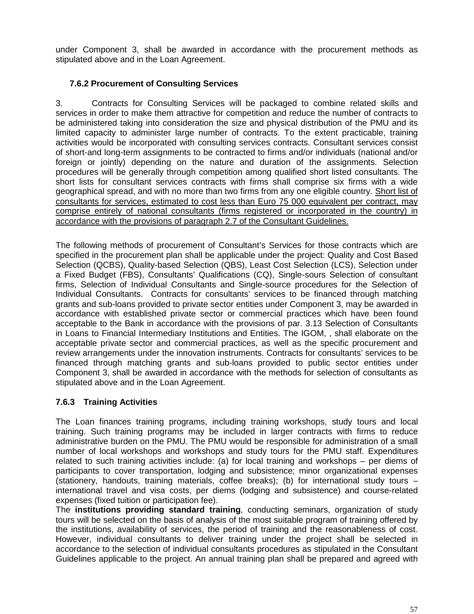under Component 3, shall be awarded in accordance with the procurement methods as stipulated above and in the Loan Agreement.

### **7.6.2 Procurement of Consulting Services**

3. Contracts for Consulting Services will be packaged to combine related skills and services in order to make them attractive for competition and reduce the number of contracts to be administered taking into consideration the size and physical distribution of the PMU and its limited capacity to administer large number of contracts. To the extent practicable, training activities would be incorporated with consulting services contracts. Consultant services consist of short-and long-term assignments to be contracted to firms and/or individuals (national and/or foreign or jointly) depending on the nature and duration of the assignments. Selection procedures will be generally through competition among qualified short listed consultants. The short lists for consultant services contracts with firms shall comprise six firms with a wide geographical spread, and with no more than two firms from any one eligible country. Short list of consultants for services, estimated to cost less than Euro 75 000 equivalent per contract, may comprise entirely of national consultants (firms registered or incorporated in the country) in accordance with the provisions of paragraph 2.7 of the Consultant Guidelines.

The following methods of procurement of Consultant's Services for those contracts which are specified in the procurement plan shall be applicable under the project: Quality and Cost Based Selection (QCBS), Quality-based Selection (QBS), Least Cost Selection (LCS), Selection under a Fixed Budget (FBS), Consultants' Qualifications (CQ), Single-sours Selection of consultant firms, Selection of Individual Consultants and Single-source procedures for the Selection of Individual Consultants. Contracts for consultants' services to be financed through matching grants and sub-loans provided to private sector entities under Component 3, may be awarded in accordance with established private sector or commercial practices which have been found acceptable to the Bank in accordance with the provisions of par. 3.13 Selection of Consultants in Loans to Financial Intermediary Institutions and Entities. The IGOM, , shall elaborate on the acceptable private sector and commercial practices, as well as the specific procurement and review arrangements under the innovation instruments. Contracts for consultants' services to be financed through matching grants and sub-loans provided to public sector entities under Component 3, shall be awarded in accordance with the methods for selection of consultants as stipulated above and in the Loan Agreement.

### **7.6.3 Training Activities**

The Loan finances training programs, including training workshops, study tours and local training. Such training programs may be included in larger contracts with firms to reduce administrative burden on the PMU. The PMU would be responsible for administration of a small number of local workshops and workshops and study tours for the PMU staff. Expenditures related to such training activities include: (a) for local training and workshops – per diems of participants to cover transportation, lodging and subsistence; minor organizational expenses (stationery, handouts, training materials, coffee breaks); (b) for international study tours – international travel and visa costs, per diems (lodging and subsistence) and course-related expenses (fixed tuition or participation fee).

The **institutions providing standard training**, conducting seminars, organization of study tours will be selected on the basis of analysis of the most suitable program of training offered by the institutions, availability of services, the period of training and the reasonableness of cost. However, individual consultants to deliver training under the project shall be selected in accordance to the selection of individual consultants procedures as stipulated in the Consultant Guidelines applicable to the project. An annual training plan shall be prepared and agreed with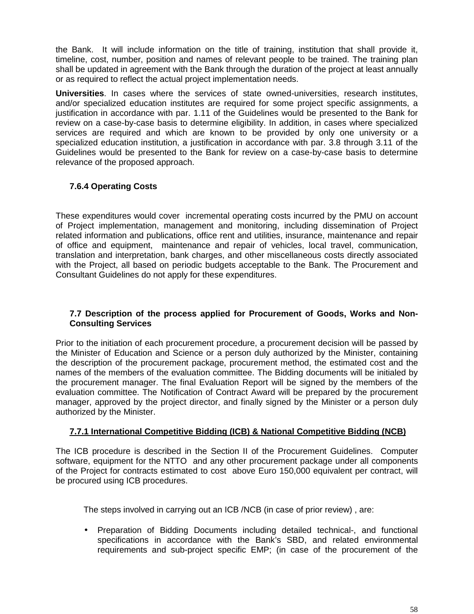the Bank. It will include information on the title of training, institution that shall provide it, timeline, cost, number, position and names of relevant people to be trained. The training plan shall be updated in agreement with the Bank through the duration of the project at least annually or as required to reflect the actual project implementation needs.

**Universities**. In cases where the services of state owned-universities, research institutes, and/or specialized education institutes are required for some project specific assignments, a justification in accordance with par. 1.11 of the Guidelines would be presented to the Bank for review on a case-by-case basis to determine eligibility. In addition, in cases where specialized services are required and which are known to be provided by only one university or a specialized education institution, a justification in accordance with par. 3.8 through 3.11 of the Guidelines would be presented to the Bank for review on a case-by-case basis to determine relevance of the proposed approach.

### **7.6.4 Operating Costs**

These expenditures would cover incremental operating costs incurred by the PMU on account of Project implementation, management and monitoring, including dissemination of Project related information and publications, office rent and utilities, insurance, maintenance and repair of office and equipment, maintenance and repair of vehicles, local travel, communication, translation and interpretation, bank charges, and other miscellaneous costs directly associated with the Project, all based on periodic budgets acceptable to the Bank. The Procurement and Consultant Guidelines do not apply for these expenditures.

### **7.7 Description of the process applied for Procurement of Goods, Works and Non- Consulting Services**

Prior to the initiation of each procurement procedure, a procurement decision will be passed by the Minister of Education and Science or a person duly authorized by the Minister, containing the description of the procurement package, procurement method, the estimated cost and the names of the members of the evaluation committee. The Bidding documents will be initialed by the procurement manager. The final Evaluation Report will be signed by the members of the evaluation committee. The Notification of Contract Award will be prepared by the procurement manager, approved by the project director, and finally signed by the Minister or a person duly authorized by the Minister.

### **7.7.1 International Competitive Bidding (ICB) & National Competitive Bidding (NCB)**

The ICB procedure is described in the Section II of the Procurement Guidelines. Computer software, equipment for the NTTO and any other procurement package under all components of the Project for contracts estimated to cost above Euro 150,000 equivalent per contract, will be procured using ICB procedures.

The steps involved in carrying out an ICB /NCB (in case of prior review) , are:

 Preparation of Bidding Documents including detailed technical-, and functional specifications in accordance with the Bank's SBD, and related environmental requirements and sub-project specific EMP; (in case of the procurement of the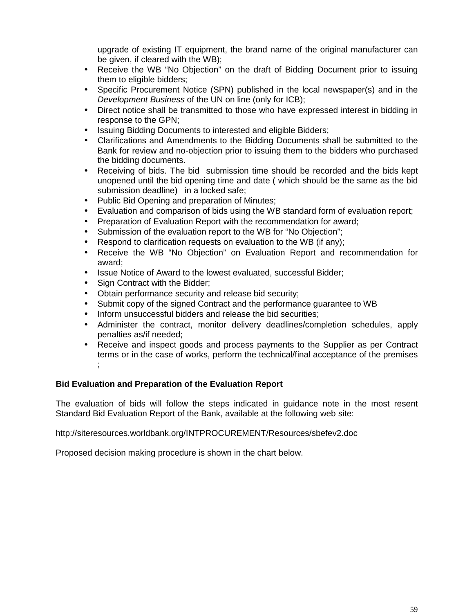upgrade of existing IT equipment, the brand name of the original manufacturer can be given, if cleared with the WB);

- Receive the WB "No Objection" on the draft of Bidding Document prior to issuing them to eligible bidders;
- Specific Procurement Notice (SPN) published in the local newspaper(s) and in the *Development Business* of the UN on line (only for ICB);
- Direct notice shall be transmitted to those who have expressed interest in bidding in response to the GPN;
- Issuing Bidding Documents to interested and eligible Bidders;
- Clarifications and Amendments to the Bidding Documents shall be submitted to the Bank for review and no-objection prior to issuing them to the bidders who purchased the bidding documents.
- Receiving of bids. The bid submission time should be recorded and the bids kept unopened until the bid opening time and date ( which should be the same as the bid submission deadline) in a locked safe;
- Public Bid Opening and preparation of Minutes;
- Evaluation and comparison of bids using the WB standard form of evaluation report;
- Preparation of Evaluation Report with the recommendation for award;
- Submission of the evaluation report to the WB for "No Objection";
- Respond to clarification requests on evaluation to the WB (if any);
- Receive the WB "No Objection" on Evaluation Report and recommendation for award;
- Issue Notice of Award to the lowest evaluated, successful Bidder;
- Sign Contract with the Bidder;
- Obtain performance security and release bid security;
- Submit copy of the signed Contract and the performance guarantee to WB
- Inform unsuccessful bidders and release the bid securities;
- Administer the contract, monitor delivery deadlines/completion schedules, apply penalties as/if needed;
- Receive and inspect goods and process payments to the Supplier as per Contract terms or in the case of works, perform the technical/final acceptance of the premises ;

#### **Bid Evaluation and Preparation of the Evaluation Report**

The evaluation of bids will follow the steps indicated in guidance note in the most resent Standard Bid Evaluation Report of the Bank, available at the following web site:

http://siteresources.worldbank.org/INTPROCUREMENT/Resources/sbefev2.doc

Proposed decision making procedure is shown in the chart below.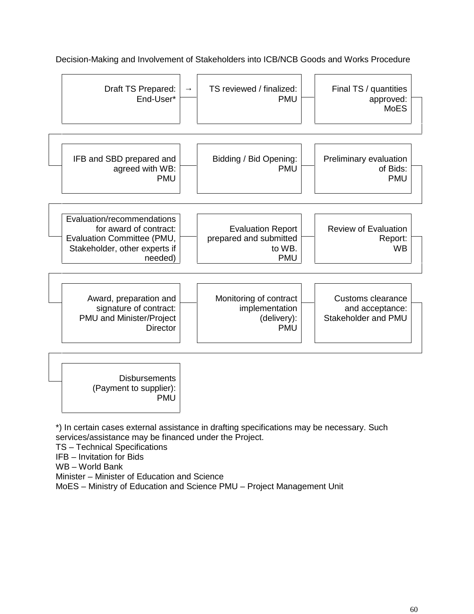| Final TS / quantities<br>approved:<br><b>MoES</b>   | TS reviewed / finalized:<br><b>PMU</b>                                     | Draft TS Prepared:<br>End-User*                                                                                                |
|-----------------------------------------------------|----------------------------------------------------------------------------|--------------------------------------------------------------------------------------------------------------------------------|
| Preliminary evaluation<br>of Bids:<br><b>PMU</b>    | Bidding / Bid Opening:<br><b>PMU</b>                                       | IFB and SBD prepared and<br>agreed with WB:<br><b>PMU</b>                                                                      |
| <b>Review of Evaluation</b><br>Report:<br><b>WB</b> | <b>Evaluation Report</b><br>prepared and submitted<br>to WB.<br><b>PMU</b> | Evaluation/recommendations<br>for award of contract:<br>Evaluation Committee (PMU,<br>Stakeholder, other experts if<br>needed) |
|                                                     | Monitoring of contract                                                     | Award, preparation and<br>signature of contract:                                                                               |

Decision-Making and Involvement of Stakeholders into ICB/NCB Goods and Works Procedure

\*) In certain cases external assistance in drafting specifications may be necessary. Such services/assistance may be financed under the Project.

TS –Technical Specifications

IFB –Invitation for Bids

WB-World Bank

Minister – Minister of Education and Science

MoES – Ministry of Education and Science PMU – Project Management Unit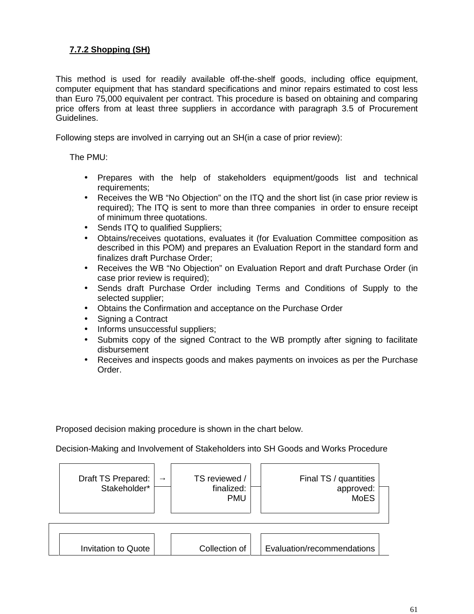## **7.7.2 Shopping (SH)**

This method is used for readily available off-the-shelf goods, including office equipment, computer equipment that has standard specifications and minor repairs estimated to cost less than Euro 75,000 equivalent per contract. This procedure is based on obtaining and comparing price offers from at least three suppliers in accordance with paragraph 3.5 of Procurement Guidelines.

Following steps are involved in carrying out an SH(in a case of prior review):

The PMU:

- Prepares with the help of stakeholders equipment/goods list and technical requirements;
- Receives the WB "No Objection" on the ITQ and the short list (in case prior review is required); The ITQ is sent to more than three companies in order to ensure receipt of minimum three quotations.
- Sends ITQ to qualified Suppliers;
- Obtains/receives quotations, evaluates it (for Evaluation Committee composition as described in this POM) and prepares an Evaluation Report in the standard form and finalizes draft Purchase Order;
- Receives the WB "No Objection" on Evaluation Report and draft Purchase Order (in case prior review is required);
- Sends draft Purchase Order including Terms and Conditions of Supply to the selected supplier;
- Obtains the Confirmation and acceptance on the Purchase Order
- Signing a Contract
- Informs unsuccessful suppliers;
- Submits copy of the signed Contract to the WB promptly after signing to facilitate disbursement
- Receives and inspects goods and makes payments on invoices as per the Purchase Order.

Proposed decision making procedure is shown in the chart below.

Decision-Making and Involvement of Stakeholders into SH Goods and Works Procedure

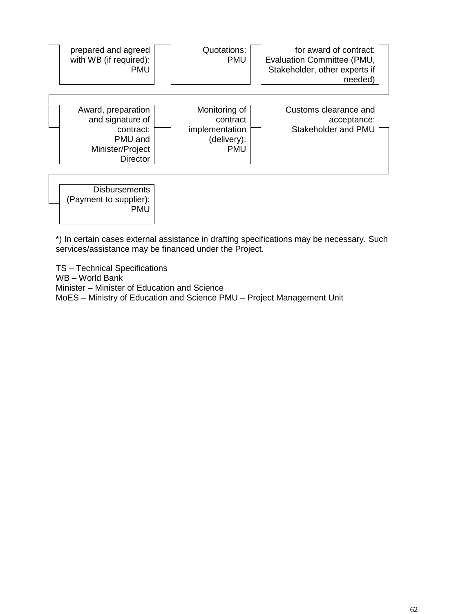| for award of contract:<br>Evaluation Committee (PMU,<br>Stakeholder, other experts if<br>needed) | Quotations:<br><b>PMU</b>                                                | prepared and agreed<br>with WB (if required):<br><b>PMU</b>                                           |
|--------------------------------------------------------------------------------------------------|--------------------------------------------------------------------------|-------------------------------------------------------------------------------------------------------|
| Customs clearance and<br>acceptance:<br>Stakeholder and PMU                                      | Monitoring of<br>contract<br>implementation<br>(delivery):<br><b>PMU</b> | Award, preparation<br>and signature of<br>contract:<br>PMU and<br>Minister/Project<br><b>Director</b> |

**Disbursements** (Payment to supplier): PMU

\*) In certain cases external assistance in drafting specifications may be necessary. Such services/assistance may be financed under the Project.

TS –Technical Specifications WB – World Bank Minister – Minister of Education and Science MoES - Ministry of Education and Science PMU - Project Management Unit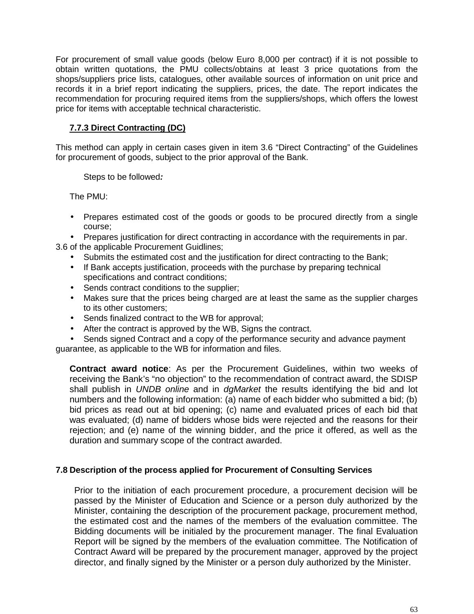For procurement of small value goods (below Euro 8,000 per contract) if it is not possible to obtain written quotations, the PMU collects/obtains at least 3 price quotations from the shops/suppliers price lists, catalogues, other available sources of information on unit price and records it in a brief report indicating the suppliers, prices, the date. The report indicates the recommendation for procuring required items from the suppliers/shops, which offers the lowest price for items with acceptable technical characteristic.

### **7.7.3 Direct Contracting (DC)**

This method can apply in certain cases given in item 3.6 "Direct Contracting" of the Guidelines for procurement of goods, subject to the prior approval of the Bank.

Steps to be followed*:*

The PMU:

- Prepares estimated cost of the goods or goods to be procured directly from a single course;
- Prepares justification for direct contracting in accordance with the requirements in par.

3.6 of the applicable Procurement Guidlines;

- Submits the estimated cost and the justification for direct contracting to the Bank;
- If Bank accepts justification, proceeds with the purchase by preparing technical specifications and contract conditions;
- Sends contract conditions to the supplier;
- Makes sure that the prices being charged are at least the same as the supplier charges to its other customers;
- Sends finalized contract to the WB for approval;
- After the contract is approved by the WB, Signs the contract.
- Sends signed Contract and a copy of the performance security and advance payment guarantee, as applicable to the WB for information and files.

**Contract award notice**: As per the Procurement Guidelines, within two weeks of receiving the Bank's "no objection" to the recommendation of contract award, the SDISP shall publish in *UNDB online* and in *dgMarket* the results identifying the bid and lot numbers and the following information: (a) name of each bidder who submitted a bid; (b) bid prices as read out at bid opening; (c) name and evaluated prices of each bid that was evaluated; (d) name of bidders whose bids were rejected and the reasons for their rejection; and (e) name of the winning bidder, and the price it offered, as well as the duration and summary scope of the contract awarded.

#### **7.8 Description of the process applied for Procurement of Consulting Services**

Prior to the initiation of each procurement procedure, a procurement decision will be passed by the Minister of Education and Science or a person duly authorized by the Minister, containing the description of the procurement package, procurement method, the estimated cost and the names of the members of the evaluation committee. The Bidding documents will be initialed by the procurement manager. The final Evaluation Report will be signed by the members of the evaluation committee. The Notification of Contract Award will be prepared by the procurement manager, approved by the project director, and finally signed by the Minister or a person duly authorized by the Minister.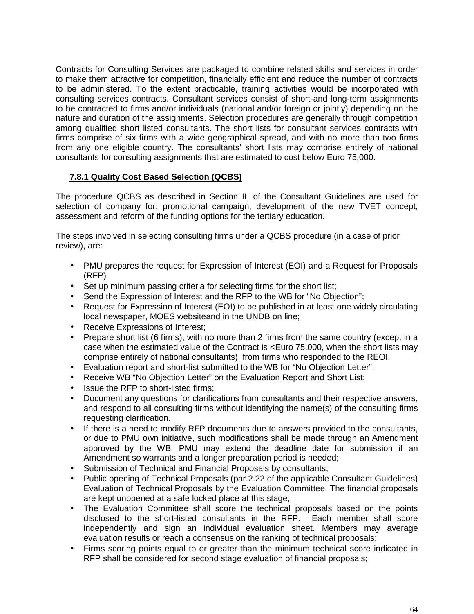Contracts for Consulting Services are packaged to combine related skills and services in order to make them attractive for competition, financially efficient and reduce the number of contracts to be administered. To the extent practicable, training activities would be incorporated with consulting services contracts. Consultant services consist of short-and long-term assignments to be contracted to firms and/or individuals (national and/or foreign or jointly) depending on the nature and duration of the assignments. Selection procedures are generally through competition among qualified short listed consultants. The short lists for consultant services contracts with firms comprise of six firms with a wide geographical spread, and with no more than two firms from any one eligible country. The consultants' short lists may comprise entirely of national consultants for consulting assignments that are estimated to cost below Euro 75,000.

### **7.8.1 Quality Cost Based Selection (QCBS)**

The procedure QCBS as described in Section II, of the Consultant Guidelines are used for selection of company for: promotional campaign, development of the new TVET concept, assessment and reform of the funding options for the tertiary education.

The steps involved in selecting consulting firms under a QCBS procedure (in a case of prior review), are:

- PMU prepares the request for Expression of Interest (EOI) and a Request for Proposals (RFP)
- Set up minimum passing criteria for selecting firms for the short list;
- Send the Expression of Interest and the RFP to the WB for "No Objection";
- Request for Expression of Interest (EOI) to be published in at least one widely circulating local newspaper, MOES websiteand in the UNDB on line;
- Receive Expressions of Interest;
- Prepare short list (6 firms), with no more than 2 firms from the same country (except in a case when the estimated value of the Contract is <Euro 75.000, when the short lists may comprise entirely of national consultants), from firms who responded to the REOI.
- Evaluation report and short-list submitted to the WB for "No Objection Letter";
- Receive WB "No Objection Letter" on the Evaluation Report and Short List;
- Issue the RFP to short-listed firms;
- Document any questions for clarifications from consultants and their respective answers, and respond to all consulting firms without identifying the name(s) of the consulting firms requesting clarification.
- If there is a need to modify RFP documents due to answers provided to the consultants, or due to PMU own initiative, such modifications shall be made through an Amendment approved by the WB. PMU may extend the deadline date for submission if an Amendment so warrants and a longer preparation period is needed;
- Submission of Technical and Financial Proposals by consultants;
- Public opening of Technical Proposals (par.2.22 of the applicable Consultant Guidelines) Evaluation of Technical Proposals by the Evaluation Committee. The financial proposals are kept unopened at a safe locked place at this stage;
- The Evaluation Committee shall score the technical proposals based on the points disclosed to the short-listed consultants in the RFP. Each member shall score independently and sign an individual evaluation sheet. Members may average evaluation results or reach a consensus on the ranking of technical proposals;
- Firms scoring points equal to or greater than the minimum technical score indicated in RFP shall be considered for second stage evaluation of financial proposals;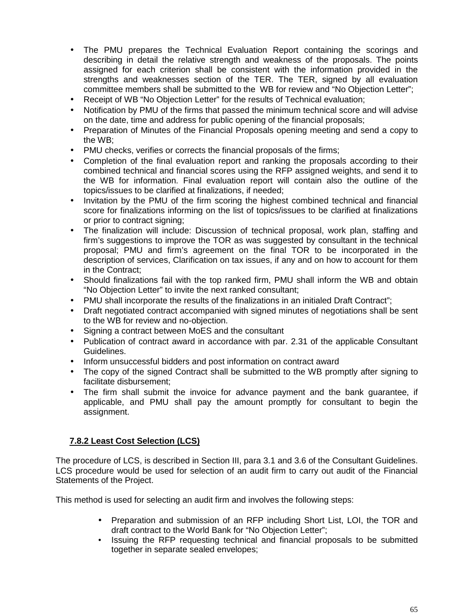- The PMU prepares the Technical Evaluation Report containing the scorings and describing in detail the relative strength and weakness of the proposals. The points assigned for each criterion shall be consistent with the information provided in the strengths and weaknesses section of the TER. The TER, signed by all evaluation committee members shall be submitted to the WB for review and "No Objection Letter";
- Receipt of WB "No Objection Letter" for the results of Technical evaluation;
- Notification by PMU of the firms that passed the minimum technical score and will advise on the date, time and address for public opening of the financial proposals;
- Preparation of Minutes of the Financial Proposals opening meeting and send a copy to the WB;
- PMU checks, verifies or corrects the financial proposals of the firms;
- Completion of the final evaluation report and ranking the proposals according to their combined technical and financial scores using the RFP assigned weights, and send it to the WB for information. Final evaluation report will contain also the outline of the topics/issues to be clarified at finalizations, if needed;
- Invitation by the PMU of the firm scoring the highest combined technical and financial score for finalizations informing on the list of topics/issues to be clarified at finalizations or prior to contract signing;
- The finalization will include: Discussion of technical proposal, work plan, staffing and firm's suggestions to improve the TOR as was suggested by consultant in the technical proposal; PMU and firm's agreement on the final TOR to be incorporated in the description of services, Clarification on tax issues, if any and on how to account for them in the Contract;
- Should finalizations fail with the top ranked firm, PMU shall inform the WB and obtain "No Objection Letter" to invite the next ranked consultant;
- PMU shall incorporate the results of the finalizations in an initialed Draft Contract";
- Draft negotiated contract accompanied with signed minutes of negotiations shall be sent to the WB for review and no-objection.
- Signing a contract between MoES and the consultant
- Publication of contract award in accordance with par. 2.31 of the applicable Consultant Guidelines.
- Inform unsuccessful bidders and post information on contract award
- The copy of the signed Contract shall be submitted to the WB promptly after signing to facilitate disbursement;
- The firm shall submit the invoice for advance payment and the bank guarantee, if applicable, and PMU shall pay the amount promptly for consultant to begin the assignment.

### **7.8.2 Least Cost Selection (LCS)**

The procedure of LCS, is described in Section III, para 3.1 and 3.6 of the Consultant Guidelines. LCS procedure would be used for selection of an audit firm to carry out audit of the Financial Statements of the Project.

This method is used for selecting an audit firm and involves the following steps:

- Preparation and submission of an RFP including Short List, LOI, the TOR and draft contract to the World Bank for "No Objection Letter";
- Issuing the RFP requesting technical and financial proposals to be submitted together in separate sealed envelopes;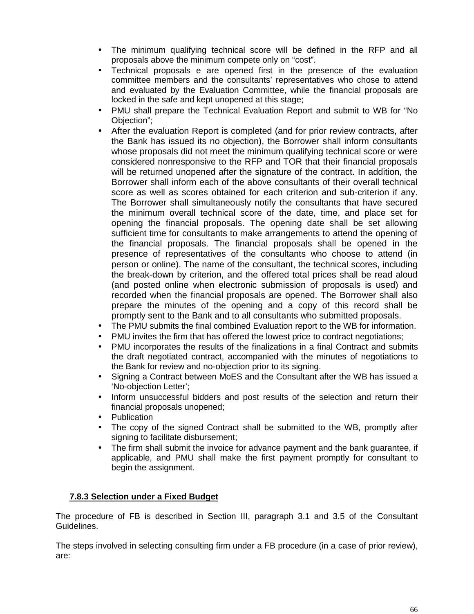- The minimum qualifying technical score will be defined in the RFP and all proposals above the minimum compete only on "cost".
- Technical proposals e are opened first in the presence of the evaluation committee members and the consultants' representatives who chose to attend and evaluated by the Evaluation Committee, while the financial proposals are locked in the safe and kept unopened at this stage;
- PMU shall prepare the Technical Evaluation Report and submit to WB for "No Objection";
- After the evaluation Report is completed (and for prior review contracts, after the Bank has issued its no objection), the Borrower shall inform consultants whose proposals did not meet the minimum qualifying technical score or were considered nonresponsive to the RFP and TOR that their financial proposals will be returned unopened after the signature of the contract. In addition, the Borrower shall inform each of the above consultants of their overall technical score as well as scores obtained for each criterion and sub-criterion if any. The Borrower shall simultaneously notify the consultants that have secured the minimum overall technical score of the date, time, and place set for opening the financial proposals. The opening date shall be set allowing sufficient time for consultants to make arrangements to attend the opening of the financial proposals. The financial proposals shall be opened in the presence of representatives of the consultants who choose to attend (in person or online). The name of the consultant, the technical scores, including the break-down by criterion, and the offered total prices shall be read aloud (and posted online when electronic submission of proposals is used) and recorded when the financial proposals are opened. The Borrower shall also prepare the minutes of the opening and a copy of this record shall be promptly sent to the Bank and to all consultants who submitted proposals.
- The PMU submits the final combined Evaluation report to the WB for information.
- PMU invites the firm that has offered the lowest price to contract negotiations;
- PMU incorporates the results of the finalizations in a final Contract and submits the draft negotiated contract, accompanied with the minutes of negotiations to the Bank for review and no-objection prior to its signing.
- Signing a Contract between MoES and the Consultant after the WB has issued a 'No-objection Letter';
- Inform unsuccessful bidders and post results of the selection and return their financial proposals unopened;
- **Publication**
- The copy of the signed Contract shall be submitted to the WB, promptly after signing to facilitate disbursement;
- The firm shall submit the invoice for advance payment and the bank guarantee, if applicable, and PMU shall make the first payment promptly for consultant to begin the assignment.

### **7.8.3 Selection under a Fixed Budget**

The procedure of FB is described in Section III, paragraph 3.1 and 3.5 of the Consultant Guidelines.

The steps involved in selecting consulting firm under a FB procedure (in a case of prior review), are: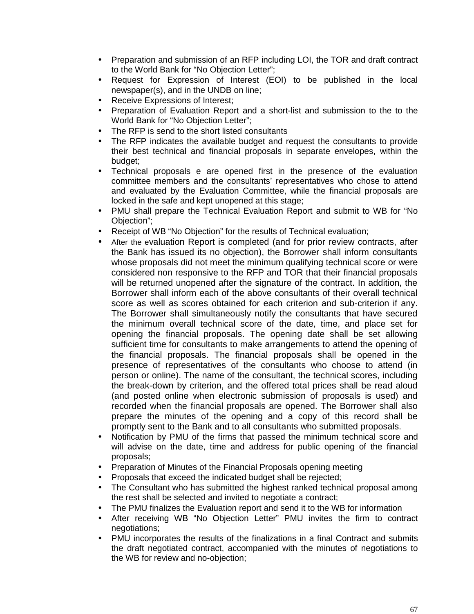- Preparation and submission of an RFP including LOI, the TOR and draft contract to the World Bank for "No Objection Letter";
- Request for Expression of Interest (EOI) to be published in the local newspaper(s), and in the UNDB on line;
- Receive Expressions of Interest;
- Preparation of Evaluation Report and a short-list and submission to the to the World Bank for "No Objection Letter";
- The RFP is send to the short listed consultants
- The RFP indicates the available budget and request the consultants to provide their best technical and financial proposals in separate envelopes, within the budget;
- Technical proposals e are opened first in the presence of the evaluation committee members and the consultants' representatives who chose to attend and evaluated by the Evaluation Committee, while the financial proposals are locked in the safe and kept unopened at this stage;
- PMU shall prepare the Technical Evaluation Report and submit to WB for "No Objection";
- Receipt of WB "No Objection" for the results of Technical evaluation;
- After the evaluation Report is completed (and for prior review contracts, after the Bank has issued its no objection), the Borrower shall inform consultants whose proposals did not meet the minimum qualifying technical score or were considered non responsive to the RFP and TOR that their financial proposals will be returned unopened after the signature of the contract. In addition, the Borrower shall inform each of the above consultants of their overall technical score as well as scores obtained for each criterion and sub-criterion if any. The Borrower shall simultaneously notify the consultants that have secured the minimum overall technical score of the date, time, and place set for opening the financial proposals. The opening date shall be set allowing sufficient time for consultants to make arrangements to attend the opening of the financial proposals. The financial proposals shall be opened in the presence of representatives of the consultants who choose to attend (in person or online). The name of the consultant, the technical scores, including the break-down by criterion, and the offered total prices shall be read aloud (and posted online when electronic submission of proposals is used) and recorded when the financial proposals are opened. The Borrower shall also prepare the minutes of the opening and a copy of this record shall be promptly sent to the Bank and to all consultants who submitted proposals.
- Notification by PMU of the firms that passed the minimum technical score and will advise on the date, time and address for public opening of the financial proposals;
- Preparation of Minutes of the Financial Proposals opening meeting
- Proposals that exceed the indicated budget shall be rejected;
- The Consultant who has submitted the highest ranked technical proposal among the rest shall be selected and invited to negotiate a contract;
- The PMU finalizes the Evaluation report and send it to the WB for information
- After receiving WB "No Objection Letter" PMU invites the firm to contract negotiations;
- PMU incorporates the results of the finalizations in a final Contract and submits the draft negotiated contract, accompanied with the minutes of negotiations to the WB for review and no-objection;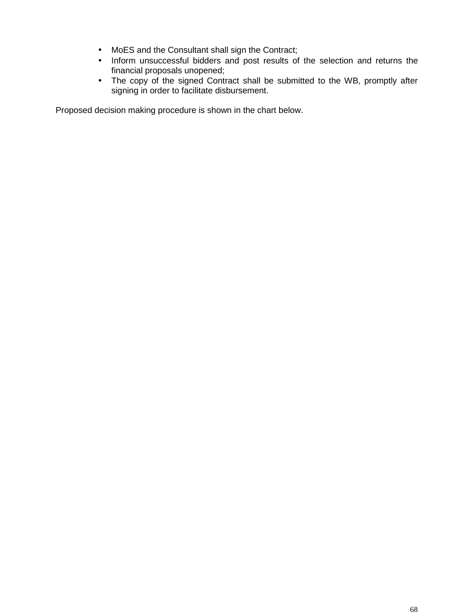- MoES and the Consultant shall sign the Contract;
- Inform unsuccessful bidders and post results of the selection and returns the financial proposals unopened;
- The copy of the signed Contract shall be submitted to the WB, promptly after signing in order to facilitate disbursement.

Proposed decision making procedure is shown in the chart below.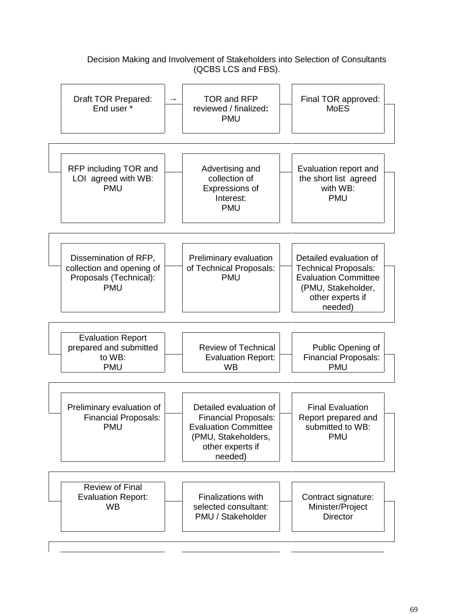#### Draft TOR Prepared: End user \* TOR and RFP reviewed / finalized**:** PMU Final TOR approved: MoES RFP including TOR and LOI agreed with WB: PMU Advertising and collection of Expressions of Interest: PMU Evaluation report and the short list agreed with WB: PMU Dissemination of RFP, collection and opening of Proposals (Technical): PMU Preliminary evaluation of Technical Proposals: PMU Detailed evaluation of Technical Proposals: Evaluation Committee (PMU, Stakeholder, other experts if needed) Evaluation Report prepared and submitted to WB: PMU Review of Technical Evaluation Report: WB Public Opening of Financial Proposals: PMU Preliminary evaluation of Financial Proposals: PMU Detailed evaluation of Financial Proposals: Evaluation Committee (PMU, Stakeholders, other experts if needed) Final Evaluation Report prepared and submitted to WB: PMU Review of Final Evaluation Report: WB Finalizations with selected consultant: PMU / Stakeholder Contract signature: Minister/Project **Director**

## Decision Making and Involvement of Stakeholders into Selection of Consultants (QCBS LCS and FBS).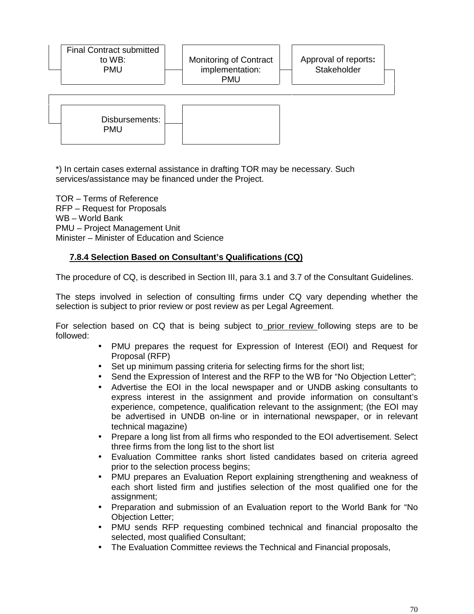| <b>Final Contract submitted</b><br>to WB:<br><b>PMU</b> | Monitoring of Contract<br>implementation:<br><b>PMU</b> | Approval of reports:<br>Stakeholder |  |
|---------------------------------------------------------|---------------------------------------------------------|-------------------------------------|--|
| Disbursements:<br><b>PMU</b>                            |                                                         |                                     |  |

\*) In certain cases external assistance in drafting TOR may be necessary. Such services/assistance may be financed under the Project.

TOR – Terms of Reference RFP – Request for Proposals WB-World Bank PMU – Project Management Unit Minister – Minister of Education and Science

### **7.8.4 Selection Based on Consultant's Qualifications (CQ)**

The procedure of CQ, is described in Section III, para 3.1 and 3.7 of the Consultant Guidelines.

The steps involved in selection of consulting firms under CQ vary depending whether the selection is subject to prior review or post review as per Legal Agreement.

For selection based on CQ that is being subject to prior review following steps are to be followed:

- PMU prepares the request for Expression of Interest (EOI) and Request for Proposal (RFP)
- Set up minimum passing criteria for selecting firms for the short list;
- Send the Expression of Interest and the RFP to the WB for "No Objection Letter";
- Advertise the EOI in the local newspaper and or UNDB asking consultants to express interest in the assignment and provide information on consultant's experience, competence, qualification relevant to the assignment; (the EOI may be advertised in UNDB on-line or in international newspaper, or in relevant technical magazine)
- Prepare a long list from all firms who responded to the EOI advertisement. Select three firms from the long list to the short list
- Evaluation Committee ranks short listed candidates based on criteria agreed prior to the selection process begins;
- PMU prepares an Evaluation Report explaining strengthening and weakness of each short listed firm and justifies selection of the most qualified one for the assignment;
- Preparation and submission of an Evaluation report to the World Bank for "No Objection Letter;
- PMU sends RFP requesting combined technical and financial proposalto the selected, most qualified Consultant;
- The Evaluation Committee reviews the Technical and Financial proposals,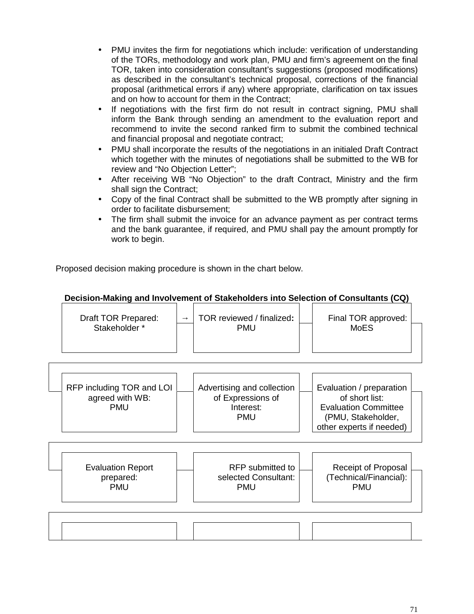- PMU invites the firm for negotiations which include: verification of understanding of the TORs, methodology and work plan, PMU and firm's agreement on the final TOR, taken into consideration consultant's suggestions (proposed modifications) as described in the consultant's technical proposal, corrections of the financial proposal (arithmetical errors if any) where appropriate, clarification on tax issues and on how to account for them in the Contract;
- If negotiations with the first firm do not result in contract signing, PMU shall inform the Bank through sending an amendment to the evaluation report and recommend to invite the second ranked firm to submit the combined technical and financial proposal and negotiate contract;
- PMU shall incorporate the results of the negotiations in an initialed Draft Contract which together with the minutes of negotiations shall be submitted to the WB for review and "No Objection Letter";
- After receiving WB "No Objection" to the draft Contract, Ministry and the firm shall sign the Contract;
- Copy of the final Contract shall be submitted to the WB promptly after signing in order to facilitate disbursement;
- The firm shall submit the invoice for an advance payment as per contract terms and the bank guarantee, if required, and PMU shall pay the amount promptly for work to begin.

Proposed decision making procedure is shown in the chart below.

#### Draft TOR Prepared: Stakeholder \* TOR reviewed / finalized**:** PMU Final TOR approved: MoES RFP including TOR and LOI agreed with WB: PMU Advertising and collection of Expressions of Interest: PMU Evaluation / preparation of short list: Evaluation Committee (PMU, Stakeholder, other experts if needed) Evaluation Report prepared: PMU RFP submitted to selected Consultant: PMU Receipt of Proposal (Technical/Financial): PMU

# **Decision-Making and Involvement of Stakeholders into Selection of Consultants (CQ)**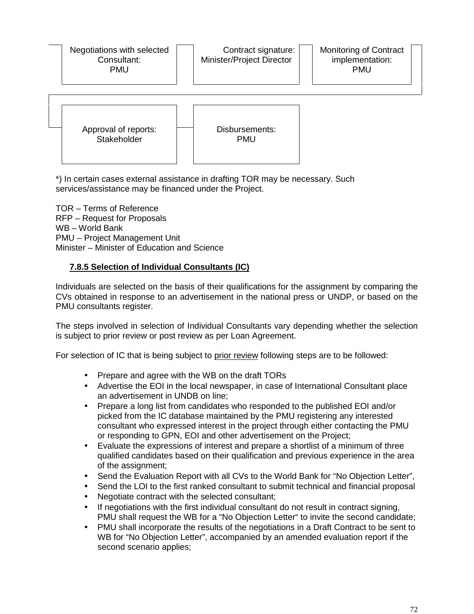Negotiations with selected Consultant: PMU



\*) In certain cases external assistance in drafting TOR may be necessary. Such services/assistance may be financed under the Project.

TOR – Terms of Reference RFP –Request for Proposals WB –World Bank PMU – Project Management Unit Minister – Minister of Education and Science

### **7.8.5 Selection of Individual Consultants (IC)**

Individuals are selected on the basis of their qualifications for the assignment by comparing the CVs obtained in response to an advertisement in the national press or UNDP, or based on the PMU consultants register.

The steps involved in selection of Individual Consultants vary depending whether the selection is subject to prior review or post review as per Loan Agreement.

For selection of IC that is being subject to prior review following steps are to be followed:

- Prepare and agree with the WB on the draft TORs
- Advertise the EOI in the local newspaper, in case of International Consultant place an advertisement in UNDB on line;
- Prepare a long list from candidates who responded to the published EOI and/or picked from the IC database maintained by the PMU registering any interested consultant who expressed interest in the project through either contacting the PMU or responding to GPN, EOI and other advertisement on the Project;
- Evaluate the expressions of interest and prepare a shortlist of a minimum of three qualified candidates based on their qualification and previous experience in the area of the assignment;
- Send the Evaluation Report with all CVs to the World Bank for "No Objection Letter",
- Send the LOI to the first ranked consultant to submit technical and financial proposal
- Negotiate contract with the selected consultant;
- If negotiations with the first individual consultant do not result in contract signing, PMU shall request the WB for a "No Objection Letter" to invite the second candidate;
- PMU shall incorporate the results of the negotiations in a Draft Contract to be sent to WB for "No Objection Letter", accompanied by an amended evaluation report if the second scenario applies;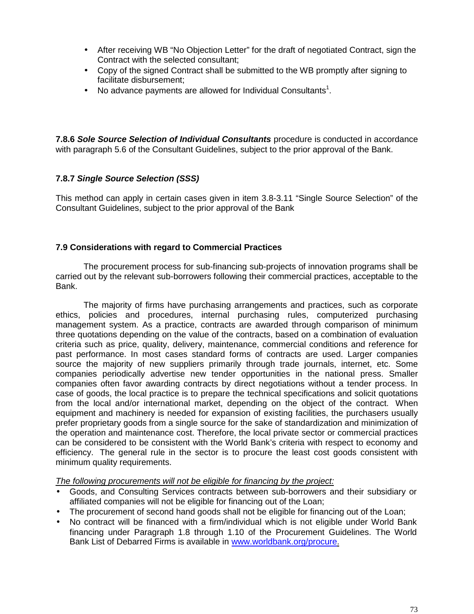- After receiving WB "No Objection Letter" for the draft of negotiated Contract, sign the Contract with the selected consultant;
- Copy of the signed Contract shall be submitted to the WB promptly after signing to facilitate disbursement;
- No advance payments are allowed for Individual Consultants<sup>1</sup>.

**7.8.6** *Sole Source Selection of Individual Consultants* procedure is conducted in accordance with paragraph 5.6 of the Consultant Guidelines, subject to the prior approval of the Bank.

# **7.8.7** *Single Source Selection (SSS)*

This method can apply in certain cases given in item 3.8-3.11 "Single Source Selection" of the Consultant Guidelines, subject to the prior approval of the Bank

#### **7.9 Considerations with regard to Commercial Practices**

The procurement process for sub-financing sub-projects of innovation programs shall be carried out by the relevant sub-borrowers following their commercial practices, acceptable to the Bank.

The majority of firms have purchasing arrangements and practices, such as corporate ethics, policies and procedures, internal purchasing rules, computerized purchasing management system. As a practice, contracts are awarded through comparison of minimum three quotations depending on the value of the contracts, based on a combination of evaluation criteria such as price, quality, delivery, maintenance, commercial conditions and reference for past performance. In most cases standard forms of contracts are used. Larger companies source the majority of new suppliers primarily through trade journals, internet, etc. Some companies periodically advertise new tender opportunities in the national press. Smaller companies often favor awarding contracts by direct negotiations without a tender process. In case of goods, the local practice is to prepare the technical specifications and solicit quotations from the local and/or international market, depending on the object of the contract. When equipment and machinery is needed for expansion of existing facilities, the purchasers usually prefer proprietary goods from a single source for the sake of standardization and minimization of the operation and maintenance cost. Therefore, the local private sector or commercial practices can be considered to be consistent with the World Bank's criteria with respect to economy and efficiency. The general rule in the sector is to procure the least cost goods consistent with minimum quality requirements.

*The following procurements will not be eligible for financing by the project:*

- Goods, and Consulting Services contracts between sub-borrowers and their subsidiary or affiliated companies will not be eligible for financing out of the Loan;
- The procurement of second hand goods shall not be eligible for financing out of the Loan;
- No contract will be financed with a firm/individual which is not eligible under World Bank financing under Paragraph 1.8 through 1.10 of the Procurement Guidelines. The World Bank List of Debarred Firms is available in www.worldbank.org/procure.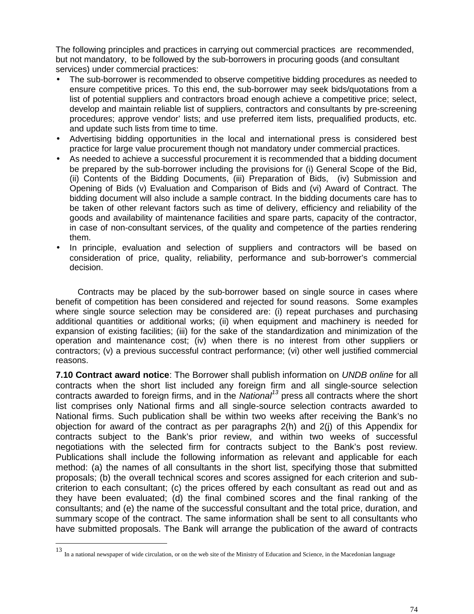The following principles and practices in carrying out commercial practices are recommended, but not mandatory, to be followed by the sub-borrowers in procuring goods (and consultant services) under commercial practices:

- The sub-borrower is recommended to observe competitive bidding procedures as needed to ensure competitive prices. To this end, the sub-borrower may seek bids/quotations from a list of potential suppliers and contractors broad enough achieve a competitive price; select, develop and maintain reliable list of suppliers, contractors and consultants by pre-screening procedures; approve vendor' lists; and use preferred item lists, prequalified products, etc. and update such lists from time to time.
- Advertising bidding opportunities in the local and international press is considered best practice for large value procurement though not mandatory under commercial practices.
- As needed to achieve a successful procurement it is recommended that a bidding document be prepared by the sub-borrower including the provisions for (i) General Scope of the Bid, (ii) Contents of the Bidding Documents, (iii) Preparation of Bids, (iv) Submission and Opening of Bids (v) Evaluation and Comparison of Bids and (vi) Award of Contract. The bidding document will also include a sample contract. In the bidding documents care has to be taken of other relevant factors such as time of delivery, efficiency and reliability of the goods and availability of maintenance facilities and spare parts, capacity of the contractor, in case of non-consultant services, of the quality and competence of the parties rendering them.
- In principle, evaluation and selection of suppliers and contractors will be based on consideration of price, quality, reliability, performance and sub-borrower's commercial decision.

Contracts may be placed by the sub-borrower based on single source in cases where benefit of competition has been considered and rejected for sound reasons. Some examples where single source selection may be considered are: (i) repeat purchases and purchasing additional quantities or additional works; (ii) when equipment and machinery is needed for expansion of existing facilities; (iii) for the sake of the standardization and minimization of the operation and maintenance cost; (iv) when there is no interest from other suppliers or contractors; (v) a previous successful contract performance; (vi) other well justified commercial reasons.

**7.10 Contract award notice**: The Borrower shall publish information on *UNDB online* for all contracts when the short list included any foreign firm and all single-source selection contracts awarded to foreign firms, and in the *National<sup>13</sup>* press all contracts where the short list comprises only National firms and all single-source selection contracts awarded to National firms. Such publication shall be within two weeks after receiving the Bank's no objection for award of the contract as per paragraphs 2(h) and 2(j) of this Appendix for contracts subject to the Bank's prior review, and within two weeks of successful negotiations with the selected firm for contracts subject to the Bank's post review. Publications shall include the following information as relevant and applicable for each method: (a) the names of all consultants in the short list, specifying those that submitted proposals; (b) the overall technical scores and scores assigned for each criterion and sub criterion to each consultant; (c) the prices offered by each consultant as read out and as they have been evaluated; (d) the final combined scores and the final ranking of the consultants; and (e) the name of the successful consultant and the total price, duration, and summary scope of the contract. The same information shall be sent to all consultants who have submitted proposals. The Bank will arrange the publication of the award of contracts

<sup>13</sup> In a national newspaper of wide circulation, or on the web site of the Ministry of Education and Science, in the Macedonian language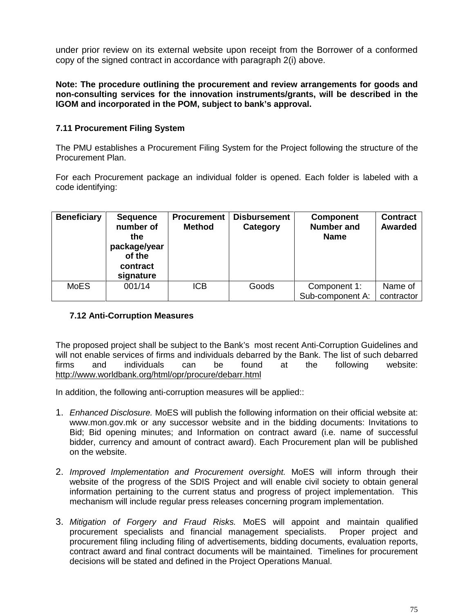under prior review on its external website upon receipt from the Borrower of a conformed copy of the signed contract in accordance with paragraph 2(i) above.

**Note: The procedure outlining the procurement and review arrangements for goods and non-consulting services for the innovation instruments/grants, will be described in the IGOM and incorporated in the POM, subject to bank's approval.**

## **7.11 Procurement Filing System**

The PMU establishes a Procurement Filing System for the Project following the structure of the Procurement Plan.

For each Procurement package an individual folder is opened. Each folder is labeled with a code identifying:

| <b>Beneficiary</b> | <b>Sequence</b><br>number of<br>the<br>package/year<br>of the<br>contract<br>signature | <b>Procurement</b><br><b>Method</b> | Disbursement<br>Category | <b>Component</b><br><b>Number and</b><br><b>Name</b> | <b>Contract</b><br>Awarded |
|--------------------|----------------------------------------------------------------------------------------|-------------------------------------|--------------------------|------------------------------------------------------|----------------------------|
| <b>MoES</b>        | 001/14                                                                                 | <b>ICB</b>                          | Goods                    | Component 1:<br>Sub-component A:                     | Name of<br>contractor      |

# **7.12 Anti-Corruption Measures**

The proposed project shall be subject to the Bank's most recent Anti-Corruption Guidelines and will not enable services of firms and individuals debarred by the Bank. The list of such debarred firms and individuals can be found at the following website: http://www.worldbank.org/html/opr/procure/debarr.html

In addition, the following anti-corruption measures will be applied::

- 1. *Enhanced Disclosure.* MoES will publish the following information on their official website at: www.mon.gov.mk or any successor website and in the bidding documents: Invitations to Bid; Bid opening minutes; and Information on contract award (i.e. name of successful bidder, currency and amount of contract award). Each Procurement plan will be published on the website.
- 2. *Improved Implementation and Procurement oversight.* MoES will inform through their website of the progress of the SDIS Project and will enable civil society to obtain general information pertaining to the current status and progress of project implementation. This mechanism will include regular press releases concerning program implementation.
- 3. *Mitigation of Forgery and Fraud Risks.* MoES will appoint and maintain qualified procurement specialists and financial management specialists. Proper project and procurement filing including filing of advertisements, bidding documents, evaluation reports, contract award and final contract documents will be maintained. Timelines for procurement decisions will be stated and defined in the Project Operations Manual.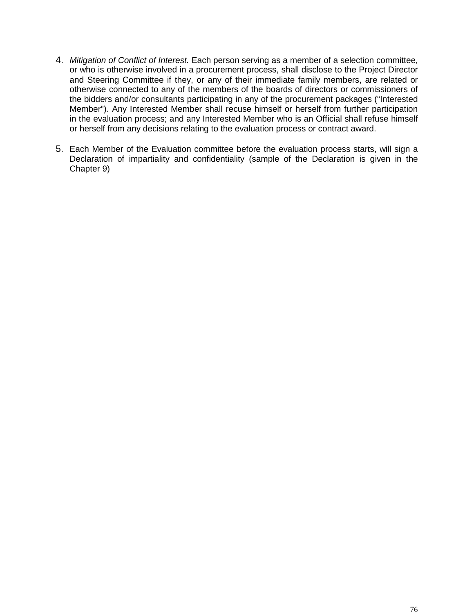- 4. *Mitigation of Conflict of Interest.* Each person serving as a member of a selection committee, or who is otherwise involved in a procurement process, shall disclose to the Project Director and Steering Committee if they, or any of their immediate family members, are related or otherwise connected to any of the members of the boards of directors or commissioners of the bidders and/or consultants participating in any of the procurement packages ("Interested Member"). Any Interested Member shall recuse himself or herself from further participation in the evaluation process; and any Interested Member who is an Official shall refuse himself or herself from any decisions relating to the evaluation process or contract award.
- 5. Each Member of the Evaluation committee before the evaluation process starts, will sign a Declaration of impartiality and confidentiality (sample of the Declaration is given in the Chapter 9)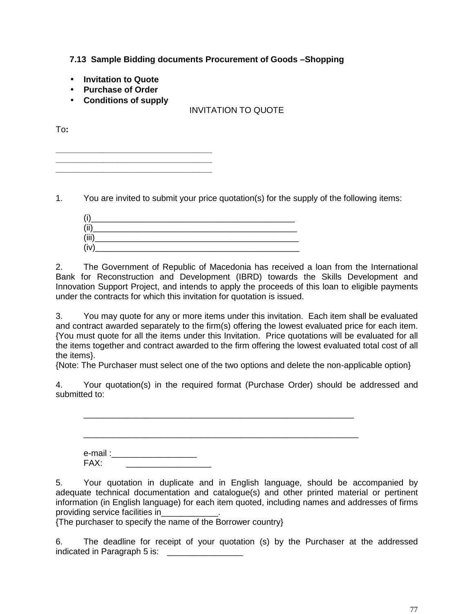**7.13 Sample Bidding documents Procurement of Goods –Shopping**

- **Invitation to Quote**
- **Purchase of Order**
- **Conditions of supply**

**\_\_\_\_\_\_\_\_\_\_\_\_\_\_\_\_\_\_\_\_\_\_\_\_\_\_\_\_\_\_\_\_\_ \_\_\_\_\_\_\_\_\_\_\_\_\_\_\_\_\_\_\_\_\_\_\_\_\_\_\_\_\_\_\_\_\_ \_\_\_\_\_\_\_\_\_\_\_\_\_\_\_\_\_\_\_\_\_\_\_\_\_\_\_\_\_\_\_\_\_**

# INVITATION TO QUOTE

To**:**

1. You are invited to submit your price quotation(s) for the supply of the following items:

| (i)   |  |
|-------|--|
| (ii)  |  |
| (iii) |  |
| (iv   |  |

2. The Government of Republic of Macedonia has received a loan from the International Bank for Reconstruction and Development (IBRD) towards the Skills Development and Innovation Support Project, and intends to apply the proceeds of this loan to eligible payments under the contracts for which this invitation for quotation is issued.

3. You may quote for any or more items under this invitation. Each item shall be evaluated and contract awarded separately to the firm(s) offering the lowest evaluated price for each item. {You must quote for all the items under this Invitation. Price quotations will be evaluated for all the items together and contract awarded to the firm offering the lowest evaluated total cost of all the items}.

{Note: The Purchaser must select one of the two options and delete the non-applicable option}

4. Your quotation(s) in the required format (Purchase Order) should be addressed and submitted to:

\_\_\_\_\_\_\_\_\_\_\_\_\_\_\_\_\_\_\_\_\_\_\_\_\_\_\_\_\_\_\_\_\_\_\_\_\_\_\_\_\_\_\_\_\_\_\_\_\_\_\_\_\_\_\_\_\_

| e-mail : <sub>-</sub><br>FAX: |  |  |
|-------------------------------|--|--|
|                               |  |  |

5. Your quotation in duplicate and in English language, should be accompanied by adequate technical documentation and catalogue(s) and other printed material or pertinent information (in English language) for each item quoted, including names and addresses of firms providing service facilities in\_\_\_\_\_\_\_\_\_\_\_\_.

{The purchaser to specify the name of the Borrower country}

6. The deadline for receipt of your quotation (s) by the Purchaser at the addressed indicated in Paragraph 5 is: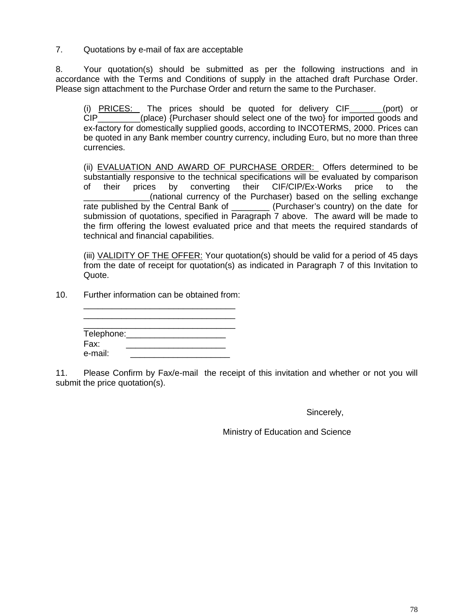7. Quotations by e-mail of fax are acceptable

8. Your quotation(s) should be submitted as per the following instructions and in accordance with the Terms and Conditions of supply in the attached draft Purchase Order. Please sign attachment to the Purchase Order and return the same to the Purchaser.

(i)  $PRICES:$  The prices should be quoted for delivery  $CIF$  (port) or  $CIP$  (port) or  $CIP$ (place) {Purchaser should select one of the two} for imported goods and ex-factory for domestically supplied goods, according to INCOTERMS, 2000. Prices can be quoted in any Bank member country currency, including Euro, but no more than three currencies.

(ii) EVALUATION AND AWARD OF PURCHASE ORDER: Offers determined to be substantially responsive to the technical specifications will be evaluated by comparison of their prices by converting their CIF/CIP/Ex-Works price to the (national currency of the Purchaser) based on the selling exchange rate published by the Central Bank of \_\_\_\_\_\_\_\_\_ (Purchaser's country) on the date for submission of quotations, specified in Paragraph 7 above. The award will be made to the firm offering the lowest evaluated price and that meets the required standards of technical and financial capabilities.

(iii) VALIDITY OF THE OFFER: Your quotation(s) should be valid for a period of 45 days from the date of receipt for quotation(s) as indicated in Paragraph 7 of this Invitation to Quote.

10. Further information can be obtained from:

| Telephone: |  |  |
|------------|--|--|
| Fax:       |  |  |
| e-mail:    |  |  |

\_\_\_\_\_\_\_\_\_\_\_\_\_\_\_\_\_\_\_\_\_\_\_\_\_\_\_\_\_\_\_\_ \_\_\_\_\_\_\_\_\_\_\_\_\_\_\_\_\_\_\_\_\_\_\_\_\_\_\_\_\_\_\_\_

11. Please Confirm by Fax/e-mail the receipt of this invitation and whether or not you will submit the price quotation(s).

Sincerely,

Ministry of Education and Science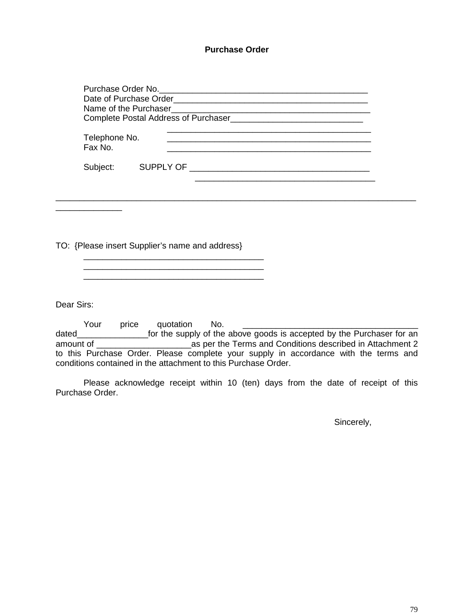#### **Purchase Order**

| Purchase Order No. <b>Example 20</b> No.<br>Name of the Purchaser Name of the Render<br>Complete Postal Address of Purchaser |           |  |  |  |
|------------------------------------------------------------------------------------------------------------------------------|-----------|--|--|--|
| Telephone No.<br>Fax No.                                                                                                     |           |  |  |  |
| Subject:                                                                                                                     | SUPPLY OF |  |  |  |

\_\_\_\_\_\_\_\_\_\_\_\_\_\_\_\_\_\_\_\_\_\_\_\_\_\_\_\_\_\_\_\_\_\_\_\_\_\_\_\_\_\_\_\_\_\_\_\_\_\_\_\_\_\_\_\_\_\_\_\_\_\_\_\_\_\_\_\_\_\_\_\_\_\_\_\_

TO: {Please insert Supplier's name and address}

\_\_\_\_\_\_\_\_\_\_\_\_\_\_\_\_\_\_\_\_\_\_\_\_\_\_\_\_\_\_\_\_\_\_\_\_\_\_

\_\_\_\_\_\_\_\_\_\_\_\_\_\_\_\_\_\_\_\_\_\_\_\_\_\_\_\_\_\_\_\_\_\_\_\_\_\_

Dear Sirs:

\_\_\_\_\_\_\_\_\_\_\_\_\_\_

Your price quotation No. \_\_\_\_\_\_\_\_\_\_\_\_\_\_\_\_\_\_\_\_\_\_\_\_\_\_\_\_\_\_\_\_\_\_\_\_\_ dated\_\_\_\_\_\_\_\_\_\_\_\_\_\_\_for the supply of the above goods is accepted by the Purchaser for an amount of \_\_\_\_\_\_\_\_\_\_\_\_\_\_\_\_\_\_\_\_as per the Terms and Conditions described in Attachment 2 to this Purchase Order. Please complete your supply in accordance with the terms and conditions contained in the attachment to this Purchase Order.

Please acknowledge receipt within 10 (ten) days from the date of receipt of this Purchase Order.

Sincerely,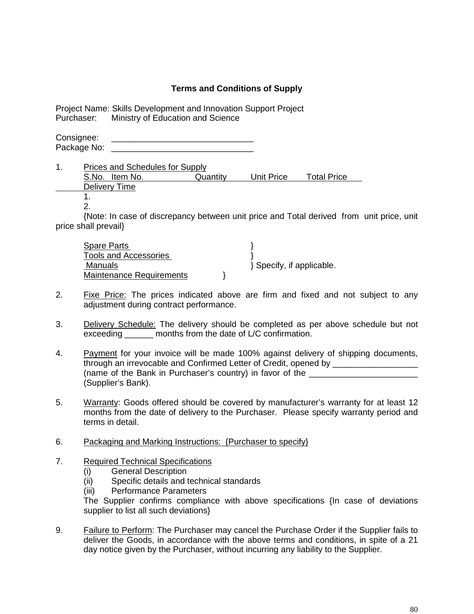## **Terms and Conditions of Supply**

Project Name: Skills Development and Innovation Support Project Ministry of Education and Science

Consignee: Package No:

1. Prices and Schedules for Supply S.No. Item No. Quantity Unit Price Total Price Delivery Time

1.

2.

{Note: In case of discrepancy between unit price and Total derived from unit price, unit price shall prevail}

| Spare Parts                     |                         |
|---------------------------------|-------------------------|
| Tools and Accessories           |                         |
| Manuals                         | Specify, if applicable. |
| <b>Maintenance Requirements</b> |                         |

- 2. Fixe Price: The prices indicated above are firm and fixed and not subject to any adjustment during contract performance.
- 3. Delivery Schedule: The delivery should be completed as per above schedule but not exceeding months from the date of L/C confirmation.
- 4. Payment for your invoice will be made 100% against delivery of shipping documents, through an irrevocable and Confirmed Letter of Credit, opened by \_\_\_\_\_\_\_\_\_\_\_\_\_\_\_\_\_\_ (name of the Bank in Purchaser's country) in favor of the (Supplier's Bank).
- 5. Warranty: Goods offered should be covered by manufacturer's warranty for at least 12 months from the date of delivery to the Purchaser. Please specify warranty period and terms in detail.
- 6. Packaging and Marking Instructions: {Purchaser to specify}
- 7. Required Technical Specifications
	- (i) General Description<br>(ii) Specific details and t
	- (ii) Specific details and technical standards<br>(iii) Performance Parameters
	- Performance Parameters

The Supplier confirms compliance with above specifications {In case of deviations supplier to list all such deviations}

9. Failure to Perform: The Purchaser may cancel the Purchase Order if the Supplier fails to deliver the Goods, in accordance with the above terms and conditions, in spite of a 21 day notice given by the Purchaser, without incurring any liability to the Supplier.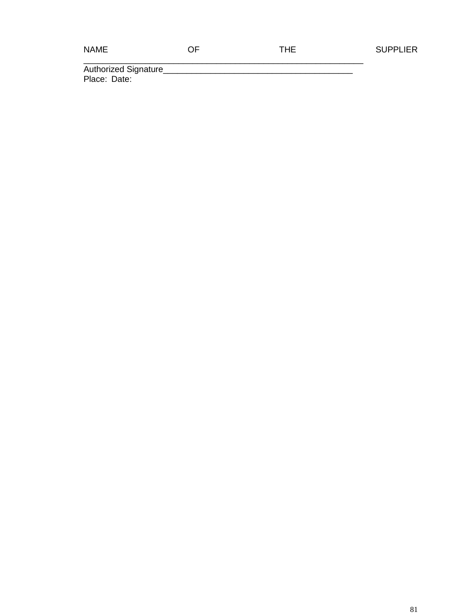| ٠ |  | V.<br>۱ľ |  |
|---|--|----------|--|
|---|--|----------|--|

\_\_\_\_\_\_\_\_\_\_\_\_\_\_\_\_\_\_\_\_\_\_\_\_\_\_\_\_\_\_\_\_\_\_\_\_\_\_\_\_\_\_\_\_\_\_\_\_\_\_\_\_\_\_\_\_\_\_\_

Authorized Signature\_\_\_\_\_\_\_\_\_\_\_\_\_\_\_\_\_\_\_\_\_\_\_\_\_\_\_\_\_\_\_\_\_\_\_\_\_\_\_\_ Place: Date: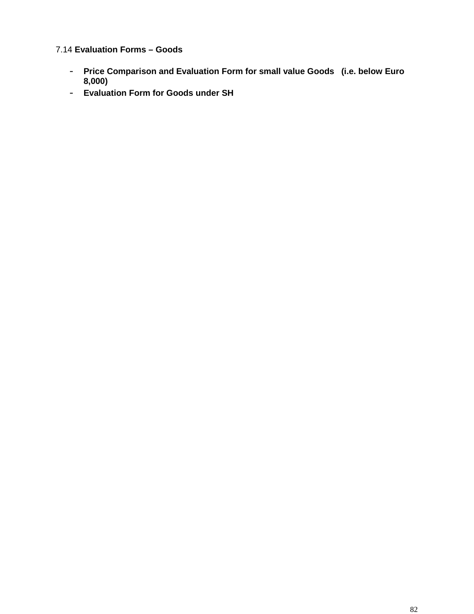7.14 **Evaluation Forms – Goods**

- **Price Comparison and Evaluation Form for small value Goods (i.e. below Euro 8,000)**
- **Evaluation Form for Goods under SH**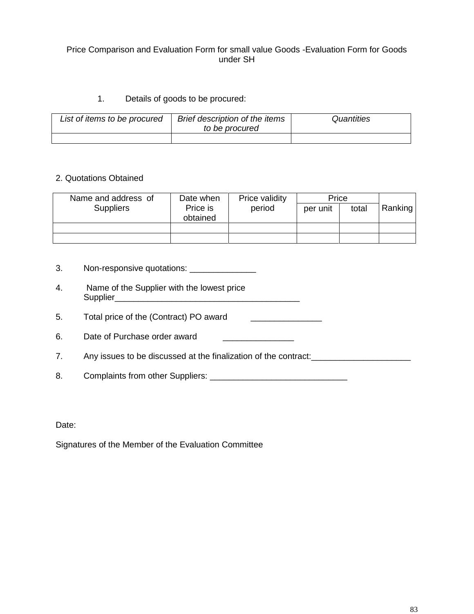# Price Comparison and Evaluation Form for small value Goods -Evaluation Form for Goods under SH

# 1. Details of goods to be procured:

| List of items to be procured | Brief description of the items<br>to be procured | Quantities |  |
|------------------------------|--------------------------------------------------|------------|--|
|                              |                                                  |            |  |

#### 2. Quotations Obtained

| Name and address of | Date when            | Price validity | Price    |       |         |
|---------------------|----------------------|----------------|----------|-------|---------|
| <b>Suppliers</b>    | Price is<br>obtained | period         | per unit | total | Ranking |
|                     |                      |                |          |       |         |
|                     |                      |                |          |       |         |

- 3. Non-responsive quotations: \_\_\_\_\_\_\_\_\_\_\_\_\_\_\_
- 4. Name of the Supplier with the lowest price Supplier\_\_\_\_\_\_\_\_\_\_\_\_\_\_\_\_\_\_\_\_\_\_\_\_\_\_\_\_\_\_\_\_\_\_\_\_\_\_\_
- 5. Total price of the (Contract) PO award \_\_\_\_\_\_\_\_\_\_\_\_\_\_\_
- 6. Date of Purchase order award \_\_\_\_\_\_\_\_\_\_\_\_\_\_\_\_

7. Any issues to be discussed at the finalization of the contract:<br>

8. Complaints from other Suppliers: \_\_\_\_\_\_\_\_\_\_\_\_\_\_\_\_\_\_\_\_\_\_\_\_\_\_\_\_\_

Date:

Signatures of the Member of the Evaluation Committee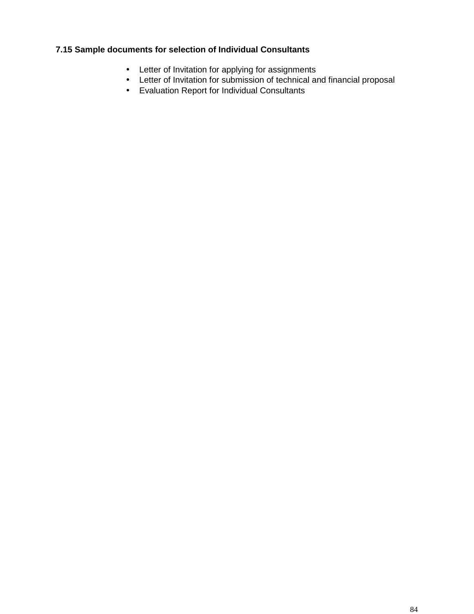# **7.15 Sample documents for selection of Individual Consultants**

- Letter of Invitation for applying for assignments
- Letter of Invitation for submission of technical and financial proposal
- Evaluation Report for Individual Consultants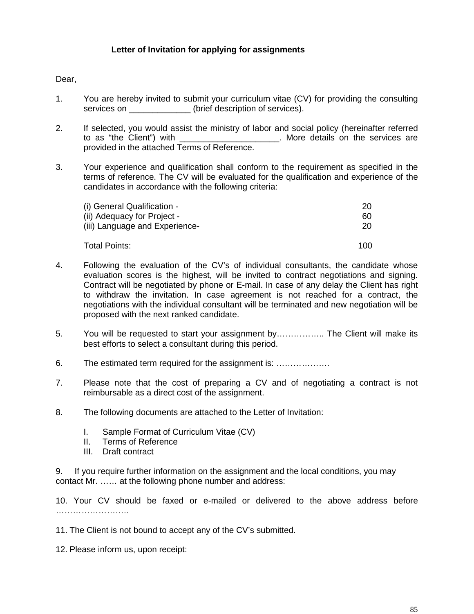## **Letter of Invitation for applying for assignments**

#### Dear,

- 1. You are hereby invited to submit your curriculum vitae (CV) for providing the consulting services on \_\_\_\_\_\_\_\_\_\_\_\_\_\_\_(brief description of services).
- 2. If selected, you would assist the ministry of labor and social policy (hereinafter referred to as "the Client") with the services are the services are the services are the services are provided in the attached Terms of Reference.
- 3. Your experience and qualification shall conform to the requirement as specified in the terms of reference. The CV will be evaluated for the qualification and experience of the candidates in accordance with the following criteria:

| (i) General Qualification -    | 20  |
|--------------------------------|-----|
| (ii) Adequacy for Project -    | 60  |
| (iii) Language and Experience- | 20  |
| Total Points:                  | 100 |

- 4. Following the evaluation of the CV's of individual consultants, the candidate whose evaluation scores is the highest, will be invited to contract negotiations and signing. Contract will be negotiated by phone or E-mail. In case of any delay the Client has right to withdraw the invitation. In case agreement is not reached for a contract, the negotiations with the individual consultant will be terminated and new negotiation will be proposed with the next ranked candidate.
- 5. You will be requested to start your assignment by…………….. The Client will make its best efforts to select a consultant during this period.
- 6. The estimated term required for the assignment is: ……………….
- 7. Please note that the cost of preparing a CV and of negotiating a contract is not reimbursable as a direct cost of the assignment.
- 8. The following documents are attached to the Letter of Invitation:
	- I. Sample Format of Curriculum Vitae (CV)
	- II. Terms of Reference
	- III. Draft contract

9. If you require further information on the assignment and the local conditions, you may contact Mr. …… at the following phone number and address:

10. Your CV should be faxed or e-mailed or delivered to the above address before …………………………

11. The Client is not bound to accept any of the CV's submitted.

12. Please inform us, upon receipt: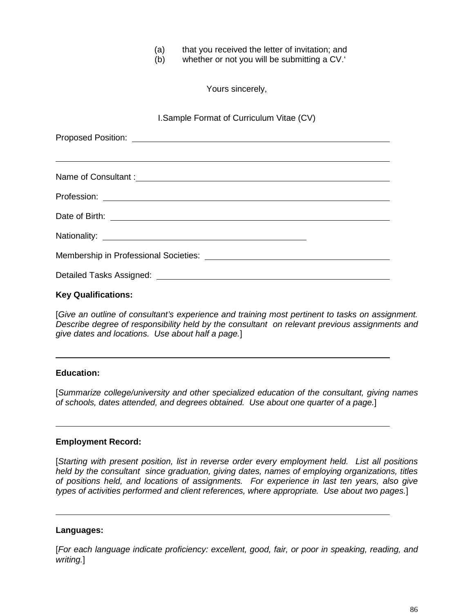(a) that you received the letter of invitation; and

(b) whether or not you will be submitting a CV.

Yours sincerely,

I.Sample Format of Curriculum Vitae (CV)

| Name of Consultant : <u>contract the contract of the contract of the contract of the contract of the contract of</u> |
|----------------------------------------------------------------------------------------------------------------------|
|                                                                                                                      |
|                                                                                                                      |
|                                                                                                                      |
|                                                                                                                      |
|                                                                                                                      |
|                                                                                                                      |
|                                                                                                                      |

#### **Key Qualifications:**

[*Give an outline of consultant's experience and training most pertinent to tasks on assignment. Describe degree of responsibility held by the consultant on relevant previous assignments and give dates and locations. Use about half a page.*]

#### **Education:**

[*Summarize college/university and other specialized education of the consultant, giving names of schools, dates attended, and degrees obtained. Use about one quarter of a page.*]

#### **Employment Record:**

[*Starting with present position, list in reverse order every employment held. List all positions held by the consultant since graduation, giving dates, names of employing organizations, titles of positions held, and locations of assignments. For experience in last ten years, also give types of activities performed and client references, where appropriate. Use about two pages.*]

#### **Languages:**

[*For each language indicate proficiency: excellent, good, fair, or poor in speaking, reading, and writing.*]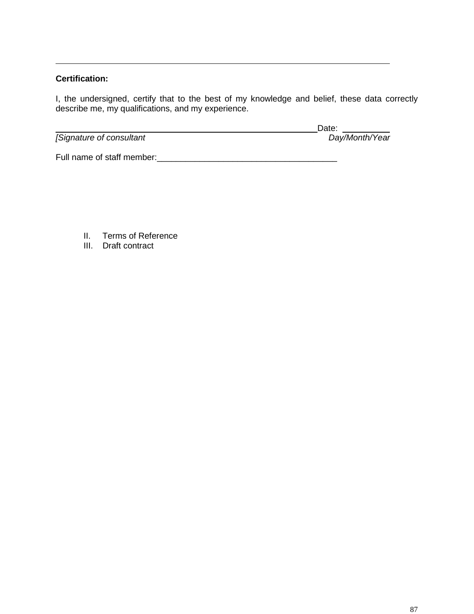# **Certification:**

I, the undersigned, certify that to the best of my knowledge and belief, these data correctly describe me, my qualifications, and my experience.

 $\sqrt{\frac{1}{2}}$ *[Signature of consultant* 

Date:<br>Day/Month/Year

Full name of staff member:\_\_\_\_\_\_\_\_\_\_\_\_\_\_\_\_\_\_\_\_\_\_\_\_\_\_\_\_\_\_\_\_\_\_\_\_\_\_

- II. Terms of Reference
- III. Draft contract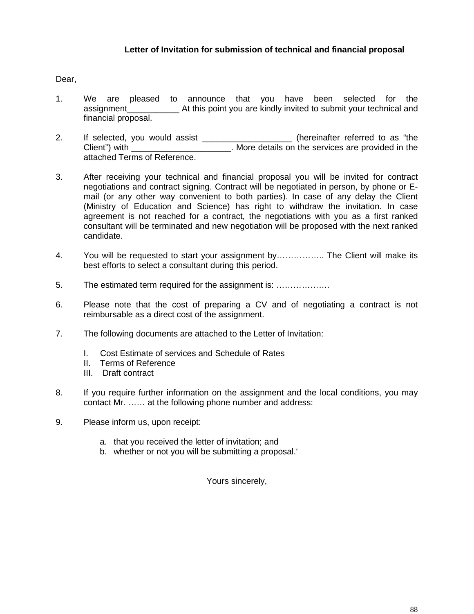# **Letter of Invitation for submission of technical and financial proposal**

#### Dear,

- 1. We are pleased to announce that you have been selected for the assignment\_\_\_\_\_\_\_\_\_\_\_ At this point you are kindly invited to submit your technical and financial proposal.
- 2. If selected, you would assist \_\_\_\_\_\_\_\_\_\_\_\_\_\_\_\_\_\_\_\_ (hereinafter referred to as "the Client") with \_\_\_\_\_\_\_\_\_\_\_\_\_\_\_\_\_\_\_\_\_\_\_\_. More details on the services are provided in the attached Terms of Reference.
- 3. After receiving your technical and financial proposal you will be invited for contract negotiations and contract signing. Contract will be negotiated in person, by phone or E mail (or any other way convenient to both parties). In case of any delay the Client (Ministry of Education and Science) has right to withdraw the invitation. In case agreement is not reached for a contract, the negotiations with you as a first ranked consultant will be terminated and new negotiation will be proposed with the next ranked candidate.
- 4. You will be requested to start your assignment by…………….. The Client will make its best efforts to select a consultant during this period.
- 5. The estimated term required for the assignment is: ……………….
- 6. Please note that the cost of preparing a CV and of negotiating a contract is not reimbursable as a direct cost of the assignment.
- 7. The following documents are attached to the Letter of Invitation:
	- I. Cost Estimate of services and Schedule of Rates
	- II. Terms of Reference
	- III. Draft contract
- 8. If you require further information on the assignment and the local conditions, you may contact Mr. …… at the following phone number and address:
- 9. Please inform us, upon receipt:
	- a. that you received the letter of invitation; and
	- b. whether or not you will be submitting a proposal.

Yours sincerely,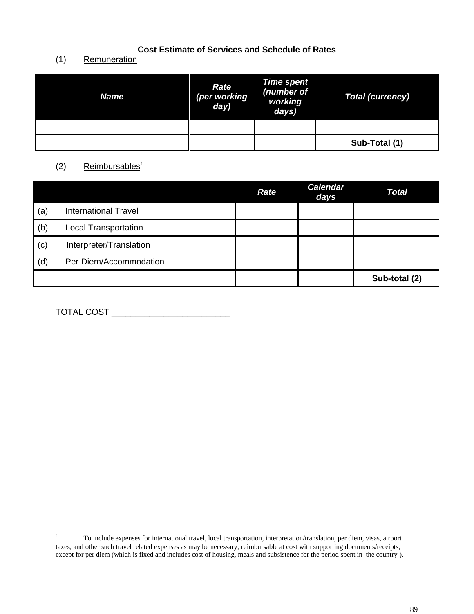# **Cost Estimate of Services and Schedule of Rates**

# (1) Remuneration

| <b>Name</b> | <b>Rate</b><br>(per working<br>day) | Time spent<br>(number of<br>working<br>days) | Total (currency) |
|-------------|-------------------------------------|----------------------------------------------|------------------|
|             |                                     |                                              |                  |
|             |                                     |                                              | Sub-Total (1)    |

# (2) Reimbursables<sup>1</sup>

|     |                             | <b>Rate</b> | <b>Calendar</b><br>days | <b>Total</b>  |
|-----|-----------------------------|-------------|-------------------------|---------------|
| (a) | <b>International Travel</b> |             |                         |               |
| (b) | <b>Local Transportation</b> |             |                         |               |
| (c) | Interpreter/Translation     |             |                         |               |
| (d) | Per Diem/Accommodation      |             |                         |               |
|     |                             |             |                         | Sub-total (2) |

TOTAL COST \_\_\_\_\_\_\_\_\_\_\_\_\_\_\_\_\_\_\_\_\_\_\_\_\_

<sup>1</sup> To include expenses for international travel, local transportation, interpretation/translation, per diem, visas, airport taxes, and other such travel related expenses as may be necessary; reimbursable at cost with supporting documents/receipts; except for per diem (which is fixed and includes cost of housing, meals and subsistence for the period spent in the country ).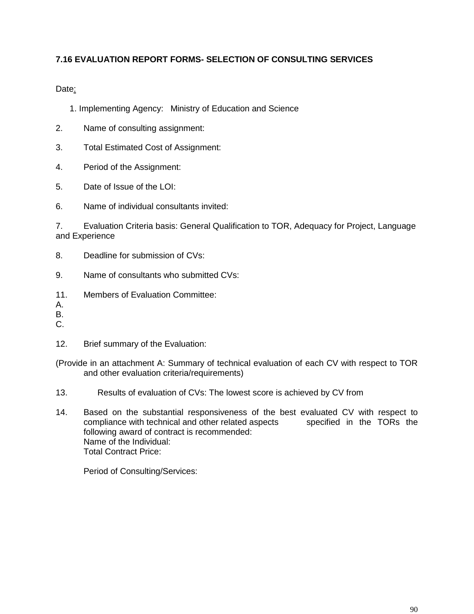# **7.16 EVALUATION REPORT FORMS- SELECTION OF CONSULTING SERVICES**

Date:

- 1. Implementing Agency: Ministry of Education and Science
- 2. Name of consulting assignment:
- 3. Total Estimated Cost of Assignment:
- 4. Period of the Assignment:
- 5. Date of Issue of the LOI:
- 6. Name of individual consultants invited:

7. Evaluation Criteria basis: General Qualification to TOR, Adequacy for Project, Language and Experience

- 8. Deadline for submission of CVs:
- 9. Name of consultants who submitted CVs:
- 11. Members of Evaluation Committee:

A.

- B.
- C.
- 12. Brief summary of the Evaluation:
- (Provide in an attachment A: Summary of technical evaluation of each CV with respect to TOR and other evaluation criteria/requirements)
- 13. Results of evaluation of CVs: The lowest score is achieved by CV from
- 14. Based on the substantial responsiveness of the best evaluated CV with respect to compliance with technical and other related aspects specified in the TORs the compliance with technical and other related aspects following award of contract is recommended: Name of the Individual: Total Contract Price:

Period of Consulting/Services: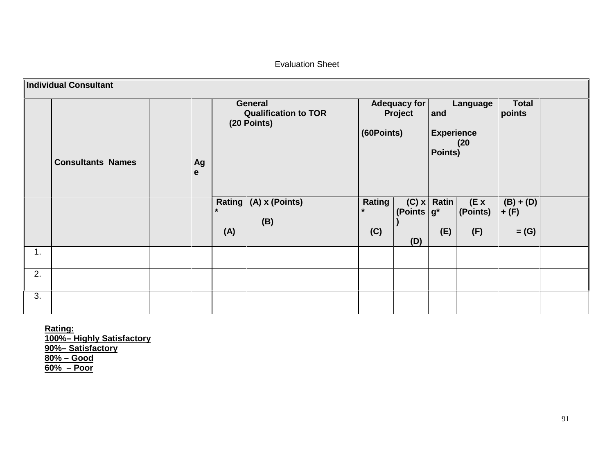Evaluation Sheet

|    | <b>Individual Consultant</b> |         |                |                                                       |                                 |                                |                                     |                                |                                   |  |
|----|------------------------------|---------|----------------|-------------------------------------------------------|---------------------------------|--------------------------------|-------------------------------------|--------------------------------|-----------------------------------|--|
|    | <b>Consultants Names</b>     | Ag<br>e |                | General<br><b>Qualification to TOR</b><br>(20 Points) | (60Points)                      | <b>Adequacy for</b><br>Project | and<br><b>Experience</b><br>Points) | Language<br>(20)               | <b>Total</b><br>points            |  |
|    |                              |         | $\star$<br>(A) | Rating $(A)$ x (Points)<br>(B)                        | <b>Rating</b><br>$\star$<br>(C) | (C) x<br>(Points $g^*$<br>(D)  | Ratin<br>(E)                        | $(E \times$<br>(Points)<br>(F) | $(B) + (D)$<br>$+$ (F)<br>$=$ (G) |  |
| 1. |                              |         |                |                                                       |                                 |                                |                                     |                                |                                   |  |
| 2. |                              |         |                |                                                       |                                 |                                |                                     |                                |                                   |  |
| 3. |                              |         |                |                                                       |                                 |                                |                                     |                                |                                   |  |

**Rating: 100%– Highly Satisfactory 90%– Satisfactory 80% – Good 60% – Poor**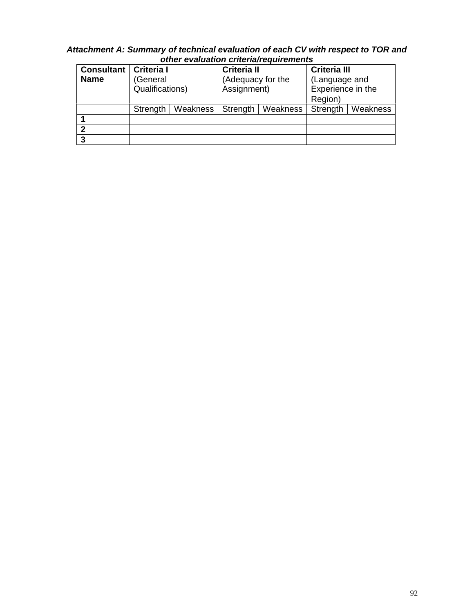| other evaluation criteria/requirements |                             |          |                                  |          |                                               |          |  |
|----------------------------------------|-----------------------------|----------|----------------------------------|----------|-----------------------------------------------|----------|--|
| <b>Consultant</b>                      | <b>Criteria</b> I           |          | <b>Criteria II</b>               |          | <b>Criteria III</b>                           |          |  |
| <b>Name</b>                            | (General<br>Qualifications) |          | (Adequacy for the<br>Assignment) |          | (Language and<br>Experience in the<br>Region) |          |  |
|                                        |                             |          |                                  |          |                                               |          |  |
|                                        |                             |          |                                  |          |                                               |          |  |
|                                        | Strength                    | Weakness | Strength                         | Weakness | Strength                                      | Weakness |  |
|                                        |                             |          |                                  |          |                                               |          |  |
| 2                                      |                             |          |                                  |          |                                               |          |  |
| 3                                      |                             |          |                                  |          |                                               |          |  |

# *Attachment A: Summary of technical evaluation of each CV with respect to TOR and*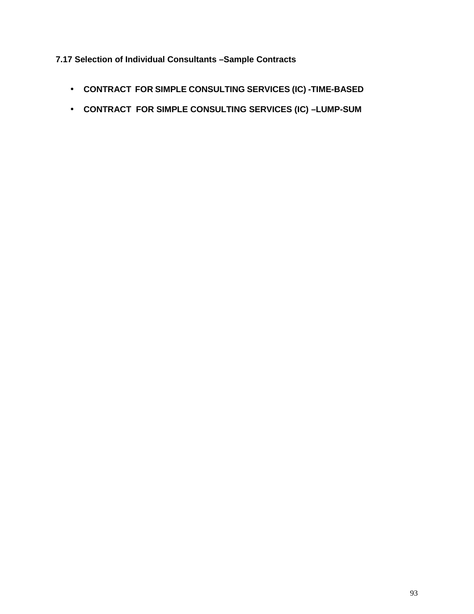# **7.17 Selection of Individual Consultants –Sample Contracts**

- **CONTRACT FOR SIMPLE CONSULTING SERVICES (IC) -TIME-BASED**
- **CONTRACT FOR SIMPLE CONSULTING SERVICES (IC) –LUMP-SUM**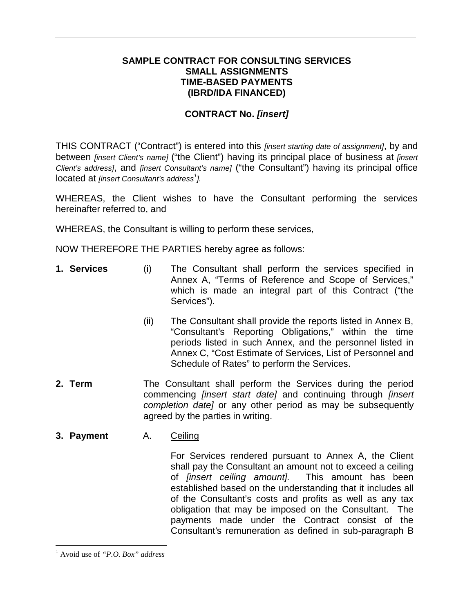# **SAMPLE CONTRACT FOR CONSULTING SERVICES SMALL ASSIGNMENTS TIME-BASED PAYMENTS (IBRD/IDA FINANCED)**

# **CONTRACT No.** *[insert]*

THIS CONTRACT ("Contract") is entered into this *[insert starting date of assignment]*, by and between *[insert Client's name]* ("the Client") having its principal place of business at *[insert Client's address]*, and *[insert Consultant's name]* ("the Consultant") having its principal office located at *[insert Consultant's address<sup>1</sup> ].*

WHEREAS, the Client wishes to have the Consultant performing the services hereinafter referred to, and

WHEREAS, the Consultant is willing to perform these services,

NOW THEREFORE THE PARTIES hereby agree as follows:

- **1. Services** (i) The Consultant shall perform the services specified in Annex A, "Terms of Reference and Scope of Services," which is made an integral part of this Contract ("the Services").
	- (ii) The Consultant shall provide the reports listed in Annex B, "Consultant's Reporting Obligations," within the time periods listed in such Annex, and the personnel listed in Annex C, "Cost Estimate of Services, List of Personnel and Schedule of Rates" to perform the Services.
- **2. Term** The Consultant shall perform the Services during the period commencing *[insert start date]* and continuing through *[insert completion date]* or any other period as may be subsequently agreed by the parties in writing.
- **3. Payment** A. Ceiling

For Services rendered pursuant to Annex A, the Client shall pay the Consultant an amount not to exceed a ceiling of *[insert ceiling amount].* This amount has been established based on the understanding that it includes all of the Consultant's costs and profits as well as any tax obligation that may be imposed on the Consultant. The payments made under the Contract consist of the Consultant's remuneration as defined in sub-paragraph B

<sup>1</sup> Avoid use of *"P.O. Box" address*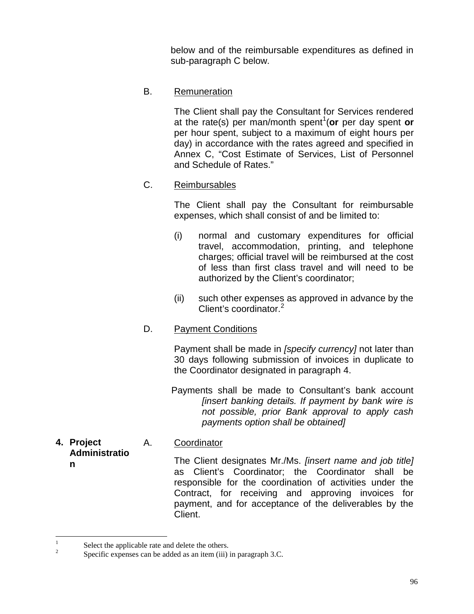below and of the reimbursable expenditures as defined in sub-paragraph C below.

B. Remuneration

The Client shall pay the Consultant for Services rendered at the rate(s) per man/month spent<sup>1</sup>(or per day spent or per hour spent, subject to a maximum of eight hours per day) in accordance with the rates agreed and specified in Annex C, "Cost Estimate of Services, List of Personnel and Schedule of Rates."

C. Reimbursables

The Client shall pay the Consultant for reimbursable expenses, which shall consist of and be limited to:

- (i) normal and customary expenditures for official travel, accommodation, printing, and telephone charges; official travel will be reimbursed at the cost of less than first class travel and will need to be authorized by the Client's coordinator;
- (ii) such other expenses as approved in advance by the Client's coordinator.<sup>2</sup>
- D. Payment Conditions

Payment shall be made in *[specify currency]* not later than 30 days following submission of invoices in duplicate to the Coordinator designated in paragraph 4.

Payments shall be made to Consultant's bank account *[insert banking details. If payment by bank wire is not possible, prior Bank approval to apply cash payments option shall be obtained]*

**4. Project Administratio n** A. Coordinator The Client designates Mr./Ms. *[insert name and job title]* as Client's Coordinator; the Coordinator shall be responsible for the coordination of activities under the Contract, for receiving and approving invoices for payment, and for acceptance of the deliverables by the

Client.

<sup>&</sup>lt;sup>1</sup> Select the applicable rate and delete the others.<br><sup>2</sup> Specific expenses can be added as an item (iii) in paragraph 3.C.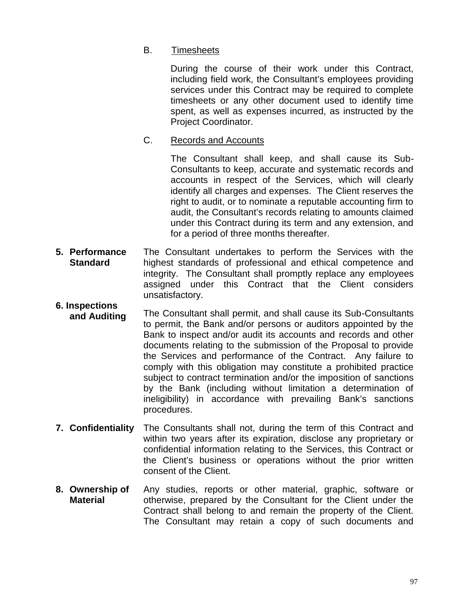# B. Timesheets

During the course of their work under this Contract, including field work, the Consultant's employees providing services under this Contract may be required to complete timesheets or any other document used to identify time spent, as well as expenses incurred, as instructed by the Project Coordinator.

# C. Records and Accounts

The Consultant shall keep, and shall cause its Sub- Consultants to keep, accurate and systematic records and accounts in respect of the Services, which will clearly identify all charges and expenses. The Client reserves the right to audit, or to nominate a reputable accounting firm to audit, the Consultant's records relating to amounts claimed under this Contract during its term and any extension, and for a period of three months thereafter.

- **5. Performance Standard** The Consultant undertakes to perform the Services with the highest standards of professional and ethical competence and integrity. The Consultant shall promptly replace any employees assigned under this Contract that the Client considers unsatisfactory.
- **6. Inspections and Auditing** The Consultant shall permit, and shall cause its Sub-Consultants to permit, the Bank and/or persons or auditors appointed by the Bank to inspect and/or audit its accounts and records and other documents relating to the submission of the Proposal to provide the Services and performance of the Contract. Any failure to comply with this obligation may constitute a prohibited practice subject to contract termination and/or the imposition of sanctions by the Bank (including without limitation a determination of ineligibility) in accordance with prevailing Bank's sanctions procedures.
- **7. Confidentiality** The Consultants shall not, during the term of this Contract and within two years after its expiration, disclose any proprietary or confidential information relating to the Services, this Contract or the Client's business or operations without the prior written consent of the Client.
- **8. Ownership of Material** Any studies, reports or other material, graphic, software or otherwise, prepared by the Consultant for the Client under the Contract shall belong to and remain the property of the Client. The Consultant may retain a copy of such documents and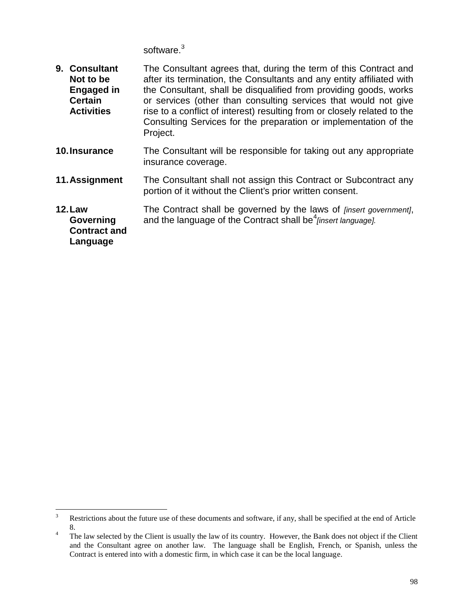software.<sup>3</sup>

| 9. Consultant<br>Not to be<br><b>Engaged in</b><br><b>Certain</b><br><b>Activities</b> | The Consultant agrees that, during the term of this Contract and<br>after its termination, the Consultants and any entity affiliated with<br>the Consultant, shall be disqualified from providing goods, works<br>or services (other than consulting services that would not give<br>rise to a conflict of interest) resulting from or closely related to the<br>Consulting Services for the preparation or implementation of the<br>Project. |
|----------------------------------------------------------------------------------------|-----------------------------------------------------------------------------------------------------------------------------------------------------------------------------------------------------------------------------------------------------------------------------------------------------------------------------------------------------------------------------------------------------------------------------------------------|
| 10. Insurance                                                                          | The Consultant will be responsible for taking out any appropriate<br>insurance coverage.                                                                                                                                                                                                                                                                                                                                                      |
| 11. Assignment                                                                         | The Consultant shall not assign this Contract or Subcontract any<br>portion of it without the Client's prior written consent.                                                                                                                                                                                                                                                                                                                 |
| <b>12. Law</b><br>Governing<br><b>Contract and</b><br>Language                         | The Contract shall be governed by the laws of <i>[insert government]</i> ,<br>and the language of the Contract shall be <sup>4</sup> finsert language].                                                                                                                                                                                                                                                                                       |

<sup>&</sup>lt;sup>3</sup> Restrictions about the future use of these documents and software, if any, shall be specified at the end of Article

<sup>8.&</sup>lt;br><sup>4</sup> The law selected by the Client is usually the law of its country. However, the Bank does not object if the Client and the Consultant agree on another law. The language shall be English, French, or Spanish, unless the Contract is entered into with a domestic firm, in which case it can be the local language.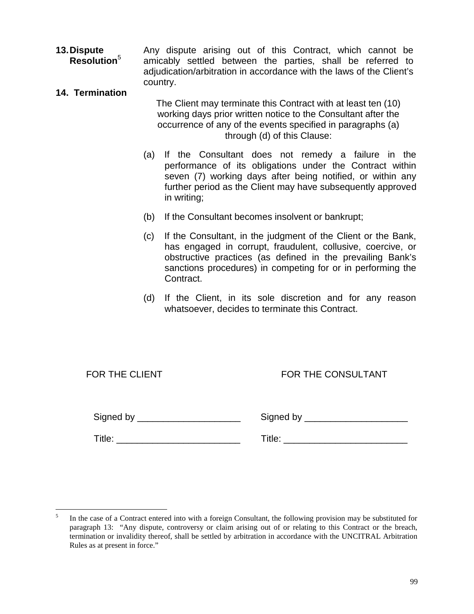**13.Dispute Resolution**<sup>5</sup> Any dispute arising out of this Contract, which cannot be amicably settled between the parties, shall be referred to adjudication/arbitration in accordance with the laws of the Client's country.

#### **14. Termination**

The Client may terminate this Contract with at least ten (10) working days prior written notice to the Consultant after the occurrence of any of the events specified in paragraphs (a) through (d) of this Clause:

- (a) If the Consultant does not remedy a failure in the performance of its obligations under the Contract within seven (7) working days after being notified, or within any further period as the Client may have subsequently approved in writing;
- (b) If the Consultant becomes insolvent or bankrupt;
- (c) If the Consultant, in the judgment of the Client or the Bank, has engaged in corrupt, fraudulent, collusive, coercive, or obstructive practices (as defined in the prevailing Bank's sanctions procedures) in competing for or in performing the Contract.
- (d) If the Client, in its sole discretion and for any reason whatsoever, decides to terminate this Contract.

| FOR THE CLIENT |  |  |
|----------------|--|--|
|                |  |  |

# FOR THE CONSULTANT

Signed by \_\_\_\_\_\_\_\_\_\_\_\_\_\_\_\_\_\_\_\_ Signed by \_\_\_\_\_\_\_\_\_\_\_\_\_\_\_\_\_\_\_\_

Title: \_\_\_\_\_\_\_\_\_\_\_\_\_\_\_\_\_\_\_\_\_\_\_\_ Title: \_\_\_\_\_\_\_\_\_\_\_\_\_\_\_\_\_\_\_\_\_\_\_\_

<sup>5</sup> In the case of a Contract entered into with a foreign Consultant, the following provision may be substituted for paragraph 13: "Any dispute, controversy or claim arising out of or relating to this Contract or the breach, termination or invalidity thereof, shall be settled by arbitration in accordance with the UNCITRAL Arbitration Rules as at present in force."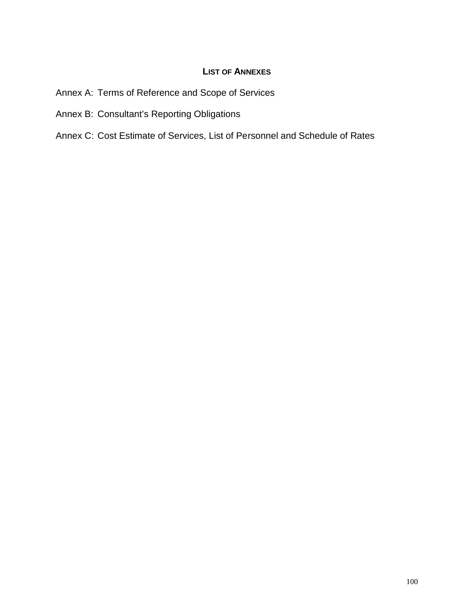# **LIST OF ANNEXES**

- Annex A: Terms of Reference and Scope of Services
- Annex B: Consultant's Reporting Obligations
- Annex C: Cost Estimate of Services, List of Personnel and Schedule of Rates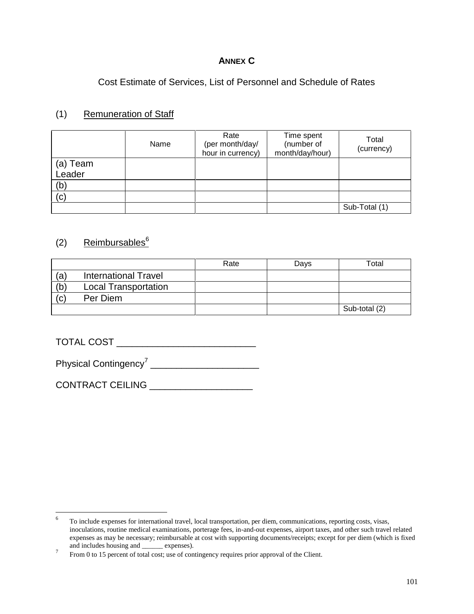# **ANNEX C**

Cost Estimate of Services, List of Personnel and Schedule of Rates

# (1) Remuneration of Staff

|          | Name | Rate<br>(per month/day/<br>hour in currency) | Time spent<br>(number of<br>month/day/hour) | Total<br>(currency) |
|----------|------|----------------------------------------------|---------------------------------------------|---------------------|
| (a) Team |      |                                              |                                             |                     |
| Leader   |      |                                              |                                             |                     |
| (b)      |      |                                              |                                             |                     |
| (c)      |      |                                              |                                             |                     |
|          |      |                                              |                                             | Sub-Total (1)       |

# (2) Reimbursables $6$

|     |                             | Rate | Days | Total         |
|-----|-----------------------------|------|------|---------------|
| (a) | <b>International Travel</b> |      |      |               |
| (b) | <b>Local Transportation</b> |      |      |               |
| (C) | Per Diem                    |      |      |               |
|     |                             |      |      | Sub-total (2) |

TOTAL COST \_\_\_\_\_\_\_\_\_\_\_\_\_\_\_\_\_\_\_\_\_\_\_\_\_\_\_

Physical Contingency<sup>7</sup> \_\_\_\_\_\_\_\_\_\_\_\_\_\_\_\_\_\_\_\_\_\_\_\_

CONTRACT CEILING \_\_\_\_\_\_\_\_\_\_\_\_\_\_\_\_\_\_\_\_

<sup>6</sup> To include expenses for international travel, local transportation, per diem, communications, reporting costs, visas, inoculations, routine medical examinations, porterage fees, in-and-out expenses, airport taxes, and other such travel related expenses as may be necessary; reimbursable at cost with supporting documents/receipts; except for per diem (which is fixed and includes housing and \_\_\_\_\_\_\_ expenses).<br>
The expenses of contingency requires prior approval of the Client.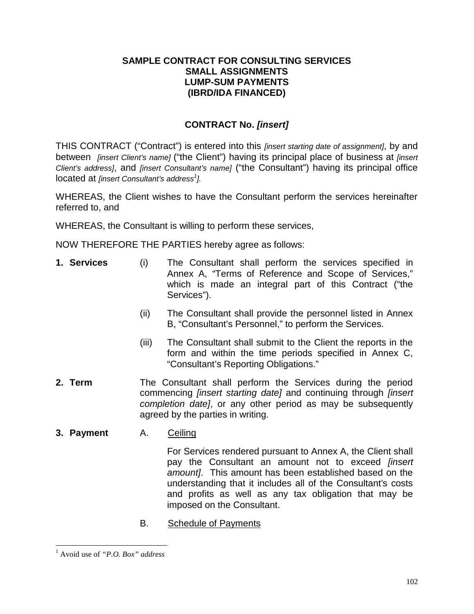# **SAMPLE CONTRACT FOR CONSULTING SERVICES SMALL ASSIGNMENTS LUMP-SUM PAYMENTS (IBRD/IDA FINANCED)**

# **CONTRACT No.** *[insert]*

THIS CONTRACT ("Contract") is entered into this *[insert starting date of assignment]*, by and between *[insert Client's name]* ("the Client") having its principal place of business at *[insert Client's address]*, and *[insert Consultant's name]* ("the Consultant") having its principal office located at *[insert Consultant's address<sup>1</sup> ].*

WHEREAS, the Client wishes to have the Consultant perform the services hereinafter referred to, and

WHEREAS, the Consultant is willing to perform these services,

NOW THEREFORE THE PARTIES hereby agree as follows:

- **1. Services** (i) The Consultant shall perform the services specified in Annex A, "Terms of Reference and Scope of Services," which is made an integral part of this Contract ("the Services").
	- (ii) The Consultant shall provide the personnel listed in Annex B, "Consultant's Personnel," to perform the Services.
	- (iii) The Consultant shall submit to the Client the reports in the form and within the time periods specified in Annex C, "Consultant's Reporting Obligations."
- **2. Term** The Consultant shall perform the Services during the period commencing *[insert starting date]* and continuing through *[insert completion date]*, or any other period as may be subsequently agreed by the parties in writing.
- **3. Payment** A. Ceiling

For Services rendered pursuant to Annex A, the Client shall pay the Consultant an amount not to exceed *[insert amount]*. This amount has been established based on the understanding that it includes all of the Consultant's costs and profits as well as any tax obligation that may be imposed on the Consultant.

B. Schedule of Payments

<sup>1</sup> Avoid use of *"P.O. Box" address*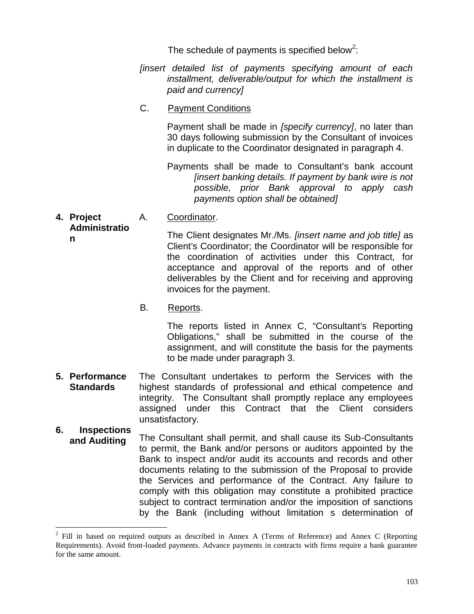The schedule of payments is specified below<sup>2</sup>:

- *[insert detailed list of payments specifying amount of each installment, deliverable/output for which the installment is paid and currency]*
- C. Payment Conditions

Payment shall be made in *[specify currency]*, no later than 30 days following submission by the Consultant of invoices in duplicate to the Coordinator designated in paragraph 4.

Payments shall be made to Consultant's bank account *[insert banking details. If payment by bank wire is not possible, prior Bank approval to apply cash payments option shall be obtained]*

**4. Project Administratio** A. Coordinator.

**n**

The Client designates Mr./Ms. *[insert name and job title]* as Client's Coordinator; the Coordinator will be responsible for the coordination of activities under this Contract, for acceptance and approval of the reports and of other deliverables by the Client and for receiving and approving invoices for the payment.

B. Reports.

The reports listed in Annex C, "Consultant's Reporting Obligations," shall be submitted in the course of the assignment, and will constitute the basis for the payments to be made under paragraph 3.

- **5. Performance Standards** The Consultant undertakes to perform the Services with the highest standards of professional and ethical competence and integrity. The Consultant shall promptly replace any employees assigned under this Contract that the Client considers unsatisfactory.
- **6. Inspections and Auditing** The Consultant shall permit, and shall cause its Sub-Consultants to permit, the Bank and/or persons or auditors appointed by the Bank to inspect and/or audit its accounts and records and other documents relating to the submission of the Proposal to provide the Services and performance of the Contract. Any failure to comply with this obligation may constitute a prohibited practice subject to contract termination and/or the imposition of sanctions by the Bank (including without limitation s determination of

<sup>&</sup>lt;sup>2</sup> Fill in based on required outputs as described in Annex A (Terms of Reference) and Annex C (Reporting Requirements). Avoid front-loaded payments. Advance payments in contracts with firms require a bank guarantee for the same amount.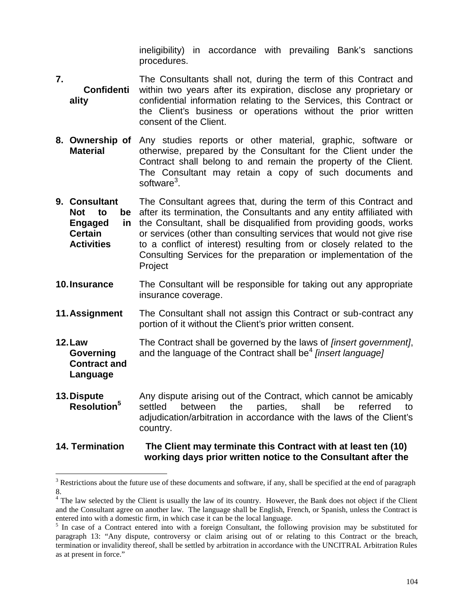ineligibility) in accordance with prevailing Bank's sanctions procedures.

- **7. Confidenti ality** The Consultants shall not, during the term of this Contract and within two years after its expiration, disclose any proprietary or confidential information relating to the Services, this Contract or the Client's business or operations without the prior written consent of the Client.
- **8. Ownership of** Any studies reports or other material, graphic, software or **Material** otherwise, prepared by the Consultant for the Client under the Contract shall belong to and remain the property of the Client. The Consultant may retain a copy of such documents and software<sup>3</sup>.
- **9. Consultant Not to be** after its termination, the Consultants and any entity affiliated with **Engaged in Certain Activities** The Consultant agrees that, during the term of this Contract and the Consultant, shall be disqualified from providing goods, works or services (other than consulting services that would not give rise to a conflict of interest) resulting from or closely related to the Consulting Services for the preparation or implementation of the Project
- **10.Insurance** The Consultant will be responsible for taking out any appropriate insurance coverage.
- **11.Assignment** The Consultant shall not assign this Contract or sub-contract any portion of it without the Client's prior written consent.
- **12.Law Governing Contract and Language** The Contract shall be governed by the laws of *[insert government]*, and the language of the Contract shall be<sup>4</sup> [insert language]
- **13.Dispute** Any dispute arising out of the Contract, which cannot be amicably settled between the parties. shall be referred to settled between the parties, shall be referred to adjudication/arbitration in accordance with the laws of the Client's country.

# **14. Termination The Client may terminate this Contract with at least ten (10) working days prior written notice to the Consultant after the**

<sup>&</sup>lt;sup>3</sup> Restrictions about the future use of these documents and software, if any, shall be specified at the end of paragraph

<sup>8.</sup> <sup>4</sup> The law selected by the Client is usually the law of its country. However, the Bank does not object if the Client and the Consultant agree on another law. The language shall be English, French, or Spanish, unless the Contract is entered into with a domestic firm, in which case it can be the local language.<br><sup>5</sup> In case of a Contract entered into with a foreign Consultant, the following provision may be substituted for

paragraph 13: "Any dispute, controversy or claim arising out of or relating to this Contract or the breach, termination or invalidity thereof, shall be settled by arbitration in accordance with the UNCITRAL Arbitration Rules as at present in force."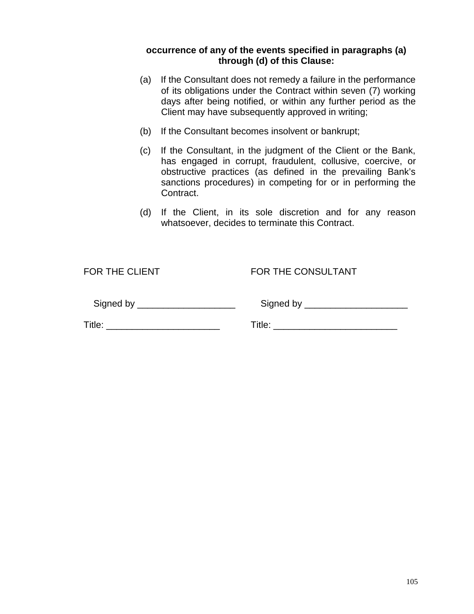# **occurrence of any of the events specified in paragraphs (a) through (d) of this Clause:**

- (a) If the Consultant does not remedy a failure in the performance of its obligations under the Contract within seven (7) working days after being notified, or within any further period as the Client may have subsequently approved in writing;
- (b) If the Consultant becomes insolvent or bankrupt;
- (c) If the Consultant, in the judgment of the Client or the Bank, has engaged in corrupt, fraudulent, collusive, coercive, or obstructive practices (as defined in the prevailing Bank's sanctions procedures) in competing for or in performing the Contract.
- (d) If the Client, in its sole discretion and for any reason whatsoever, decides to terminate this Contract.

FOR THE CLIENT FOR THE CONSULTANT

| Signed by |  |
|-----------|--|
|-----------|--|

Signed by \_\_\_\_\_\_\_\_\_\_\_\_\_\_\_\_\_\_\_ Signed by \_\_\_\_\_\_\_\_\_\_\_\_\_\_\_\_\_\_\_\_

Title: \_\_\_\_\_\_\_\_\_\_\_\_\_\_\_\_\_\_\_\_\_\_ Title: \_\_\_\_\_\_\_\_\_\_\_\_\_\_\_\_\_\_\_\_\_\_\_\_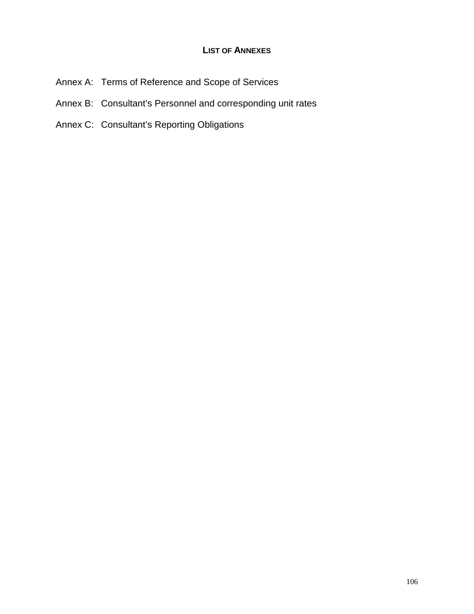# **LIST OF ANNEXES**

- Annex A: Terms of Reference and Scope of Services
- Annex B: Consultant's Personnel and corresponding unit rates
- Annex C: Consultant's Reporting Obligations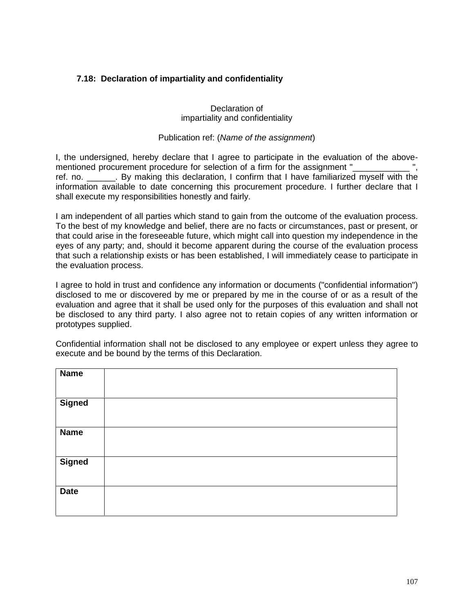# **7.18: Declaration of impartiality and confidentiality**

#### Declaration of impartiality and confidentiality

#### Publication ref: (*Name of the assignment*)

I, the undersigned, hereby declare that I agree to participate in the evaluation of the above mentioned procurement procedure for selection of a firm for the assignment " ref. no. \_\_\_\_\_\_. By making this declaration, I confirm that I have familiarized myself with the information available to date concerning this procurement procedure. I further declare that I shall execute my responsibilities honestly and fairly.

I am independent of all parties which stand to gain from the outcome of the evaluation process. To the best of my knowledge and belief, there are no facts or circumstances, past or present, or that could arise in the foreseeable future, which might call into question my independence in the eyes of any party; and, should it become apparent during the course of the evaluation process that such a relationship exists or has been established, I will immediately cease to participate in the evaluation process.

I agree to hold in trust and confidence any information or documents ("confidential information") disclosed to me or discovered by me or prepared by me in the course of or as a result of the evaluation and agree that it shall be used only for the purposes of this evaluation and shall not be disclosed to any third party. I also agree not to retain copies of any written information or prototypes supplied.

Confidential information shall not be disclosed to any employee or expert unless they agree to execute and be bound by the terms of this Declaration.

| <b>Name</b>   |  |
|---------------|--|
| <b>Signed</b> |  |
| <b>Name</b>   |  |
| <b>Signed</b> |  |
| <b>Date</b>   |  |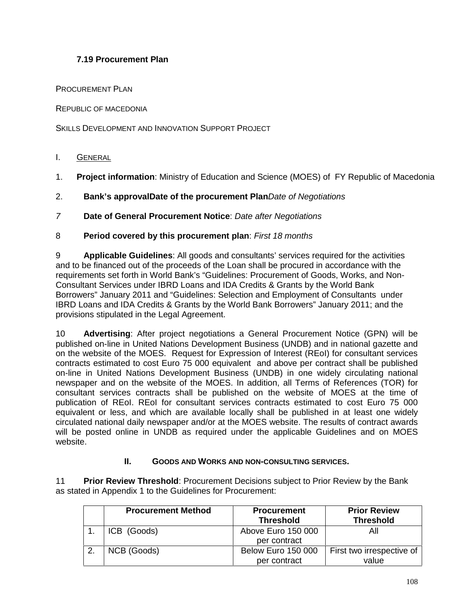# **7.19 Procurement Plan**

PROCUREMENT PLAN

REPUBLIC OF MACEDONIA

SKILLS DEVELOPMENT AND INNOVATION SUPPORT PROJECT

- I. GENERAL
- 1. **Project information**: Ministry of Education and Science (MOES) of FY Republic of Macedonia
- 2. **Bank's approvalDate of the procurement Plan***Date of Negotiations*
- *7* **Date of General Procurement Notice**: *Date after Negotiations*
- 8 **Period covered by this procurement plan**: *First 18 months*

9 **Applicable Guidelines**: All goods and consultants' services required for the activities and to be financed out of the proceeds of the Loan shall be procured in accordance with the requirements set forth in World Bank's "Guidelines: Procurement of Goods, Works, and Non- Consultant Services under IBRD Loans and IDA Credits & Grants by the World Bank Borrowers" January 2011 and "Guidelines: Selection and Employment of Consultants under IBRD Loans and IDA Credits & Grants by the World Bank Borrowers" January 2011; and the provisions stipulated in the Legal Agreement.

10 **Advertising**: After project negotiations a General Procurement Notice (GPN) will be published on-line in United Nations Development Business (UNDB) and in national gazette and on the website of the MOES. Request for Expression of Interest (REoI) for consultant services contracts estimated to cost Euro 75 000 equivalent and above per contract shall be published on-line in United Nations Development Business (UNDB) in one widely circulating national newspaper and on the website of the MOES. In addition, all Terms of References (TOR) for consultant services contracts shall be published on the website of MOES at the time of publication of REoI. REoI for consultant services contracts estimated to cost Euro 75 000 equivalent or less, and which are available locally shall be published in at least one widely circulated national daily newspaper and/or at the MOES website. The results of contract awards will be posted online in UNDB as required under the applicable Guidelines and on MOES website.

#### **II. GOODS AND WORKS AND NON-CONSULTING SERVICES.**

11 **Prior Review Threshold**: Procurement Decisions subject to Prior Review by the Bank as stated in Appendix 1 to the Guidelines for Procurement:

| <b>Procurement Method</b> | <b>Procurement</b><br><b>Threshold</b> | <b>Prior Review</b><br><b>Threshold</b> |
|---------------------------|----------------------------------------|-----------------------------------------|
| ICB (Goods)               | Above Euro 150 000<br>per contract     | Αll                                     |
| NCB (Goods)               | <b>Below Euro 150 000</b>              | First two irrespective of               |
|                           | per contract                           | value                                   |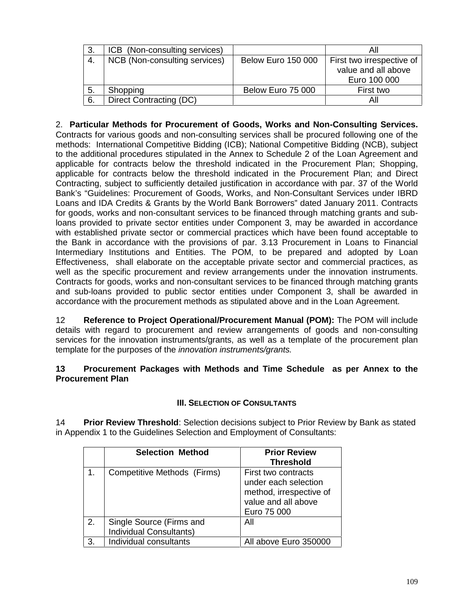| -3. | ICB (Non-consulting services) |                           | All                       |
|-----|-------------------------------|---------------------------|---------------------------|
| -4. | NCB (Non-consulting services) | <b>Below Euro 150 000</b> | First two irrespective of |
|     |                               |                           | value and all above       |
|     |                               |                           | Euro 100 000              |
| -5. | Shopping                      | Below Euro 75 000         | First two                 |
| 6.  | Direct Contracting (DC)       |                           | Αll                       |

2. **Particular Methods for Procurement of Goods, Works and Non-Consulting Services.**

Contracts for various goods and non-consulting services shall be procured following one of the methods: International Competitive Bidding (ICB); National Competitive Bidding (NCB), subject to the additional procedures stipulated in the Annex to Schedule 2 of the Loan Agreement and applicable for contracts below the threshold indicated in the Procurement Plan; Shopping, applicable for contracts below the threshold indicated in the Procurement Plan; and Direct Contracting, subject to sufficiently detailed justification in accordance with par. 37 of the World Bank's "Guidelines: Procurement of Goods, Works, and Non-Consultant Services under IBRD Loans and IDA Credits & Grants by the World Bank Borrowers" dated January 2011. Contracts for goods, works and non-consultant services to be financed through matching grants and subloans provided to private sector entities under Component 3, may be awarded in accordance with established private sector or commercial practices which have been found acceptable to the Bank in accordance with the provisions of par. 3.13 Procurement in Loans to Financial Intermediary Institutions and Entities. The POM, to be prepared and adopted by Loan Effectiveness, shall elaborate on the acceptable private sector and commercial practices, as well as the specific procurement and review arrangements under the innovation instruments. Contracts for goods, works and non-consultant services to be financed through matching grants and sub-loans provided to public sector entities under Component 3, shall be awarded in accordance with the procurement methods as stipulated above and in the Loan Agreement.

12 **Reference to Project Operational/Procurement Manual (POM):** The POM will include details with regard to procurement and review arrangements of goods and non-consulting services for the innovation instruments/grants, as well as a template of the procurement plan template for the purposes of the *innovation instruments/grants.*

#### **13 Procurement Packages with Methods and Time Schedule as per Annex to the Procurement Plan**

# **III. SELECTION OF CONSULTANTS**

14 **Prior Review Threshold**: Selection decisions subject to Prior Review by Bank as stated in Appendix 1 to the Guidelines Selection and Employment of Consultants:

|    | <b>Selection Method</b>                                    | <b>Prior Review</b><br><b>Threshold</b>                                                                      |
|----|------------------------------------------------------------|--------------------------------------------------------------------------------------------------------------|
|    | Competitive Methods (Firms)                                | First two contracts<br>under each selection<br>method, irrespective of<br>value and all above<br>Euro 75 000 |
| 2. | Single Source (Firms and<br><b>Individual Consultants)</b> | All                                                                                                          |
| 3. | Individual consultants                                     | All above Euro 350000                                                                                        |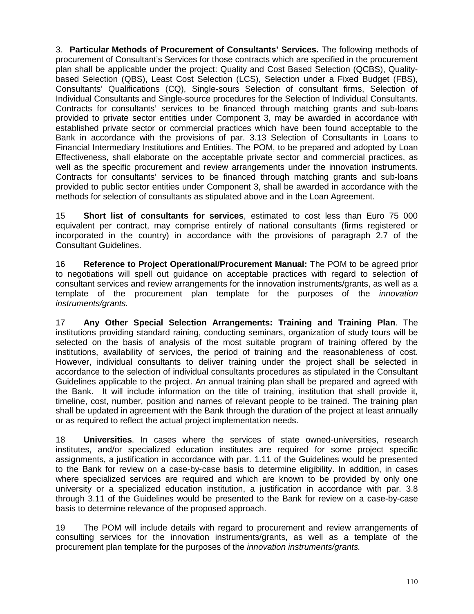3. **Particular Methods of Procurement of Consultants' Services.** The following methods of procurement of Consultant's Services for those contracts which are specified in the procurement plan shall be applicable under the project: Quality and Cost Based Selection (QCBS), Quality based Selection (QBS), Least Cost Selection (LCS), Selection under a Fixed Budget (FBS), Consultants' Qualifications (CQ), Single-sours Selection of consultant firms, Selection of Individual Consultants and Single-source procedures for the Selection of Individual Consultants. Contracts for consultants' services to be financed through matching grants and sub-loans provided to private sector entities under Component 3, may be awarded in accordance with established private sector or commercial practices which have been found acceptable to the Bank in accordance with the provisions of par. 3.13 Selection of Consultants in Loans to Financial Intermediary Institutions and Entities. The POM, to be prepared and adopted by Loan Effectiveness, shall elaborate on the acceptable private sector and commercial practices, as well as the specific procurement and review arrangements under the innovation instruments. Contracts for consultants' services to be financed through matching grants and sub-loans provided to public sector entities under Component 3, shall be awarded in accordance with the methods for selection of consultants as stipulated above and in the Loan Agreement.

15 **Short list of consultants for services**, estimated to cost less than Euro 75 000 equivalent per contract, may comprise entirely of national consultants (firms registered or incorporated in the country) in accordance with the provisions of paragraph 2.7 of the Consultant Guidelines.

16 **Reference to Project Operational/Procurement Manual:** The POM to be agreed prior to negotiations will spell out guidance on acceptable practices with regard to selection of consultant services and review arrangements for the innovation instruments/grants, as well as a template of the procurement plan template for the purposes of the *innovation instruments/grants.*

17 **Any Other Special Selection Arrangements: Training and Training Plan**. The institutions providing standard raining, conducting seminars, organization of study tours will be selected on the basis of analysis of the most suitable program of training offered by the institutions, availability of services, the period of training and the reasonableness of cost. However, individual consultants to deliver training under the project shall be selected in accordance to the selection of individual consultants procedures as stipulated in the Consultant Guidelines applicable to the project. An annual training plan shall be prepared and agreed with the Bank. It will include information on the title of training, institution that shall provide it, timeline, cost, number, position and names of relevant people to be trained. The training plan shall be updated in agreement with the Bank through the duration of the project at least annually or as required to reflect the actual project implementation needs.

18 **Universities**. In cases where the services of state owned-universities, research institutes, and/or specialized education institutes are required for some project specific assignments, a justification in accordance with par. 1.11 of the Guidelines would be presented to the Bank for review on a case-by-case basis to determine eligibility. In addition, in cases where specialized services are required and which are known to be provided by only one university or a specialized education institution, a justification in accordance with par. 3.8 through 3.11 of the Guidelines would be presented to the Bank for review on a case-by-case basis to determine relevance of the proposed approach.

19 The POM will include details with regard to procurement and review arrangements of consulting services for the innovation instruments/grants, as well as a template of the procurement plan template for the purposes of the *innovation instruments/grants.*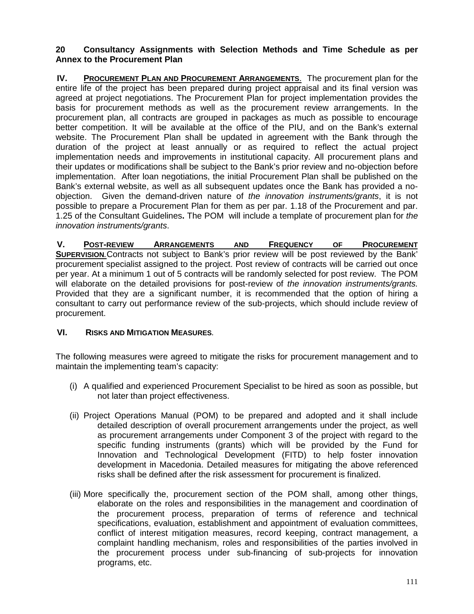#### **20 Consultancy Assignments with Selection Methods and Time Schedule as per Annex to the Procurement Plan**

**IV. PROCUREMENT PLAN AND PROCUREMENT ARRANGEMENTS.** The procurement plan for the entire life of the project has been prepared during project appraisal and its final version was agreed at project negotiations. The Procurement Plan for project implementation provides the basis for procurement methods as well as the procurement review arrangements. In the procurement plan, all contracts are grouped in packages as much as possible to encourage better competition. It will be available at the office of the PIU, and on the Bank's external website. The Procurement Plan shall be updated in agreement with the Bank through the duration of the project at least annually or as required to reflect the actual project implementation needs and improvements in institutional capacity. All procurement plans and their updates or modifications shall be subject to the Bank's prior review and no-objection before implementation. After loan negotiations, the initial Procurement Plan shall be published on the Bank's external website, as well as all subsequent updates once the Bank has provided a no objection. Given the demand-driven nature of *the innovation instruments/grants*, it is not possible to prepare a Procurement Plan for them as per par. 1.18 of the Procurement and par. 1.25 of the Consultant Guidelines**.** The POM will include a template of procurement plan for *the innovation instruments/grants*.

**V. POST-REVIEW ARRANGEMENTS AND FREQUENCY OF PROCUREMENT SUPERVISION***.*Contracts not subject to Bank's prior review will be post reviewed by the Bank' procurement specialist assigned to the project. Post review of contracts will be carried out once per year. At a minimum 1 out of 5 contracts will be randomly selected for post review. The POM will elaborate on the detailed provisions for post-review of *the innovation instruments/grants.* Provided that they are a significant number, it is recommended that the option of hiring a consultant to carry out performance review of the sub-projects, which should include review of procurement.

# **VI. RISKS AND MITIGATION MEASURES***.*

The following measures were agreed to mitigate the risks for procurement management and to maintain the implementing team's capacity:

- (i) A qualified and experienced Procurement Specialist to be hired as soon as possible, but not later than project effectiveness.
- (ii) Project Operations Manual (POM) to be prepared and adopted and it shall include detailed description of overall procurement arrangements under the project, as well as procurement arrangements under Component 3 of the project with regard to the specific funding instruments (grants) which will be provided by the Fund for Innovation and Technological Development (FITD) to help foster innovation development in Macedonia. Detailed measures for mitigating the above referenced risks shall be defined after the risk assessment for procurement is finalized.
- (iii) More specifically the, procurement section of the POM shall, among other things, elaborate on the roles and responsibilities in the management and coordination of the procurement process, preparation of terms of reference and technical specifications, evaluation, establishment and appointment of evaluation committees, conflict of interest mitigation measures, record keeping, contract management, a complaint handling mechanism, roles and responsibilities of the parties involved in the procurement process under sub-financing of sub-projects for innovation programs, etc.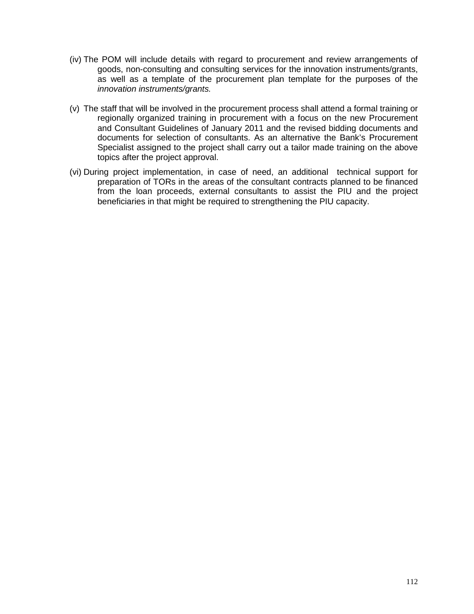- (iv) The POM will include details with regard to procurement and review arrangements of goods, non-consulting and consulting services for the innovation instruments/grants, as well as a template of the procurement plan template for the purposes of the *innovation instruments/grants.*
- (v) The staff that will be involved in the procurement process shall attend a formal training or regionally organized training in procurement with a focus on the new Procurement and Consultant Guidelines of January 2011 and the revised bidding documents and documents for selection of consultants. As an alternative the Bank's Procurement Specialist assigned to the project shall carry out a tailor made training on the above topics after the project approval.
- (vi) During project implementation, in case of need, an additional technical support for preparation of TORs in the areas of the consultant contracts planned to be financed from the loan proceeds, external consultants to assist the PIU and the project beneficiaries in that might be required to strengthening the PIU capacity.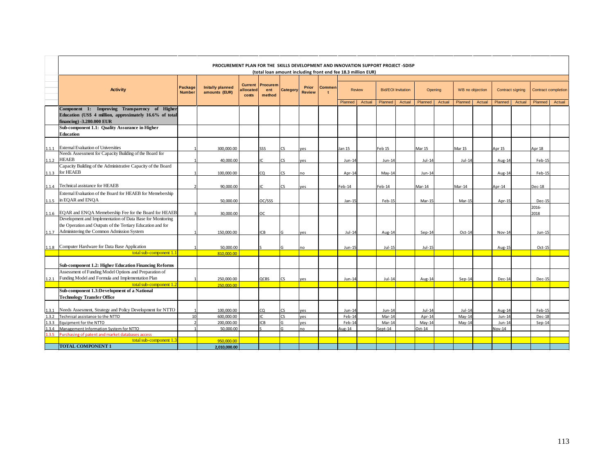|         |                                                                                                                                       |                          | PROCUREMENT PLAN FOR THE SKILLS DEVELOPMENT AND INNOVATION SUPPORT PROJECT -SDISP |                                      |                                                              |           |                        |                               |               |        |                           |        |          |        |                 |        |                  |        |                            |        |
|---------|---------------------------------------------------------------------------------------------------------------------------------------|--------------------------|-----------------------------------------------------------------------------------|--------------------------------------|--------------------------------------------------------------|-----------|------------------------|-------------------------------|---------------|--------|---------------------------|--------|----------|--------|-----------------|--------|------------------|--------|----------------------------|--------|
|         |                                                                                                                                       |                          |                                                                                   |                                      | (total loan amount including front end fee 18.3 million EUR) |           |                        |                               |               |        |                           |        |          |        |                 |        |                  |        |                            |        |
|         | <b>Activity</b>                                                                                                                       | Package<br><b>Number</b> | <b>Initally planned</b><br>amounts (EUR)                                          | <b>Current</b><br>allocated<br>costs | Procurem<br>ent<br>method                                    | Category  | Prior<br><b>Review</b> | <b>Commen</b><br>$\mathbf{t}$ | <b>Review</b> |        | <b>Bid/EOI</b> Invitation |        | Opening  |        | WB no objection |        | Contract signing |        | <b>Contract completion</b> |        |
|         |                                                                                                                                       |                          |                                                                                   |                                      |                                                              |           |                        |                               | Planned       | Actual | Planned                   | Actual | Planned  | Actual | Planned         | Actual | Planned          | Actual | Planned                    | Actual |
|         | Component 1: Improving Transparency of Higher<br>Education (US\$ 4 million, approximately 16.6% of total<br>financing) -3.280.000 EUR |                          |                                                                                   |                                      |                                                              |           |                        |                               |               |        |                           |        |          |        |                 |        |                  |        |                            |        |
|         | Sub-component 1.1: Quality Assurance in Higher                                                                                        |                          |                                                                                   |                                      |                                                              |           |                        |                               |               |        |                           |        |          |        |                 |        |                  |        |                            |        |
|         | <b>Education</b>                                                                                                                      |                          |                                                                                   |                                      |                                                              |           |                        |                               |               |        |                           |        |          |        |                 |        |                  |        |                            |        |
|         |                                                                                                                                       |                          |                                                                                   |                                      |                                                              |           |                        |                               |               |        |                           |        |          |        |                 |        |                  |        |                            |        |
|         | 1.1.1 External Evaluation of Universities                                                                                             |                          | 300,000.00                                                                        |                                      | SSS                                                          | CS.       | yes                    |                               | Jan 15        |        | Feb 15                    |        | Mar 15   |        | Mar 15          |        | Apr 15           |        | Apr 18                     |        |
|         | Needs Assessment for Capacity Building of the Board for                                                                               |                          |                                                                                   |                                      |                                                              |           |                        |                               |               |        |                           |        |          |        |                 |        |                  |        |                            |        |
|         | 1.1.2 HEAEB                                                                                                                           |                          | 40.000.00                                                                         |                                      |                                                              | rς        | ves                    |                               | $Jun-14$      |        | Jun-14                    |        | $Jul-14$ |        | $Jul-14$        |        | Aug-14           |        | Feb-15                     |        |
|         | Capacity Building of the Administrative Capacity of the Board                                                                         |                          |                                                                                   |                                      |                                                              |           |                        |                               |               |        |                           |        |          |        |                 |        |                  |        |                            |        |
|         | 1.1.3 for HEAEB                                                                                                                       |                          | 100.000.00                                                                        |                                      | CO.                                                          | rς        | no                     |                               | Apr-14        |        | $May-14$                  |        | $Jun-14$ |        |                 |        | Aug-14           |        | Feb-15                     |        |
|         | 1.1.4 Technical assistance for HEAEB                                                                                                  |                          | 90.000.00                                                                         |                                      | $\sqrt{2}$                                                   | rς        | ves                    |                               | Feb-14        |        | Feb-14                    |        | Mar-14   |        | Mar-14          |        | Apr-14           |        | Dec-18                     |        |
|         | External Evaluation of the Board for HEAEB for Memebership                                                                            |                          |                                                                                   |                                      |                                                              |           |                        |                               |               |        |                           |        |          |        |                 |        |                  |        |                            |        |
|         | 1.1.5 in EQAR and ENQA                                                                                                                |                          | 50,000,00                                                                         |                                      | OC/SSS                                                       |           |                        |                               | $Jan-1!$      |        | Feb-15                    |        | Mar-15   |        | Mar-15          |        | Apr-15           |        | Dec-15                     |        |
|         | 1.1.6 EQAR and ENQA Memebership Fee for the Board for HEAEB                                                                           |                          | 30,000,00                                                                         |                                      | OC.                                                          |           |                        |                               |               |        |                           |        |          |        |                 |        |                  |        | 2016-<br>2018              |        |
|         | Development and Implementation of Data Base for Monitoring                                                                            |                          |                                                                                   |                                      |                                                              |           |                        |                               |               |        |                           |        |          |        |                 |        |                  |        |                            |        |
|         | the Operation and Outputs of the Tertiary Education and for                                                                           |                          |                                                                                   |                                      |                                                              |           |                        |                               |               |        |                           |        |          |        |                 |        |                  |        |                            |        |
| 1.1.7   | Administering the Common Admission System                                                                                             |                          | 150,000,00                                                                        |                                      | <b>ICB</b>                                                   |           | ves                    |                               | $Jul-14$      |        | Aug-14                    |        | $Sep-14$ |        | Oct-14          |        | Nov-14           |        | Jun-15                     |        |
|         |                                                                                                                                       |                          |                                                                                   |                                      |                                                              |           |                        |                               |               |        |                           |        |          |        |                 |        |                  |        |                            |        |
|         | 1.1.8 Computer Hardware for Data Base Application                                                                                     |                          | 50,000.00                                                                         |                                      |                                                              |           | no                     |                               | $Jun-15$      |        | $Jul-15$                  |        | $Jul-15$ |        |                 |        | Aug-15           |        | $Oct-15$                   |        |
|         | total sub-component 1.1                                                                                                               |                          | 810.000.00                                                                        |                                      |                                                              |           |                        |                               |               |        |                           |        |          |        |                 |        |                  |        |                            |        |
|         |                                                                                                                                       |                          |                                                                                   |                                      |                                                              |           |                        |                               |               |        |                           |        |          |        |                 |        |                  |        |                            |        |
|         | <b>Sub-component 1.2: Higher Education Financing Reforms</b>                                                                          |                          |                                                                                   |                                      |                                                              |           |                        |                               |               |        |                           |        |          |        |                 |        |                  |        |                            |        |
|         | Assessment of Funding Model Options and Preparation of                                                                                |                          |                                                                                   |                                      |                                                              |           |                        |                               |               |        |                           |        |          |        |                 |        |                  |        |                            |        |
|         | 1.2.1 Funding Model and Formula and Implementation Plan                                                                               |                          | 250,000,00                                                                        |                                      | <b>QCBS</b>                                                  | <b>CS</b> | ves                    |                               | $Jun-14$      |        | $Jul-14$                  |        | Aug-14   |        | Sep-14          |        | <b>Dec-14</b>    |        | <b>Dec-15</b>              |        |
|         | total sub-component 1.2<br>Sub-component 1.3:Development of a National                                                                |                          | 250.000.00                                                                        |                                      |                                                              |           |                        |                               |               |        |                           |        |          |        |                 |        |                  |        |                            |        |
|         | <b>Technology Transfer Office</b>                                                                                                     |                          |                                                                                   |                                      |                                                              |           |                        |                               |               |        |                           |        |          |        |                 |        |                  |        |                            |        |
| 1.3.1   | Needs Assesment, Strategy and Policy Development for NTTO                                                                             |                          | 100.000.00                                                                        |                                      | CQ                                                           |           | yes                    |                               | $Jun-14$      |        | Jun-14                    |        | $Jul-14$ |        | $Jul-14$        |        | Aug-14           |        | Feb-15                     |        |
| 1.3.2   | Technical assistance to the NTTO                                                                                                      | 10                       | 600.000.00                                                                        |                                      | $\overline{C}$                                               |           | yes                    |                               | Feb-14        |        | Mar-14                    |        | Apr-14   |        | $May-14$        |        | $Jun-14$         |        | Dec-18                     |        |
| 1.3.3   | Equipment for the NTTO                                                                                                                |                          | 200,000.00                                                                        |                                      | ICB                                                          |           | yes                    |                               | Feb-1         |        | Mar-14                    |        | $May-14$ |        | $May-14$        |        | Jun-14           |        | $Sep-14$                   |        |
| 1, 3, 4 | Management Information System for NTTO                                                                                                |                          | 50,000.00                                                                         |                                      |                                                              |           | no                     |                               | Aug-14        |        | Sept-14                   |        | $Oct-14$ |        |                 |        | Nov-14           |        |                            |        |
|         | Purchasing of patent and market databases access                                                                                      |                          |                                                                                   |                                      |                                                              |           |                        |                               |               |        |                           |        |          |        |                 |        |                  |        |                            |        |
|         | total sub-component 1.3                                                                                                               |                          | 950.000.00                                                                        |                                      |                                                              |           |                        |                               |               |        |                           |        |          |        |                 |        |                  |        |                            |        |
|         | <b>TOTAL COMPONENT 1</b>                                                                                                              |                          | 2.010.000.00                                                                      |                                      |                                                              |           |                        |                               |               |        |                           |        |          |        |                 |        |                  |        |                            |        |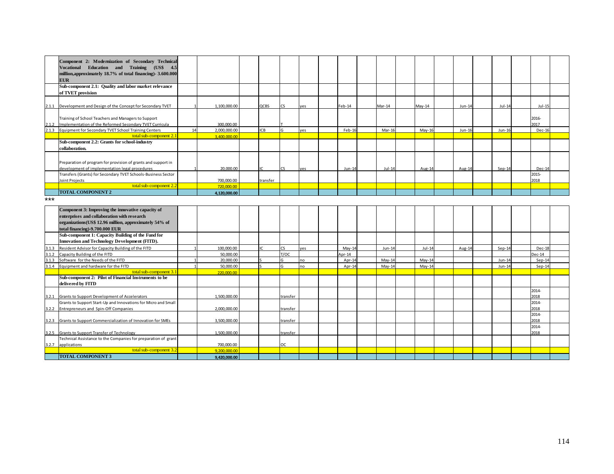|       | Component 2: Modernization of Secondary Technical<br>Vocational Education and Training (US\$ 4.5<br>million, approximately 18.7% of total financing)- 3.600.000<br><b>EUR</b>                |    |              |            |          |     |                |          |          |        |          |               |  |
|-------|----------------------------------------------------------------------------------------------------------------------------------------------------------------------------------------------|----|--------------|------------|----------|-----|----------------|----------|----------|--------|----------|---------------|--|
|       | Sub-component 2.1: Quality and labor market relevance<br>of TVET provision                                                                                                                   |    |              |            |          |     |                |          |          |        |          |               |  |
|       | 2.1.1 Development and Design of the Concept for Secondary TVET                                                                                                                               |    | 1,100,000.00 | QCBS       | r٢       | ves | Feb-14         | Mar-14   | $May-14$ | Jun-14 | $Jul-14$ | $Jul-15$      |  |
| 2.1.2 | Training of School Teachers and Managers to Support<br>Implementation of the Reformed Secondary TVET Curricula                                                                               |    | 300,000.00   |            |          |     |                |          |          |        |          | 2016-<br>2017 |  |
|       | 2.1.3 Equipment for Secondary TVET School Training Centers                                                                                                                                   | 14 | 2,000,000.00 | <b>ICB</b> |          | ves | Feb-16         | Mar-16   | May-16   | Jun-16 | Jun-16   | Dec-16        |  |
|       | total sub-component 2.1                                                                                                                                                                      |    | 3,400,000.00 |            |          |     |                |          |          |        |          |               |  |
|       | Sub-component 2.2: Grants for school-industry<br>collaboration.                                                                                                                              |    |              |            |          |     |                |          |          |        |          |               |  |
|       | Preparation of program for provision of grants and support in<br>development of implementation legal procedures                                                                              |    | 20,000.00    |            | CS.      | ves | $Jun-14$       | $Jul-14$ | Aug-14   | Aug-14 | $Sep-14$ | Dec-14        |  |
|       | Transfers (Grants) for Secondary TVET Schools-Business Sector                                                                                                                                |    |              |            |          |     |                |          |          |        |          | 2015-         |  |
|       | Joint Projects                                                                                                                                                                               |    | 700,000.00   | transfer   |          |     |                |          |          |        |          | 2018          |  |
|       | total sub-component 2.2                                                                                                                                                                      |    | 720,000,00   |            |          |     |                |          |          |        |          |               |  |
|       | <b>TOTAL COMPONENT 2</b>                                                                                                                                                                     |    | 4,120,000.00 |            |          |     |                |          |          |        |          |               |  |
| ***   |                                                                                                                                                                                              |    |              |            |          |     |                |          |          |        |          |               |  |
|       | Component 3: Improving the innovative capacity of<br>enterprises and collaboration with research<br>organizations(US\$ 12.96 million, approximately 54% of<br>total financing)-9.700.000 EUR |    |              |            |          |     |                |          |          |        |          |               |  |
|       | Sub-component 1: Capacity Building of the Fund for<br>Innovation and Technology Development (FITD).                                                                                          |    |              |            |          |     |                |          |          |        |          |               |  |
| 3.1.3 | Resident Advisor for Capacity Building of the FITD                                                                                                                                           |    | 100,000.00   |            | CS       | yes | $May-14$       | $Jun-14$ | $Jul-14$ | Aug-14 | $Sep-14$ | Dec-18        |  |
| 3.1.2 | Capacity Building of the FITD                                                                                                                                                                |    | 50,000.00    |            | T/OC     |     | $\text{pr-14}$ |          |          |        |          | $Dec-14$      |  |
| 3.1.3 | Software for the Needs of the FITD                                                                                                                                                           |    | 20,000.00    |            |          | no  | Apr-14         | $May-14$ | $May-14$ |        | $Jun-14$ | $Sep-14$      |  |
| 3.1.4 | Equipment and hardware for the FITD                                                                                                                                                          |    | 50,000.00    |            |          | no  | Apr-14         | $May-14$ | $May-14$ |        | Jun-14   | $Sep-14$      |  |
|       | total sub-component 3.1                                                                                                                                                                      |    | 220,000.00   |            |          |     |                |          |          |        |          |               |  |
|       | Sub-component 2: Pilot of Financial Instruments to be<br>delivered by FITD                                                                                                                   |    |              |            |          |     |                |          |          |        |          |               |  |
|       | 3.2.1 Grants to Support Development of Accelerators                                                                                                                                          |    | 1,500,000.00 |            | ransfer  |     |                |          |          |        |          | 2014-<br>2018 |  |
| 3.2.2 | Grants to Support Start-Up and Innovations for Micro and Small<br>Entrepreneurs and Spin-Off Companies                                                                                       |    | 2,000,000.00 |            | transfer |     |                |          |          |        |          | 2014-<br>2018 |  |
|       | 3.2.3 Grants to Support Commercialization of Innovation for SMEs                                                                                                                             |    | 3.500.000.00 |            | transfer |     |                |          |          |        |          | 2014-<br>2018 |  |
|       | 3.2.5 Grants to Support Transfer of Technology                                                                                                                                               |    | 1,500,000.00 |            | transfer |     |                |          |          |        |          | 2014-<br>2018 |  |
|       | Technical Assistance to the Companies for preparation of grant<br>3.2.7 applications                                                                                                         |    | 700.000.00   |            | OC.      |     |                |          |          |        |          |               |  |
|       | total sub-component 3.2                                                                                                                                                                      |    | 9.200.000.00 |            |          |     |                |          |          |        |          |               |  |
|       | <b>TOTAL COMPONENT 3</b>                                                                                                                                                                     |    | 9,420,000.00 |            |          |     |                |          |          |        |          |               |  |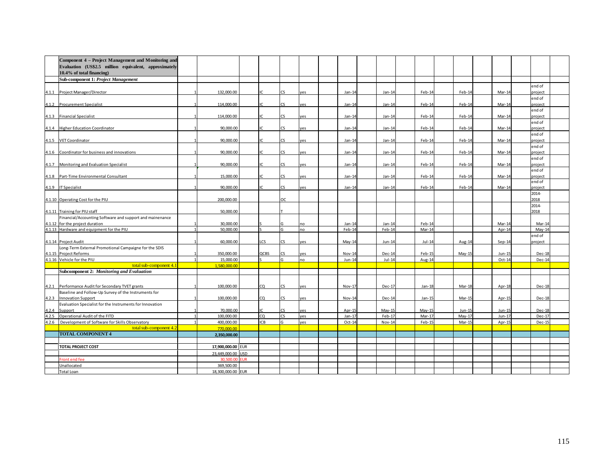|       | Component 4 - Project Management and Monitoring and<br>Evaluation (US\$2.5 million equivalent, approximately |                            |            |             |     |     |          |          |          |          |           |                   |  |
|-------|--------------------------------------------------------------------------------------------------------------|----------------------------|------------|-------------|-----|-----|----------|----------|----------|----------|-----------|-------------------|--|
|       | 10.4% of total financing)                                                                                    |                            |            |             |     |     |          |          |          |          |           |                   |  |
|       | <b>Sub-component 1: Project Management</b>                                                                   |                            |            |             |     |     |          |          |          |          |           |                   |  |
|       |                                                                                                              |                            |            |             |     |     |          |          |          |          |           | end of            |  |
|       | 4.1.1 Project Manager/Director                                                                               | 132.000.00                 |            | ю           | CS. | ves | $Jan-14$ | $Jan-14$ | Feb-14   | Feb-14   | Mar-14    | project           |  |
|       |                                                                                                              |                            |            |             |     |     |          |          |          |          |           | end of            |  |
|       | 4.1.2 Procurement Specialist                                                                                 | 114,000.00                 |            | ١C          | CS. | yes | $Jan-14$ | $Jan-14$ | Feb-14   | Feb-14   | $Mar-14$  | project           |  |
|       |                                                                                                              |                            |            |             |     |     |          |          |          |          |           | end of            |  |
|       | 4.1.3 Financial Specialist                                                                                   | 114,000.00                 |            |             | CS. | ves | $Jan-14$ | $Jan-14$ | Feb-14   | Feb-14   | Mar-1     | project           |  |
|       |                                                                                                              | 90.000.00                  |            |             | CS. | ves |          |          |          | Feb-14   | Mar-14    | end of            |  |
|       | 4.1.4 Higher Education Coordinator                                                                           |                            |            |             |     |     | $Jan-14$ | $Jan-14$ | Feb-14   |          |           | project<br>end of |  |
|       | 4.1.5 VET Coordinator                                                                                        | 90,000.00                  |            | IC.         | CS  | yes | $Jan-14$ | Jan-14   | Feb-14   | Feb-14   | Mar-14    | project           |  |
|       |                                                                                                              |                            |            |             |     |     |          |          |          |          |           | end of            |  |
|       | 4.1.6 Coordinator for business and innovations                                                               | 90,000,00                  |            |             | ~م  | ves | $Jan-14$ | $Jan-14$ | Feb-14   | Feb-14   | Mar-14    | project           |  |
|       |                                                                                                              |                            |            |             |     |     |          |          |          |          |           | end of            |  |
|       | 4.1.7 Monitoring and Evaluation Specialist                                                                   | 90.000.00                  |            | IC.         | CS. | ves | $Jan-14$ | $Jan-14$ | Feb-14   | Feb-14   | Mar-14    | oroiect           |  |
|       |                                                                                                              |                            |            |             |     |     |          |          |          |          |           | end of            |  |
|       | 4.1.8 Part-Time Environmental Consultant                                                                     | 15,000.00                  |            | IC.         | CS. | es  | $Jan-14$ | $Jan-14$ | Feb-14   | Feb-14   | Mar-14    | project<br>end of |  |
|       | 4.1.9 IT Specialist                                                                                          | 90.000.00                  |            |             | CS. | ves | $Jan-14$ | $Jan-14$ | Feb-14   | Feb-14   | Mar-14    | project           |  |
|       |                                                                                                              |                            |            |             |     |     |          |          |          |          |           | 2014-             |  |
|       | 4.1.10 Operating Cost for the PIU                                                                            | 200,000.00                 |            |             | ос  |     |          |          |          |          |           | 2018              |  |
|       |                                                                                                              |                            |            |             |     |     |          |          |          |          |           | 2014-             |  |
|       | 4.1.11 Training for PIU staff                                                                                | 50,000.00                  |            |             |     |     |          |          |          |          |           | 2018              |  |
|       | Financial/Accounting Software and support and mainenance                                                     |                            |            |             |     |     |          |          |          |          |           |                   |  |
|       | 4.1.12 for the project duration                                                                              | 30,000.00                  |            |             |     | no  | $Jan-14$ | $Jan-14$ | Feb-14   |          | Mar-14    | Mar-14            |  |
|       | 4.1.13 Hardware and equipment for the PIU                                                                    | 50,000.00                  |            |             |     | no  | Feb-14   | Feb-14   | Mar-14   |          | Apr-14    | $May-14$          |  |
|       |                                                                                                              |                            |            | LCS         |     |     |          |          |          |          |           | end of            |  |
|       | 4.1.14 Project Audit<br>Long-Term External Promotional Campaigne for the SDIS                                | 60,000.00                  |            |             | CS. | ves | $May-14$ | Jun-14   | $Jul-14$ | Aug-14   | $Sep-14$  | project           |  |
|       | 4.1.15 Project Reforms                                                                                       | 350,000.00                 |            | <b>QCBS</b> | CS. | yes | Nov-14   | Dec-14   | Feb-15   | $May-15$ | Jun-15    | Dec-18            |  |
|       | 4.1.16 Vehicle for the PIU                                                                                   | 15,000.00                  |            |             |     | no  | Jun-14   | $Jul-14$ | Aug-14   |          | Oct-14    | <b>Dec-14</b>     |  |
|       | total sub-component 4.1                                                                                      | 1.580.000.00               |            |             |     |     |          |          |          |          |           |                   |  |
|       | Subcomponent 2: Monitoring and Evaluation                                                                    |                            |            |             |     |     |          |          |          |          |           |                   |  |
|       |                                                                                                              |                            |            |             |     |     |          |          |          |          |           |                   |  |
| 4.2.1 | Performance Audit for Secondary TVET grants                                                                  | 100,000,00                 |            | CQ          | CS. | ves | Nov-1    | $Dec-17$ | Jan-18   | Mar-18   | Apr- $18$ | $Dec-18$          |  |
|       | Baseline and Follow-Up Survey of the Instruments for                                                         |                            |            |             |     |     |          |          |          |          |           |                   |  |
| 4.2.3 | <b>Innovation Support</b>                                                                                    | 100,000.00                 |            | CQ          | CS. | yes | Nov-14   | Dec-14   | Jan-15   | Mar-15   | Apr-15    | $Dec-18$          |  |
|       | Evaluation Specialist for the Instruments for Innovation                                                     |                            |            |             |     |     |          |          |          |          |           |                   |  |
| 4.2.4 | Support                                                                                                      | 70,000.00                  |            |             |     | ves | Apr-15   | $May-15$ | May-15   | Jun-15   | Jun-15    | $Dec-18$          |  |
| 4.2.5 | Operational Audit of the FITD                                                                                | 100,000.00                 |            | cQ          | CS  | ves | $Jan-17$ | Feb-17   | Mar-17   | $May-17$ | $Jun-17$  | $Dec-17$          |  |
| 4.2.6 | Development of Software for Skills Observatory<br>total sub-component 4.2                                    | 400,000,00                 |            | ICB         |     | ves | Oct-14   | Nov-14   | Feb-15   | Mar-15   | Apr-15    | Dec-15            |  |
|       | <b>TOTAL COMPONENT 4</b>                                                                                     | 770.000.00<br>2,350,000.00 |            |             |     |     |          |          |          |          |           |                   |  |
|       |                                                                                                              |                            |            |             |     |     |          |          |          |          |           |                   |  |
|       | <b>TOTAL PROJECT COST</b>                                                                                    | 17,900,000.00 EUR          |            |             |     |     |          |          |          |          |           |                   |  |
|       |                                                                                                              | 23.449.000.00              | <b>USD</b> |             |     |     |          |          |          |          |           |                   |  |
|       | Front end fee                                                                                                | 30.500.0                   | UR         |             |     |     |          |          |          |          |           |                   |  |
|       | Unallocated                                                                                                  | 369,500.00                 |            |             |     |     |          |          |          |          |           |                   |  |
|       | Total Loan                                                                                                   | 18,300,000.00 EUR          |            |             |     |     |          |          |          |          |           |                   |  |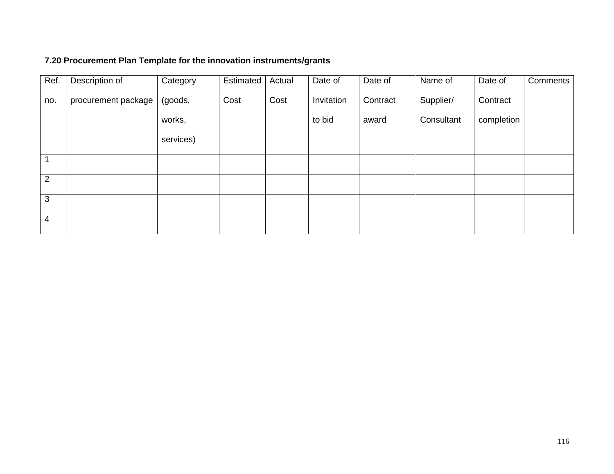# **7.20 Procurement Plan Template for the innovation instruments/grants**

| Ref.           | Description of      | Category  | Estimated | Actual | Date of    | Date of  | Name of    | Date of    | Comments |
|----------------|---------------------|-----------|-----------|--------|------------|----------|------------|------------|----------|
| no.            | procurement package | (goods,   | Cost      | Cost   | Invitation | Contract | Supplier/  | Contract   |          |
|                |                     | works,    |           |        | to bid     | award    | Consultant | completion |          |
|                |                     | services) |           |        |            |          |            |            |          |
|                |                     |           |           |        |            |          |            |            |          |
| 2              |                     |           |           |        |            |          |            |            |          |
| 3              |                     |           |           |        |            |          |            |            |          |
| $\overline{4}$ |                     |           |           |        |            |          |            |            |          |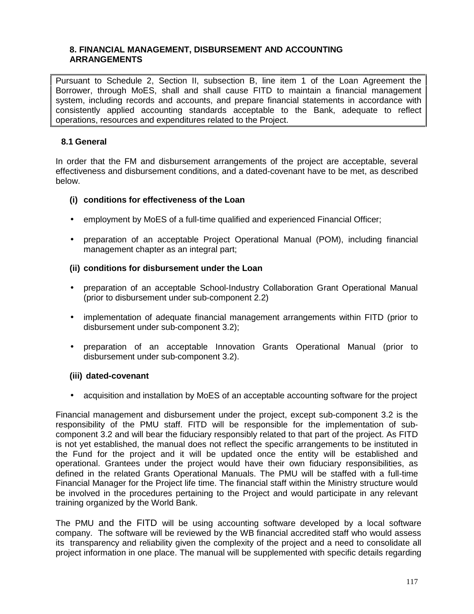## **8. FINANCIAL MANAGEMENT, DISBURSEMENT AND ACCOUNTING ARRANGEMENTS**

Pursuant to Schedule 2, Section II, subsection B, line item 1 of the Loan Agreement the Borrower, through MoES, shall and shall cause FITD to maintain a financial management system, including records and accounts, and prepare financial statements in accordance with consistently applied accounting standards acceptable to the Bank, adequate to reflect operations, resources and expenditures related to the Project.

## **8.1 General**

In order that the FM and disbursement arrangements of the project are acceptable, several effectiveness and disbursement conditions, and a dated-covenant have to be met, as described below.

#### **(i) conditions for effectiveness of the Loan**

- employment by MoES of a full-time qualified and experienced Financial Officer;
- preparation of an acceptable Project Operational Manual (POM), including financial management chapter as an integral part;

#### **(ii) conditions for disbursement under the Loan**

- preparation of an acceptable School-Industry Collaboration Grant Operational Manual (prior to disbursement under sub-component 2.2)
- implementation of adequate financial management arrangements within FITD (prior to disbursement under sub-component 3.2);
- preparation of an acceptable Innovation Grants Operational Manual (prior to disbursement under sub-component 3.2).

#### **(iii) dated-covenant**

• acquisition and installation by MoES of an acceptable accounting software for the project

Financial management and disbursement under the project, except sub-component 3.2 is the responsibility of the PMU staff. FITD will be responsible for the implementation of sub component 3.2 and will bear the fiduciary responsibly related to that part of the project. As FITD is not yet established, the manual does not reflect the specific arrangements to be instituted in the Fund for the project and it will be updated once the entity will be established and operational. Grantees under the project would have their own fiduciary responsibilities, as defined in the related Grants Operational Manuals. The PMU will be staffed with a full-time Financial Manager for the Project life time. The financial staff within the Ministry structure would be involved in the procedures pertaining to the Project and would participate in any relevant training organized by the World Bank.

The PMU and the FITD will be using accounting software developed by a local software company. The software will be reviewed by the WB financial accredited staff who would assess its transparency and reliability given the complexity of the project and a need to consolidate all project information in one place. The manual will be supplemented with specific details regarding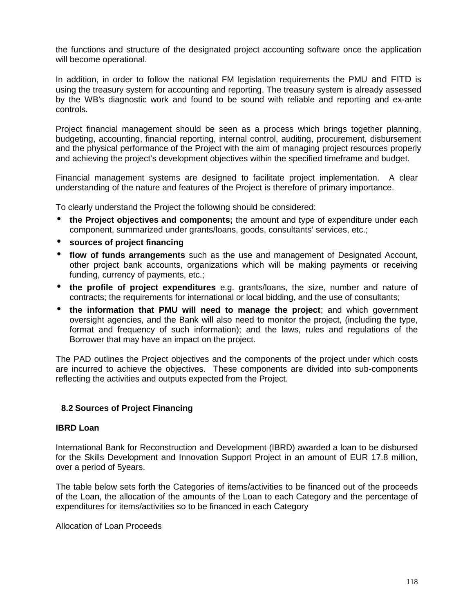the functions and structure of the designated project accounting software once the application will become operational.

In addition, in order to follow the national FM legislation requirements the PMU and FITD is using the treasury system for accounting and reporting. The treasury system is already assessed by the WB's diagnostic work and found to be sound with reliable and reporting and ex-ante controls.

Project financial management should be seen as a process which brings together planning, budgeting, accounting, financial reporting, internal control, auditing, procurement, disbursement and the physical performance of the Project with the aim of managing project resources properly and achieving the project's development objectives within the specified timeframe and budget.

Financial management systems are designed to facilitate project implementation. A clear understanding of the nature and features of the Project is therefore of primary importance.

To clearly understand the Project the following should be considered:

- **the Project objectives and components;** the amount and type of expenditure under each component, summarized under grants/loans, goods, consultants' services, etc.;
- **sources of project financing**
- **flow of funds arrangements** such as the use and management of Designated Account, other project bank accounts, organizations which will be making payments or receiving funding, currency of payments, etc.;
- **the profile of project expenditures** e.g. grants/loans, the size, number and nature of contracts; the requirements for international or local bidding, and the use of consultants;
- **the information that PMU will need to manage the project**; and which government oversight agencies, and the Bank will also need to monitor the project, (including the type, format and frequency of such information); and the laws, rules and regulations of the Borrower that may have an impact on the project.

The PAD outlines the Project objectives and the components of the project under which costs are incurred to achieve the objectives. These components are divided into sub-components reflecting the activities and outputs expected from the Project.

#### **8.2 Sources of Project Financing**

#### **IBRD Loan**

International Bank for Reconstruction and Development (IBRD) awarded a loan to be disbursed for the Skills Development and Innovation Support Project in an amount of EUR 17.8 million, over a period of 5years.

The table below sets forth the Categories of items/activities to be financed out of the proceeds of the Loan, the allocation of the amounts of the Loan to each Category and the percentage of expenditures for items/activities so to be financed in each Category

Allocation of Loan Proceeds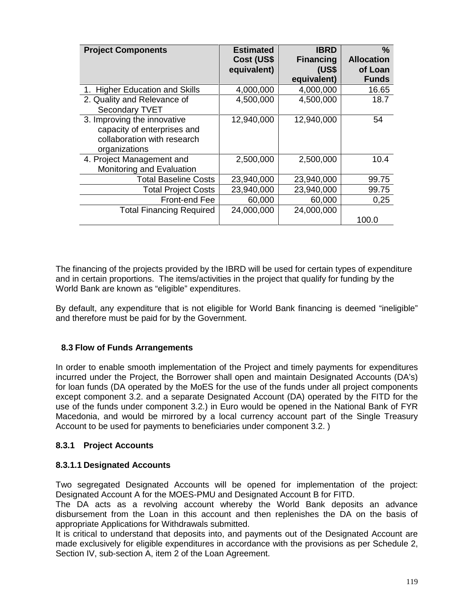| <b>Project Components</b>       | <b>Estimated</b> | <b>IBRD</b>      | $\frac{0}{0}$     |
|---------------------------------|------------------|------------------|-------------------|
|                                 | Cost (US\$       | <b>Financing</b> | <b>Allocation</b> |
|                                 | equivalent)      | (US\$            | of Loan           |
|                                 |                  | equivalent)      | <b>Funds</b>      |
| 1. Higher Education and Skills  | 4,000,000        | 4,000,000        | 16.65             |
| 2. Quality and Relevance of     | 4,500,000        | 4,500,000        | 18.7              |
| Secondary TVET                  |                  |                  |                   |
| 3. Improving the innovative     | 12,940,000       | 12,940,000       | 54                |
| capacity of enterprises and     |                  |                  |                   |
| collaboration with research     |                  |                  |                   |
| organizations                   |                  |                  |                   |
| 4. Project Management and       | 2,500,000        | 2,500,000        | 10.4              |
| Monitoring and Evaluation       |                  |                  |                   |
| <b>Total Baseline Costs</b>     | 23,940,000       | 23,940,000       | 99.75             |
| <b>Total Project Costs</b>      | 23,940,000       | 23,940,000       | 99.75             |
| Front-end Fee                   | 60,000           | 60,000           | 0,25              |
| <b>Total Financing Required</b> | 24,000,000       | 24,000,000       |                   |
|                                 |                  |                  | 100.0             |

The financing of the projects provided by the IBRD will be used for certain types of expenditure and in certain proportions. The items/activities in the project that qualify for funding by the World Bank are known as "eligible" expenditures.

By default, any expenditure that is not eligible for World Bank financing is deemed "ineligible" and therefore must be paid for by the Government.

## **8.3 Flow of Funds Arrangements**

In order to enable smooth implementation of the Project and timely payments for expenditures incurred under the Project, the Borrower shall open and maintain Designated Accounts (DA's) for loan funds (DA operated by the MoES for the use of the funds under all project components except component 3.2. and a separate Designated Account (DA) operated by the FITD for the use of the funds under component 3.2.) in Euro would be opened in the National Bank of FYR Macedonia, and would be mirrored by a local currency account part of the Single Treasury Account to be used for payments to beneficiaries under component 3.2. )

## **8.3.1 Project Accounts**

## **8.3.1.1 Designated Accounts**

Two segregated Designated Accounts will be opened for implementation of the project: Designated Account A for the MOES-PMU and Designated Account B for FITD.

The DA acts as a revolving account whereby the World Bank deposits an advance disbursement from the Loan in this account and then replenishes the DA on the basis of appropriate Applications for Withdrawals submitted.

It is critical to understand that deposits into, and payments out of the Designated Account are made exclusively for eligible expenditures in accordance with the provisions as per Schedule 2, Section IV, sub-section A, item 2 of the Loan Agreement.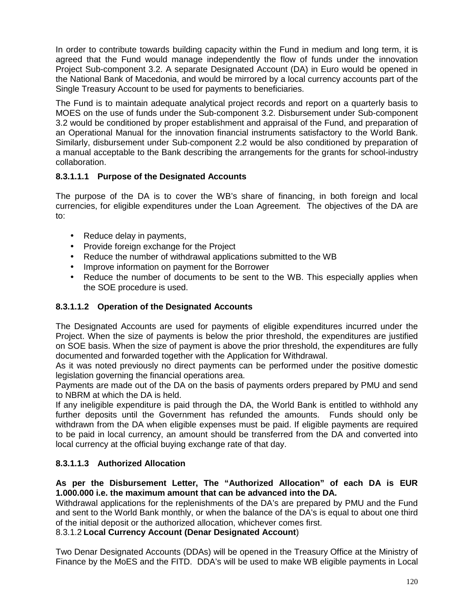In order to contribute towards building capacity within the Fund in medium and long term, it is agreed that the Fund would manage independently the flow of funds under the innovation Project Sub-component 3.2. A separate Designated Account (DA) in Euro would be opened in the National Bank of Macedonia, and would be mirrored by a local currency accounts part of the Single Treasury Account to be used for payments to beneficiaries.

The Fund is to maintain adequate analytical project records and report on a quarterly basis to MOES on the use of funds under the Sub-component 3.2. Disbursement under Sub-component 3.2 would be conditioned by proper establishment and appraisal of the Fund, and preparation of an Operational Manual for the innovation financial instruments satisfactory to the World Bank. Similarly, disbursement under Sub-component 2.2 would be also conditioned by preparation of a manual acceptable to the Bank describing the arrangements for the grants for school-industry collaboration.

## **8.3.1.1.1 Purpose of the Designated Accounts**

The purpose of the DA is to cover the WB's share of financing, in both foreign and local currencies, for eligible expenditures under the Loan Agreement. The objectives of the DA are to:

- Reduce delay in payments,
- Provide foreign exchange for the Project
- Reduce the number of withdrawal applications submitted to the WB
- Improve information on payment for the Borrower
- Reduce the number of documents to be sent to the WB. This especially applies when the SOE procedure is used.

## **8.3.1.1.2 Operation of the Designated Accounts**

The Designated Accounts are used for payments of eligible expenditures incurred under the Project. When the size of payments is below the prior threshold, the expenditures are justified on SOE basis. When the size of payment is above the prior threshold, the expenditures are fully documented and forwarded together with the Application for Withdrawal.

As it was noted previously no direct payments can be performed under the positive domestic legislation governing the financial operations area.

Payments are made out of the DA on the basis of payments orders prepared by PMU and send to NBRM at which the DA is held.

If any ineligible expenditure is paid through the DA, the World Bank is entitled to withhold any further deposits until the Government has refunded the amounts. Funds should only be withdrawn from the DA when eligible expenses must be paid. If eligible payments are required to be paid in local currency, an amount should be transferred from the DA and converted into local currency at the official buying exchange rate of that day.

## **8.3.1.1.3 Authorized Allocation**

## **As per the Disbursement Letter, The "Authorized Allocation" of each DA is EUR 1.000.000 i.e. the maximum amount that can be advanced into the DA.**

Withdrawal applications for the replenishments of the DA's are prepared by PMU and the Fund and sent to the World Bank monthly, or when the balance of the DA's is equal to about one third of the initial deposit or the authorized allocation, whichever comes first.

8.3.1.2 **Local Currency Account (Denar Designated Account**)

Two Denar Designated Accounts (DDAs) will be opened in the Treasury Office at the Ministry of Finance by the MoES and the FITD. DDA's will be used to make WB eligible payments in Local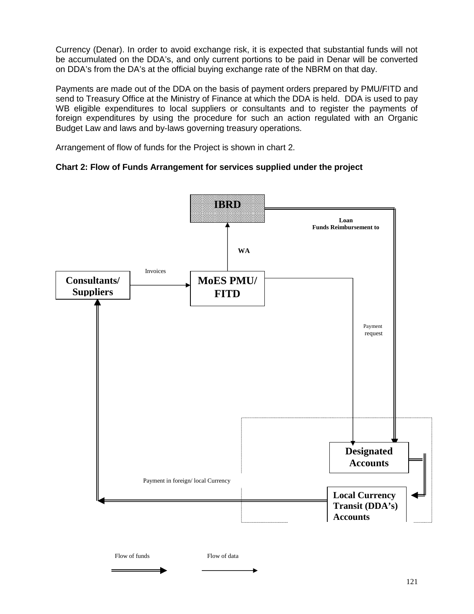Currency (Denar). In order to avoid exchange risk, it is expected that substantial funds will not be accumulated on the DDA's, and only current portions to be paid in Denar will be converted on DDA's from the DA's at the official buying exchange rate of the NBRM on that day.

Payments are made out of the DDA on the basis of payment orders prepared by PMU/FITD and send to Treasury Office at the Ministry of Finance at which the DDA is held. DDA is used to pay WB eligible expenditures to local suppliers or consultants and to register the payments of foreign expenditures by using the procedure for such an action regulated with an Organic Budget Law and laws and by-laws governing treasury operations.

Arrangement of flow of funds for the Project is shown in chart 2.

## **Chart 2: Flow of Funds Arrangement for services supplied under the project**

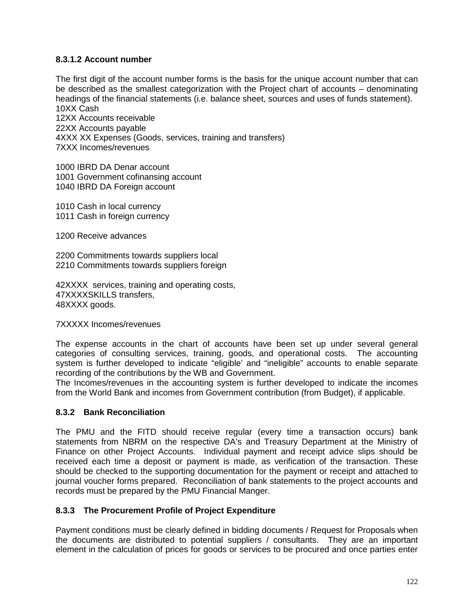## **8.3.1.2 Account number**

The first digit of the account number forms is the basis for the unique account number that can be described as the smallest categorization with the Project chart of accounts – denominating headings of the financial statements (i.e. balance sheet, sources and uses of funds statement). 10XX Cash

12XX Accounts receivable 22XX Accounts payable 4XXX XX Expenses (Goods, services, training and transfers) 7XXX Incomes/revenues

1000 IBRD DA Denar account 1001 Government cofinansing account 1040 IBRD DA Foreign account

1010 Cash in local currency 1011 Cash in foreign currency

1200 Receive advances

2200 Commitments towards suppliers local 2210 Commitments towards suppliers foreign

42XXXX services, training and operating costs, 47XXXXSKILLS transfers, 48XXXX goods.

7XXXXX Incomes/revenues

The expense accounts in the chart of accounts have been set up under several general categories of consulting services, training, goods, and operational costs. The accounting system is further developed to indicate "eligible' and "ineligible" accounts to enable separate recording of the contributions by the WB and Government.

The Incomes/revenues in the accounting system is further developed to indicate the incomes from the World Bank and incomes from Government contribution (from Budget), if applicable.

## **8.3.2 Bank Reconciliation**

The PMU and the FITD should receive regular (every time a transaction occurs) bank statements from NBRM on the respective DA's and Treasury Department at the Ministry of Finance on other Project Accounts. Individual payment and receipt advice slips should be received each time a deposit or payment is made, as verification of the transaction. These should be checked to the supporting documentation for the payment or receipt and attached to journal voucher forms prepared. Reconciliation of bank statements to the project accounts and records must be prepared by the PMU Financial Manger.

## **8.3.3 The Procurement Profile of Project Expenditure**

Payment conditions must be clearly defined in bidding documents / Request for Proposals when the documents are distributed to potential suppliers / consultants. They are an important element in the calculation of prices for goods or services to be procured and once parties enter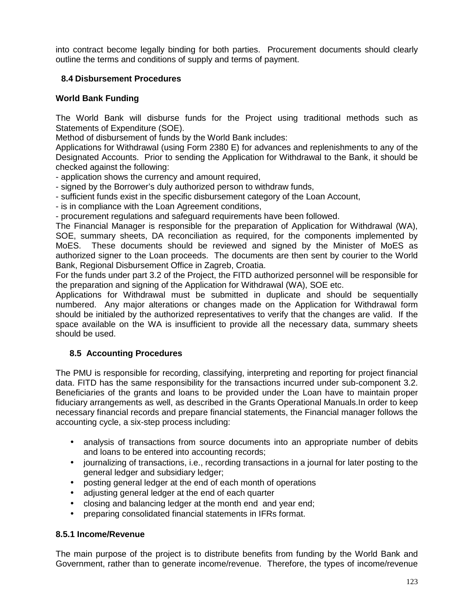into contract become legally binding for both parties. Procurement documents should clearly outline the terms and conditions of supply and terms of payment.

# **8.4 Disbursement Procedures**

# **World Bank Funding**

The World Bank will disburse funds for the Project using traditional methods such as Statements of Expenditure (SOE).

Method of disbursement of funds by the World Bank includes:

Applications for Withdrawal (using Form 2380 E) for advances and replenishments to any of the Designated Accounts. Prior to sending the Application for Withdrawal to the Bank, it should be checked against the following:

- application shows the currency and amount required,

- signed by the Borrower's duly authorized person to withdraw funds,
- sufficient funds exist in the specific disbursement category of the Loan Account,
- is in compliance with the Loan Agreement conditions,

- procurement regulations and safeguard requirements have been followed.

The Financial Manager is responsible for the preparation of Application for Withdrawal (WA), SOE, summary sheets, DA reconciliation as required, for the components implemented by MoES. These documents should be reviewed and signed by the Minister of MoES as authorized signer to the Loan proceeds. The documents are then sent by courier to the World Bank, Regional Disbursement Office in Zagreb, Croatia.

For the funds under part 3.2 of the Project, the FITD authorized personnel will be responsible for the preparation and signing of the Application for Withdrawal (WA), SOE etc.

Applications for Withdrawal must be submitted in duplicate and should be sequentially numbered. Any major alterations or changes made on the Application for Withdrawal form should be initialed by the authorized representatives to verify that the changes are valid. If the space available on the WA is insufficient to provide all the necessary data, summary sheets should be used.

# **8.5 Accounting Procedures**

The PMU is responsible for recording, classifying, interpreting and reporting for project financial data. FITD has the same responsibility for the transactions incurred under sub-component 3.2. Beneficiaries of the grants and loans to be provided under the Loan have to maintain proper fiduciary arrangements as well, as described in the Grants Operational Manuals.In order to keep necessary financial records and prepare financial statements, the Financial manager follows the accounting cycle, a six-step process including:

- analysis of transactions from source documents into an appropriate number of debits and loans to be entered into accounting records;
- journalizing of transactions, i.e., recording transactions in a journal for later posting to the general ledger and subsidiary ledger;
- posting general ledger at the end of each month of operations
- adjusting general ledger at the end of each quarter
- closing and balancing ledger at the month end and year end;
- preparing consolidated financial statements in IFRs format.

## **8.5.1 Income/Revenue**

The main purpose of the project is to distribute benefits from funding by the World Bank and Government, rather than to generate income/revenue. Therefore, the types of income/revenue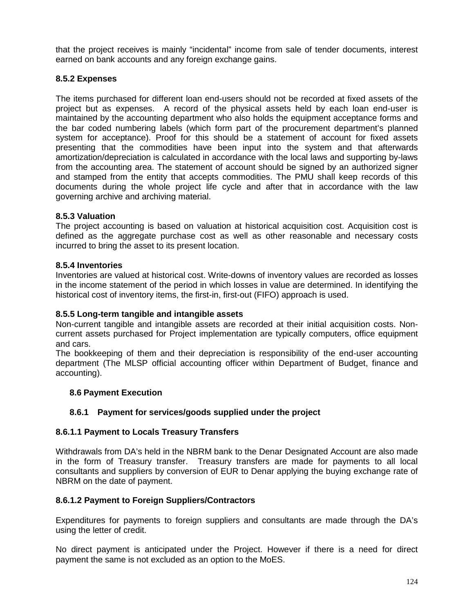that the project receives is mainly "incidental" income from sale of tender documents, interest earned on bank accounts and any foreign exchange gains.

## **8.5.2 Expenses**

The items purchased for different loan end-users should not be recorded at fixed assets of the project but as expenses. A record of the physical assets held by each loan end-user is maintained by the accounting department who also holds the equipment acceptance forms and the bar coded numbering labels (which form part of the procurement department's planned system for acceptance). Proof for this should be a statement of account for fixed assets presenting that the commodities have been input into the system and that afterwards amortization/depreciation is calculated in accordance with the local laws and supporting by-laws from the accounting area. The statement of account should be signed by an authorized signer and stamped from the entity that accepts commodities. The PMU shall keep records of this documents during the whole project life cycle and after that in accordance with the law governing archive and archiving material.

## **8.5.3 Valuation**

The project accounting is based on valuation at historical acquisition cost. Acquisition cost is defined as the aggregate purchase cost as well as other reasonable and necessary costs incurred to bring the asset to its present location.

## **8.5.4 Inventories**

Inventories are valued at historical cost. Write-downs of inventory values are recorded as losses in the income statement of the period in which losses in value are determined. In identifying the historical cost of inventory items, the first-in, first-out (FIFO) approach is used.

## **8.5.5 Long-term tangible and intangible assets**

Non-current tangible and intangible assets are recorded at their initial acquisition costs. Non current assets purchased for Project implementation are typically computers, office equipment and cars.

The bookkeeping of them and their depreciation is responsibility of the end-user accounting department (The MLSP official accounting officer within Department of Budget, finance and accounting).

## **8.6 Payment Execution**

## **8.6.1 Payment for services/goods supplied under the project**

## **8.6.1.1 Payment to Locals Treasury Transfers**

Withdrawals from DA's held in the NBRM bank to the Denar Designated Account are also made in the form of Treasury transfer. Treasury transfers are made for payments to all local consultants and suppliers by conversion of EUR to Denar applying the buying exchange rate of NBRM on the date of payment.

## **8.6.1.2 Payment to Foreign Suppliers/Contractors**

Expenditures for payments to foreign suppliers and consultants are made through the DA's using the letter of credit.

No direct payment is anticipated under the Project. However if there is a need for direct payment the same is not excluded as an option to the MoES.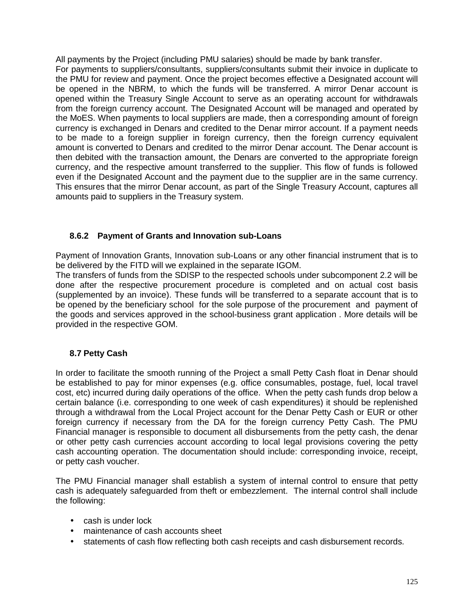All payments by the Project (including PMU salaries) should be made by bank transfer.

For payments to suppliers/consultants, suppliers/consultants submit their invoice in duplicate to the PMU for review and payment. Once the project becomes effective a Designated account will be opened in the NBRM, to which the funds will be transferred. A mirror Denar account is opened within the Treasury Single Account to serve as an operating account for withdrawals from the foreign currency account. The Designated Account will be managed and operated by the MoES. When payments to local suppliers are made, then a corresponding amount of foreign currency is exchanged in Denars and credited to the Denar mirror account. If a payment needs to be made to a foreign supplier in foreign currency, then the foreign currency equivalent amount is converted to Denars and credited to the mirror Denar account. The Denar account is then debited with the transaction amount, the Denars are converted to the appropriate foreign currency, and the respective amount transferred to the supplier. This flow of funds is followed even if the Designated Account and the payment due to the supplier are in the same currency. This ensures that the mirror Denar account, as part of the Single Treasury Account, captures all amounts paid to suppliers in the Treasury system.

## **8.6.2 Payment of Grants and Innovation sub-Loans**

Payment of Innovation Grants, Innovation sub-Loans or any other financial instrument that is to be delivered by the FITD will we explained in the separate IGOM.

The transfers of funds from the SDISP to the respected schools under subcomponent 2.2 will be done after the respective procurement procedure is completed and on actual cost basis (supplemented by an invoice). These funds will be transferred to a separate account that is to be opened by the beneficiary school for the sole purpose of the procurement and payment of the goods and services approved in the school-business grant application . More details will be provided in the respective GOM.

# **8.7 Petty Cash**

In order to facilitate the smooth running of the Project a small Petty Cash float in Denar should be established to pay for minor expenses (e.g. office consumables, postage, fuel, local travel cost, etc) incurred during daily operations of the office. When the petty cash funds drop below a certain balance (i.e. corresponding to one week of cash expenditures) it should be replenished through a withdrawal from the Local Project account for the Denar Petty Cash or EUR or other foreign currency if necessary from the DA for the foreign currency Petty Cash. The PMU Financial manager is responsible to document all disbursements from the petty cash, the denar or other petty cash currencies account according to local legal provisions covering the petty cash accounting operation. The documentation should include: corresponding invoice, receipt, or petty cash voucher.

The PMU Financial manager shall establish a system of internal control to ensure that petty cash is adequately safeguarded from theft or embezzlement. The internal control shall include the following:

- cash is under lock
- maintenance of cash accounts sheet
- statements of cash flow reflecting both cash receipts and cash disbursement records.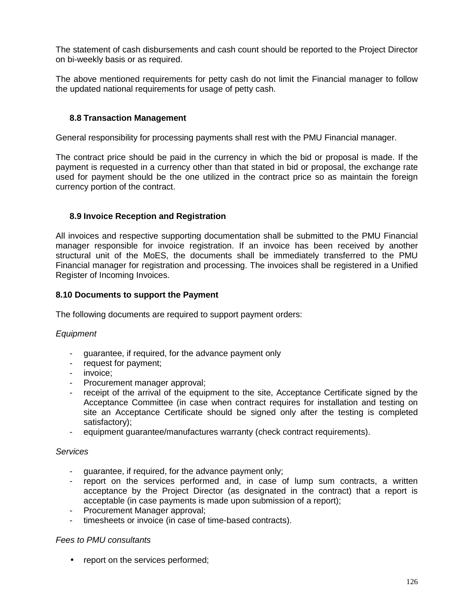The statement of cash disbursements and cash count should be reported to the Project Director on bi-weekly basis or as required.

The above mentioned requirements for petty cash do not limit the Financial manager to follow the updated national requirements for usage of petty cash.

## **8.8 Transaction Management**

General responsibility for processing payments shall rest with the PMU Financial manager.

The contract price should be paid in the currency in which the bid or proposal is made. If the payment is requested in a currency other than that stated in bid or proposal, the exchange rate used for payment should be the one utilized in the contract price so as maintain the foreign currency portion of the contract.

#### **8.9 Invoice Reception and Registration**

All invoices and respective supporting documentation shall be submitted to the PMU Financial manager responsible for invoice registration. If an invoice has been received by another structural unit of the MoES, the documents shall be immediately transferred to the PMU Financial manager for registration and processing. The invoices shall be registered in a Unified Register of Incoming Invoices.

#### **8.10 Documents to support the Payment**

The following documents are required to support payment orders:

#### *Equipment*

- guarantee, if required, for the advance payment only
- request for payment;
- invoice;
- Procurement manager approval;
- receipt of the arrival of the equipment to the site, Acceptance Certificate signed by the Acceptance Committee (in case when contract requires for installation and testing on site an Acceptance Certificate should be signed only after the testing is completed satisfactory);
- equipment guarantee/manufactures warranty (check contract requirements).

#### *Services*

- guarantee, if required, for the advance payment only;
- report on the services performed and, in case of lump sum contracts, a written acceptance by the Project Director (as designated in the contract) that a report is acceptable (in case payments is made upon submission of a report);
- Procurement Manager approval;
- timesheets or invoice (in case of time-based contracts).

#### *Fees to PMU consultants*

• report on the services performed;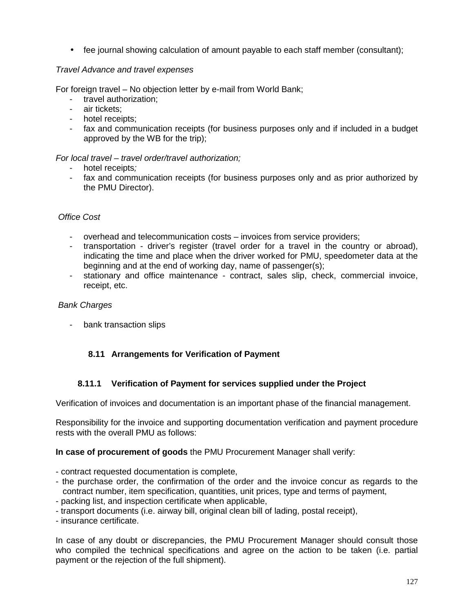• fee journal showing calculation of amount payable to each staff member (consultant);

## *Travel Advance and travel expenses*

For foreign travel – No objection letter by e-mail from World Bank;

- travel authorization;
- air tickets;
- hotel receipts;
- fax and communication receipts (for business purposes only and if included in a budget approved by the WB for the trip);

## *For local travel – travel order/travel authorization;*

- hotel receipts*;*
- fax and communication receipts (for business purposes only and as prior authorized by the PMU Director).

## *Office Cost*

- overhead and telecommunication costs invoices from service providers;
- transportation driver's register (travel order for a travel in the country or abroad), indicating the time and place when the driver worked for PMU, speedometer data at the beginning and at the end of working day, name of passenger(s);
- stationary and office maintenance contract, sales slip, check, commercial invoice, receipt, etc.

#### *Bank Charges*

- bank transaction slips

# **8.11 Arrangements for Verification of Payment**

## **8.11.1 Verification of Payment for services supplied under the Project**

Verification of invoices and documentation is an important phase of the financial management.

Responsibility for the invoice and supporting documentation verification and payment procedure rests with the overall PMU as follows:

## **In case of procurement of goods** the PMU Procurement Manager shall verify:

- contract requested documentation is complete,
- the purchase order, the confirmation of the order and the invoice concur as regards to the contract number, item specification, quantities, unit prices, type and terms of payment,
- packing list, and inspection certificate when applicable,
- transport documents (i.e. airway bill, original clean bill of lading, postal receipt),
- insurance certificate.

In case of any doubt or discrepancies, the PMU Procurement Manager should consult those who compiled the technical specifications and agree on the action to be taken (i.e. partial payment or the rejection of the full shipment).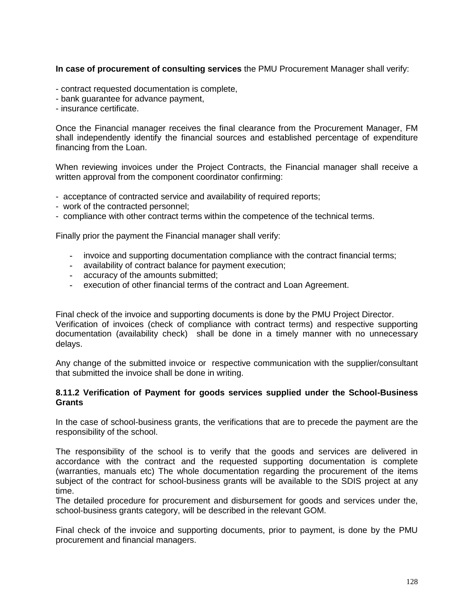## **In case of procurement of consulting services** the PMU Procurement Manager shall verify:

- contract requested documentation is complete,
- bank guarantee for advance payment,
- insurance certificate.

Once the Financial manager receives the final clearance from the Procurement Manager, FM shall independently identify the financial sources and established percentage of expenditure financing from the Loan.

When reviewing invoices under the Project Contracts, the Financial manager shall receive a written approval from the component coordinator confirming:

- acceptance of contracted service and availability of required reports;
- work of the contracted personnel;
- compliance with other contract terms within the competence of the technical terms.

Finally prior the payment the Financial manager shall verify:

- **-** invoice and supporting documentation compliance with the contract financial terms;
- **-** availability of contract balance for payment execution;
- **-** accuracy of the amounts submitted;
- **-** execution of other financial terms of the contract and Loan Agreement.

Final check of the invoice and supporting documents is done by the PMU Project Director. Verification of invoices (check of compliance with contract terms) and respective supporting documentation (availability check) shall be done in a timely manner with no unnecessary delays.

Any change of the submitted invoice or respective communication with the supplier/consultant that submitted the invoice shall be done in writing.

#### **8.11.2 Verification of Payment for goods services supplied under the School-Business Grants**

In the case of school-business grants, the verifications that are to precede the payment are the responsibility of the school.

The responsibility of the school is to verify that the goods and services are delivered in accordance with the contract and the requested supporting documentation is complete (warranties, manuals etc) The whole documentation regarding the procurement of the items subject of the contract for school-business grants will be available to the SDIS project at any time.

The detailed procedure for procurement and disbursement for goods and services under the, school-business grants category, will be described in the relevant GOM.

Final check of the invoice and supporting documents, prior to payment, is done by the PMU procurement and financial managers.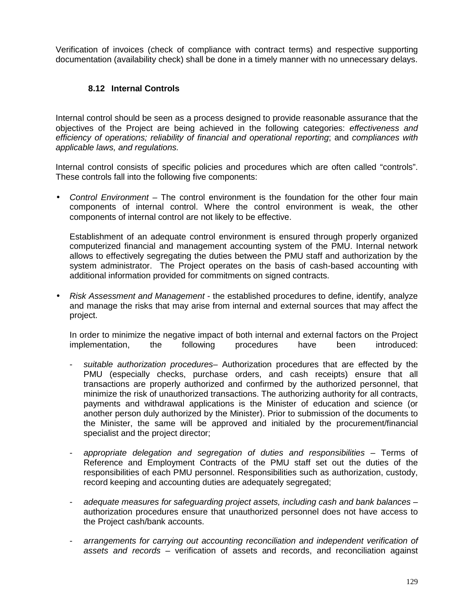Verification of invoices (check of compliance with contract terms) and respective supporting documentation (availability check) shall be done in a timely manner with no unnecessary delays.

## **8.12 Internal Controls**

Internal control should be seen as a process designed to provide reasonable assurance that the objectives of the Project are being achieved in the following categories: *effectiveness and efficiency of operations; reliability of financial and operational reporting*; and *compliances with applicable laws, and regulations.*

Internal control consists of specific policies and procedures which are often called "controls". These controls fall into the following five components:

 *Control Environment* – The control environment is the foundation for the other four main components of internal control. Where the control environment is weak, the other components of internal control are not likely to be effective.

Establishment of an adequate control environment is ensured through properly organized computerized financial and management accounting system of the PMU. Internal network allows to effectively segregating the duties between the PMU staff and authorization by the system administrator. The Project operates on the basis of cash-based accounting with additional information provided for commitments on signed contracts.

 *Risk Assessment and Management* - the established procedures to define, identify, analyze and manage the risks that may arise from internal and external sources that may affect the project.

In order to minimize the negative impact of both internal and external factors on the Project<br>
implementation, 
the following procedures have been introduced: implementation,

- *suitable authorization procedures* Authorization procedures that are effected by the PMU (especially checks, purchase orders, and cash receipts) ensure that all transactions are properly authorized and confirmed by the authorized personnel, that minimize the risk of unauthorized transactions. The authorizing authority for all contracts, payments and withdrawal applications is the Minister of education and science (or another person duly authorized by the Minister). Prior to submission of the documents to the Minister, the same will be approved and initialed by the procurement/financial specialist and the project director;
- *appropriate delegation and segregation of duties and responsibilities* Terms of Reference and Employment Contracts of the PMU staff set out the duties of the responsibilities of each PMU personnel. Responsibilities such as authorization, custody, record keeping and accounting duties are adequately segregated;
- *adequate measures for safeguarding project assets, including cash and bank balances* authorization procedures ensure that unauthorized personnel does not have access to the Project cash/bank accounts.
- *arrangements for carrying out accounting reconciliation and independent verification of assets and records* – verification of assets and records, and reconciliation against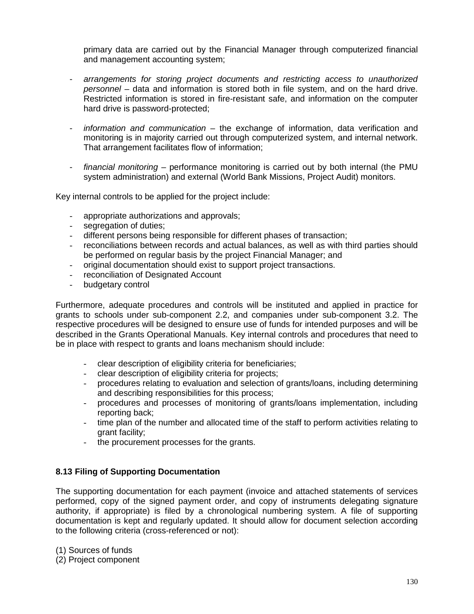primary data are carried out by the Financial Manager through computerized financial and management accounting system;

- *arrangements for storing project documents and restricting access to unauthorized personnel* – data and information is stored both in file system, and on the hard drive. Restricted information is stored in fire-resistant safe, and information on the computer hard drive is password-protected;
- *information and communication* the exchange of information, data verification and monitoring is in majority carried out through computerized system, and internal network. That arrangement facilitates flow of information;
- *financial monitoring* performance monitoring is carried out by both internal (the PMU system administration) and external (World Bank Missions, Project Audit) monitors.

Key internal controls to be applied for the project include:

- appropriate authorizations and approvals;
- segregation of duties;
- different persons being responsible for different phases of transaction;
- reconciliations between records and actual balances, as well as with third parties should be performed on regular basis by the project Financial Manager; and
- original documentation should exist to support project transactions.
- reconciliation of Designated Account
- budgetary control

Furthermore, adequate procedures and controls will be instituted and applied in practice for grants to schools under sub-component 2.2, and companies under sub-component 3.2. The respective procedures will be designed to ensure use of funds for intended purposes and will be described in the Grants Operational Manuals. Key internal controls and procedures that need to be in place with respect to grants and loans mechanism should include:

- clear description of eligibility criteria for beneficiaries;
- clear description of eligibility criteria for projects;
- procedures relating to evaluation and selection of grants/loans, including determining and describing responsibilities for this process;
- procedures and processes of monitoring of grants/loans implementation, including reporting back;
- time plan of the number and allocated time of the staff to perform activities relating to grant facility;
- the procurement processes for the grants.

## **8.13 Filing of Supporting Documentation**

The supporting documentation for each payment (invoice and attached statements of services performed, copy of the signed payment order, and copy of instruments delegating signature authority, if appropriate) is filed by a chronological numbering system. A file of supporting documentation is kept and regularly updated. It should allow for document selection according to the following criteria (cross-referenced or not):

(1) Sources of funds

(2) Project component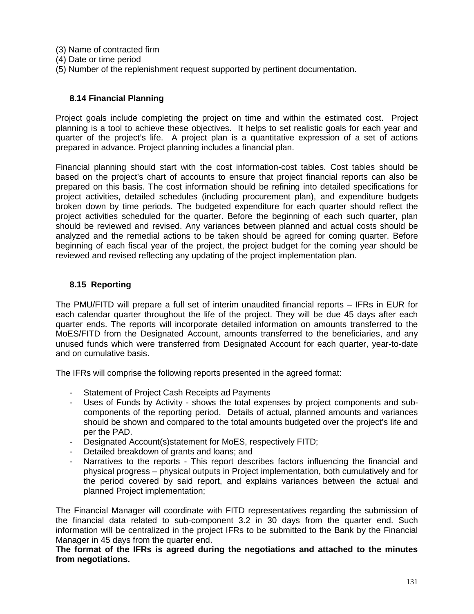- (3) Name of contracted firm
- (4) Date or time period
- (5) Number of the replenishment request supported by pertinent documentation.

#### **8.14 Financial Planning**

Project goals include completing the project on time and within the estimated cost. Project planning is a tool to achieve these objectives. It helps to set realistic goals for each year and quarter of the project's life. A project plan is a quantitative expression of a set of actions prepared in advance. Project planning includes a financial plan.

Financial planning should start with the cost information-cost tables. Cost tables should be based on the project's chart of accounts to ensure that project financial reports can also be prepared on this basis. The cost information should be refining into detailed specifications for project activities, detailed schedules (including procurement plan), and expenditure budgets broken down by time periods. The budgeted expenditure for each quarter should reflect the project activities scheduled for the quarter. Before the beginning of each such quarter, plan should be reviewed and revised. Any variances between planned and actual costs should be analyzed and the remedial actions to be taken should be agreed for coming quarter. Before beginning of each fiscal year of the project, the project budget for the coming year should be reviewed and revised reflecting any updating of the project implementation plan.

#### **8.15 Reporting**

The PMU/FITD will prepare a full set of interim unaudited financial reports – IFRs in EUR for each calendar quarter throughout the life of the project. They will be due 45 days after each quarter ends. The reports will incorporate detailed information on amounts transferred to the MoES/FITD from the Designated Account, amounts transferred to the beneficiaries, and any unused funds which were transferred from Designated Account for each quarter, year-to-date and on cumulative basis.

The IFRs will comprise the following reports presented in the agreed format:

- Statement of Project Cash Receipts ad Payments
- Uses of Funds by Activity shows the total expenses by project components and subcomponents of the reporting period. Details of actual, planned amounts and variances should be shown and compared to the total amounts budgeted over the project's life and per the PAD.
- Designated Account(s)statement for MoES, respectively FITD;
- Detailed breakdown of grants and loans; and
- Narratives to the reports This report describes factors influencing the financial and physical progress – physical outputs in Project implementation, both cumulatively and for the period covered by said report, and explains variances between the actual and planned Project implementation;

The Financial Manager will coordinate with FITD representatives regarding the submission of the financial data related to sub-component 3.2 in 30 days from the quarter end. Such information will be centralized in the project IFRs to be submitted to the Bank by the Financial Manager in 45 days from the quarter end.

**The format of the IFRs is agreed during the negotiations and attached to the minutes from negotiations.**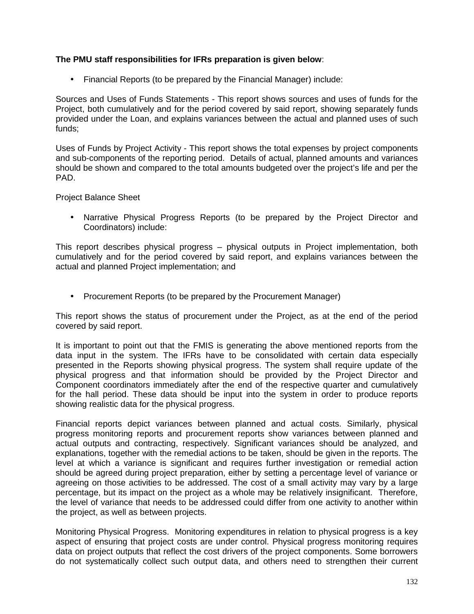## **The PMU staff responsibilities for IFRs preparation is given below**:

Financial Reports (to be prepared by the Financial Manager) include:

Sources and Uses of Funds Statements - This report shows sources and uses of funds for the Project, both cumulatively and for the period covered by said report, showing separately funds provided under the Loan, and explains variances between the actual and planned uses of such funds;

Uses of Funds by Project Activity - This report shows the total expenses by project components and sub-components of the reporting period. Details of actual, planned amounts and variances should be shown and compared to the total amounts budgeted over the project's life and per the PAD.

Project Balance Sheet

 Narrative Physical Progress Reports (to be prepared by the Project Director and Coordinators) include:

This report describes physical progress – physical outputs in Project implementation, both cumulatively and for the period covered by said report, and explains variances between the actual and planned Project implementation; and

• Procurement Reports (to be prepared by the Procurement Manager)

This report shows the status of procurement under the Project, as at the end of the period covered by said report.

It is important to point out that the FMIS is generating the above mentioned reports from the data input in the system. The IFRs have to be consolidated with certain data especially presented in the Reports showing physical progress. The system shall require update of the physical progress and that information should be provided by the Project Director and Component coordinators immediately after the end of the respective quarter and cumulatively for the hall period. These data should be input into the system in order to produce reports showing realistic data for the physical progress.

Financial reports depict variances between planned and actual costs. Similarly, physical progress monitoring reports and procurement reports show variances between planned and actual outputs and contracting, respectively. Significant variances should be analyzed, and explanations, together with the remedial actions to be taken, should be given in the reports. The level at which a variance is significant and requires further investigation or remedial action should be agreed during project preparation, either by setting a percentage level of variance or agreeing on those activities to be addressed. The cost of a small activity may vary by a large percentage, but its impact on the project as a whole may be relatively insignificant. Therefore, the level of variance that needs to be addressed could differ from one activity to another within the project, as well as between projects.

Monitoring Physical Progress. Monitoring expenditures in relation to physical progress is a key aspect of ensuring that project costs are under control. Physical progress monitoring requires data on project outputs that reflect the cost drivers of the project components. Some borrowers do not systematically collect such output data, and others need to strengthen their current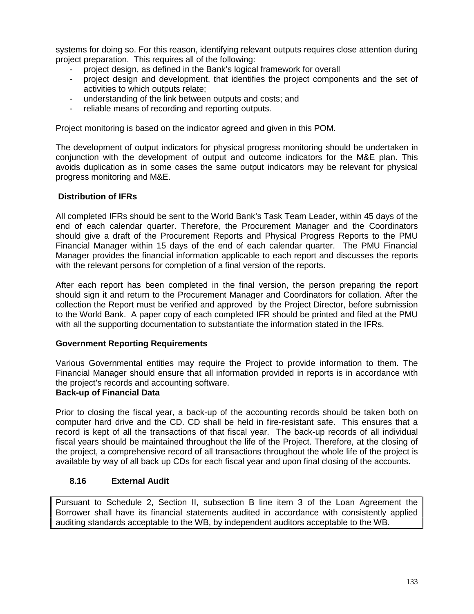systems for doing so. For this reason, identifying relevant outputs requires close attention during project preparation. This requires all of the following:

- project design, as defined in the Bank's logical framework for overall
- project design and development, that identifies the project components and the set of activities to which outputs relate;
- understanding of the link between outputs and costs; and
- reliable means of recording and reporting outputs.

Project monitoring is based on the indicator agreed and given in this POM.

The development of output indicators for physical progress monitoring should be undertaken in conjunction with the development of output and outcome indicators for the M&E plan. This avoids duplication as in some cases the same output indicators may be relevant for physical progress monitoring and M&E.

## **Distribution of IFRs**

All completed IFRs should be sent to the World Bank's Task Team Leader, within 45 days of the end of each calendar quarter. Therefore, the Procurement Manager and the Coordinators should give a draft of the Procurement Reports and Physical Progress Reports to the PMU Financial Manager within 15 days of the end of each calendar quarter. The PMU Financial Manager provides the financial information applicable to each report and discusses the reports with the relevant persons for completion of a final version of the reports.

After each report has been completed in the final version, the person preparing the report should sign it and return to the Procurement Manager and Coordinators for collation. After the collection the Report must be verified and approved by the Project Director, before submission to the World Bank. A paper copy of each completed IFR should be printed and filed at the PMU with all the supporting documentation to substantiate the information stated in the IFRs.

## **Government Reporting Requirements**

Various Governmental entities may require the Project to provide information to them. The Financial Manager should ensure that all information provided in reports is in accordance with the project's records and accounting software.

## **Back-up of Financial Data**

Prior to closing the fiscal year, a back-up of the accounting records should be taken both on computer hard drive and the CD. CD shall be held in fire-resistant safe. This ensures that a record is kept of all the transactions of that fiscal year. The back-up records of all individual fiscal years should be maintained throughout the life of the Project. Therefore, at the closing of the project, a comprehensive record of all transactions throughout the whole life of the project is available by way of all back up CDs for each fiscal year and upon final closing of the accounts.

## **8.16 External Audit**

Pursuant to Schedule 2, Section II, subsection B line item 3 of the Loan Agreement the Borrower shall have its financial statements audited in accordance with consistently applied auditing standards acceptable to the WB, by independent auditors acceptable to the WB.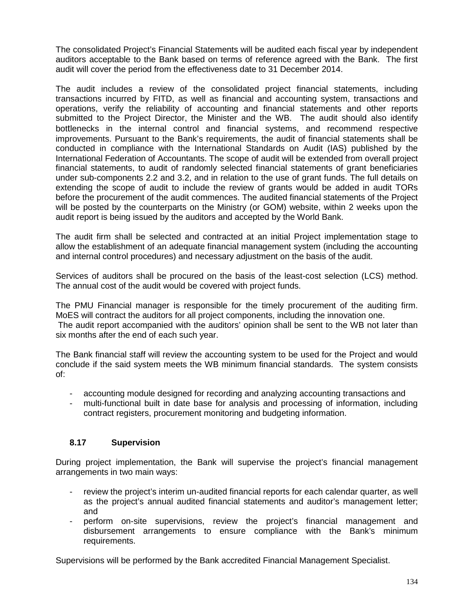The consolidated Project's Financial Statements will be audited each fiscal year by independent auditors acceptable to the Bank based on terms of reference agreed with the Bank. The first audit will cover the period from the effectiveness date to 31 December 2014.

The audit includes a review of the consolidated project financial statements, including transactions incurred by FITD, as well as financial and accounting system, transactions and operations, verify the reliability of accounting and financial statements and other reports submitted to the Project Director, the Minister and the WB. The audit should also identify bottlenecks in the internal control and financial systems, and recommend respective improvements. Pursuant to the Bank's requirements, the audit of financial statements shall be conducted in compliance with the International Standards on Audit (IAS) published by the International Federation of Accountants. The scope of audit will be extended from overall project financial statements, to audit of randomly selected financial statements of grant beneficiaries under sub-components 2.2 and 3.2, and in relation to the use of grant funds. The full details on extending the scope of audit to include the review of grants would be added in audit TORs before the procurement of the audit commences. The audited financial statements of the Project will be posted by the counterparts on the Ministry (or GOM) website, within 2 weeks upon the audit report is being issued by the auditors and accepted by the World Bank.

The audit firm shall be selected and contracted at an initial Project implementation stage to allow the establishment of an adequate financial management system (including the accounting and internal control procedures) and necessary adjustment on the basis of the audit.

Services of auditors shall be procured on the basis of the least-cost selection (LCS) method. The annual cost of the audit would be covered with project funds.

The PMU Financial manager is responsible for the timely procurement of the auditing firm. MoES will contract the auditors for all project components, including the innovation one.

The audit report accompanied with the auditors' opinion shall be sent to the WB not later than six months after the end of each such year.

The Bank financial staff will review the accounting system to be used for the Project and would conclude if the said system meets the WB minimum financial standards. The system consists of:

- accounting module designed for recording and analyzing accounting transactions and
- multi-functional built in date base for analysis and processing of information, including contract registers, procurement monitoring and budgeting information.

## **8.17 Supervision**

During project implementation, the Bank will supervise the project's financial management arrangements in two main ways:

- review the project's interim un-audited financial reports for each calendar quarter, as well as the project's annual audited financial statements and auditor's management letter; and
- perform on-site supervisions, review the project's financial management and disbursement arrangements to ensure compliance with the Bank's minimum requirements.

Supervisions will be performed by the Bank accredited Financial Management Specialist.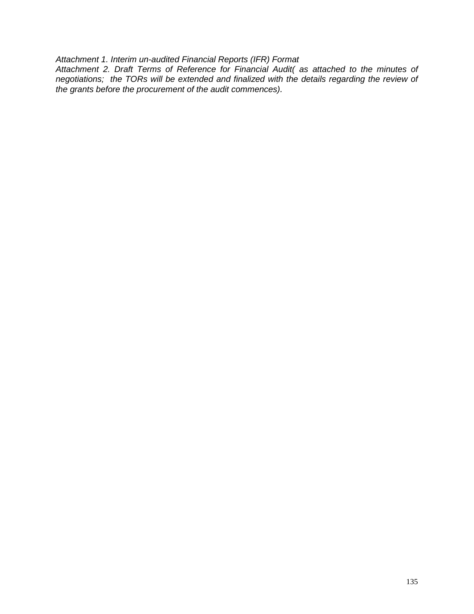*Attachment 1. Interim un-audited Financial Reports (IFR) Format*

*Attachment 2. Draft Terms of Reference for Financial Audit( as attached to the minutes of negotiations; the TORs will be extended and finalized with the details regarding the review of the grants before the procurement of the audit commences).*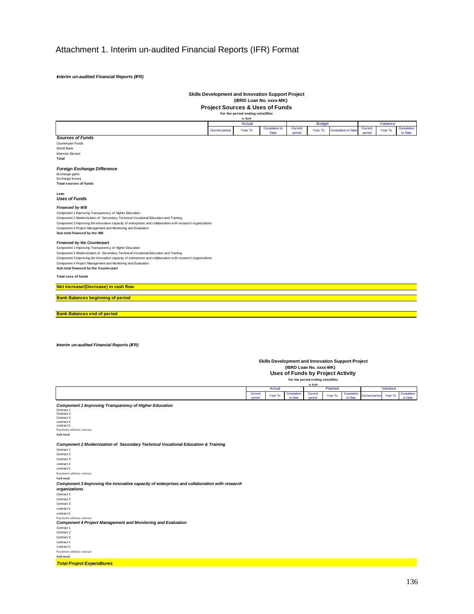# Attachment 1. Interim un-audited Financial Reports (IFR) Format

*Interim un-audited Financial Reports (IFR)*

# **Skills Development and Innovation Support Project (IBRD Loan No. xxxx-MK)**

**Project Sources & Uses of Funds For the period ending xx/xx/20xx**

|                                                                                                            |                       | In EUR<br>Actual  |                      |            | <b>Budget</b>                    |                                                   |                       | Variance |            |
|------------------------------------------------------------------------------------------------------------|-----------------------|-------------------|----------------------|------------|----------------------------------|---------------------------------------------------|-----------------------|----------|------------|
|                                                                                                            |                       |                   | <b>Cumulative to</b> | Current    |                                  |                                                   | Current               |          | Cumulative |
|                                                                                                            | <b>Current period</b> | Year To           | Date                 | period     | Year To                          | <b>Cumulative to Date</b>                         | period                | Year To  | to Date    |
| <b>Sources of Funds</b>                                                                                    |                       |                   |                      |            |                                  |                                                   |                       |          |            |
| Counterpart Funds                                                                                          |                       |                   |                      |            |                                  |                                                   |                       |          |            |
| World Bank                                                                                                 |                       |                   |                      |            |                                  |                                                   |                       |          |            |
| Interests Earned                                                                                           |                       |                   |                      |            |                                  |                                                   |                       |          |            |
| Total                                                                                                      |                       |                   |                      |            |                                  |                                                   |                       |          |            |
|                                                                                                            |                       |                   |                      |            |                                  |                                                   |                       |          |            |
| Foreign Exchange Difference                                                                                |                       |                   |                      |            |                                  |                                                   |                       |          |            |
| Exchange gains                                                                                             |                       |                   |                      |            |                                  |                                                   |                       |          |            |
| Exchange losses                                                                                            |                       |                   |                      |            |                                  |                                                   |                       |          |            |
| <b>Total sources of funds</b>                                                                              |                       |                   |                      |            |                                  |                                                   |                       |          |            |
|                                                                                                            |                       |                   |                      |            |                                  |                                                   |                       |          |            |
| Less:                                                                                                      |                       |                   |                      |            |                                  |                                                   |                       |          |            |
| <b>Uses of Funds</b>                                                                                       |                       |                   |                      |            |                                  |                                                   |                       |          |            |
|                                                                                                            |                       |                   |                      |            |                                  |                                                   |                       |          |            |
| <b>Financed by WB</b>                                                                                      |                       |                   |                      |            |                                  |                                                   |                       |          |            |
| Component 1 Improving Transparency of Higher Education                                                     |                       |                   |                      |            |                                  |                                                   |                       |          |            |
| Component 2 Modernization of Secondary Technical Vocational Education and Training                         |                       |                   |                      |            |                                  |                                                   |                       |          |            |
|                                                                                                            |                       |                   |                      |            |                                  |                                                   |                       |          |            |
| Component 3 Improving the innovative capacity of enterprises and collaboration with research organizations |                       |                   |                      |            |                                  |                                                   |                       |          |            |
| Component 4 Project Management and Monitoring and Evaluation                                               |                       |                   |                      |            |                                  |                                                   |                       |          |            |
| Sub-total financed by the WB                                                                               |                       |                   |                      |            |                                  |                                                   |                       |          |            |
|                                                                                                            |                       |                   |                      |            |                                  |                                                   |                       |          |            |
| <b>Financed by the Counterpart</b>                                                                         |                       |                   |                      |            |                                  |                                                   |                       |          |            |
| Component 1 Improving Transparency of Higher Education                                                     |                       |                   |                      |            |                                  |                                                   |                       |          |            |
| Component 2 Modernization of Secondary Technical Vocational Education and Training                         |                       |                   |                      |            |                                  |                                                   |                       |          |            |
| Component 3 Improving the innovative capacity of enterprises and collaboration with research organizations |                       |                   |                      |            |                                  |                                                   |                       |          |            |
| Component 4 Project Management and Monitoring and Evaluation                                               |                       |                   |                      |            |                                  |                                                   |                       |          |            |
| Sub-total financed by the Counterpart                                                                      |                       |                   |                      |            |                                  |                                                   |                       |          |            |
| Total uses of funds                                                                                        |                       |                   |                      |            |                                  |                                                   |                       |          |            |
|                                                                                                            |                       |                   |                      |            |                                  |                                                   |                       |          |            |
| Net increase/(Decrease) in cash flow                                                                       |                       |                   |                      |            |                                  |                                                   |                       |          |            |
|                                                                                                            |                       |                   |                      |            |                                  |                                                   |                       |          |            |
|                                                                                                            |                       |                   |                      |            |                                  |                                                   |                       |          |            |
| <b>Bank Balances beginning of period</b>                                                                   |                       |                   |                      |            |                                  |                                                   |                       |          |            |
|                                                                                                            |                       |                   |                      |            |                                  |                                                   |                       |          |            |
|                                                                                                            |                       |                   |                      |            |                                  |                                                   |                       |          |            |
| <b>Bank Balances end of period</b>                                                                         |                       |                   |                      |            |                                  |                                                   |                       |          |            |
| Interim un-audited Financial Reports (IFR)                                                                 |                       |                   |                      |            |                                  |                                                   |                       |          |            |
|                                                                                                            |                       |                   |                      |            |                                  |                                                   |                       |          |            |
|                                                                                                            |                       |                   |                      |            |                                  |                                                   |                       |          |            |
|                                                                                                            |                       |                   |                      |            |                                  | Skills Development and Innovation Support Project |                       |          |            |
|                                                                                                            |                       |                   |                      |            | (IBRD Loan No. xxxx-MK)          |                                                   |                       |          |            |
|                                                                                                            |                       |                   |                      |            |                                  |                                                   |                       |          |            |
|                                                                                                            |                       |                   |                      |            |                                  | Uses of Funds by Project Activity                 |                       |          |            |
|                                                                                                            |                       |                   |                      |            | For the period ending xx/xx/20xx |                                                   |                       |          |            |
|                                                                                                            |                       |                   |                      |            | In EUR                           |                                                   |                       |          |            |
|                                                                                                            |                       |                   | Actual               | Cumulative | Current                          | Planned<br>Cumulative                             |                       | Variance | Cumulative |
|                                                                                                            |                       | Current<br>period | Year To              | to Date    | period                           | Year To<br>to Date                                | <b>Current period</b> | Year To  | to Date    |
|                                                                                                            |                       |                   |                      |            |                                  |                                                   |                       |          |            |
| <b>Component 1 Improving Transparency of Higher Education</b>                                              |                       |                   |                      |            |                                  |                                                   |                       |          |            |
| Contract 1                                                                                                 |                       |                   |                      |            |                                  |                                                   |                       |          |            |
| Contract 2<br>Contract 3                                                                                   |                       |                   |                      |            |                                  |                                                   |                       |          |            |
| contract 4                                                                                                 |                       |                   |                      |            |                                  |                                                   |                       |          |            |
| contract 5                                                                                                 |                       |                   |                      |            |                                  |                                                   |                       |          |            |
| Payments without contract                                                                                  |                       |                   |                      |            |                                  |                                                   |                       |          |            |
| Sub-total                                                                                                  |                       |                   |                      |            |                                  |                                                   |                       |          |            |
|                                                                                                            |                       |                   |                      |            |                                  |                                                   |                       |          |            |
| Component 2 Modernization of Secondary Technical Vocational Education & Training                           |                       |                   |                      |            |                                  |                                                   |                       |          |            |
| Contract 1                                                                                                 |                       |                   |                      |            |                                  |                                                   |                       |          |            |
| Contract 2                                                                                                 |                       |                   |                      |            |                                  |                                                   |                       |          |            |
| Contract 3                                                                                                 |                       |                   |                      |            |                                  |                                                   |                       |          |            |
| contract 4                                                                                                 |                       |                   |                      |            |                                  |                                                   |                       |          |            |
| contract 5                                                                                                 |                       |                   |                      |            |                                  |                                                   |                       |          |            |
| Payments without contract                                                                                  |                       |                   |                      |            |                                  |                                                   |                       |          |            |
| Sub-total                                                                                                  |                       |                   |                      |            |                                  |                                                   |                       |          |            |
| Component 3 Improving the innovative capacity of enterprises and collaboration with research               |                       |                   |                      |            |                                  |                                                   |                       |          |            |
| organizations                                                                                              |                       |                   |                      |            |                                  |                                                   |                       |          |            |
| Contract 1                                                                                                 |                       |                   |                      |            |                                  |                                                   |                       |          |            |
| Contract 2                                                                                                 |                       |                   |                      |            |                                  |                                                   |                       |          |            |
| Contract 3                                                                                                 |                       |                   |                      |            |                                  |                                                   |                       |          |            |
| contract 4                                                                                                 |                       |                   |                      |            |                                  |                                                   |                       |          |            |
| contract 5                                                                                                 |                       |                   |                      |            |                                  |                                                   |                       |          |            |
| Payments without contract                                                                                  |                       |                   |                      |            |                                  |                                                   |                       |          |            |
| <b>Component 4 Project Management and Monitoring and Evaluation</b>                                        |                       |                   |                      |            |                                  |                                                   |                       |          |            |
| Contract 1                                                                                                 |                       |                   |                      |            |                                  |                                                   |                       |          |            |
| Contract 2                                                                                                 |                       |                   |                      |            |                                  |                                                   |                       |          |            |
| Contract 3                                                                                                 |                       |                   |                      |            |                                  |                                                   |                       |          |            |
| contract 4                                                                                                 |                       |                   |                      |            |                                  |                                                   |                       |          |            |
| contract 5                                                                                                 |                       |                   |                      |            |                                  |                                                   |                       |          |            |
| Payments without contract                                                                                  |                       |                   |                      |            |                                  |                                                   |                       |          |            |
| Sub-total                                                                                                  |                       |                   |                      |            |                                  |                                                   |                       |          |            |
| <b>Total Project Expenditures</b>                                                                          |                       |                   |                      |            |                                  |                                                   |                       |          |            |
|                                                                                                            |                       |                   |                      |            |                                  |                                                   |                       |          |            |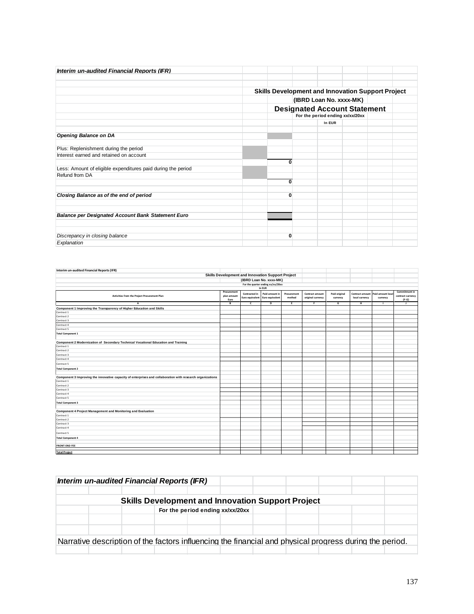| Interim un-audited Financial Reports (IFR)                   |                                                          |                                  |  |  |
|--------------------------------------------------------------|----------------------------------------------------------|----------------------------------|--|--|
|                                                              | <b>Skills Development and Innovation Support Project</b> |                                  |  |  |
|                                                              |                                                          | (IBRD Loan No. xxxx-MK)          |  |  |
|                                                              | <b>Designated Account Statement</b>                      |                                  |  |  |
|                                                              |                                                          | For the period ending xx/xx/20xx |  |  |
|                                                              |                                                          | In EUR                           |  |  |
| <b>Opening Balance on DA</b>                                 |                                                          |                                  |  |  |
| Plus: Replenishment during the period                        |                                                          |                                  |  |  |
| Interest earned and retained on account                      |                                                          |                                  |  |  |
|                                                              | $\bf{0}$                                                 |                                  |  |  |
| Less: Amount of eligible expenditures paid during the period |                                                          |                                  |  |  |
| Refund from DA                                               |                                                          |                                  |  |  |
|                                                              | 0                                                        |                                  |  |  |
| Closing Balance as of the end of period                      | $\bf{0}$                                                 |                                  |  |  |
|                                                              |                                                          |                                  |  |  |
|                                                              |                                                          |                                  |  |  |
| <b>Balance per Designated Account Bank Statement Euro</b>    |                                                          |                                  |  |  |
|                                                              |                                                          |                                  |  |  |
|                                                              |                                                          |                                  |  |  |
| Discrepancy in closing balance                               | $\bf{0}$                                                 |                                  |  |  |
| Explanation                                                  |                                                          |                                  |  |  |

| Interim un-audited Financial Reports (IFR)                                                                 |             |                 |                                                   |             |                   |               |                 |                  |                         |
|------------------------------------------------------------------------------------------------------------|-------------|-----------------|---------------------------------------------------|-------------|-------------------|---------------|-----------------|------------------|-------------------------|
|                                                                                                            |             |                 | Skills Development and Innovation Support Project |             |                   |               |                 |                  |                         |
|                                                                                                            |             |                 | (IBRD Loan No. xxxx-MK)                           |             |                   |               |                 |                  |                         |
|                                                                                                            |             |                 | For the quarter ending xx/xx/20xx                 |             |                   |               |                 |                  |                         |
|                                                                                                            |             |                 | In EUR                                            |             |                   |               |                 |                  |                         |
|                                                                                                            | Procurement | Contracted in   | Paid amount in                                    | Procurement | Contract amount   | Paid original | Contract amount | Paid amount loca | Commitment in           |
| Activities from the Project Procurement Plan                                                               | plan amount | Euro equivalent | Euro equivalent                                   | method      | original currency | currency      | local currency  | currency         | contract currency       |
| A                                                                                                          | Euro<br>B   | c               | D                                                 | E.          | F                 | G             | н.              | $\blacksquare$   | $(F-G)$<br>$\mathbf{I}$ |
| Component 1 Improving the Transparency of Higher Education and Skills                                      |             |                 |                                                   |             |                   |               |                 |                  |                         |
| Contract 1                                                                                                 |             |                 |                                                   |             |                   |               |                 |                  |                         |
| Contract 2                                                                                                 |             |                 |                                                   |             |                   |               |                 |                  |                         |
| Contract 3                                                                                                 |             |                 |                                                   |             |                   |               |                 |                  |                         |
| Contract 4                                                                                                 |             |                 |                                                   |             |                   |               |                 |                  |                         |
| Contract 5                                                                                                 |             |                 |                                                   |             |                   |               |                 |                  |                         |
| <b>Total Component 1</b>                                                                                   |             |                 |                                                   |             |                   |               |                 |                  |                         |
|                                                                                                            |             |                 |                                                   |             |                   |               |                 |                  |                         |
| Component 2 Modernization of Secondary Technical Vocational Education and Training                         |             |                 |                                                   |             |                   |               |                 |                  |                         |
| Contract 1                                                                                                 |             |                 |                                                   |             |                   |               |                 |                  |                         |
| Contract 2                                                                                                 |             |                 |                                                   |             |                   |               |                 |                  |                         |
| Contract 3                                                                                                 |             |                 |                                                   |             |                   |               |                 |                  |                         |
| Contract 4                                                                                                 |             |                 |                                                   |             |                   |               |                 |                  |                         |
| Contract 5                                                                                                 |             |                 |                                                   |             |                   |               |                 |                  |                         |
| <b>Total Component 2</b>                                                                                   |             |                 |                                                   |             |                   |               |                 |                  |                         |
|                                                                                                            |             |                 |                                                   |             |                   |               |                 |                  |                         |
| Component 3 Improving the innovative capacity of enterprises and collaboration with research organizations |             |                 |                                                   |             |                   |               |                 |                  |                         |
| Contract 1                                                                                                 |             |                 |                                                   |             |                   |               |                 |                  |                         |
| Contract 2                                                                                                 |             |                 |                                                   |             |                   |               |                 |                  |                         |
| Contract 3                                                                                                 |             |                 |                                                   |             |                   |               |                 |                  |                         |
| Contract 4                                                                                                 |             |                 |                                                   |             |                   |               |                 |                  |                         |
| Contract 5                                                                                                 |             |                 |                                                   |             |                   |               |                 |                  |                         |
| <b>Total Component 3</b>                                                                                   |             |                 |                                                   |             |                   |               |                 |                  |                         |
|                                                                                                            |             |                 |                                                   |             |                   |               |                 |                  |                         |
| Component 4 Project Management and Monitoring and Evaluation                                               |             |                 |                                                   |             |                   |               |                 |                  |                         |
| Contract 1                                                                                                 |             |                 |                                                   |             |                   |               |                 |                  |                         |
| Contract 2                                                                                                 |             |                 |                                                   |             |                   |               |                 |                  |                         |
| Contract 3                                                                                                 |             |                 |                                                   |             |                   |               |                 |                  |                         |
| Contract 4                                                                                                 |             |                 |                                                   |             |                   |               |                 |                  |                         |
| Contract 5                                                                                                 |             |                 |                                                   |             |                   |               |                 |                  |                         |
| <b>Total Component 4</b>                                                                                   |             |                 |                                                   |             |                   |               |                 |                  |                         |
| <b>FRONT-END FEE</b>                                                                                       |             |                 |                                                   |             |                   |               |                 |                  |                         |
| <b>Total Project</b>                                                                                       |             |                 |                                                   |             |                   |               |                 |                  |                         |

|  | Interim un-audited Financial Reports (IFR) |                                  |  |                                                                                                         |  |  |
|--|--------------------------------------------|----------------------------------|--|---------------------------------------------------------------------------------------------------------|--|--|
|  |                                            |                                  |  |                                                                                                         |  |  |
|  |                                            |                                  |  | <b>Skills Development and Innovation Support Project</b>                                                |  |  |
|  |                                            | For the period ending xx/xx/20xx |  |                                                                                                         |  |  |
|  |                                            |                                  |  |                                                                                                         |  |  |
|  |                                            |                                  |  |                                                                                                         |  |  |
|  |                                            |                                  |  | Narrative description of the factors influencing the financial and physical progress during the period. |  |  |
|  |                                            |                                  |  |                                                                                                         |  |  |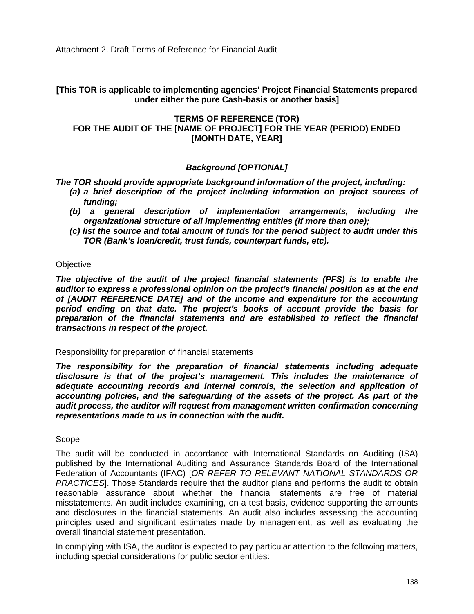Attachment 2. Draft Terms of Reference for Financial Audit

**[This TOR is applicable to implementing agencies' Project Financial Statements prepared under either the pure Cash-basis or another basis]**

## **TERMS OF REFERENCE (TOR) FOR THE AUDIT OF THE [NAME OF PROJECT] FOR THE YEAR (PERIOD) ENDED [MONTH DATE, YEAR]**

## *Background [OPTIONAL]*

*The TOR should provide appropriate background information of the project, including:*

- *(a) a brief description of the project including information on project sources of funding;*
- *(b) a general description of implementation arrangements, including the organizational structure of all implementing entities (if more than one);*
- *(c) list the source and total amount of funds for the period subject to audit under this TOR (Bank's loan/credit, trust funds, counterpart funds, etc).*

#### **Objective**

*The objective of the audit of the project financial statements (PFS) is to enable the auditor to express a professional opinion on the project's financial position as at the end of [AUDIT REFERENCE DATE] and of the income and expenditure for the accounting period ending on that date. The project's books of account provide the basis for preparation of the financial statements and are established to reflect the financial transactions in respect of the project.*

#### Responsibility for preparation of financial statements

*The responsibility for the preparation of financial statements including adequate disclosure is that of the project's management. This includes the maintenance of adequate accounting records and internal controls, the selection and application of accounting policies, and the safeguarding of the assets of the project. As part of the audit process, the auditor will request from management written confirmation concerning representations made to us in connection with the audit.*

#### Scope

The audit will be conducted in accordance with International Standards on Auditing (ISA) published by the International Auditing and Assurance Standards Board of the International Federation of Accountants (IFAC) [*OR REFER TO RELEVANT NATIONAL STANDARDS OR PRACTICES*]. Those Standards require that the auditor plans and performs the audit to obtain reasonable assurance about whether the financial statements are free of material misstatements. An audit includes examining, on a test basis, evidence supporting the amounts and disclosures in the financial statements. An audit also includes assessing the accounting principles used and significant estimates made by management, as well as evaluating the overall financial statement presentation.

In complying with ISA, the auditor is expected to pay particular attention to the following matters, including special considerations for public sector entities: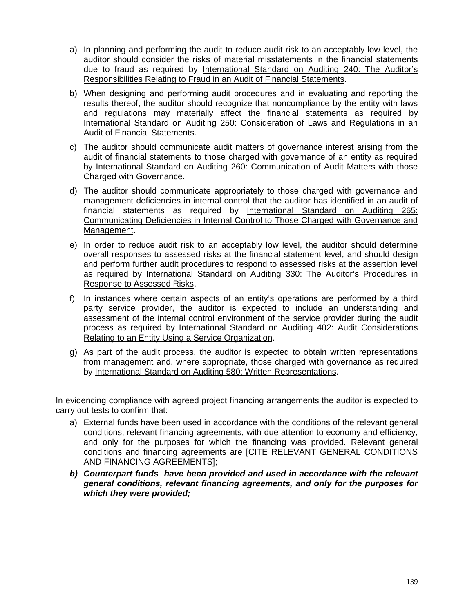- a) In planning and performing the audit to reduce audit risk to an acceptably low level, the auditor should consider the risks of material misstatements in the financial statements due to fraud as required by International Standard on Auditing 240: The Auditor's Responsibilities Relating to Fraud in an Audit of Financial Statements.
- b) When designing and performing audit procedures and in evaluating and reporting the results thereof, the auditor should recognize that noncompliance by the entity with laws and regulations may materially affect the financial statements as required by International Standard on Auditing 250: Consideration of Laws and Regulations in an Audit of Financial Statements.
- c) The auditor should communicate audit matters of governance interest arising from the audit of financial statements to those charged with governance of an entity as required by International Standard on Auditing 260: Communication of Audit Matters with those Charged with Governance.
- d) The auditor should communicate appropriately to those charged with governance and management deficiencies in internal control that the auditor has identified in an audit of financial statements as required by International Standard on Auditing 265: Communicating Deficiencies in Internal Control to Those Charged with Governance and Management.
- e) In order to reduce audit risk to an acceptably low level, the auditor should determine overall responses to assessed risks at the financial statement level, and should design and perform further audit procedures to respond to assessed risks at the assertion level as required by International Standard on Auditing 330: The Auditor's Procedures in Response to Assessed Risks.
- f) In instances where certain aspects of an entity's operations are performed by a third party service provider, the auditor is expected to include an understanding and assessment of the internal control environment of the service provider during the audit process as required by International Standard on Auditing 402: Audit Considerations Relating to an Entity Using a Service Organization.
- g) As part of the audit process, the auditor is expected to obtain written representations from management and, where appropriate, those charged with governance as required by International Standard on Auditing 580: Written Representations.

In evidencing compliance with agreed project financing arrangements the auditor is expected to carry out tests to confirm that:

- a) External funds have been used in accordance with the conditions of the relevant general conditions, relevant financing agreements, with due attention to economy and efficiency, and only for the purposes for which the financing was provided. Relevant general conditions and financing agreements are [CITE RELEVANT GENERAL CONDITIONS AND FINANCING AGREEMENTS];
- *b) Counterpart funds have been provided and used in accordance with the relevant general conditions, relevant financing agreements, and only for the purposes for which they were provided;*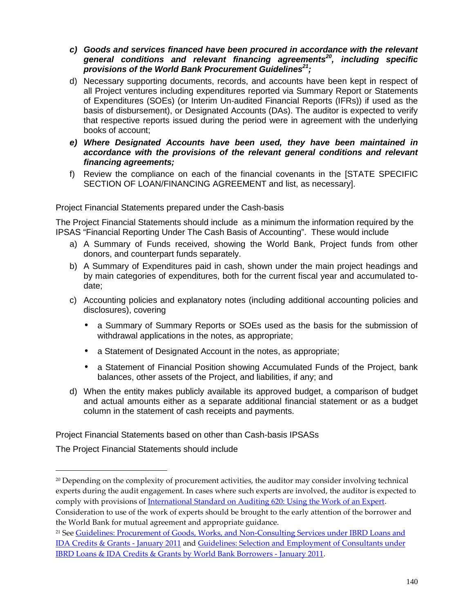- *c) Goods and services financed have been procured in accordance with the relevant general conditions and relevant financing agreements<sup>20</sup>, including specific provisions of the World Bank Procurement Guidelines<sup>21</sup>;*
- d) Necessary supporting documents, records, and accounts have been kept in respect of all Project ventures including expenditures reported via Summary Report or Statements of Expenditures (SOEs) (or Interim Un-audited Financial Reports (IFRs)) if used as the basis of disbursement), or Designated Accounts (DAs). The auditor is expected to verify that respective reports issued during the period were in agreement with the underlying books of account;
- *e) Where Designated Accounts have been used, they have been maintained in accordance with the provisions of the relevant general conditions and relevant financing agreements;*
- f) Review the compliance on each of the financial covenants in the [STATE SPECIFIC SECTION OF LOAN/FINANCING AGREEMENT and list, as necessary].

Project Financial Statements prepared under the Cash-basis

The Project Financial Statements should include as a minimum the information required by the IPSAS "Financial Reporting Under The Cash Basis of Accounting". These would include

- a) A Summary of Funds received, showing the World Bank, Project funds from other donors, and counterpart funds separately.
- b) A Summary of Expenditures paid in cash, shown under the main project headings and by main categories of expenditures, both for the current fiscal year and accumulated to date;
- c) Accounting policies and explanatory notes (including additional accounting policies and disclosures), covering
	- a Summary of Summary Reports or SOEs used as the basis for the submission of withdrawal applications in the notes, as appropriate;
	- a Statement of Designated Account in the notes, as appropriate;
	- a Statement of Financial Position showing Accumulated Funds of the Project, bank balances, other assets of the Project, and liabilities, if any; and
- d) When the entity makes publicly available its approved budget, a comparison of budget and actual amounts either as a separate additional financial statement or as a budget column in the statement of cash receipts and payments.

Project Financial Statements based on other than Cash-basis IPSASs

The Project Financial Statements should include

the World Bank for mutual agreement and appropriate guidance.

 $20$  Depending on the complexity of procurement activities, the auditor may consider involving technical experts during the audit engagement. In cases where such experts are involved, the auditor is expected to comply with provisions of International Standard on Auditing 620: Using the Work of an Expert. Consideration to use of the work of experts should be brought to the early attention of the borrower and

<sup>&</sup>lt;sup>21</sup> See Guidelines: Procurement of Goods, Works, and Non-Consulting Services under IBRD Loans and IDA Credits & Grants -January 2011 and Guidelines: Selection and Employment of Consultants under IBRD Loans & IDA Credits & Grants by World Bank Borrowers - January 2011.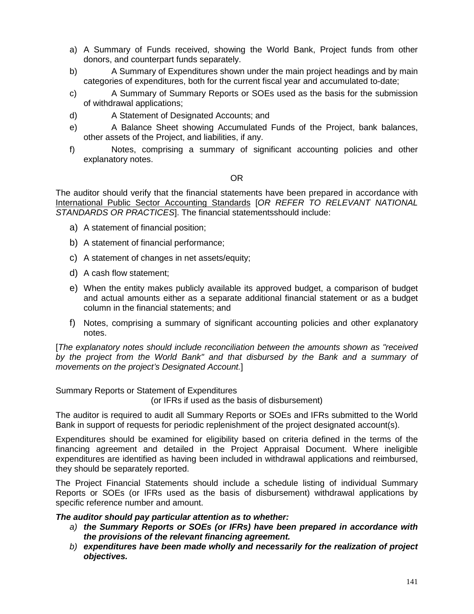- a) A Summary of Funds received, showing the World Bank, Project funds from other donors, and counterpart funds separately.
- b) A Summary of Expenditures shown under the main project headings and by main categories of expenditures, both for the current fiscal year and accumulated to-date;
- c) A Summary of Summary Reports or SOEs used as the basis for the submission of withdrawal applications;
- d) A Statement of Designated Accounts; and
- e) A Balance Sheet showing Accumulated Funds of the Project, bank balances, other assets of the Project, and liabilities, if any.
- f) Notes, comprising a summary of significant accounting policies and other explanatory notes.

#### OR

The auditor should verify that the financial statements have been prepared in accordance with International Public Sector Accounting Standards [*OR REFER TO RELEVANT NATIONAL STANDARDS OR PRACTICES*]. The financial statementsshould include:

- a) A statement of financial position;
- b) A statement of financial performance;
- c) A statement of changes in net assets/equity;
- d) A cash flow statement;
- e) When the entity makes publicly available its approved budget, a comparison of budget and actual amounts either as a separate additional financial statement or as a budget column in the financial statements; and
- f) Notes, comprising a summary of significant accounting policies and other explanatory notes.

[*The explanatory notes should include reconciliation between the amounts shown as "received by the project from the World Bank" and that disbursed by the Bank and a summary of movements on the project's Designated Account.*]

Summary Reports or Statement of Expenditures

(or IFRs if used as the basis of disbursement)

The auditor is required to audit all Summary Reports or SOEs and IFRs submitted to the World Bank in support of requests for periodic replenishment of the project designated account(s).

Expenditures should be examined for eligibility based on criteria defined in the terms of the financing agreement and detailed in the Project Appraisal Document. Where ineligible expenditures are identified as having been included in withdrawal applications and reimbursed, they should be separately reported.

The Project Financial Statements should include a schedule listing of individual Summary Reports or SOEs (or IFRs used as the basis of disbursement) withdrawal applications by specific reference number and amount.

#### *The auditor should pay particular attention as to whether:*

- *a) the Summary Reports or SOEs (or IFRs) have been prepared in accordance with the provisions of the relevant financing agreement.*
- *b) expenditures have been made wholly and necessarily for the realization of project objectives.*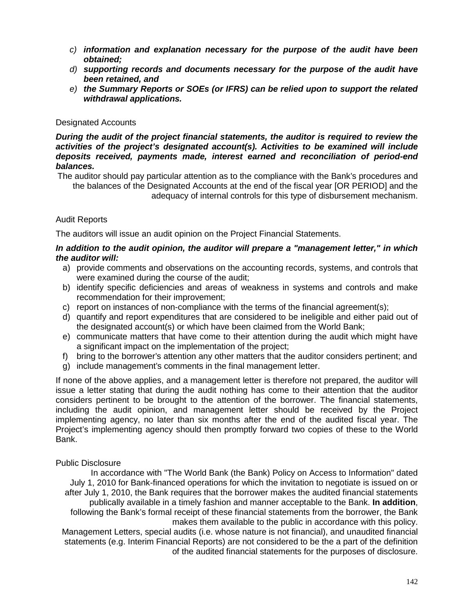- *c) information and explanation necessary for the purpose of the audit have been obtained;*
- *d) supporting records and documents necessary for the purpose of the audit have been retained, and*
- *e) the Summary Reports or SOEs (or IFRS) can be relied upon to support the related withdrawal applications.*

#### Designated Accounts

*During the audit of the project financial statements, the auditor is required to review the activities of the project's designated account(s). Activities to be examined will include deposits received, payments made, interest earned and reconciliation of period-end balances.*

The auditor should pay particular attention as to the compliance with the Bank's procedures and the balances of the Designated Accounts at the end of the fiscal year [OR PERIOD] and the adequacy of internal controls for this type of disbursement mechanism.

## Audit Reports

The auditors will issue an audit opinion on the Project Financial Statements.

#### *In addition to the audit opinion, the auditor will prepare a "management letter," in which the auditor will:*

- a) provide comments and observations on the accounting records, systems, and controls that were examined during the course of the audit;
- b) identify specific deficiencies and areas of weakness in systems and controls and make recommendation for their improvement;
- c) report on instances of non-compliance with the terms of the financial agreement(s);
- d) quantify and report expenditures that are considered to be ineligible and either paid out of the designated account(s) or which have been claimed from the World Bank;
- e) communicate matters that have come to their attention during the audit which might have a significant impact on the implementation of the project;
- f) bring to the borrower's attention any other matters that the auditor considers pertinent; and
- g) include management's comments in the final management letter.

If none of the above applies, and a management letter is therefore not prepared, the auditor will issue a letter stating that during the audit nothing has come to their attention that the auditor considers pertinent to be brought to the attention of the borrower. The financial statements, including the audit opinion, and management letter should be received by the Project implementing agency, no later than six months after the end of the audited fiscal year. The Project's implementing agency should then promptly forward two copies of these to the World Bank.

#### Public Disclosure

In accordance with "The World Bank (the Bank) Policy on Access to Information" dated July 1, 2010 for Bank-financed operations for which the invitation to negotiate is issued on or after July 1, 2010, the Bank requires that the borrower makes the audited financial statements publically available in a timely fashion and manner acceptable to the Bank. **In addition**, following the Bank's formal receipt of these financial statements from the borrower, the Bank makes them available to the public in accordance with this policy. Management Letters, special audits (i.e. whose nature is not financial), and unaudited financial

statements (e.g. Interim Financial Reports) are not considered to be the a part of the definition of the audited financial statements for the purposes of disclosure.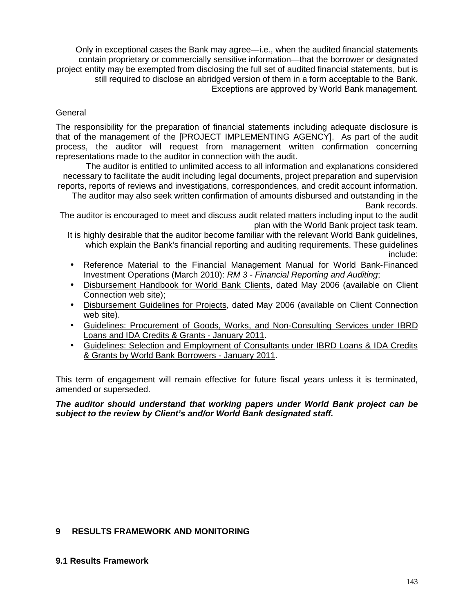Only in exceptional cases the Bank may agree—i.e., when the audited financial statements contain proprietary or commercially sensitive information—that the borrower or designated project entity may be exempted from disclosing the full set of audited financial statements, but is still required to disclose an abridged version of them in a form acceptable to the Bank. Exceptions are approved by World Bank management.

#### **General**

The responsibility for the preparation of financial statements including adequate disclosure is that of the management of the [PROJECT IMPLEMENTING AGENCY]. As part of the audit process, the auditor will request from management written confirmation concerning representations made to the auditor in connection with the audit.

The auditor is entitled to unlimited access to all information and explanations considered necessary to facilitate the audit including legal documents, project preparation and supervision reports, reports of reviews and investigations, correspondences, and credit account information.

The auditor may also seek written confirmation of amounts disbursed and outstanding in the Bank records.

The auditor is encouraged to meet and discuss audit related matters including input to the audit plan with the World Bank project task team.

It is highly desirable that the auditor become familiar with the relevant World Bank guidelines, which explain the Bank's financial reporting and auditing requirements. These guidelines include:

- Reference Material to the Financial Management Manual for World Bank-Financed Investment Operations (March 2010): *RM 3 - Financial Reporting and Auditing*;
- Disbursement Handbook for World Bank Clients, dated May 2006 (available on Client Connection web site);
- Disbursement Guidelines for Projects, dated May 2006 (available on Client Connection web site).
- Guidelines: Procurement of Goods, Works, and Non-Consulting Services under IBRD Loans and IDA Credits & Grants - January 2011.
- Guidelines: Selection and Employment of Consultants under IBRD Loans & IDA Credits & Grants by World Bank Borrowers - January 2011.

This term of engagement will remain effective for future fiscal years unless it is terminated, amended or superseded.

#### *The auditor should understand that working papers under World Bank project can be subject to the review by Client's and/or World Bank designated staff.*

## **9 RESULTS FRAMEWORK AND MONITORING**

#### **9.1 Results Framework**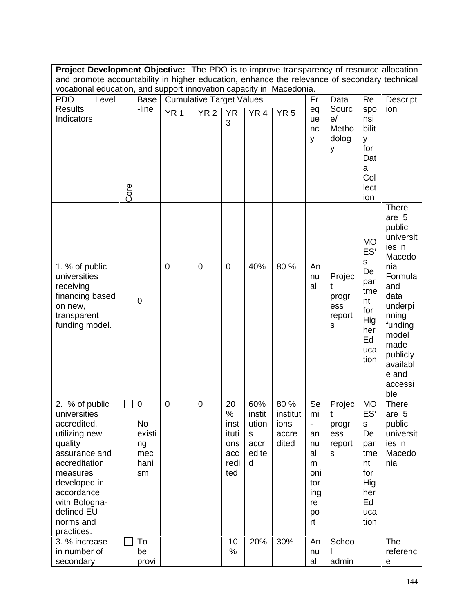**Project Development Objective:** The PDO is to improve transparency of resource allocation and promote accountability in higher education, enhance the relevance of secondary technical vocational education, and support innovation capacity in Macedonia.

| <b>PDO</b><br>Level                                                                                                                                                                                             |      | <b>Base</b>                                            | <b>Cumulative Target Values</b> |             |                                                       |                                                   |                                            | Fr                                                                          | Data                                       | Re                                                                                                  | Descript                                                                                                                                                                                      |
|-----------------------------------------------------------------------------------------------------------------------------------------------------------------------------------------------------------------|------|--------------------------------------------------------|---------------------------------|-------------|-------------------------------------------------------|---------------------------------------------------|--------------------------------------------|-----------------------------------------------------------------------------|--------------------------------------------|-----------------------------------------------------------------------------------------------------|-----------------------------------------------------------------------------------------------------------------------------------------------------------------------------------------------|
| <b>Results</b><br>Indicators                                                                                                                                                                                    | Core | -line                                                  | YR <sub>1</sub>                 | <b>YR2</b>  | <b>YR</b><br>3                                        | YR <sub>4</sub>                                   | YR <sub>5</sub>                            | eq<br>ue<br>nc<br>у                                                         | Sourc<br>e/<br>Metho<br>dolog<br>у         | spo<br>nsi<br>bilit<br>у<br>for<br>Dat<br>a<br>Col<br>lect<br>ion                                   | ion                                                                                                                                                                                           |
| 1. % of public<br>universities<br>receiving<br>financing based<br>on new,<br>transparent<br>funding model.                                                                                                      |      | $\mathbf 0$                                            | $\mathbf 0$                     | $\mathbf 0$ | $\mathbf 0$                                           | 40%                                               | 80 %                                       | An<br>nu<br>al                                                              | Projec<br>t<br>progr<br>ess<br>report<br>s | <b>MO</b><br>ES'<br>$\mathsf S$<br>De<br>par<br>tme<br>nt<br>for<br>Hig<br>her<br>Ed<br>uca<br>tion | There<br>are 5<br>public<br>universit<br>ies in<br>Macedo<br>nia<br>Formula<br>and<br>data<br>underpi<br>nning<br>funding<br>model<br>made<br>publicly<br>availabl<br>e and<br>accessi<br>ble |
| 2. % of public<br>universities<br>accredited,<br>utilizing new<br>quality<br>assurance and<br>accreditation<br>measures<br>developed in<br>accordance<br>with Bologna-<br>defined EU<br>norms and<br>practices. |      | $\mathbf 0$<br>No<br>existi<br>ng<br>mec<br>hani<br>sm | $\pmb{0}$                       | $\mathbf 0$ | 20<br>%<br>inst<br>ituti<br>ons<br>acc<br>redi<br>ted | 60%<br>instit<br>ution<br>s<br>accr<br>edite<br>d | 80 %<br>institut<br>ions<br>accre<br>dited | Se<br>mi<br>-<br>an<br>nu<br>al<br>m<br>oni<br>tor<br>ing<br>re<br>po<br>rt | Projec<br>t<br>progr<br>ess<br>report<br>S | <b>MO</b><br>ES'<br>${\sf s}$<br>De<br>par<br>tme<br>nt<br>for<br>Hig<br>her<br>Ed<br>uca<br>tion   | <b>There</b><br>are 5<br>public<br>universit<br>ies in<br>Macedo<br>nia                                                                                                                       |
| 3. % increase<br>in number of<br>secondary                                                                                                                                                                      |      | To<br>be<br>provi                                      |                                 |             | 10<br>%                                               | 20%                                               | 30%                                        | An<br>nu<br>al                                                              | Schoo<br>admin                             |                                                                                                     | The<br>referenc<br>e                                                                                                                                                                          |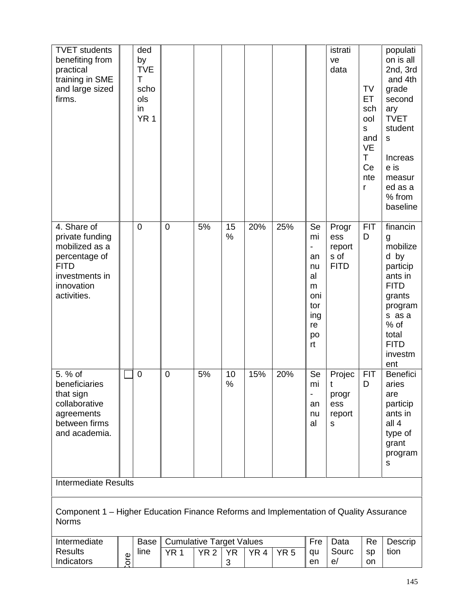| <b>TVET</b> students<br>benefiting from<br>practical<br>training in SME<br>and large sized<br>firms.                            |      | ded<br>by<br><b>TVE</b><br>T<br>scho<br>ols<br>in<br>YR <sub>1</sub> |                                                    |             |            |                 |                 |                                                                        | istrati<br>ve<br>data                         | TV<br>ET<br>sch<br>ool<br>S<br>and<br><b>VE</b><br>T<br>Ce<br>nte<br>r | populati<br>on is all<br>2nd, 3rd<br>and 4th<br>grade<br>second<br>ary<br><b>TVET</b><br>student<br>$\mathsf S$<br>Increas<br>e is<br>measur<br>ed as a<br>% from<br>baseline |
|---------------------------------------------------------------------------------------------------------------------------------|------|----------------------------------------------------------------------|----------------------------------------------------|-------------|------------|-----------------|-----------------|------------------------------------------------------------------------|-----------------------------------------------|------------------------------------------------------------------------|-------------------------------------------------------------------------------------------------------------------------------------------------------------------------------|
| 4. Share of<br>private funding<br>mobilized as a<br>percentage of<br><b>FITD</b><br>investments in<br>innovation<br>activities. |      | $\mathbf 0$                                                          | $\mathbf 0$                                        | 5%          | 15<br>%    | 20%             | 25%             | Se<br>mi<br>an<br>nu<br>al<br>m<br>oni<br>tor<br>ing<br>re<br>po<br>rt | Progr<br>ess<br>report<br>s of<br><b>FITD</b> | <b>FIT</b><br>D                                                        | financin<br>g<br>mobilize<br>d by<br>particip<br>ants in<br><b>FITD</b><br>grants<br>program<br>s as a<br>$%$ of<br>total<br><b>FITD</b><br>investm<br>ent                    |
| 5. % of<br>beneficiaries<br>that sign<br>collaborative<br>agreements<br>between firms<br>and academia.                          |      | $\mathbf 0$                                                          | $\mathbf 0$                                        | 5%          | 10<br>$\%$ | 15%             | 20%             | Se<br>mi<br>$\blacksquare$<br>an<br>nu<br>al                           | Projec<br>t<br>progr<br>ess<br>report<br>s    | <b>FIT</b><br>D                                                        | <b>Benefici</b><br>aries<br>are<br>particip<br>ants in<br>all $4$<br>type of<br>grant<br>program<br>s                                                                         |
| <b>Intermediate Results</b>                                                                                                     |      |                                                                      |                                                    |             |            |                 |                 |                                                                        |                                               |                                                                        |                                                                                                                                                                               |
| Component 1 - Higher Education Finance Reforms and Implementation of Quality Assurance<br><b>Norms</b>                          |      |                                                                      |                                                    |             |            |                 |                 |                                                                        |                                               |                                                                        |                                                                                                                                                                               |
| Intermediate<br><b>Results</b>                                                                                                  | ore. | <b>Base</b><br>line                                                  | <b>Cumulative Target Values</b><br>YR <sub>1</sub> | <b>YR 2</b> | <b>YR</b>  | YR <sub>4</sub> | YR <sub>5</sub> | Fre<br>qu                                                              | Data<br>Sourc                                 | Re<br>sp                                                               | Descrip<br>tion                                                                                                                                                               |
| Indicators                                                                                                                      |      |                                                                      |                                                    |             | 3          |                 |                 | en                                                                     | e/                                            | on                                                                     |                                                                                                                                                                               |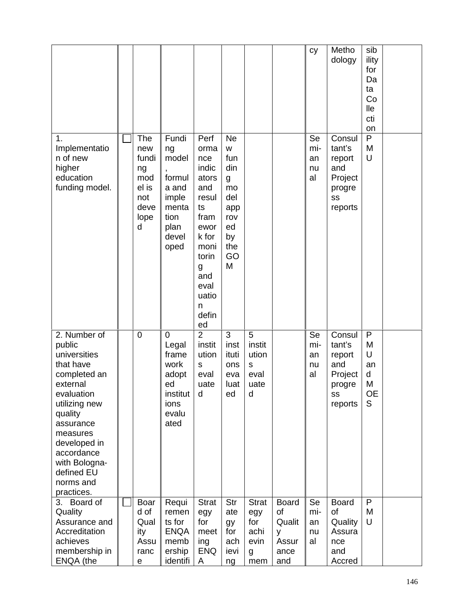|                                                                                                                                                                                                                                            |                                                                       |                                                                                            |                                                                                                                                                        |                                                                                            |                                                          |                                                           | cy                          | Metho<br>dology                                                         | sib<br>ility<br>for<br>Da<br>ta<br>Co<br>lle<br>cti<br>on |  |
|--------------------------------------------------------------------------------------------------------------------------------------------------------------------------------------------------------------------------------------------|-----------------------------------------------------------------------|--------------------------------------------------------------------------------------------|--------------------------------------------------------------------------------------------------------------------------------------------------------|--------------------------------------------------------------------------------------------|----------------------------------------------------------|-----------------------------------------------------------|-----------------------------|-------------------------------------------------------------------------|-----------------------------------------------------------|--|
| 1.<br>Implementatio<br>n of new<br>higher<br>education<br>funding model.                                                                                                                                                                   | The<br>new<br>fundi<br>ng<br>mod<br>el is<br>not<br>deve<br>lope<br>d | Fundi<br>ng<br>model<br>formul<br>a and<br>imple<br>menta<br>tion<br>plan<br>devel<br>oped | Perf<br>orma<br>nce<br>indic<br>ators<br>and<br>resul<br>ts<br>fram<br>ewor<br>k for<br>moni<br>torin<br>g<br>and<br>eval<br>uatio<br>n<br>defin<br>ed | <b>Ne</b><br>W<br>fun<br>din<br>g<br>mo<br>del<br>app<br>rov<br>ed<br>by<br>the<br>GO<br>M |                                                          |                                                           | Se<br>mi-<br>an<br>nu<br>al | Consul<br>tant's<br>report<br>and<br>Project<br>progre<br>SS<br>reports | P<br>M<br>U                                               |  |
| 2. Number of<br>public<br>universities<br>that have<br>completed an<br>external<br>evaluation<br>utilizing new<br>quality<br>assurance<br>measures<br>developed in<br>accordance<br>with Bologna-<br>defined EU<br>norms and<br>practices. | $\mathbf 0$                                                           | 0<br>Legal<br>frame<br>work<br>adopt<br>ed<br>institut<br>ions<br>evalu<br>ated            | $\overline{2}$<br>instit<br>ution<br>$\mathsf S$<br>eval<br>uate<br>d                                                                                  | 3<br>inst<br>ituti<br>ons<br>eva<br>luat<br>ed                                             | 5<br>instit<br>ution<br>$\mathsf S$<br>eval<br>uate<br>d |                                                           | Se<br>mi-<br>an<br>nu<br>al | Consul<br>tant's<br>report<br>and<br>Project<br>progre<br>SS<br>reports | P<br>M<br>U<br>an<br>d<br>М<br><b>OE</b><br>S             |  |
| 3. Board of<br>Quality<br>Assurance and<br>Accreditation<br>achieves<br>membership in<br>ENQA (the                                                                                                                                         | Boar<br>d of<br>Qual<br>ity<br>Assu<br>ranc<br>е                      | Requi<br>remen<br>ts for<br><b>ENQA</b><br>memb<br>ership<br>identifi                      | <b>Strat</b><br>egy<br>for<br>meet<br>ing<br><b>ENQ</b><br>A                                                                                           | <b>Str</b><br>ate<br>gy<br>for<br>ach<br>ievi<br>ng                                        | <b>Strat</b><br>egy<br>for<br>achi<br>evin<br>g<br>mem   | <b>Board</b><br>of<br>Qualit<br>y<br>Assur<br>ance<br>and | Se<br>mi-<br>an<br>nu<br>al | <b>Board</b><br>of<br>Quality<br>Assura<br>nce<br>and<br>Accred         | P<br>M<br>U                                               |  |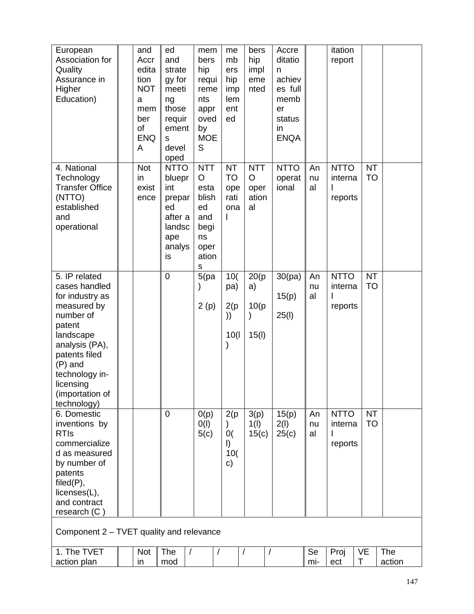| European<br>Association for<br>Quality<br>Assurance in<br>Higher<br>Education)                                                                                                                                        | and<br>Accr<br>edita<br>tion<br><b>NOT</b><br>a<br>mem<br>ber<br>of<br><b>ENQ</b><br>A | ed<br>and<br>strate<br>gy for<br>meeti<br>ng<br>those<br>requir<br>ement<br>S<br>devel<br>oped | mem<br>bers<br>hip<br>requi<br>reme<br>nts<br>appr<br>oved<br>by<br><b>MOE</b><br>S               | me<br>mb<br>ers<br>hip<br>imp<br>lem<br>ent<br>ed   | bers<br>hip<br>impl<br>eme<br>nted           | Accre<br>ditatio<br>n<br>achiev<br>es full<br>memb<br>er<br>status<br>in<br><b>ENQA</b> |                | itation<br>report                 |                        |                      |  |
|-----------------------------------------------------------------------------------------------------------------------------------------------------------------------------------------------------------------------|----------------------------------------------------------------------------------------|------------------------------------------------------------------------------------------------|---------------------------------------------------------------------------------------------------|-----------------------------------------------------|----------------------------------------------|-----------------------------------------------------------------------------------------|----------------|-----------------------------------|------------------------|----------------------|--|
| 4. National<br>Technology<br><b>Transfer Office</b><br>(NTTO)<br>established<br>and<br>operational                                                                                                                    | <b>Not</b><br>in<br>exist<br>ence                                                      | <b>NTTO</b><br>bluepr<br>int<br>prepar<br>ed<br>after a<br>landsc<br>ape<br>analys<br>is       | <b>NTT</b><br>$\circ$<br>esta<br>blish<br>ed<br>and<br>begi<br>ns<br>oper<br>ation<br>$\mathsf S$ | <b>NT</b><br><b>TO</b><br>ope<br>rati<br>ona        | <b>NTT</b><br>$\circ$<br>oper<br>ation<br>al | <b>NTTO</b><br>operat<br>ional                                                          | An<br>nu<br>al | <b>NTTO</b><br>interna<br>reports | <b>NT</b><br><b>TO</b> |                      |  |
| 5. IP related<br>cases handled<br>for industry as<br>measured by<br>number of<br>patent<br>landscape<br>analysis (PA),<br>patents filed<br>$(P)$ and<br>technology in-<br>licensing<br>(importation of<br>technology) |                                                                                        | $\mathbf 0$                                                                                    | 5(pa)<br>2(p)                                                                                     | 10(<br>pa)<br>2(p)<br>))<br>10(1)                   | 20(p)<br>a)<br>10(p)<br>15(1)                | 30(pa)<br>15(p)<br>25(1)                                                                | An<br>nu<br>al | <b>NTTO</b><br>interna<br>reports | <b>NT</b><br><b>TO</b> |                      |  |
| 6. Domestic<br>inventions by<br><b>RTIs</b><br>commercialize<br>d as measured<br>by number of<br>patents<br>filed(P),<br>licenses(L),<br>and contract<br>research (C)                                                 |                                                                                        | $\overline{0}$                                                                                 | O(p)<br>O(1)<br>5(c)                                                                              | 2(p)<br>$\mathcal{E}$<br>0(<br>$\vert$<br>10(<br>c) | 3(p)<br>1(1)<br>15(c)                        | 15(p)<br>2(1)<br>25(c)                                                                  | An<br>nu<br>al | <b>NTTO</b><br>interna<br>reports | <b>NT</b><br><b>TO</b> |                      |  |
| Component 2 - TVET quality and relevance                                                                                                                                                                              |                                                                                        |                                                                                                |                                                                                                   |                                                     |                                              |                                                                                         |                |                                   |                        |                      |  |
| 1. The TVET<br>action plan                                                                                                                                                                                            | Not<br>in                                                                              | The<br>$\sqrt{2}$<br>mod                                                                       | $\overline{1}$                                                                                    | $\overline{1}$                                      |                                              |                                                                                         | Se<br>mi-      | Proj<br>ect                       | <b>VE</b><br>$\top$    | <b>The</b><br>action |  |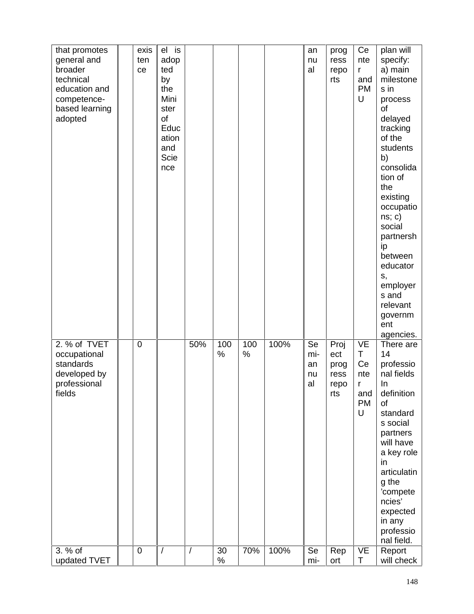| that promotes<br>general and<br>broader<br>technical<br>education and<br>competence-<br>based learning<br>adopted | exis<br>ten<br>ce | el is<br>adop<br>ted<br>by<br>the<br>Mini<br>ster<br>of<br>Educ<br>ation<br>and<br>Scie<br>nce |                |            |             |      | an<br>nu<br>al              | prog<br>ress<br>repo<br>rts                | Ce<br>nte<br>r<br>and<br><b>PM</b><br>U            | plan will<br>specify:<br>a) main<br>milestone<br>s in<br>process<br>of<br>delayed<br>tracking<br>of the<br>students<br>b)<br>consolida<br>tion of<br>the<br>existing<br>occupatio<br>ns; c)<br>social<br>partnersh<br>ip<br>between<br>educator<br>s,<br>employer<br>s and<br>relevant<br>governm<br>ent<br>agencies. |
|-------------------------------------------------------------------------------------------------------------------|-------------------|------------------------------------------------------------------------------------------------|----------------|------------|-------------|------|-----------------------------|--------------------------------------------|----------------------------------------------------|-----------------------------------------------------------------------------------------------------------------------------------------------------------------------------------------------------------------------------------------------------------------------------------------------------------------------|
| 2. % of TVET<br>occupational<br>standards<br>developed by<br>professional<br>fields                               | $\mathbf 0$       |                                                                                                | 50%            | 100<br>%   | 100<br>$\%$ | 100% | Se<br>mi-<br>an<br>nu<br>al | Proj<br>ect<br>prog<br>ress<br>repo<br>rts | VE<br>Τ<br>Ce<br>nte<br>r<br>and<br><b>PM</b><br>U | There are<br>14<br>professio<br>nal fields<br>In<br>definition<br>of<br>standard<br>s social<br>partners<br>will have<br>a key role<br>in<br>articulatin<br>g the<br>'compete<br>ncies'<br>expected<br>in any<br>professio<br>nal field.                                                                              |
| 3. % of<br>updated TVET                                                                                           | $\mathbf 0$       |                                                                                                | $\overline{1}$ | 30<br>$\%$ | 70%         | 100% | Se<br>mi-                   | Rep<br>ort                                 | VE<br>Τ                                            | Report<br>will check                                                                                                                                                                                                                                                                                                  |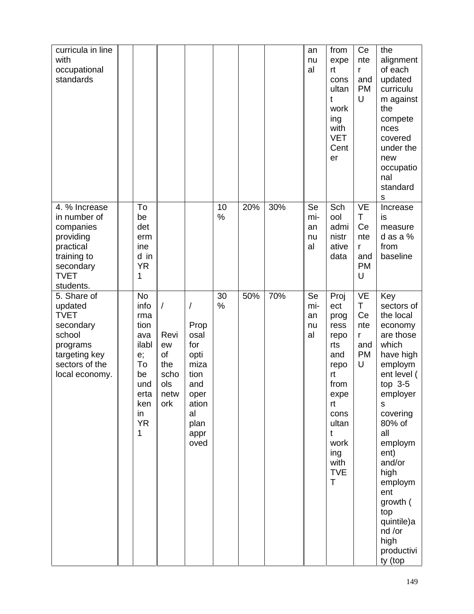| curricula in line<br>with<br>occupational<br>standards                                                                                     |                                                                                                                  |                                                                     |                                                                                                               |            |     |     | an<br>nu<br>al              | from<br>expe<br>rt<br>cons<br>ultan<br>t<br>work<br>ing<br>with<br><b>VET</b><br>Cent<br>er                                                           | Ce<br>nte<br>r<br>and<br><b>PM</b><br>U                    | the<br>alignment<br>of each<br>updated<br>curriculu<br>m against<br>the<br>compete<br>nces<br>covered<br>under the<br>new<br>occupatio<br>nal<br>standard<br>s                                                                                                                                       |
|--------------------------------------------------------------------------------------------------------------------------------------------|------------------------------------------------------------------------------------------------------------------|---------------------------------------------------------------------|---------------------------------------------------------------------------------------------------------------|------------|-----|-----|-----------------------------|-------------------------------------------------------------------------------------------------------------------------------------------------------|------------------------------------------------------------|------------------------------------------------------------------------------------------------------------------------------------------------------------------------------------------------------------------------------------------------------------------------------------------------------|
| 4. % Increase<br>in number of<br>companies<br>providing<br>practical<br>training to<br>secondary<br><b>TVET</b>                            | To<br>be<br>det<br>erm<br>ine<br>d in<br><b>YR</b><br>1                                                          |                                                                     |                                                                                                               | 10<br>$\%$ | 20% | 30% | Se<br>mi-<br>an<br>nu<br>al | Sch<br>ool<br>admi<br>nistr<br>ative<br>data                                                                                                          | <b>VE</b><br>T.<br>Ce<br>nte<br>r<br>and<br><b>PM</b><br>U | Increase<br>is<br>measure<br>d as a $%$<br>from<br>baseline                                                                                                                                                                                                                                          |
| students.<br>5. Share of<br>updated<br><b>TVET</b><br>secondary<br>school<br>programs<br>targeting key<br>sectors of the<br>local economy. | <b>No</b><br>info<br>rma<br>tion<br>ava<br>ilabl<br>e;<br>To<br>be<br>und<br>erta<br>ken<br>in<br><b>YR</b><br>1 | $\sqrt{2}$<br>Revi<br>ew<br>of<br>the<br>scho<br>ols<br>netw<br>ork | $\prime$<br>Prop<br>osal<br>for<br>opti<br>miza<br>tion<br>and<br>oper<br>ation<br>al<br>plan<br>appr<br>oved | 30<br>%    | 50% | 70% | Se<br>mi-<br>an<br>nu<br>al | Proj<br>ect<br>prog<br>ress<br>repo<br>rts<br>and<br>repo<br>rt<br>from<br>expe<br>rt<br>cons<br>ultan<br>t<br>work<br>ing<br>with<br><b>TVE</b><br>T | VE<br>T<br>Ce<br>nte<br>r<br>and<br><b>PM</b><br>U         | Key<br>sectors of<br>the local<br>economy<br>are those<br>which<br>have high<br>employm<br>ent level (<br>top $3-5$<br>employer<br>S<br>covering<br>80% of<br>all<br>employm<br>ent)<br>and/or<br>high<br>employm<br>ent<br>growth (<br>top<br>quintile)a<br>nd /or<br>high<br>productivi<br>ty (top |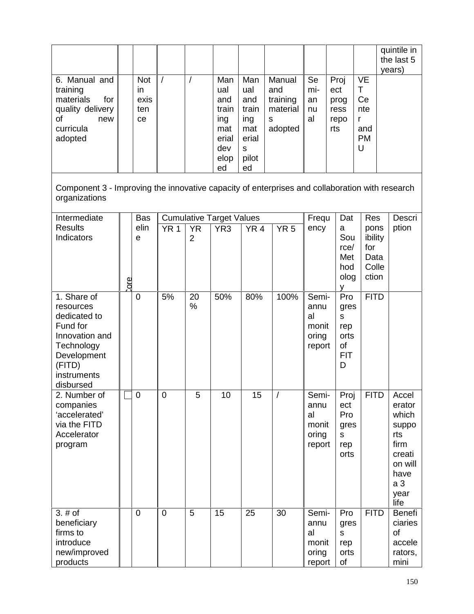|                                                                                                        |                                       |  |                                                                        |                                                                       |                                                       |                             |                                            |                                                           | quintile in<br>the last 5<br>years) |
|--------------------------------------------------------------------------------------------------------|---------------------------------------|--|------------------------------------------------------------------------|-----------------------------------------------------------------------|-------------------------------------------------------|-----------------------------|--------------------------------------------|-----------------------------------------------------------|-------------------------------------|
| 6. Manual and<br>training<br>materials<br>for<br>quality delivery<br>οf<br>new<br>curricula<br>adopted | <b>Not</b><br>in<br>exis<br>ten<br>ce |  | Man<br>ual<br>and<br>train<br>ing<br>mat<br>erial<br>dev<br>elop<br>ed | Man<br>ual<br>and<br>train<br>ing<br>mat<br>erial<br>S<br>pilot<br>ed | Manual<br>and<br>training<br>material<br>s<br>adopted | Se<br>mi-<br>an<br>nu<br>al | Proj<br>ect<br>prog<br>ress<br>repo<br>rts | <b>VE</b><br>т<br>Ce<br>nte<br>r<br>and<br><b>PM</b><br>U |                                     |

Component 3 - Improving the innovative capacity of enterprises and collaboration with research organizations

| Intermediate<br><b>Results</b><br>Indicators                                                                                              | core. | <b>Bas</b><br>elin<br>e | YR <sub>1</sub> | <b>YR</b><br>$\overline{2}$ | <b>Cumulative Target Values</b><br>YR <sub>3</sub> | YR <sub>4</sub> | YR <sub>5</sub> | Frequ<br>ency                                   | Dat<br>a<br>Sou<br>rce/<br>Met<br>hod<br>olog            | <b>Res</b><br>pons<br>ibility<br>for<br>Data<br>Colle<br>ction | Descri<br>ption                                                                                                 |
|-------------------------------------------------------------------------------------------------------------------------------------------|-------|-------------------------|-----------------|-----------------------------|----------------------------------------------------|-----------------|-----------------|-------------------------------------------------|----------------------------------------------------------|----------------------------------------------------------------|-----------------------------------------------------------------------------------------------------------------|
| 1. Share of<br>resources<br>dedicated to<br>Fund for<br>Innovation and<br>Technology<br>Development<br>(FITD)<br>instruments<br>disbursed |       | $\overline{0}$          | 5%              | 20<br>%                     | 50%                                                | 80%             | 100%            | Semi-<br>annu<br>al<br>monit<br>oring<br>report | Pro<br>gres<br>S<br>rep<br>orts<br>of<br><b>FIT</b><br>D | <b>FITD</b>                                                    |                                                                                                                 |
| 2. Number of<br>companies<br>'accelerated'<br>via the FITD<br>Accelerator<br>program                                                      |       | $\overline{0}$          | $\overline{0}$  | 5                           | 10                                                 | 15              | $\overline{1}$  | Semi-<br>annu<br>al<br>monit<br>oring<br>report | Proj<br>ect<br>Pro<br>gres<br>S<br>rep<br>orts           | <b>FITD</b>                                                    | Accel<br>erator<br>which<br>suppo<br>rts<br>firm<br>creati<br>on will<br>have<br>a <sub>3</sub><br>year<br>life |
| 3. # of<br>beneficiary<br>firms to<br>introduce<br>new/improved<br>products                                                               |       | $\overline{0}$          | $\overline{0}$  | 5                           | 15                                                 | 25              | 30              | Semi-<br>annu<br>al<br>monit<br>oring<br>report | Pro<br>gres<br>$\mathsf{s}$<br>rep<br>orts<br>of         | <b>FITD</b>                                                    | <b>Benefi</b><br>ciaries<br>of<br>accele<br>rators,<br>mini                                                     |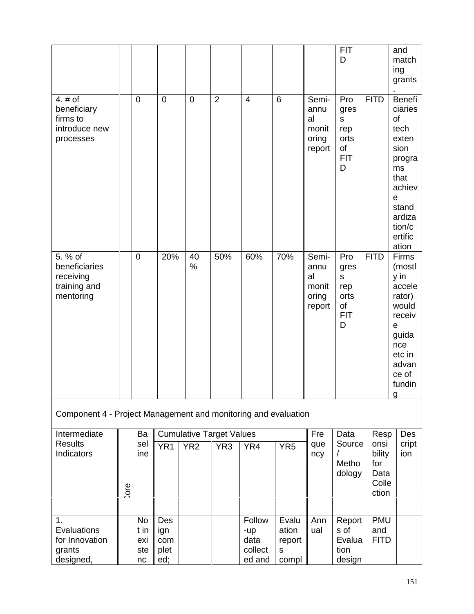|                                                                    |      |                                       |                                  |                 |                                 |                                            |                                        |                                                 | <b>FIT</b><br>D                                          |                                                 | and<br>match<br>ing<br>grants                                                                                                            |
|--------------------------------------------------------------------|------|---------------------------------------|----------------------------------|-----------------|---------------------------------|--------------------------------------------|----------------------------------------|-------------------------------------------------|----------------------------------------------------------|-------------------------------------------------|------------------------------------------------------------------------------------------------------------------------------------------|
| 4. $#$ of<br>beneficiary<br>firms to<br>introduce new<br>processes |      | $\mathbf 0$                           | $\mathbf 0$                      | $\mathbf 0$     | $\overline{2}$                  | $\overline{4}$                             | $6\phantom{1}6$                        | Semi-<br>annu<br>al<br>monit<br>oring<br>report | Pro<br>gres<br>s<br>rep<br>orts<br>of<br><b>FIT</b><br>D | <b>FITD</b>                                     | Benefi<br>ciaries<br>of<br>tech<br>exten<br>sion<br>progra<br>ms<br>that<br>achiev<br>e<br>stand<br>ardiza<br>tion/c<br>ertific<br>ation |
| 5. % of<br>beneficiaries<br>receiving<br>training and<br>mentoring |      | $\mathbf 0$                           | 20%                              | 40<br>$\%$      | 50%                             | 60%                                        | 70%                                    | Semi-<br>annu<br>al<br>monit<br>oring<br>report | Pro<br>gres<br>s<br>rep<br>orts<br>of<br><b>FIT</b><br>D | <b>FITD</b>                                     | Firms<br>(mostl<br>y in<br>accele<br>rator)<br>would<br>receiv<br>e<br>guida<br>nce<br>etc in<br>advan<br>ce of<br>fundin<br>g           |
| Component 4 - Project Management and monitoring and evaluation     |      |                                       |                                  |                 |                                 |                                            |                                        |                                                 |                                                          |                                                 |                                                                                                                                          |
| Intermediate                                                       |      | Ba                                    |                                  |                 | <b>Cumulative Target Values</b> |                                            |                                        | Fre                                             | Data                                                     | Resp                                            | Des                                                                                                                                      |
| <b>Results</b><br>Indicators                                       | ore. | sel<br>ine                            | YR <sub>1</sub>                  | YR <sub>2</sub> | YR <sub>3</sub>                 | YR4                                        | YR <sub>5</sub>                        | que<br>ncy                                      | Source<br>Metho<br>dology                                | onsi<br>bility<br>for<br>Data<br>Colle<br>ction | cript<br>ion                                                                                                                             |
|                                                                    |      |                                       |                                  |                 |                                 |                                            |                                        |                                                 |                                                          |                                                 |                                                                                                                                          |
| 1.<br>Evaluations<br>for Innovation<br>grants<br>designed,         |      | <b>No</b><br>t in<br>exi<br>ste<br>nc | Des<br>ign<br>com<br>plet<br>ed; |                 |                                 | Follow<br>-up<br>data<br>collect<br>ed and | Evalu<br>ation<br>report<br>S<br>compl | Ann<br>ual                                      | Report<br>s of<br>Evalua<br>tion<br>design               | <b>PMU</b><br>and<br><b>FITD</b>                |                                                                                                                                          |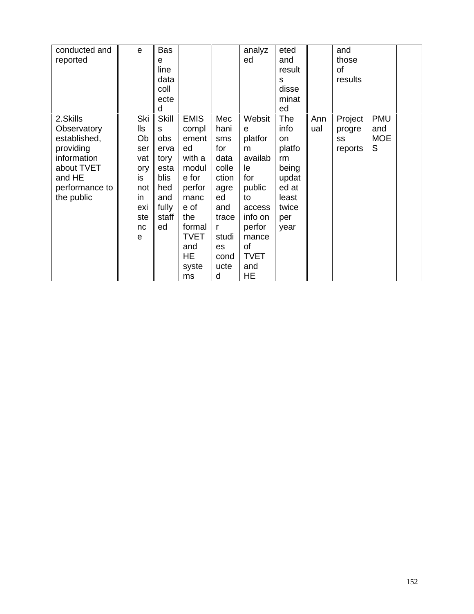| conducted and  | e   | Bas          |             |       | analyz      | eted   |     | and     |            |  |
|----------------|-----|--------------|-------------|-------|-------------|--------|-----|---------|------------|--|
| reported       |     | e            |             |       | ed          | and    |     | those   |            |  |
|                |     | line         |             |       |             | result |     | of      |            |  |
|                |     | data         |             |       |             | s      |     | results |            |  |
|                |     | coll         |             |       |             | disse  |     |         |            |  |
|                |     | ecte         |             |       |             | minat  |     |         |            |  |
|                |     | d            |             |       |             | ed     |     |         |            |  |
| 2.Skills       | Ski | <b>Skill</b> | <b>EMIS</b> | Mec   | Websit      | The    | Ann | Project | <b>PMU</b> |  |
| Observatory    | lls | S            | compl       | hani  | e           | info   | ual | progre  | and        |  |
| established,   | Ob  | obs          | ement       | sms   | platfor     | on     |     | SS      | <b>MOE</b> |  |
| providing      | ser | erva         | ed          | for   | m           | platfo |     | reports | S          |  |
| information    | vat | tory         | with a      | data  | availab     | rm     |     |         |            |  |
| about TVET     | ory | esta         | modul       | colle | le.         | being  |     |         |            |  |
| and HE         | is  | blis         | e for       | ction | for         | updat  |     |         |            |  |
| performance to | not | hed          | perfor      | agre  | public      | ed at  |     |         |            |  |
| the public     | in  | and          | manc        | ed    | to          | least  |     |         |            |  |
|                | exi | fully        | e of        | and   | access      | twice  |     |         |            |  |
|                | ste | staff        | the         | trace | info on     | per    |     |         |            |  |
|                | nc  | ed           | formal      | r     | perfor      | year   |     |         |            |  |
|                | e   |              | <b>TVET</b> | studi | mance       |        |     |         |            |  |
|                |     |              | and         | es    | of          |        |     |         |            |  |
|                |     |              | HE.         | cond  | <b>TVET</b> |        |     |         |            |  |
|                |     |              | syste       | ucte  | and         |        |     |         |            |  |
|                |     |              |             | d     | HE          |        |     |         |            |  |
|                |     |              | ms          |       |             |        |     |         |            |  |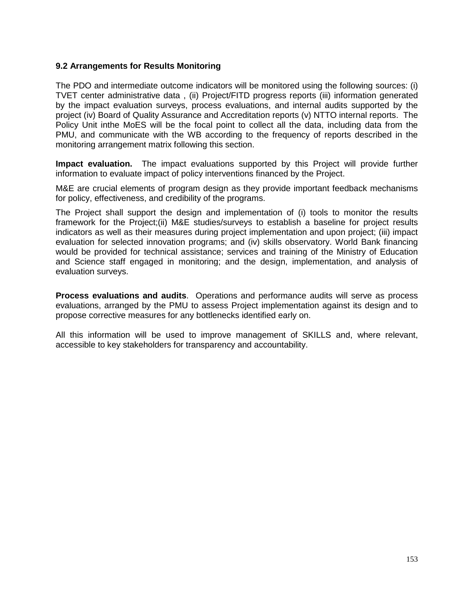### **9.2 Arrangements for Results Monitoring**

The PDO and intermediate outcome indicators will be monitored using the following sources: (i) TVET center administrative data , (ii) Project/FITD progress reports (iii) information generated by the impact evaluation surveys, process evaluations, and internal audits supported by the project (iv) Board of Quality Assurance and Accreditation reports (v) NTTO internal reports. The Policy Unit inthe MoES will be the focal point to collect all the data, including data from the PMU, and communicate with the WB according to the frequency of reports described in the monitoring arrangement matrix following this section.

**Impact evaluation.** The impact evaluations supported by this Project will provide further information to evaluate impact of policy interventions financed by the Project.

M&E are crucial elements of program design as they provide important feedback mechanisms for policy, effectiveness, and credibility of the programs.

The Project shall support the design and implementation of (i) tools to monitor the results framework for the Project;(ii) M&E studies/surveys to establish a baseline for project results indicators as well as their measures during project implementation and upon project; (iii) impact evaluation for selected innovation programs; and (iv) skills observatory. World Bank financing would be provided for technical assistance; services and training of the Ministry of Education and Science staff engaged in monitoring; and the design, implementation, and analysis of evaluation surveys.

**Process evaluations and audits**. Operations and performance audits will serve as process evaluations, arranged by the PMU to assess Project implementation against its design and to propose corrective measures for any bottlenecks identified early on.

All this information will be used to improve management of SKILLS and, where relevant, accessible to key stakeholders for transparency and accountability.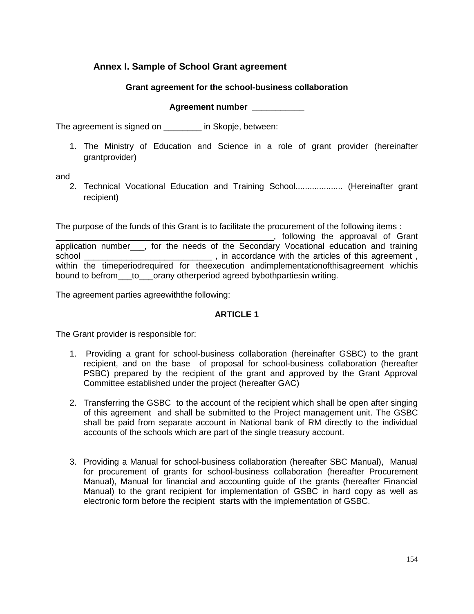## **Annex I. Sample of School Grant agreement**

### **Grant agreement for the school-business collaboration**

**Agreement number \_\_\_\_\_\_\_\_\_\_\_**

The agreement is signed on \_\_\_\_\_\_\_\_ in Skopje, between:

1. The Ministry of Education and Science in a role of grant provider (hereinafter grantprovider)

and

2. Technical Vocational Education and Training School.................... (Hereinafter grant recipient)

The purpose of the funds of this Grant is to facilitate the procurement of the following items :

\_\_\_\_\_\_\_\_\_\_\_\_\_\_\_\_\_\_\_\_\_\_\_\_\_\_\_\_\_\_\_\_\_\_\_\_\_\_\_\_\_\_\_\_\_\_, following the approaval of Grant application number\_\_\_, for the needs of the Secondary Vocational education and training school \_\_\_\_\_\_\_\_\_\_\_\_\_\_\_\_\_\_\_\_\_\_\_\_\_\_\_ , in accordance with the articles of this agreement , within the timeperiodrequired for theexecution andimplementationofthisagreement whichis bound to befrom to orany otherperiod agreed bybothpartiesin writing.

The agreement parties agreewiththe following:

### **ARTICLE 1**

The Grant provider is responsible for:

- 1. Providing a grant for school-business collaboration (hereinafter GSBC) to the grant recipient, and on the base of proposal for school-business collaboration (hereafter PSBC) prepared by the recipient of the grant and approved by the Grant Approval Committee established under the project (hereafter GAC)
- 2. Transferring the GSBC to the account of the recipient which shall be open after singing of this agreement and shall be submitted to the Project management unit. The GSBC shall be paid from separate account in National bank of RM directly to the individual accounts of the schools which are part of the single treasury account.
- 3. Providing a Manual for school-business collaboration (hereafter SBC Manual), Manual for procurement of grants for school-business collaboration (hereafter Procurement Manual), Manual for financial and accounting guide of the grants (hereafter Financial Manual) to the grant recipient for implementation of GSBC in hard copy as well as electronic form before the recipient starts with the implementation of GSBC.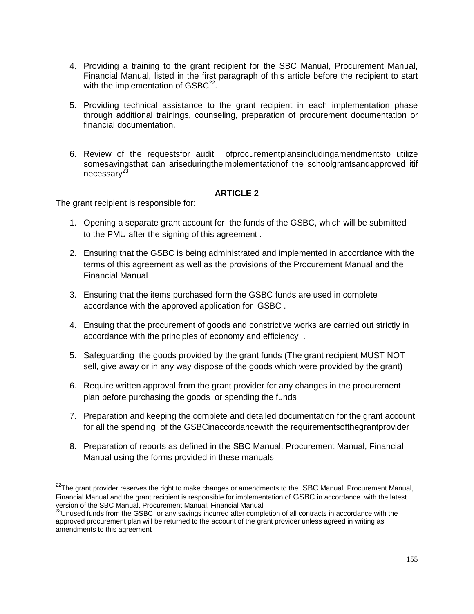- 4. Providing a training to the grant recipient for the SBC Manual, Procurement Manual, Financial Manual, listed in the first paragraph of this article before the recipient to start with the implementation of  $\mathsf{GSBC}^{22}$ .
- 5. Providing technical assistance to the grant recipient in each implementation phase through additional trainings, counseling, preparation of procurement documentation or financial documentation.
- 6. Review of the requestsfor audit ofprocurementplansincludingamendmentsto utilize somesavingsthat can ariseduringtheimplementationof the schoolgrantsandapproved itif necessarv<sup>23</sup>

### **ARTICLE 2**

The grant recipient is responsible for:

- 1. Opening a separate grant account for the funds of the GSBC, which will be submitted to the PMU after the signing of this agreement .
- 2. Ensuring that the GSBC is being administrated and implemented in accordance with the terms of this agreement as well as the provisions of the Procurement Manual and the Financial Manual
- 3. Ensuring that the items purchased form the GSBC funds are used in complete accordance with the approved application for GSBC .
- 4. Ensuing that the procurement of goods and constrictive works are carried out strictly in accordance with the principles of economy and efficiency .
- 5. Safeguarding the goods provided by the grant funds (The grant recipient MUST NOT sell, give away or in any way dispose of the goods which were provided by the grant)
- 6. Require written approval from the grant provider for any changes in the procurement plan before purchasing the goods or spending the funds
- 7. Preparation and keeping the complete and detailed documentation for the grant account for all the spending of the GSBCinaccordancewith the requirementsofthegrantprovider
- 8. Preparation of reports as defined in the SBC Manual, Procurement Manual, Financial Manual using the forms provided in these manuals

<sup>&</sup>lt;sup>22</sup>The grant provider reserves the right to make changes or amendments to the SBC Manual, Procurement Manual, Financial Manual and the grant recipient is responsible for implementation of GSBC in accordance with the latest version of the SBC Manual, Procurement Manual, Financial Manual<br><sup>23</sup>Unused funds from the GSBC or any savings incurred after completion of all contracts in accordance with the

approved procurement plan will be returned to the account of the grant provider unless agreed in writing as amendments to this agreement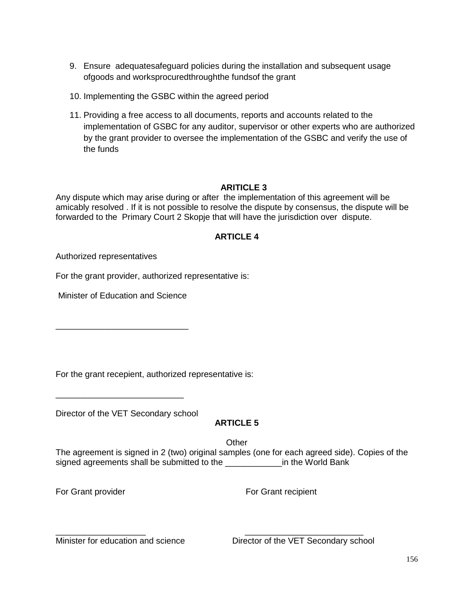- 9. Ensure adequatesafeguard policies during the installation and subsequent usage ofgoods and worksprocuredthroughthe fundsof the grant
- 10. Implementing the GSBC within the agreed period
- 11. Providing a free access to all documents, reports and accounts related to the implementation of GSBC for any auditor, supervisor or other experts who are authorized by the grant provider to oversee the implementation of the GSBC and verify the use of the funds

### **ARITICLE 3**

Any dispute which may arise during or after the implementation of this agreement will be amicably resolved . If it is not possible to resolve the dispute by consensus, the dispute will be forwarded to the Primary Court 2 Skopje that will have the jurisdiction over dispute.

### **ARTICLE 4**

Authorized representatives

For the grant provider, authorized representative is:

Minister of Education and Science

\_\_\_\_\_\_\_\_\_\_\_\_\_\_\_\_\_\_\_\_\_\_\_\_\_\_\_\_

For the grant recepient, authorized representative is:

Director of the VET Secondary school

\_\_\_\_\_\_\_\_\_\_\_\_\_\_\_\_\_\_\_\_\_\_\_\_\_\_\_

### **ARTICLE 5**

**Other** 

The agreement is signed in 2 (two) original samples (one for each agreed side). Copies of the signed agreements shall be submitted to the \_\_\_\_\_\_\_\_\_\_\_\_\_\_\_in the World Bank

For Grant provider For Grant recipient

\_\_\_\_\_\_\_\_\_\_\_\_\_\_\_\_\_\_\_ \_\_\_\_\_\_\_\_\_\_\_\_\_\_\_\_\_\_\_\_\_\_\_\_\_ Minister for education and science **Director of the VET Secondary school**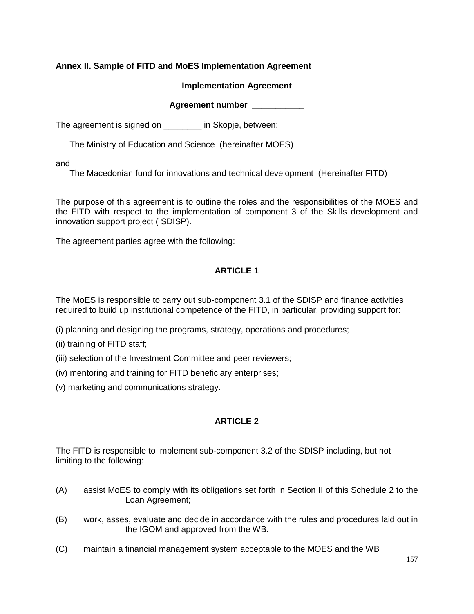### **Annex II. Sample of FITD and MoES Implementation Agreement**

### **Implementation Agreement**

### **Agreement number \_\_\_\_\_\_\_\_\_\_\_**

The agreement is signed on \_\_\_\_\_\_\_\_ in Skopje, between:

The Ministry of Education and Science (hereinafter MOES)

and

The Macedonian fund for innovations and technical development (Hereinafter FITD)

The purpose of this agreement is to outline the roles and the responsibilities of the MOES and the FITD with respect to the implementation of component 3 of the Skills development and innovation support project ( SDISP).

The agreement parties agree with the following:

## **ARTICLE 1**

The MoES is responsible to carry out sub-component 3.1 of the SDISP and finance activities required to build up institutional competence of the FITD, in particular, providing support for:

- (i) planning and designing the programs, strategy, operations and procedures;
- (ii) training of FITD staff;
- (iii) selection of the Investment Committee and peer reviewers;
- (iv) mentoring and training for FITD beneficiary enterprises;
- (v) marketing and communications strategy.

### **ARTICLE 2**

The FITD is responsible to implement sub-component 3.2 of the SDISP including, but not limiting to the following:

- (A) assist MoES to comply with its obligations set forth in Section II of this Schedule 2 to the Loan Agreement;
- (B) work, asses, evaluate and decide in accordance with the rules and procedures laid out in the IGOM and approved from the WB.
- (C) maintain a financial management system acceptable to the MOES and the WB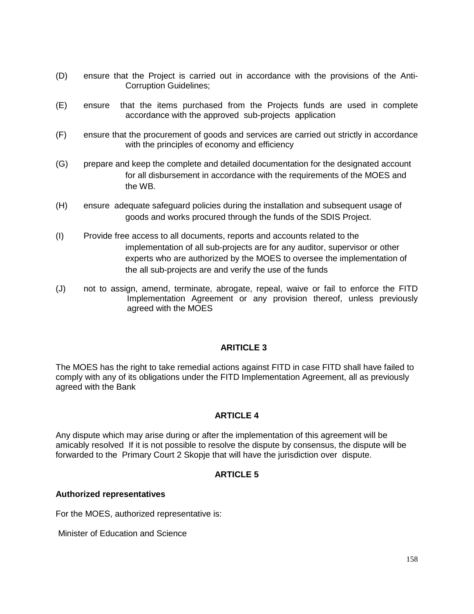- (D) ensure that the Project is carried out in accordance with the provisions of the Anti- Corruption Guidelines;
- (E) ensure that the items purchased from the Projects funds are used in complete accordance with the approved sub-projects application
- (F) ensure that the procurement of goods and services are carried out strictly in accordance with the principles of economy and efficiency
- (G) prepare and keep the complete and detailed documentation for the designated account for all disbursement in accordance with the requirements of the MOES and the WB.
- (H) ensure adequate safeguard policies during the installation and subsequent usage of goods and works procured through the funds of the SDIS Project.
- (I) Provide free access to all documents, reports and accounts related to the implementation of all sub-projects are for any auditor, supervisor or other experts who are authorized by the MOES to oversee the implementation of the all sub-projects are and verify the use of the funds
- (J) not to assign, amend, terminate, abrogate, repeal, waive or fail to enforce the FITD Implementation Agreement or any provision thereof, unless previously agreed with the MOES

### **ARITICLE 3**

The MOES has the right to take remedial actions against FITD in case FITD shall have failed to comply with any of its obligations under the FITD Implementation Agreement, all as previously agreed with the Bank

### **ARTICLE 4**

Any dispute which may arise during or after the implementation of this agreement will be amicably resolved If it is not possible to resolve the dispute by consensus, the dispute will be forwarded to the Primary Court 2 Skopje that will have the jurisdiction over dispute.

### **ARTICLE 5**

#### **Authorized representatives**

For the MOES, authorized representative is:

Minister of Education and Science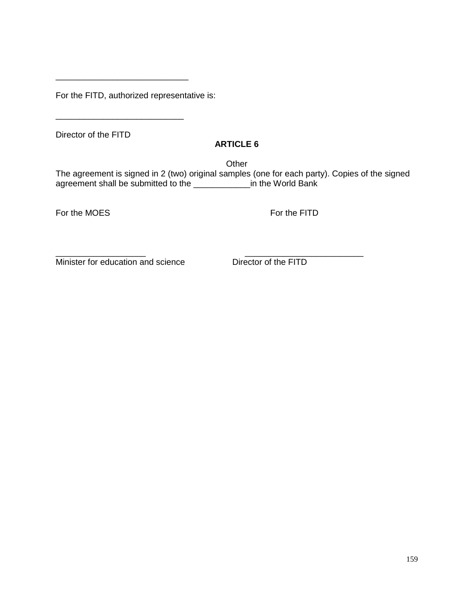For the FITD, authorized representative is:

\_\_\_\_\_\_\_\_\_\_\_\_\_\_\_\_\_\_\_\_\_\_\_\_\_\_\_

Director of the FITD

### **ARTICLE 6**

**Other** 

The agreement is signed in 2 (two) original samples (one for each party). Copies of the signed agreement shall be submitted to the \_\_\_\_\_\_\_\_\_\_\_\_in the World Bank

For the MOES For the FITD

\_\_\_\_\_\_\_\_\_\_\_\_\_\_\_\_\_\_\_ \_\_\_\_\_\_\_\_\_\_\_\_\_\_\_\_\_\_\_\_\_\_\_\_\_ Minister for education and science<br>
Director of the FITD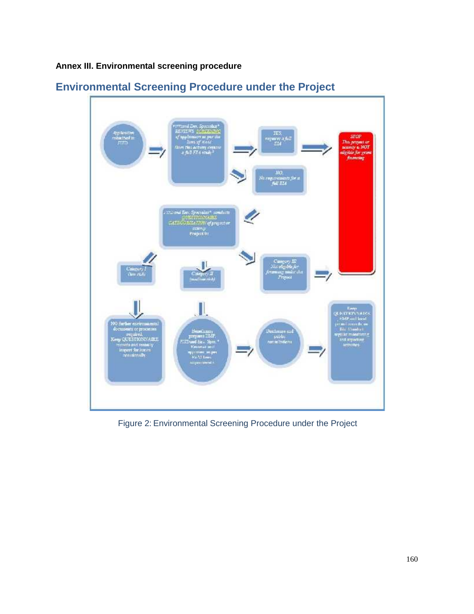**Annex III. Environmental screening procedure**



# **Environmental Screening Procedure under the Project**

Figure 2: Environmental Screening Procedure under the Project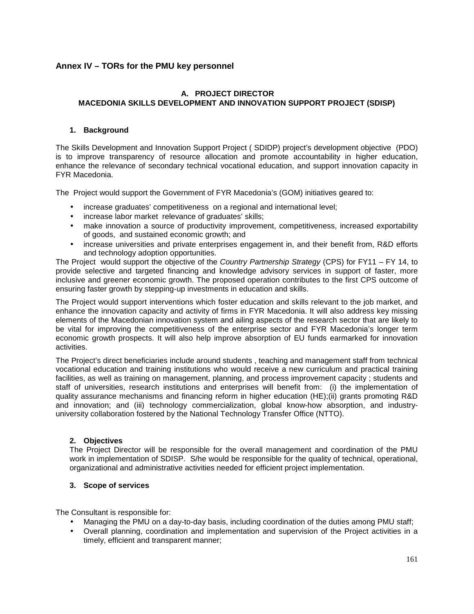### **Annex IV –TORs for the PMU key personnel**

### **A. PROJECT DIRECTOR MACEDONIA SKILLS DEVELOPMENT AND INNOVATION SUPPORT PROJECT (SDISP)**

#### **1. Background**

The Skills Development and Innovation Support Project ( SDIDP) project's development objective (PDO) is to improve transparency of resource allocation and promote accountability in higher education, enhance the relevance of secondary technical vocational education, and support innovation capacity in FYR Macedonia.

The Project would support the Government of FYR Macedonia's (GOM) initiatives geared to:

- increase graduates' competitiveness on a regional and international level;
- increase labor market relevance of graduates' skills;
- make innovation a source of productivity improvement, competitiveness, increased exportability of goods, and sustained economic growth; and
- increase universities and private enterprises engagement in, and their benefit from, R&D efforts and technology adoption opportunities.

The Project would support the objective of the *Country Partnership Strategy* (CPS) for FY11 – FY 14, to provide selective and targeted financing and knowledge advisory services in support of faster, more inclusive and greener economic growth. The proposed operation contributes to the first CPS outcome of ensuring faster growth by stepping-up investments in education and skills.

The Project would support interventions which foster education and skills relevant to the job market, and enhance the innovation capacity and activity of firms in FYR Macedonia. It will also address key missing elements of the Macedonian innovation system and ailing aspects of the research sector that are likely to be vital for improving the competitiveness of the enterprise sector and FYR Macedonia's longer term economic growth prospects. It will also help improve absorption of EU funds earmarked for innovation activities.

The Project's direct beneficiaries include around students , teaching and management staff from technical vocational education and training institutions who would receive a new curriculum and practical training facilities, as well as training on management, planning, and process improvement capacity ; students and staff of universities, research institutions and enterprises will benefit from: (i) the implementation of quality assurance mechanisms and financing reform in higher education (HE);(ii) grants promoting R&D and innovation; and (iii) technology commercialization, global know-how absorption, and industry university collaboration fostered by the National Technology Transfer Office (NTTO).

#### **2. Objectives**

The Project Director will be responsible for the overall management and coordination of the PMU work in implementation of SDISP. S/he would be responsible for the quality of technical, operational, organizational and administrative activities needed for efficient project implementation.

#### **3. Scope of services**

The Consultant is responsible for:

- Managing the PMU on a day-to-day basis, including coordination of the duties among PMU staff;
- Overall planning, coordination and implementation and supervision of the Project activities in a timely, efficient and transparent manner;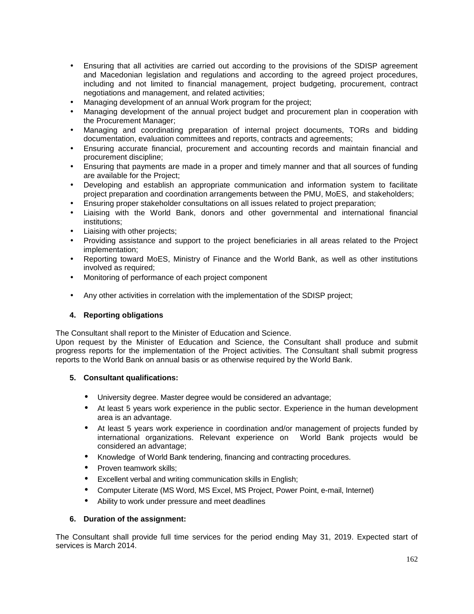- Ensuring that all activities are carried out according to the provisions of the SDISP agreement and Macedonian legislation and regulations and according to the agreed project procedures, including and not limited to financial management, project budgeting, procurement, contract negotiations and management, and related activities;
- Managing development of an annual Work program for the project;
- Managing development of the annual project budget and procurement plan in cooperation with the Procurement Manager;
- Managing and coordinating preparation of internal project documents, TORs and bidding documentation, evaluation committees and reports, contracts and agreements;
- Ensuring accurate financial, procurement and accounting records and maintain financial and procurement discipline;
- Ensuring that payments are made in a proper and timely manner and that all sources of funding are available for the Project;
- Developing and establish an appropriate communication and information system to facilitate project preparation and coordination arrangements between the PMU, MoES, and stakeholders;
- Ensuring proper stakeholder consultations on all issues related to project preparation;
- Liaising with the World Bank, donors and other governmental and international financial institutions;
- Liaising with other projects;
- Providing assistance and support to the project beneficiaries in all areas related to the Project implementation;
- Reporting toward MoES, Ministry of Finance and the World Bank, as well as other institutions involved as required;
- Monitoring of performance of each project component
- Any other activities in correlation with the implementation of the SDISP project;

#### **4. Reporting obligations**

The Consultant shall report to the Minister of Education and Science.

Upon request by the Minister of Education and Science, the Consultant shall produce and submit progress reports for the implementation of the Project activities. The Consultant shall submit progress reports to the World Bank on annual basis or as otherwise required by the World Bank.

#### **5. Consultant qualifications:**

- University degree. Master degree would be considered an advantage;
- At least 5 years work experience in the public sector. Experience in the human development area is an advantage.
- At least 5 years work experience in coordination and/or management of projects funded by international organizations. Relevant experience on World Bank projects would be considered an advantage;
- Knowledge of World Bank tendering, financing and contracting procedures.
- Proven teamwork skills;
- Excellent verbal and writing communication skills in English;
- Computer Literate (MS Word, MS Excel, MS Project, Power Point, e-mail, Internet)
- Ability to work under pressure and meet deadlines

#### **6. Duration of the assignment:**

The Consultant shall provide full time services for the period ending May 31, 2019. Expected start of services is March 2014.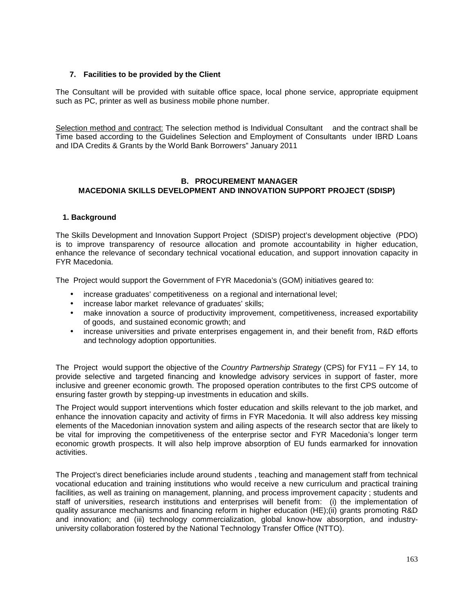#### **7. Facilities to be provided by the Client**

The Consultant will be provided with suitable office space, local phone service, appropriate equipment such as PC, printer as well as business mobile phone number.

Selection method and contract: The selection method is Individual Consultant and the contract shall be Time based according to the Guidelines Selection and Employment of Consultants under IBRD Loans and IDA Credits & Grants by the World Bank Borrowers" January 2011

#### **B. PROCUREMENT MANAGER MACEDONIA SKILLS DEVELOPMENT AND INNOVATION SUPPORT PROJECT (SDISP)**

#### **1. Background**

The Skills Development and Innovation Support Project (SDISP) project's development objective (PDO) is to improve transparency of resource allocation and promote accountability in higher education, enhance the relevance of secondary technical vocational education, and support innovation capacity in FYR Macedonia.

The Project would support the Government of FYR Macedonia's (GOM) initiatives geared to:

- increase graduates' competitiveness on a regional and international level;
- increase labor market relevance of graduates' skills;
- make innovation a source of productivity improvement, competitiveness, increased exportability of goods, and sustained economic growth; and
- increase universities and private enterprises engagement in, and their benefit from, R&D efforts and technology adoption opportunities.

The Project would support the objective of the *Country Partnership Strategy* (CPS) for FY11 – FY 14, to provide selective and targeted financing and knowledge advisory services in support of faster, more inclusive and greener economic growth. The proposed operation contributes to the first CPS outcome of ensuring faster growth by stepping-up investments in education and skills.

The Project would support interventions which foster education and skills relevant to the job market, and enhance the innovation capacity and activity of firms in FYR Macedonia. It will also address key missing elements of the Macedonian innovation system and ailing aspects of the research sector that are likely to be vital for improving the competitiveness of the enterprise sector and FYR Macedonia's longer term economic growth prospects. It will also help improve absorption of EU funds earmarked for innovation activities.

The Project's direct beneficiaries include around students , teaching and management staff from technical vocational education and training institutions who would receive a new curriculum and practical training facilities, as well as training on management, planning, and process improvement capacity ; students and staff of universities, research institutions and enterprises will benefit from: (i) the implementation of quality assurance mechanisms and financing reform in higher education (HE);(ii) grants promoting R&D and innovation; and (iii) technology commercialization, global know-how absorption, and industry university collaboration fostered by the National Technology Transfer Office (NTTO).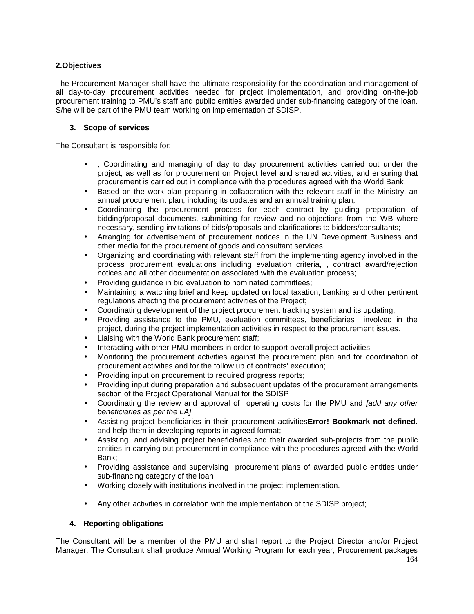#### **2.Objectives**

The Procurement Manager shall have the ultimate responsibility for the coordination and management of all day-to-day procurement activities needed for project implementation, and providing on-the-job procurement training to PMU's staff and public entities awarded under sub-financing category of the loan. S/he will be part of the PMU team working on implementation of SDISP.

#### **3. Scope of services**

The Consultant is responsible for:

- ; Coordinating and managing of day to day procurement activities carried out under the project, as well as for procurement on Project level and shared activities, and ensuring that procurement is carried out in compliance with the procedures agreed with the World Bank.
- Based on the work plan preparing in collaboration with the relevant staff in the Ministry, an annual procurement plan, including its updates and an annual training plan;
- Coordinating the procurement process for each contract by guiding preparation of bidding/proposal documents, submitting for review and no-objections from the WB where necessary, sending invitations of bids/proposals and clarifications to bidders/consultants;
- Arranging for advertisement of procurement notices in the UN Development Business and other media for the procurement of goods and consultant services
- Organizing and coordinating with relevant staff from the implementing agency involved in the process procurement evaluations including evaluation criteria, , contract award/rejection notices and all other documentation associated with the evaluation process;
- Providing guidance in bid evaluation to nominated committees;
- Maintaining a watching brief and keep updated on local taxation, banking and other pertinent regulations affecting the procurement activities of the Project;
- Coordinating development of the project procurement tracking system and its updating;
- Providing assistance to the PMU, evaluation committees, beneficiaries involved in the project, during the project implementation activities in respect to the procurement issues.
- Liaising with the World Bank procurement staff;
- Interacting with other PMU members in order to support overall project activities
- Monitoring the procurement activities against the procurement plan and for coordination of procurement activities and for the follow up of contracts' execution;
- Providing input on procurement to required progress reports;
- Providing input during preparation and subsequent updates of the procurement arrangements section of the Project Operational Manual for the SDISP
- Coordinating the review and approval of operating costs for the PMU and *[add any other beneficiaries as per the LA]*
- Assisting project beneficiaries in their procurement activities**Error! Bookmark not defined.** and help them in developing reports in agreed format;
- Assisting and advising project beneficiaries and their awarded sub-projects from the public entities in carrying out procurement in compliance with the procedures agreed with the World Bank;
- Providing assistance and supervising procurement plans of awarded public entities under sub-financing category of the loan
- Working closely with institutions involved in the project implementation.
- Any other activities in correlation with the implementation of the SDISP project;

#### **4. Reporting obligations**

The Consultant will be a member of the PMU and shall report to the Project Director and/or Project Manager. The Consultant shall produce Annual Working Program for each year; Procurement packages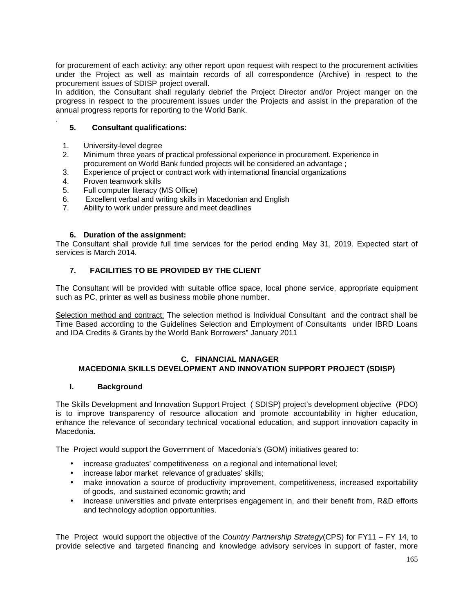for procurement of each activity; any other report upon request with respect to the procurement activities under the Project as well as maintain records of all correspondence (Archive) in respect to the procurement issues of SDISP project overall.

In addition, the Consultant shall regularly debrief the Project Director and/or Project manger on the progress in respect to the procurement issues under the Projects and assist in the preparation of the annual progress reports for reporting to the World Bank.

#### . **5. Consultant qualifications:**

- 1. University-level degree
- 2. Minimum three years of practical professional experience in procurement. Experience in procurement on World Bank funded projects will be considered an advantage ;
- 3. Experience of project or contract work with international financial organizations
- 4. Proven teamwork skills
- 5. Full computer literacy (MS Office)
- 6. Excellent verbal and writing skills in Macedonian and English
- 7. Ability to work under pressure and meet deadlines

#### **6. Duration of the assignment:**

The Consultant shall provide full time services for the period ending May 31, 2019. Expected start of services is March 2014.

#### **7. FACILITIES TO BE PROVIDED BY THE CLIENT**

The Consultant will be provided with suitable office space, local phone service, appropriate equipment such as PC, printer as well as business mobile phone number.

Selection method and contract: The selection method is Individual Consultant and the contract shall be Time Based according to the Guidelines Selection and Employment of Consultants under IBRD Loans and IDA Credits & Grants by the World Bank Borrowers" January 2011

#### **C. FINANCIAL MANAGER MACEDONIA SKILLS DEVELOPMENT AND INNOVATION SUPPORT PROJECT (SDISP)**

#### **I. Background**

The Skills Development and Innovation Support Project ( SDISP) project's development objective (PDO) is to improve transparency of resource allocation and promote accountability in higher education, enhance the relevance of secondary technical vocational education, and support innovation capacity in Macedonia.

The Project would support the Government of Macedonia's (GOM) initiatives geared to:

- increase graduates' competitiveness on a regional and international level;
- increase labor market relevance of graduates' skills;
- make innovation a source of productivity improvement, competitiveness, increased exportability of goods, and sustained economic growth; and
- increase universities and private enterprises engagement in, and their benefit from, R&D efforts and technology adoption opportunities.

The Project would support the objective of the *Country Partnership Strategy*(CPS) for FY11 – FY 14, to provide selective and targeted financing and knowledge advisory services in support of faster, more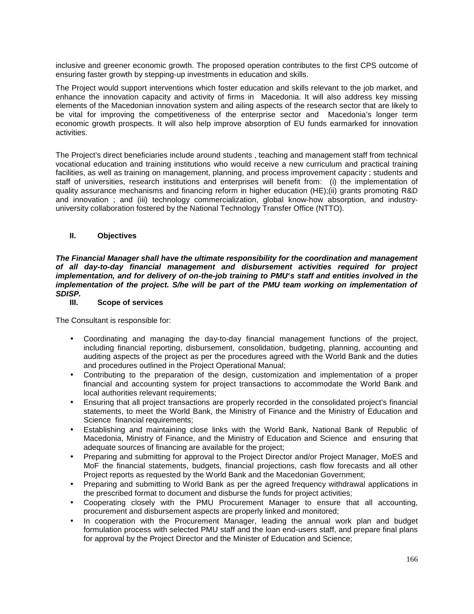inclusive and greener economic growth. The proposed operation contributes to the first CPS outcome of ensuring faster growth by stepping-up investments in education and skills.

The Project would support interventions which foster education and skills relevant to the job market, and enhance the innovation capacity and activity of firms in Macedonia. It will also address key missing elements of the Macedonian innovation system and ailing aspects of the research sector that are likely to be vital for improving the competitiveness of the enterprise sector and Macedonia's longer term economic growth prospects. It will also help improve absorption of EU funds earmarked for innovation activities.

The Project's direct beneficiaries include around students , teaching and management staff from technical vocational education and training institutions who would receive a new curriculum and practical training facilities, as well as training on management, planning, and process improvement capacity ; students and staff of universities, research institutions and enterprises will benefit from: (i) the implementation of quality assurance mechanisms and financing reform in higher education (HE);(ii) grants promoting R&D and innovation ; and (iii) technology commercialization, global know-how absorption, and industry university collaboration fostered by the National Technology Transfer Office (NTTO).

#### **II. Objectives**

*The Financial Manager shall have the ultimate responsibility for the coordination and management of all day-to-day financial management and disbursement activities required for project implementation, and for delivery of on-the-job training to PMU`s staff and entities involved in the implementation of the project. S/he will be part of the PMU team working on implementation of SDISP.*

#### **III. Scope of services**

The Consultant is responsible for:

- Coordinating and managing the day-to-day financial management functions of the project, including financial reporting, disbursement, consolidation, budgeting, planning, accounting and auditing aspects of the project as per the procedures agreed with the World Bank and the duties and procedures outlined in the Project Operational Manual;
- Contributing to the preparation of the design, customization and implementation of a proper financial and accounting system for project transactions to accommodate the World Bank and local authorities relevant requirements;
- Ensuring that all project transactions are properly recorded in the consolidated project's financial statements, to meet the World Bank, the Ministry of Finance and the Ministry of Education and Science financial requirements;
- Establishing and maintaining close links with the World Bank, National Bank of Republic of Macedonia, Ministry of Finance, and the Ministry of Education and Science and ensuring that adequate sources of financing are available for the project;
- Preparing and submitting for approval to the Project Director and/or Project Manager, MoES and MoF the financial statements, budgets, financial projections, cash flow forecasts and all other Project reports as requested by the World Bank and the Macedonian Government;
- Preparing and submitting to World Bank as per the agreed frequency withdrawal applications in the prescribed format to document and disburse the funds for project activities;
- Cooperating closely with the PMU Procurement Manager to ensure that all accounting, procurement and disbursement aspects are properly linked and monitored;
- In cooperation with the Procurement Manager, leading the annual work plan and budget formulation process with selected PMU staff and the loan end-users staff, and prepare final plans for approval by the Project Director and the Minister of Education and Science;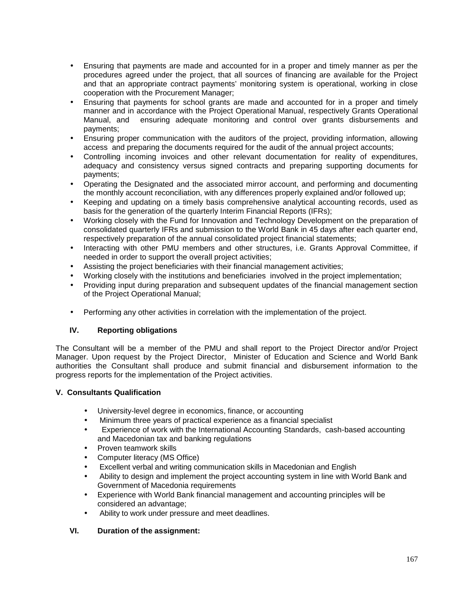- Ensuring that payments are made and accounted for in a proper and timely manner as per the procedures agreed under the project, that all sources of financing are available for the Project and that an appropriate contract payments' monitoring system is operational, working in close cooperation with the Procurement Manager;
- Ensuring that payments for school grants are made and accounted for in a proper and timely manner and in accordance with the Project Operational Manual, respectively Grants Operational Manual, and ensuring adequate monitoring and control over grants disbursements and payments;
- Ensuring proper communication with the auditors of the project, providing information, allowing access and preparing the documents required for the audit of the annual project accounts;
- Controlling incoming invoices and other relevant documentation for reality of expenditures, adequacy and consistency versus signed contracts and preparing supporting documents for payments;
- Operating the Designated and the associated mirror account, and performing and documenting the monthly account reconciliation, with any differences properly explained and/or followed up;
- Keeping and updating on a timely basis comprehensive analytical accounting records, used as basis for the generation of the quarterly Interim Financial Reports (IFRs);
- Working closely with the Fund for Innovation and Technology Development on the preparation of consolidated quarterly IFRs and submission to the World Bank in 45 days after each quarter end, respectively preparation of the annual consolidated project financial statements;
- Interacting with other PMU members and other structures, i.e. Grants Approval Committee, if needed in order to support the overall project activities;
- Assisting the project beneficiaries with their financial management activities;
- Working closely with the institutions and beneficiaries involved in the project implementation;
- Providing input during preparation and subsequent updates of the financial management section of the Project Operational Manual;
- Performing any other activities in correlation with the implementation of the project.

#### **IV. Reporting obligations**

The Consultant will be a member of the PMU and shall report to the Project Director and/or Project Manager. Upon request by the Project Director, Minister of Education and Science and World Bank authorities the Consultant shall produce and submit financial and disbursement information to the progress reports for the implementation of the Project activities.

#### **V. Consultants Qualification**

- University-level degree in economics, finance, or accounting
- Minimum three years of practical experience as a financial specialist
- Experience of work with the International Accounting Standards, cash-based accounting and Macedonian tax and banking regulations
- Proven teamwork skills
- Computer literacy (MS Office)
- Excellent verbal and writing communication skills in Macedonian and English
- Ability to design and implement the project accounting system in line with World Bank and Government of Macedonia requirements
- Experience with World Bank financial management and accounting principles will be considered an advantage;
- Ability to work under pressure and meet deadlines.

#### **VI. Duration of the assignment:**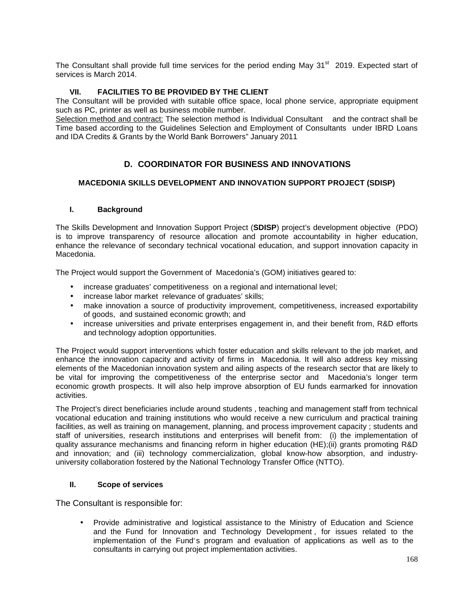The Consultant shall provide full time services for the period ending May  $31<sup>st</sup>$  2019. Expected start of services is March 2014.

#### **VII. FACILITIES TO BE PROVIDED BY THE CLIENT**

The Consultant will be provided with suitable office space, local phone service, appropriate equipment such as PC, printer as well as business mobile number.

Selection method and contract: The selection method is Individual Consultant and the contract shall be Time based according to the Guidelines Selection and Employment of Consultants under IBRD Loans and IDA Credits & Grants by the World Bank Borrowers" January 2011

### **D. COORDINATOR FOR BUSINESS AND INNOVATIONS**

#### **MACEDONIA SKILLS DEVELOPMENT AND INNOVATION SUPPORT PROJECT (SDISP)**

#### **I. Background**

The Skills Development and Innovation Support Project (**SDISP**) project's development objective (PDO) is to improve transparency of resource allocation and promote accountability in higher education, enhance the relevance of secondary technical vocational education, and support innovation capacity in Macedonia.

The Project would support the Government of Macedonia's (GOM) initiatives geared to:

- increase graduates' competitiveness on a regional and international level;
- increase labor market relevance of graduates' skills;
- make innovation a source of productivity improvement, competitiveness, increased exportability of goods, and sustained economic growth; and
- increase universities and private enterprises engagement in, and their benefit from, R&D efforts and technology adoption opportunities.

The Project would support interventions which foster education and skills relevant to the job market, and enhance the innovation capacity and activity of firms in Macedonia. It will also address key missing elements of the Macedonian innovation system and ailing aspects of the research sector that are likely to be vital for improving the competitiveness of the enterprise sector and Macedonia's longer term economic growth prospects. It will also help improve absorption of EU funds earmarked for innovation activities.

The Project's direct beneficiaries include around students , teaching and management staff from technical vocational education and training institutions who would receive a new curriculum and practical training facilities, as well as training on management, planning, and process improvement capacity ; students and staff of universities, research institutions and enterprises will benefit from: (i) the implementation of quality assurance mechanisms and financing reform in higher education (HE);(ii) grants promoting R&D and innovation; and (iii) technology commercialization, global know-how absorption, and industry university collaboration fostered by the National Technology Transfer Office (NTTO).

#### **II. Scope of services**

The Consultant is responsible for:

• Provide administrative and logistical assistance to the Ministry of Education and Science and the Fund for Innovation and Technology Development , for issues related to the implementation of the Fund`s program and evaluation of applications as well as to the consultants in carrying out project implementation activities.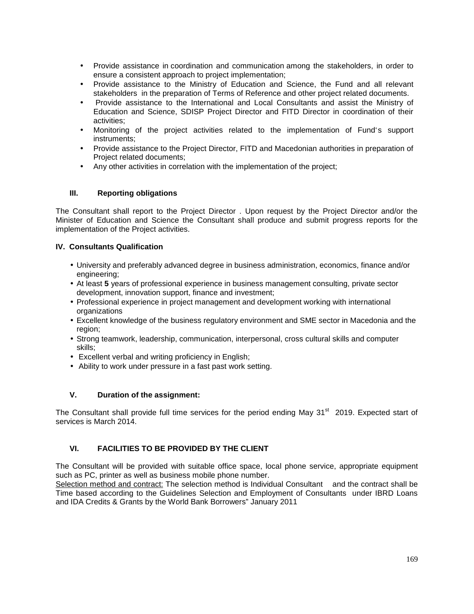- Provide assistance in coordination and communication among the stakeholders, in order to ensure a consistent approach to project implementation;
- Provide assistance to the Ministry of Education and Science, the Fund and all relevant stakeholders in the preparation of Terms of Reference and other project related documents.
- Provide assistance to the International and Local Consultants and assist the Ministry of Education and Science, SDISP Project Director and FITD Director in coordination of their activities;
- Monitoring of the project activities related to the implementation of Fund`s support instruments;
- Provide assistance to the Project Director, FITD and Macedonian authorities in preparation of Project related documents;
- Any other activities in correlation with the implementation of the project;

#### **III. Reporting obligations**

The Consultant shall report to the Project Director . Upon request by the Project Director and/or the Minister of Education and Science the Consultant shall produce and submit progress reports for the implementation of the Project activities.

#### **IV. Consultants Qualification**

- University and preferably advanced degree in business administration, economics, finance and/or engineering;
- At least **5** years of professional experience in business management consulting, private sector development, innovation support, finance and investment;
- Professional experience in project management and development working with international organizations
- Excellent knowledge of the business regulatory environment and SME sector in Macedonia and the region;
- Strong teamwork, leadership, communication, interpersonal, cross cultural skills and computer skills;
- Excellent verbal and writing proficiency in English;
- Ability to work under pressure in a fast past work setting.

#### **V. Duration of the assignment:**

The Consultant shall provide full time services for the period ending May 31<sup>st</sup> 2019. Expected start of services is March 2014.

#### **VI. FACILITIES TO BE PROVIDED BY THE CLIENT**

The Consultant will be provided with suitable office space, local phone service, appropriate equipment such as PC, printer as well as business mobile phone number.

Selection method and contract: The selection method is Individual Consultant and the contract shall be Time based according to the Guidelines Selection and Employment of Consultants under IBRD Loans and IDA Credits & Grants by the World Bank Borrowers" January 2011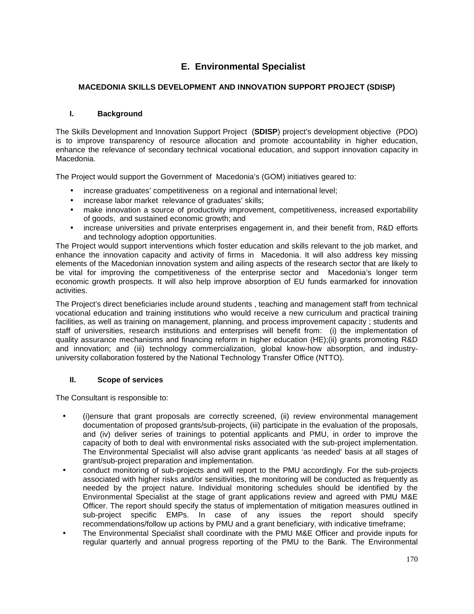## **E. Environmental Specialist**

### **MACEDONIA SKILLS DEVELOPMENT AND INNOVATION SUPPORT PROJECT (SDISP)**

### **I. Background**

The Skills Development and Innovation Support Project (**SDISP**) project's development objective (PDO) is to improve transparency of resource allocation and promote accountability in higher education, enhance the relevance of secondary technical vocational education, and support innovation capacity in Macedonia.

The Project would support the Government of Macedonia's (GOM) initiatives geared to:

- increase graduates' competitiveness on a regional and international level;
- increase labor market relevance of graduates' skills;
- make innovation a source of productivity improvement, competitiveness, increased exportability of goods, and sustained economic growth; and
- increase universities and private enterprises engagement in, and their benefit from, R&D efforts and technology adoption opportunities.

The Project would support interventions which foster education and skills relevant to the job market, and enhance the innovation capacity and activity of firms in Macedonia. It will also address key missing elements of the Macedonian innovation system and ailing aspects of the research sector that are likely to be vital for improving the competitiveness of the enterprise sector and Macedonia's longer term economic growth prospects. It will also help improve absorption of EU funds earmarked for innovation activities.

The Project's direct beneficiaries include around students , teaching and management staff from technical vocational education and training institutions who would receive a new curriculum and practical training facilities, as well as training on management, planning, and process improvement capacity ; students and staff of universities, research institutions and enterprises will benefit from: (i) the implementation of quality assurance mechanisms and financing reform in higher education (HE);(ii) grants promoting R&D and innovation; and (iii) technology commercialization, global know-how absorption, and industry university collaboration fostered by the National Technology Transfer Office (NTTO).

#### **II. Scope of services**

The Consultant is responsible to:

- (i)ensure that grant proposals are correctly screened, (ii) review environmental management documentation of proposed grants/sub-projects, (iii) participate in the evaluation of the proposals, and (iv) deliver series of trainings to potential applicants and PMU, in order to improve the capacity of both to deal with environmental risks associated with the sub-project implementation. The Environmental Specialist will also advise grant applicants 'as needed' basis at all stages of grant/sub-project preparation and implementation.
- conduct monitoring of sub-projects and will report to the PMU accordingly. For the sub-projects associated with higher risks and/or sensitivities, the monitoring will be conducted as frequently as needed by the project nature. Individual monitoring schedules should be identified by the Environmental Specialist at the stage of grant applications review and agreed with PMU M&E Officer. The report should specify the status of implementation of mitigation measures outlined in sub-project specific EMPs. In case of any issues the report should specify recommendations/follow up actions by PMU and a grant beneficiary, with indicative timeframe;
- The Environmental Specialist shall coordinate with the PMU M&E Officer and provide inputs for regular quarterly and annual progress reporting of the PMU to the Bank. The Environmental